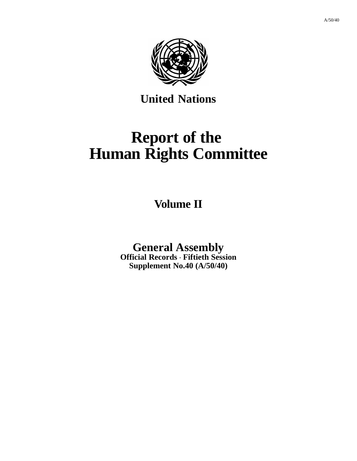

**United Nations**

# **Report of the Human Rights Committee**

**Volume II**

**General Assembly Official Records · Fiftieth Session Supplement No.40 (A/50/40)**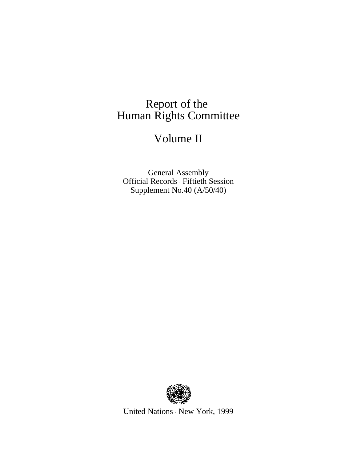### Report of the Human Rights Committee

## Volume II

General Assembly Official Records · Fiftieth Session Supplement No.40 (A/50/40)



United Nations · New York, 1999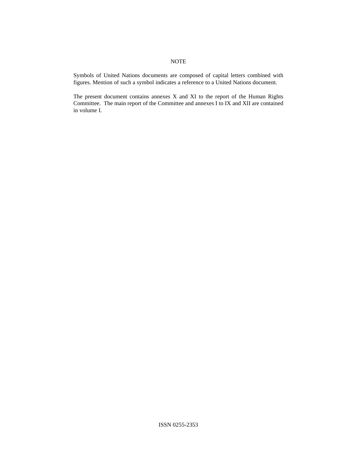### NOTE

Symbols of United Nations documents are composed of capital letters combined with figures. Mention of such a symbol indicates a reference to a United Nations document.

The present document contains annexes X and XI to the report of the Human Rights Committee. The main report of the Committee and annexes I to IX and XII are contained in volume I.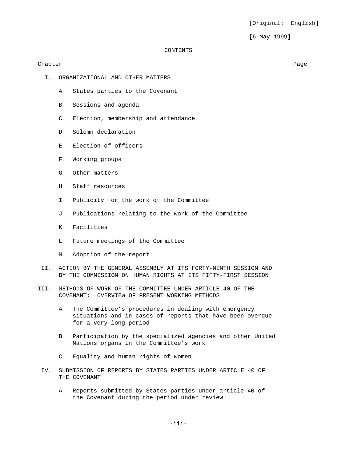[Original: English]

[6 May 1999]

#### CONTENTS

#### Chapter Page **Page 2012**

- I. ORGANIZATIONAL AND OTHER MATTERS
	- A. States parties to the Covenant
	- B. Sessions and agenda
	- C. Election, membership and attendance
	- D. Solemn declaration
	- E. Election of officers
	- F. Working groups
	- G. Other matters
	- H. Staff resources
	- I. Publicity for the work of the Committee
	- J. Publications relating to the work of the Committee
	- K. Facilities
	- L. Future meetings of the Committee
	- M. Adoption of the report
- II. ACTION BY THE GENERAL ASSEMBLY AT ITS FORTY-NINTH SESSION AND BY THE COMMISSION ON HUMAN RIGHTS AT ITS FIFTY-FIRST SESSION
- III. METHODS OF WORK OF THE COMMITTEE UNDER ARTICLE 40 OF THE COVENANT: OVERVIEW OF PRESENT WORKING METHODS
	- A. The Committee's procedures in dealing with emergency situations and in cases of reports that have been overdue for a very long period
	- B. Participation by the specialized agencies and other United Nations organs in the Committee's work
	- C. Equality and human rights of women
- IV. SUBMISSION OF REPORTS BY STATES PARTIES UNDER ARTICLE 40 OF THE COVENANT
	- A. Reports submitted by States parties under article 40 of the Covenant during the period under review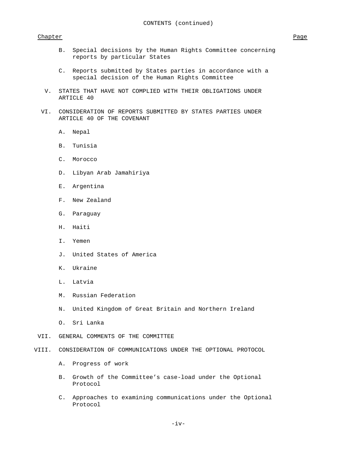- B. Special decisions by the Human Rights Committee concerning reports by particular States
- C. Reports submitted by States parties in accordance with a special decision of the Human Rights Committee
- V. STATES THAT HAVE NOT COMPLIED WITH THEIR OBLIGATIONS UNDER ARTICLE 40
- VI. CONSIDERATION OF REPORTS SUBMITTED BY STATES PARTIES UNDER ARTICLE 40 OF THE COVENANT
	- A. Nepal
	- B. Tunisia
	- C. Morocco
	- D. Libyan Arab Jamahiriya
	- E. Argentina
	- F. New Zealand
	- G. Paraguay
	- H. Haiti
	- I. Yemen
	- J. United States of America
	- K. Ukraine
	- L. Latvia
	- M. Russian Federation
	- N. United Kingdom of Great Britain and Northern Ireland
	- O. Sri Lanka
- VII. GENERAL COMMENTS OF THE COMMITTEE
- VIII. CONSIDERATION OF COMMUNICATIONS UNDER THE OPTIONAL PROTOCOL
	- A. Progress of work
	- B. Growth of the Committee's case-load under the Optional Protocol
	- C. Approaches to examining communications under the Optional Protocol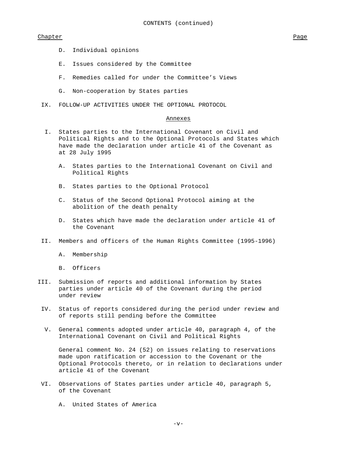- D. Individual opinions
- E. Issues considered by the Committee
- F. Remedies called for under the Committee's Views
- G. Non-cooperation by States parties
- IX. FOLLOW-UP ACTIVITIES UNDER THE OPTIONAL PROTOCOL

#### Annexes

- I. States parties to the International Covenant on Civil and Political Rights and to the Optional Protocols and States which have made the declaration under article 41 of the Covenant as at 28 July 1995
	- A. States parties to the International Covenant on Civil and Political Rights
	- B. States parties to the Optional Protocol
	- C. Status of the Second Optional Protocol aiming at the abolition of the death penalty
	- D. States which have made the declaration under article 41 of the Covenant
- II. Members and officers of the Human Rights Committee (1995-1996)
	- A. Membership
	- B. Officers
- III. Submission of reports and additional information by States parties under article 40 of the Covenant during the period under review
- IV. Status of reports considered during the period under review and of reports still pending before the Committee
- V. General comments adopted under article 40, paragraph 4, of the International Covenant on Civil and Political Rights

General comment No. 24 (52) on issues relating to reservations made upon ratification or accession to the Covenant or the Optional Protocols thereto, or in relation to declarations under article 41 of the Covenant

- VI. Observations of States parties under article 40, paragraph 5, of the Covenant
	- A. United States of America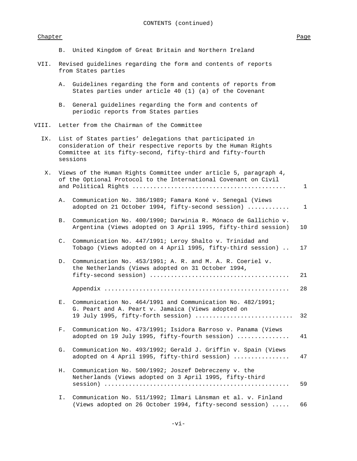- B. United Kingdom of Great Britain and Northern Ireland
- VII. Revised guidelines regarding the form and contents of reports from States parties
	- A. Guidelines regarding the form and contents of reports from States parties under article 40 (1) (a) of the Covenant
	- B. General guidelines regarding the form and contents of periodic reports from States parties
- VIII. Letter from the Chairman of the Committee

| IX. List of States parties' delegations that participated in  |
|---------------------------------------------------------------|
| consideration of their respective reports by the Human Rights |
| Committee at its fifty-second, fifty-third and fifty-fourth   |
| sessions                                                      |

| Х. |                | Views of the Human Rights Committee under article 5, paragraph 4,<br>of the Optional Protocol to the International Covenant on Civil                   | $\mathbf{1}$ |
|----|----------------|--------------------------------------------------------------------------------------------------------------------------------------------------------|--------------|
|    | Α.             | Communication No. 386/1989; Famara Koné v. Senegal (Views<br>adopted on 21 October 1994, fifty-second session)                                         | $\mathbf{1}$ |
|    | Β.             | Communication No. 400/1990; Darwinia R. Mónaco de Gallichio v.<br>Argentina (Views adopted on 3 April 1995, fifty-third session)                       | 10           |
|    | $\mathsf{C}$ . | Communication No. 447/1991; Leroy Shalto v. Trinidad and<br>Tobago (Views adopted on 4 April 1995, fifty-third session)                                | 17           |
|    | $D$ .          | Communication No. 453/1991; A. R. and M. A. R. Coeriel v.<br>the Netherlands (Views adopted on 31 October 1994,                                        | 21           |
|    |                |                                                                                                                                                        | 28           |
|    | Ε.             | Communication No. 464/1991 and Communication No. 482/1991;<br>G. Peart and A. Peart v. Jamaica (Views adopted on<br>19 July 1995, fifty-forth session) | 32           |
|    | $F$ .          | Communication No. 473/1991; Isidora Barroso v. Panama (Views<br>adopted on 19 July 1995, fifty-fourth session)                                         | 41           |
|    | G.             | Communication No. 493/1992; Gerald J. Griffin v. Spain (Views<br>adopted on 4 April 1995, fifty-third session)                                         | 47           |
|    | Η.             | Communication No. 500/1992; Joszef Debreczeny v. the<br>Netherlands (Views adopted on 3 April 1995, fifty-third                                        | 59           |
|    | Ι.             | Communication No. 511/1992; Ilmari Länsman et al. v. Finland<br>(Views adopted on 26 October 1994, fifty-second session)                               | 66           |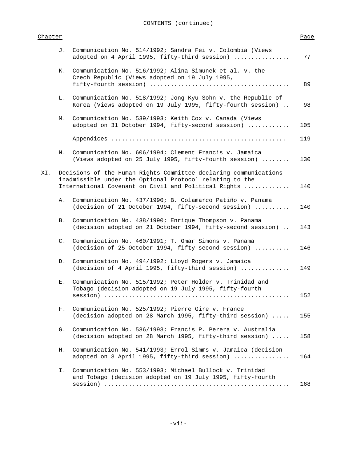|     | J. | Communication No. 514/1992; Sandra Fei v. Colombia (Views<br>adopted on 4 April 1995, fifty-third session)                                                                           | 77  |
|-----|----|--------------------------------------------------------------------------------------------------------------------------------------------------------------------------------------|-----|
|     | Κ. | Communication No. 516/1992; Alina Simunek et al. v. the<br>Czech Republic (Views adopted on 19 July 1995,                                                                            | 89  |
|     | L. | Communication No. 518/1992; Jong-Kyu Sohn v. the Republic of<br>Korea (Views adopted on 19 July 1995, fifty-fourth session)                                                          | 98  |
|     | М. | Communication No. 539/1993; Keith Cox v. Canada (Views<br>adopted on 31 October 1994, fifty-second session)                                                                          | 105 |
|     |    |                                                                                                                                                                                      | 119 |
|     | Ν. | Communication No. 606/1994; Clement Francis v. Jamaica<br>(Views adopted on 25 July 1995, fifty-fourth session)                                                                      | 130 |
| XI. |    | Decisions of the Human Rights Committee declaring communications<br>inadmissible under the Optional Protocol relating to the<br>International Covenant on Civil and Political Rights | 140 |
|     | Α. | Communication No. 437/1990; B. Colamarco Patiño v. Panama<br>(decision of 21 October 1994, fifty-second session)                                                                     | 140 |
|     | Β. | Communication No. 438/1990; Enrique Thompson v. Panama<br>(decision adopted on 21 October 1994, fifty-second session)                                                                | 143 |
|     | C. | Communication No. 460/1991; T. Omar Simons v. Panama<br>(decision of 25 October 1994, fifty-second session)                                                                          | 146 |
|     | D. | Communication No. 494/1992; Lloyd Rogers v. Jamaica<br>(decision of 4 April 1995, fifty-third session)                                                                               | 149 |
|     | Е. | Communication No. 515/1992; Peter Holder v. Trinidad and<br>Tobago (decision adopted on 19 July 1995, fifty-fourth                                                                   | 152 |
|     | F. | Communication No. 525/1992; Pierre Gire v. France<br>(decision adopted on 28 March 1995, fifty-third session)                                                                        | 155 |
|     | G. | Communication No. 536/1993; Francis P. Perera v. Australia<br>(decision adopted on 28 March 1995, fifty-third session)                                                               | 158 |
|     | Η. | Communication No. 541/1993; Errol Simms v. Jamaica (decision<br>adopted on 3 April 1995, fifty-third session)                                                                        | 164 |
|     | Ι. | Communication No. 553/1993; Michael Bullock v. Trinidad<br>and Tobago (decision adopted on 19 July 1995, fifty-fourth                                                                | 168 |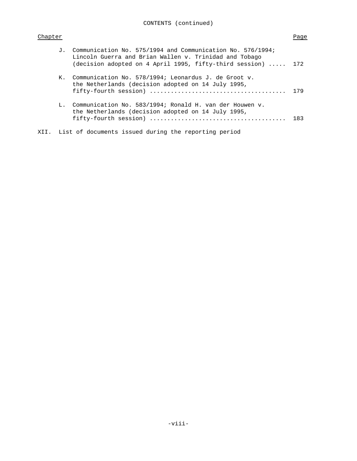| J. | Communication No. 575/1994 and Communication No. 576/1994;<br>Lincoln Guerra and Brian Wallen v. Trinidad and Tobago<br>(decision adopted on 4 April 1995, fifty-third session) | 172 |
|----|---------------------------------------------------------------------------------------------------------------------------------------------------------------------------------|-----|
| К. | Communication No. 578/1994; Leonardus J. de Groot v.<br>the Netherlands (decision adopted on 14 July 1995,                                                                      | 179 |
| T. | Communication No. 583/1994; Ronald H. van der Houwen v.<br>the Netherlands (decision adopted on 14 July 1995,                                                                   | 183 |

XII. List of documents issued during the reporting period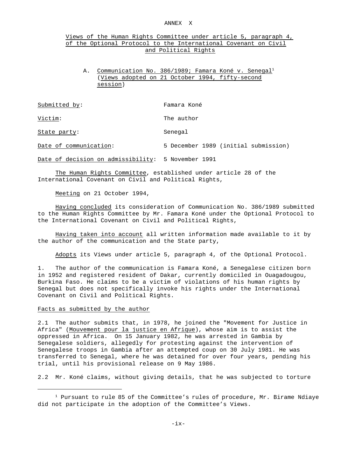#### ANNEX X

#### Views of the Human Rights Committee under article 5, paragraph 4, of the Optional Protocol to the International Covenant on Civil and Political Rights

A. Communication No. 386/1989; Famara Koné v. Senegal<sup>1</sup> (Views adopted on 21 October 1994, fifty-second session)

| Submitted by: | Famara Koné |  |
|---------------|-------------|--|
|---------------|-------------|--|

Victim: The author

State party: Senegal

Date of communication: 5 December 1989 (initial submission)

Date of decision on admissibility: 5 November 1991

The Human Rights Committee, established under article 28 of the International Covenant on Civil and Political Rights,

Meeting on 21 October 1994,

Having concluded its consideration of Communication No. 386/1989 submitted to the Human Rights Committee by Mr. Famara Koné under the Optional Protocol to the International Covenant on Civil and Political Rights,

Having taken into account all written information made available to it by the author of the communication and the State party,

Adopts its Views under article 5, paragraph 4, of the Optional Protocol.

1. The author of the communication is Famara Koné, a Senegalese citizen born in 1952 and registered resident of Dakar, currently domiciled in Ouagadougou, Burkina Faso. He claims to be a victim of violations of his human rights by Senegal but does not specifically invoke his rights under the International Covenant on Civil and Political Rights.

#### Facts as submitted by the author

2.1 The author submits that, in 1978, he joined the "Movement for Justice in Africa" (Mouvement pour la justice en Afrique), whose aim is to assist the oppressed in Africa. On 15 January 1982, he was arrested in Gambia by Senegalese soldiers, allegedly for protesting against the intervention of Senegalese troops in Gambia after an attempted coup on 30 July 1981. He was transferred to Senegal, where he was detained for over four years, pending his trial, until his provisional release on 9 May 1986.

2.2 Mr. Koné claims, without giving details, that he was subjected to torture

 $1$  Pursuant to rule 85 of the Committee's rules of procedure, Mr. Birame Ndiaye did not participate in the adoption of the Committee's Views.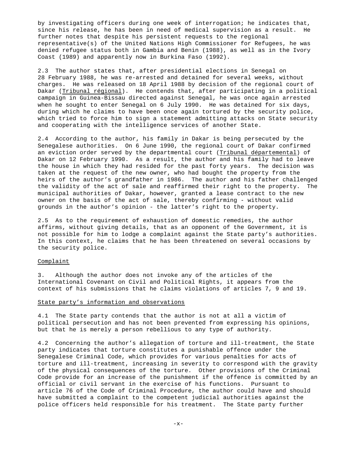by investigating officers during one week of interrogation; he indicates that, since his release, he has been in need of medical supervision as a result. He further notes that despite his persistent requests to the regional representative(s) of the United Nations High Commissioner for Refugees, he was denied refugee status both in Gambia and Benin (1988), as well as in the Ivory Coast (1989) and apparently now in Burkina Faso (1992).

2.3 The author states that, after presidential elections in Senegal on 28 February 1988, he was re-arrested and detained for several weeks, without charges. He was released on 18 April 1988 by decision of the regional court of Dakar (Tribunal régional). He contends that, after participating in a political campaign in Guinea-Bissau directed against Senegal, he was once again arrested when he sought to enter Senegal on 6 July 1990. He was detained for six days, during which he claims to have been once again tortured by the security police, which tried to force him to sign a statement admitting attacks on State security and cooperating with the intelligence services of another State.

2.4 According to the author, his family in Dakar is being persecuted by the Senegalese authorities. On 6 June 1990, the regional court of Dakar confirmed an eviction order served by the departmental court (Tribunal départemental) of Dakar on 12 February 1990. As a result, the author and his family had to leave the house in which they had resided for the past forty years. The decision was taken at the request of the new owner, who had bought the property from the heirs of the author's grandfather in 1986. The author and his father challenged the validity of the act of sale and reaffirmed their right to the property. The municipal authorities of Dakar, however, granted a lease contract to the new owner on the basis of the act of sale, thereby confirming - without valid grounds in the author's opinion - the latter's right to the property.

2.5 As to the requirement of exhaustion of domestic remedies, the author affirms, without giving details, that as an opponent of the Government, it is not possible for him to lodge a complaint against the State party's authorities. In this context, he claims that he has been threatened on several occasions by the security police.

#### Complaint

3. Although the author does not invoke any of the articles of the International Covenant on Civil and Political Rights, it appears from the context of his submissions that he claims violations of articles 7, 9 and 19.

#### State party's information and observations

4.1 The State party contends that the author is not at all a victim of political persecution and has not been prevented from expressing his opinions, but that he is merely a person rebellious to any type of authority.

4.2 Concerning the author's allegation of torture and ill-treatment, the State party indicates that torture constitutes a punishable offence under the Senegalese Criminal Code, which provides for various penalties for acts of torture and ill-treatment, increasing in severity to correspond with the gravity of the physical consequences of the torture. Other provisions of the Criminal Code provide for an increase of the punishment if the offence is committed by an official or civil servant in the exercise of his functions. Pursuant to article 76 of the Code of Criminal Procedure, the author could have and should have submitted a complaint to the competent judicial authorities against the police officers held responsible for his treatment. The State party further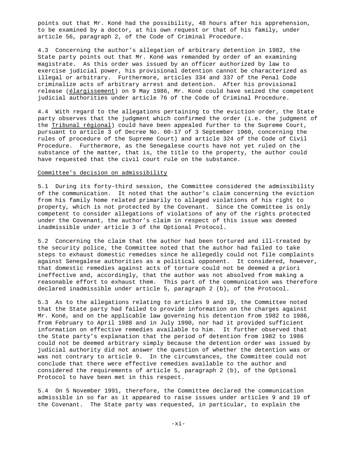points out that Mr. Koné had the possibility, 48 hours after his apprehension, to be examined by a doctor, at his own request or that of his family, under article 56, paragraph 2, of the Code of Criminal Procedure.

4.3 Concerning the author's allegation of arbitrary detention in 1982, the State party points out that Mr. Koné was remanded by order of an examining magistrate. As this order was issued by an officer authorized by law to exercise judicial power, his provisional detention cannot be characterized as illegal or arbitrary. Furthermore, articles 334 and 337 of the Penal Code criminalize acts of arbitrary arrest and detention. After his provisional release (élargissement) on 9 May 1986, Mr. Koné could have seized the competent judicial authorities under article 76 of the Code of Criminal Procedure.

4.4 With regard to the allegations pertaining to the eviction order, the State party observes that the judgment which confirmed the order (i.e. the judgment of the Tribunal régional) could have been appealed further to the Supreme Court, pursuant to article 3 of Decree No. 60-17 of 3 September 1960, concerning the rules of procedure of the Supreme Court) and article 324 of the Code of Civil Procedure. Furthermore, as the Senegalese courts have not yet ruled on the substance of the matter, that is, the title to the property, the author could have requested that the civil court rule on the substance.

#### Committee's decision on admissibility

5.1 During its forty-third session, the Committee considered the admissibility of the communication. It noted that the author's claim concerning the eviction from his family home related primarily to alleged violations of his right to property, which is not protected by the Covenant. Since the Committee is only competent to consider allegations of violations of any of the rights protected under the Covenant, the author's claim in respect of this issue was deemed inadmissible under article 3 of the Optional Protocol.

5.2 Concerning the claim that the author had been tortured and ill-treated by the security police, the Committee noted that the author had failed to take steps to exhaust domestic remedies since he allegedly could not file complaints against Senegalese authorities as a political opponent. It considered, however, that domestic remedies against acts of torture could not be deemed a priori ineffective and, accordingly, that the author was not absolved from making a reasonable effort to exhaust them. This part of the communication was therefore declared inadmissible under article 5, paragraph 2 (b), of the Protocol.

5.3 As to the allegations relating to articles 9 and 19, the Committee noted that the State party had failed to provide information on the charges against Mr. Koné, and on the applicable law governing his detention from 1982 to 1986, from February to April 1988 and in July 1990, nor had it provided sufficient information on effective remedies available to him. It further observed that the State party's explanation that the period of detention from 1982 to 1986 could not be deemed arbitrary simply because the detention order was issued by judicial authority did not answer the question of whether the detention was or was not contrary to article 9. In the circumstances, the Committee could not conclude that there were effective remedies available to the author and considered the requirements of article 5, paragraph 2 (b), of the Optional Protocol to have been met in this respect.

5.4 On 5 November 1991, therefore, the Committee declared the communication admissible in so far as it appeared to raise issues under articles 9 and 19 of the Covenant. The State party was requested, in particular, to explain the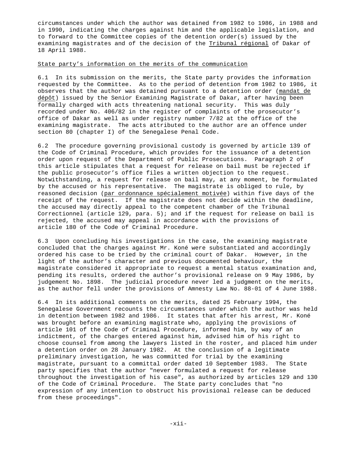circumstances under which the author was detained from 1982 to 1986, in 1988 and in 1990, indicating the charges against him and the applicable legislation, and to forward to the Committee copies of the detention  $order(s)$  issued by the examining magistrates and of the decision of the Tribunal régional of Dakar of 18 April 1988.

#### State party's information on the merits of the communication

6.1 In its submission on the merits, the State party provides the information requested by the Committee. As to the period of detention from 1982 to 1986, it observes that the author was detained pursuant to a detention order (mandat de dépôt) issued by the Senior Examining Magistrate of Dakar, after having been formally charged with acts threatening national security. This was duly recorded under No. 406/82 in the register of complaints of the prosecutor's office of Dakar as well as under registry number 7/82 at the office of the examining magistrate. The acts attributed to the author are an offence under section 80 (chapter I) of the Senegalese Penal Code.

6.2 The procedure governing provisional custody is governed by article 139 of the Code of Criminal Procedure, which provides for the issuance of a detention order upon request of the Department of Public Prosecutions. Paragraph 2 of this article stipulates that a request for release on bail must be rejected if the public prosecutor's office files a written objection to the request. Notwithstanding, a request for release on bail may, at any moment, be formulated by the accused or his representative. The magistrate is obliged to rule, by reasoned decision (par ordonnance spécialement motivée) within five days of the receipt of the request. If the magistrate does not decide within the deadline, the accused may directly appeal to the competent chamber of the Tribunal Correctionnel (article 129, para. 5); and if the request for release on bail is rejected, the accused may appeal in accordance with the provisions of article 180 of the Code of Criminal Procedure.

6.3 Upon concluding his investigations in the case, the examining magistrate concluded that the charges against Mr. Koné were substantiated and accordingly ordered his case to be tried by the criminal court of Dakar. However, in the light of the author's character and previous documented behaviour, the magistrate considered it appropriate to request a mental status examination and, pending its results, ordered the author's provisional release on 9 May 1986, by judgement No. 1898. The judicial procedure never led a judgment on the merits, as the author fell under the provisions of Amnesty Law No. 88-01 of 4 June 1988.

6.4 In its additional comments on the merits, dated 25 February 1994, the Senegalese Government recounts the circumstances under which the author was held in detention between 1982 and 1986. It states that after his arrest, Mr. Koné was brought before an examining magistrate who, applying the provisions of article 101 of the Code of Criminal Procedure, informed him, by way of an indictment, of the charges entered against him, advised him of his right to choose counsel from among the lawyers listed in the roster, and placed him under a detention order on 28 January 1982. At the conclusion of a legitimate preliminary investigation, he was committed for trial by the examining magistrate, pursuant to a committal order dated 10 September 1983. The State party specifies that the author "never formulated a request for release throughout the investigation of his case", as authorized by articles 129 and 130 of the Code of Criminal Procedure. The State party concludes that "no expression of any intention to obstruct his provisional release can be deduced from these proceedings".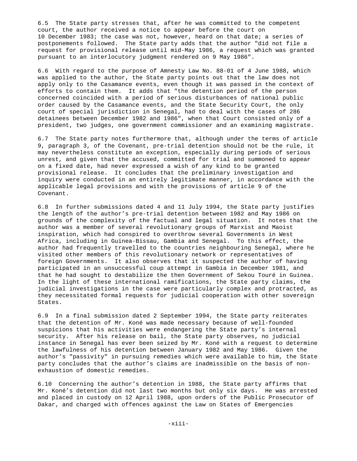6.5 The State party stresses that, after he was committed to the competent court, the author received a notice to appear before the court on 10 December 1983; the case was not, however, heard on that date; a series of postponements followed. The State party adds that the author "did not file a request for provisional release until mid-May 1986, a request which was granted pursuant to an interlocutory judgment rendered on 9 May 1986".

6.6 With regard to the purpose of Amnesty Law No. 88-01 of 4 June 1988, which was applied to the author, the State party points out that the law does not apply only to the Casamance events, even though it was passed in the context of efforts to contain them. It adds that "the detention period of the person concerned coincided with a period of serious disturbances of national public order caused by the Casamance events, and the State Security Court, the only court of special jurisdiction in Senegal, had to deal with the cases of 286 detainees between December 1982 and 1986", when that Court consisted only of a president, two judges, one government commissioner and an examining magistrate.

6.7 The State party notes furthermore that, although under the terms of article 9, paragraph 3, of the Covenant, pre-trial detention should not be the rule, it may nevertheless constitute an exception, especially during periods of serious unrest, and given that the accused, committed for trial and summoned to appear on a fixed date, had never expressed a wish of any kind to be granted provisional release. It concludes that the preliminary investigation and inquiry were conducted in an entirely legitimate manner, in accordance with the applicable legal provisions and with the provisions of article 9 of the Covenant.

6.8 In further submissions dated 4 and 11 July 1994, the State party justifies the length of the author's pre-trial detention between 1982 and May 1986 on grounds of the complexity of the factual and legal situation. It notes that the author was a member of several revolutionary groups of Marxist and Maoist inspiration, which had conspired to overthrow several Governments in West Africa, including in Guinea-Bissau, Gambia and Senegal. To this effect, the author had frequently travelled to the countries neighbouring Senegal, where he visited other members of this revolutionary network or representatives of foreign Governments. It also observes that it suspected the author of having participated in an unsuccessful coup attempt in Gambia in December 1981, and that he had sought to destabilize the then Government of Sekou Touré in Guinea. In the light of these international ramifications, the State party claims, the judicial investigations in the case were particularly complex and protracted, as they necessitated formal requests for judicial cooperation with other sovereign States.

6.9 In a final submission dated 2 September 1994, the State party reiterates that the detention of Mr. Koné was made necessary because of well-founded suspicions that his activities were endangering the State party's internal security. After his release on bail, the State party observes, no judicial instance in Senegal has ever been seized by Mr. Koné with a request to determine the lawfulness of his detention between January 1982 and May 1986. Given the author's "passivity" in pursuing remedies which were available to him, the State party concludes that the author's claims are inadmissible on the basis of nonexhaustion of domestic remedies.

6.10 Concerning the author's detention in 1988, the State party affirms that Mr. Koné's detention did not last two months but only six days. He was arrested and placed in custody on 12 April 1988, upon orders of the Public Prosecutor of Dakar, and charged with offences against the Law on States of Emergencies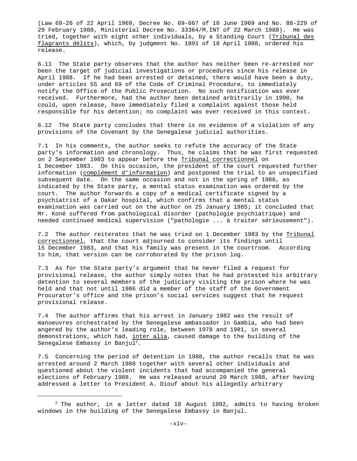(Law 69-26 of 22 April 1969, Decree No. 69-667 of 10 June 1969 and No. 88-229 of 29 February 1988, Ministerial Decree No. 33364/M.INT of 22 March 1988). He was tried, together with eight other individuals, by a Standing Court (Tribunal des flagrants délits), which, by judgment No. 1891 of 18 April 1988, ordered his release.

6.11 The State party observes that the author has neither been re-arrested nor been the target of judicial investigations or procedures since his release in April 1988. If he had been arrested or detained, there would have been a duty, under articles 55 and 69 of the Code of Criminal Procedure, to immediately notify the Office of the Public Prosecution. No such notification was ever received. Furthermore, had the author been detained arbitrarily in 1990, he could, upon release, have immediately filed a complaint against those held responsible for his detention; no complaint was ever received in this context.

6.12 The State party concludes that there is no evidence of a violation of any provisions of the Covenant by the Senegalese judicial authorities.

7.1 In his comments, the author seeks to refute the accuracy of the State party's information and chronology. Thus, he claims that he was first requested on 2 September 1983 to appear before the Tribunal correctionnel on 1 December 1983. On this occasion, the president of the court requested further information (complément d'information) and postponed the trial to an unspecified subsequent date. On the same occasion and not in the spring of 1986, as indicated by the State party, a mental status examination was ordered by the court. The author forwards a copy of a medical certificate signed by a psychiatrist of a Dakar hospital, which confirms that a mental status examination was carried out on the author on 25 January 1985; it concluded that Mr. Koné suffered from pathological disorder (pathologie psychiatrique) and needed continued medical supervision ("pathologie ... à traiter sérieusement").

7.2 The author reiterates that he was tried on 1 December 1983 by the Tribunal correctionnel, that the court adjourned to consider its findings until 15 December 1983, and that his family was present in the courtroom. According to him, that version can be corroborated by the prison log.

7.3 As for the State party's argument that he never filed a request for provisional release, the author simply notes that he had protested his arbitrary detention to several members of the judiciary visiting the prison where he was held and that not until 1986 did a member of the staff of the Government Procurator's office and the prison's social services suggest that he request provisional release.

7.4 The author affirms that his arrest in January 1982 was the result of manoeuvres orchestrated by the Senegalese ambassador in Gambia, who had been angered by the author's leading role, between 1978 and 1981, in several demonstrations, which had, inter alia, caused damage to the building of the Senegalese Embassy in Banjul<sup>2</sup>.

7.5 Concerning the period of detention in 1988, the author recalls that he was arrested around 2 March 1988 together with several other individuals and questioned about the violent incidents that had accompanied the general elections of February 1988. He was released around 20 March 1988, after having addressed a letter to President A. Diouf about his allegedly arbitrary

 $2$  The author, in a letter dated 10 August 1992, admits to having broken windows in the building of the Senegalese Embassy in Banjul.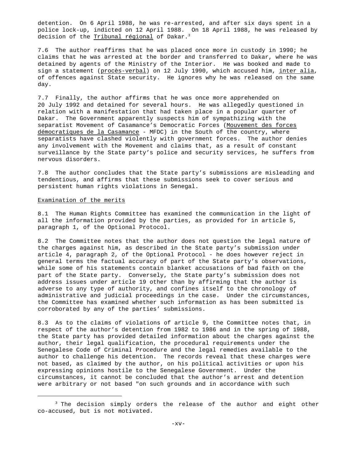detention. On 6 April 1988, he was re-arrested, and after six days spent in a police lock-up, indicted on 12 April 1988. On 18 April 1988, he was released by decision of the Tribunal régional of Dakar.<sup>3</sup>

7.6 The author reaffirms that he was placed once more in custody in 1990; he claims that he was arrested at the border and transferred to Dakar, where he was detained by agents of the Ministry of the Interior. He was booked and made to sign a statement (procès-verbal) on 12 July 1990, which accused him, inter alia, of offences against State security. He ignores why he was released on the same day.

7.7 Finally, the author affirms that he was once more apprehended on 20 July 1992 and detained for several hours. He was allegedly questioned in relation with a manifestation that had taken place in a popular quarter of Dakar. The Government apparently suspects him of sympathizing with the separatist Movement of Casamance's Democratic Forces (Mouvement des forces démocratiques de la Casamance - MFDC) in the South of the country, where separatists have clashed violently with government forces. The author denies any involvement with the Movement and claims that, as a result of constant surveillance by the State party's police and security services, he suffers from nervous disorders.

7.8 The author concludes that the State party's submissions are misleading and tendentious, and affirms that these submissions seek to cover serious and persistent human rights violations in Senegal.

#### Examination of the merits

8.1 The Human Rights Committee has examined the communication in the light of all the information provided by the parties, as provided for in article 5, paragraph 1, of the Optional Protocol.

8.2 The Committee notes that the author does not question the legal nature of the charges against him, as described in the State party's submission under article 4, paragraph 2, of the Optional Protocol - he does however reject in general terms the factual accuracy of part of the State party's observations, while some of his statements contain blanket accusations of bad faith on the part of the State party. Conversely, the State party's submission does not address issues under article 19 other than by affirming that the author is adverse to any type of authority, and confines itself to the chronology of administrative and judicial proceedings in the case. Under the circumstances, the Committee has examined whether such information as has been submitted is corroborated by any of the parties' submissions.

8.3 As to the claims of violations of article 9, the Committee notes that, in respect of the author's detention from 1982 to 1986 and in the spring of 1988, the State party has provided detailed information about the charges against the author, their legal qualification, the procedural requirements under the Senegalese Code of Criminal Procedure and the legal remedies available to the author to challenge his detention. The records reveal that these charges were not based, as claimed by the author, on his political activities or upon his expressing opinions hostile to the Senegalese Government. Under the circumstances, it cannot be concluded that the author's arrest and detention were arbitrary or not based "on such grounds and in accordance with such

<sup>&</sup>lt;sup>3</sup> The decision simply orders the release of the author and eight other co-accused, but is not motivated.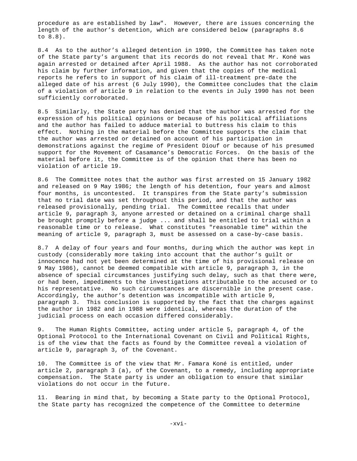procedure as are established by law". However, there are issues concerning the length of the author's detention, which are considered below (paragraphs 8.6 to 8.8).

8.4 As to the author's alleged detention in 1990, the Committee has taken note of the State party's argument that its records do not reveal that Mr. Koné was again arrested or detained after April 1988. As the author has not corroborated his claim by further information, and given that the copies of the medical reports he refers to in support of his claim of ill-treatment pre-date the alleged date of his arrest (6 July 1990), the Committee concludes that the claim of a violation of article 9 in relation to the events in July 1990 has not been sufficiently corroborated.

8.5 Similarly, the State party has denied that the author was arrested for the expression of his political opinions or because of his political affiliations and the author has failed to adduce material to buttress his claim to this effect. Nothing in the material before the Committee supports the claim that the author was arrested or detained on account of his participation in demonstrations against the regime of President Diouf or because of his presumed support for the Movement of Casamance's Democratic Forces. On the basis of the material before it, the Committee is of the opinion that there has been no violation of article 19.

8.6 The Committee notes that the author was first arrested on 15 January 1982 and released on 9 May 1986; the length of his detention, four years and almost four months, is uncontested. It transpires from the State party's submission that no trial date was set throughout this period, and that the author was released provisionally, pending trial. The Committee recalls that under article 9, paragraph 3, anyone arrested or detained on a criminal charge shall be brought promptly before a judge ... and shall be entitled to trial within a reasonable time or to release. What constitutes "reasonable time" within the meaning of article 9, paragraph 3, must be assessed on a case-by-case basis.

8.7 A delay of four years and four months, during which the author was kept in custody (considerably more taking into account that the author's guilt or innocence had not yet been determined at the time of his provisional release on 9 May 1986), cannot be deemed compatible with article 9, paragraph 3, in the absence of special circumstances justifying such delay, such as that there were, or had been, impediments to the investigations attributable to the accused or to his representative. No such circumstances are discernible in the present case. Accordingly, the author's detention was incompatible with article 9, paragraph 3. This conclusion is supported by the fact that the charges against the author in 1982 and in 1988 were identical, whereas the duration of the judicial process on each occasion differed considerably.

9. The Human Rights Committee, acting under article 5, paragraph 4, of the Optional Protocol to the International Covenant on Civil and Political Rights, is of the view that the facts as found by the Committee reveal a violation of article 9, paragraph 3, of the Covenant.

10. The Committee is of the view that Mr. Famara Koné is entitled, under article 2, paragraph 3 (a), of the Covenant, to a remedy, including appropriate compensation. The State party is under an obligation to ensure that similar violations do not occur in the future.

11. Bearing in mind that, by becoming a State party to the Optional Protocol, the State party has recognized the competence of the Committee to determine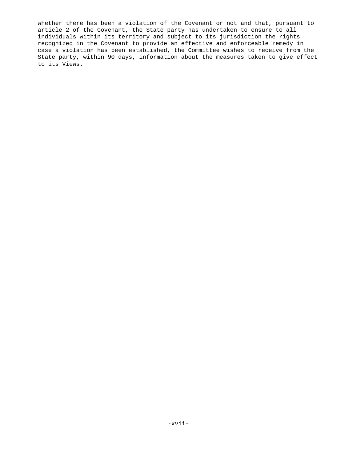whether there has been a violation of the Covenant or not and that, pursuant to article 2 of the Covenant, the State party has undertaken to ensure to all individuals within its territory and subject to its jurisdiction the rights recognized in the Covenant to provide an effective and enforceable remedy in case a violation has been established, the Committee wishes to receive from the State party, within 90 days, information about the measures taken to give effect to its Views.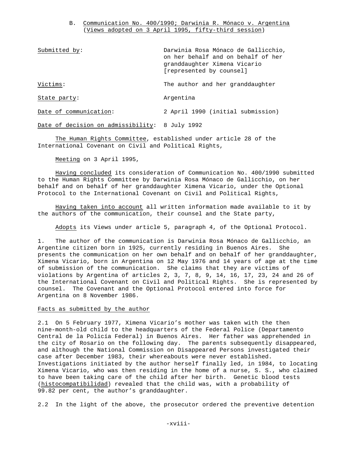#### B. Communication No. 400/1990; Darwinia R. Mónaco v. Argentina (Views adopted on 3 April 1995, fifty-third session)

| Submitted by:                                  | Darwinia Rosa Mónaco de Gallicchio,<br>on her behalf and on behalf of her<br>granddaughter Ximena Vicario<br>[represented by counsel] |
|------------------------------------------------|---------------------------------------------------------------------------------------------------------------------------------------|
| Victims:                                       | The author and her granddaughter                                                                                                      |
| State party:                                   | Argentina                                                                                                                             |
| Date of communication:                         | 2 April 1990 (initial submission)                                                                                                     |
| Date of decision on admissibility: 8 July 1992 |                                                                                                                                       |

The Human Rights Committee, established under article 28 of the International Covenant on Civil and Political Rights,

Meeting on 3 April 1995,

Having concluded its consideration of Communication No. 400/1990 submitted to the Human Rights Committee by Darwinia Rosa Mónaco de Gallicchio, on her behalf and on behalf of her granddaughter Ximena Vicario, under the Optional Protocol to the International Covenant on Civil and Political Rights,

Having taken into account all written information made available to it by the authors of the communication, their counsel and the State party,

Adopts its Views under article 5, paragraph 4, of the Optional Protocol.

1. The author of the communication is Darwinia Rosa Mónaco de Gallicchio, an Argentine citizen born in 1925, currently residing in Buenos Aires. She presents the communication on her own behalf and on behalf of her granddaughter, Ximena Vicario, born in Argentina on 12 May 1976 and 14 years of age at the time of submission of the communication. She claims that they are victims of violations by Argentina of articles 2, 3, 7, 8, 9, 14, 16, 17, 23, 24 and 26 of the International Covenant on Civil and Political Rights. She is represented by counsel. The Covenant and the Optional Protocol entered into force for Argentina on 8 November 1986.

#### Facts as submitted by the author

2.1 On 5 February 1977, Ximena Vicario's mother was taken with the then nine-month-old child to the headquarters of the Federal Police (Departamento Central de la Policía Federal) in Buenos Aires. Her father was apprehended in the city of Rosario on the following day. The parents subsequently disappeared, and although the National Commission on Disappeared Persons investigated their case after December 1983, their whereabouts were never established. Investigations initiated by the author herself finally led, in 1984, to locating Ximena Vicario, who was then residing in the home of a nurse, S. S., who claimed to have been taking care of the child after her birth. Genetic blood tests (histocompatibilidad) revealed that the child was, with a probability of 99.82 per cent, the author's granddaughter.

2.2 In the light of the above, the prosecutor ordered the preventive detention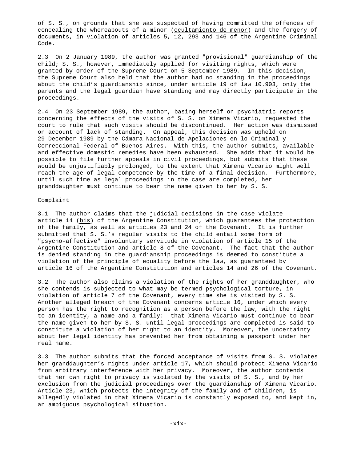of S. S., on grounds that she was suspected of having committed the offences of concealing the whereabouts of a minor (ocultamiento de menor) and the forgery of documents, in violation of articles 5, 12, 293 and 146 of the Argentine Criminal Code.

2.3 On 2 January 1989, the author was granted "provisional" guardianship of the child; S. S., however, immediately applied for visiting rights, which were granted by order of the Supreme Court on 5 September 1989. In this decision, the Supreme Court also held that the author had no standing in the proceedings about the child's guardianship since, under article 19 of law 10.903, only the parents and the legal guardian have standing and may directly participate in the proceedings.

2.4 On 23 September 1989, the author, basing herself on psychiatric reports concerning the effects of the visits of S. S. on Ximena Vicario, requested the court to rule that such visits should be discontinued. Her action was dismissed on account of lack of standing. On appeal, this decision was upheld on 29 December 1989 by the Cámara Nacional de Apelaciones en lo Criminal y Correccional Federal of Buenos Aires. With this, the author submits, available and effective domestic remedies have been exhausted. She adds that it would be possible to file further appeals in civil proceedings, but submits that these would be unjustifiably prolonged, to the extent that Ximena Vicario might well reach the age of legal competence by the time of a final decision. Furthermore, until such time as legal proceedings in the case are completed, her granddaughter must continue to bear the name given to her by S. S.

#### **Complaint**

3.1 The author claims that the judicial decisions in the case violate article 14 (bis) of the Argentine Constitution, which guarantees the protection of the family, as well as articles 23 and 24 of the Covenant. It is further submitted that S. S.'s regular visits to the child entail some form of "psycho-affective" involuntary servitude in violation of article 15 of the Argentine Constitution and article 8 of the Covenant. The fact that the author is denied standing in the guardianship proceedings is deemed to constitute a violation of the principle of equality before the law, as guaranteed by article 16 of the Argentine Constitution and articles 14 and 26 of the Covenant.

3.2 The author also claims a violation of the rights of her granddaughter, who she contends is subjected to what may be termed psychological torture, in violation of article 7 of the Covenant, every time she is visited by S. S. Another alleged breach of the Covenant concerns article 16, under which every person has the right to recognition as a person before the law, with the right to an identity, a name and a family: that Ximena Vicario must continue to bear the name given to her by S. S. until legal proceedings are completed is said to constitute a violation of her right to an identity. Moreover, the uncertainty about her legal identity has prevented her from obtaining a passport under her real name.

3.3 The author submits that the forced acceptance of visits from S. S. violates her granddaughter's rights under article 17, which should protect Ximena Vicario from arbitrary interference with her privacy. Moreover, the author contends that her own right to privacy is violated by the visits of S. S., and by her exclusion from the judicial proceedings over the guardianship of Ximena Vicario. Article 23, which protects the integrity of the family and of children, is allegedly violated in that Ximena Vicario is constantly exposed to, and kept in, an ambiguous psychological situation.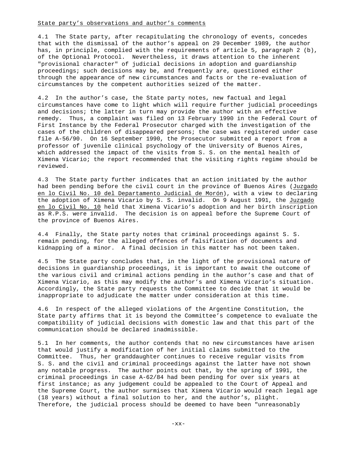#### State party's observations and author's comments

4.1 The State party, after recapitulating the chronology of events, concedes that with the dismissal of the author's appeal on 29 December 1989, the author has, in principle, complied with the requirements of article 5, paragraph 2 (b), of the Optional Protocol. Nevertheless, it draws attention to the inherent "provisional character" of judicial decisions in adoption and guardianship proceedings; such decisions may be, and frequently are, questioned either through the appearance of new circumstances and facts or the re-evaluation of circumstances by the competent authorities seized of the matter.

4.2 In the author's case, the State party notes, new factual and legal circumstances have come to light which will require further judicial proceedings and decisions; the latter in turn may provide the author with an effective remedy. Thus, a complaint was filed on 13 February 1990 in the Federal Court of First Instance by the Federal Prosecutor charged with the investigation of the cases of the children of disappeared persons; the case was registered under case file A-56/90. On 16 September 1990, the Prosecutor submitted a report from a professor of juvenile clinical psychology of the University of Buenos Aires, which addressed the impact of the visits from S. S. on the mental health of Ximena Vicario; the report recommended that the visiting rights regime should be reviewed.

4.3 The State party further indicates that an action initiated by the author had been pending before the civil court in the province of Buenos Aires (Juzgado en lo Civil No. 10 del Departamento Judicial de Morón), with a view to declaring the adoption of Ximena Vicario by S. S. invalid. On 9 August 1991, the Juzgado en lo Civil No. 10 held that Ximena Vicario's adoption and her birth inscription as R.P.S. were invalid. The decision is on appeal before the Supreme Court of the province of Buenos Aires.

4.4 Finally, the State party notes that criminal proceedings against S. S. remain pending, for the alleged offences of falsification of documents and kidnapping of a minor. A final decision in this matter has not been taken.

4.5 The State party concludes that, in the light of the provisional nature of decisions in guardianship proceedings, it is important to await the outcome of the various civil and criminal actions pending in the author's case and that of Ximena Vicario, as this may modify the author's and Ximena Vicario's situation. Accordingly, the State party requests the Committee to decide that it would be inappropriate to adjudicate the matter under consideration at this time.

4.6 In respect of the alleged violations of the Argentine Constitution, the State party affirms that it is beyond the Committee's competence to evaluate the compatibility of judicial decisions with domestic law and that this part of the communication should be declared inadmissible.

5.1 In her comments, the author contends that no new circumstances have arisen that would justify a modification of her initial claims submitted to the Committee. Thus, her granddaughter continues to receive regular visits from S. S. and the civil and criminal proceedings against the latter have not shown any notable progress. The author points out that, by the spring of 1991, the criminal proceedings in case A-62/84 had been pending for over six years at first instance; as any judgement could be appealed to the Court of Appeal and the Supreme Court, the author surmises that Ximena Vicario would reach legal age (18 years) without a final solution to her, and the author's, plight. Therefore, the judicial process should be deemed to have been "unreasonably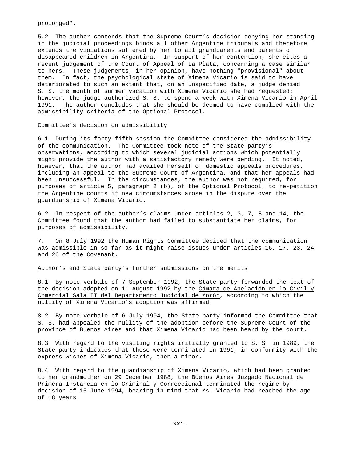prolonged".

5.2 The author contends that the Supreme Court's decision denying her standing in the judicial proceedings binds all other Argentine tribunals and therefore extends the violations suffered by her to all grandparents and parents of disappeared children in Argentina. In support of her contention, she cites a recent judgement of the Court of Appeal of La Plata, concerning a case similar to hers. These judgements, in her opinion, have nothing "provisional" about them. In fact, the psychological state of Ximena Vicario is said to have deteriorated to such an extent that, on an unspecified date, a judge denied S. S. the month of summer vacation with Ximena Vicario she had requested; however, the judge authorized S. S. to spend a week with Ximena Vicario in April 1991. The author concludes that she should be deemed to have complied with the admissibility criteria of the Optional Protocol.

#### Committee's decision on admissibility

6.1 During its forty-fifth session the Committee considered the admissibility of the communication. The Committee took note of the State party's observations, according to which several judicial actions which potentially might provide the author with a satisfactory remedy were pending. It noted, however, that the author had availed herself of domestic appeals procedures, including an appeal to the Supreme Court of Argentina, and that her appeals had been unsuccessful. In the circumstances, the author was not required, for purposes of article 5, paragraph 2 (b), of the Optional Protocol, to re-petition the Argentine courts if new circumstances arose in the dispute over the guardianship of Ximena Vicario.

6.2 In respect of the author's claims under articles 2, 3, 7, 8 and 14, the Committee found that the author had failed to substantiate her claims, for purposes of admissibility.

7. On 8 July 1992 the Human Rights Committee decided that the communication was admissible in so far as it might raise issues under articles 16, 17, 23, 24 and 26 of the Covenant.

#### Author's and State party's further submissions on the merits

8.1 By note verbale of 7 September 1992, the State party forwarded the text of the decision adopted on 11 August 1992 by the Cámara de Apelación en lo Civil y Comercial Sala II del Departamento Judicial de Morón, according to which the nullity of Ximena Vicario's adoption was affirmed.

8.2 By note verbale of 6 July 1994, the State party informed the Committee that S. S. had appealed the nullity of the adoption before the Supreme Court of the province of Buenos Aires and that Ximena Vicario had been heard by the court.

8.3 With regard to the visiting rights initially granted to S. S. in 1989, the State party indicates that these were terminated in 1991, in conformity with the express wishes of Ximena Vicario, then a minor.

8.4 With regard to the guardianship of Ximena Vicario, which had been granted to her grandmother on 29 December 1988, the Buenos Aires Juzgado Nacional de Primera Instancia en lo Criminal y Correccional terminated the regime by decision of 15 June 1994, bearing in mind that Ms. Vicario had reached the age of 18 years.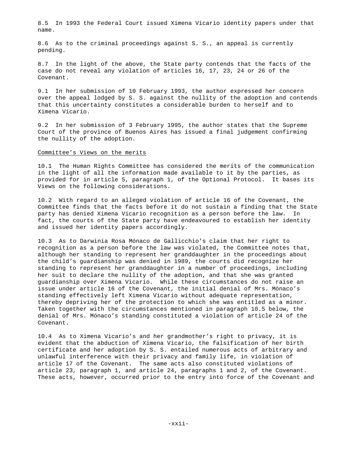8.5 In 1993 the Federal Court issued Ximena Vicario identity papers under that name.

8.6 As to the criminal proceedings against S. S., an appeal is currently pending.

8.7 In the light of the above, the State party contends that the facts of the case do not reveal any violation of articles 16, 17, 23, 24 or 26 of the Covenant.

9.1 In her submission of 10 February 1993, the author expressed her concern over the appeal lodged by S. S. against the nullity of the adoption and contends that this uncertainty constitutes a considerable burden to herself and to Ximena Vicario.

9.2 In her submission of 3 February 1995, the author states that the Supreme Court of the province of Buenos Aires has issued a final judgement confirming the nullity of the adoption.

Committee's Views on the merits

10.1 The Human Rights Committee has considered the merits of the communication in the light of all the information made available to it by the parties, as provided for in article 5, paragraph 1, of the Optional Protocol. It bases its Views on the following considerations.

10.2 With regard to an alleged violation of article 16 of the Covenant, the Committee finds that the facts before it do not sustain a finding that the State party has denied Ximena Vicario recognition as a person before the law. In fact, the courts of the State party have endeavoured to establish her identity and issued her identity papers accordingly.

10.3 As to Darwinia Rosa Mónaco de Gallicchio's claim that her right to recognition as a person before the law was violated, the Committee notes that, although her standing to represent her granddaughter in the proceedings about the child's guardianship was denied in 1989, the courts did recognize her standing to represent her granddaughter in a number of proceedings, including her suit to declare the nullity of the adoption, and that she was granted guardianship over Ximena Vicario. While these circumstances do not raise an issue under article 16 of the Covenant, the initial denial of Mrs. Mónaco's standing effectively left Ximena Vicario without adequate representation, thereby depriving her of the protection to which she was entitled as a minor. Taken together with the circumstances mentioned in paragraph 10.5 below, the denial of Mrs. Mónaco's standing constituted a violation of article 24 of the Covenant.

10.4 As to Ximena Vicario's and her grandmother's right to privacy, it is evident that the abduction of Ximena Vicario, the falsification of her birth certificate and her adoption by S. S. entailed numerous acts of arbitrary and unlawful interference with their privacy and family life, in violation of article 17 of the Covenant. The same acts also constituted violations of article 23, paragraph 1, and article 24, paragraphs 1 and 2, of the Covenant. These acts, however, occurred prior to the entry into force of the Covenant and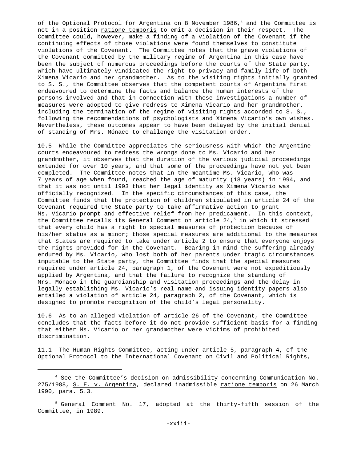of the Optional Protocol for Argentina on 8 November 1986, $4$  and the Committee is not in a position ratione temporis to emit a decision in their respect. The Committee could, however, make a finding of a violation of the Covenant if the continuing effects of those violations were found themselves to constitute violations of the Covenant. The Committee notes that the grave violations of the Covenant committed by the military regime of Argentina in this case have been the subject of numerous proceedings before the courts of the State party, which have ultimately vindicated the right to privacy and family life of both Ximena Vicario and her grandmother. As to the visiting rights initially granted to S. S., the Committee observes that the competent courts of Argentina first endeavoured to determine the facts and balance the human interests of the persons involved and that in connection with those investigations a number of measures were adopted to give redress to Ximena Vicario and her grandmother, including the termination of the regime of visiting rights accorded to S. S., following the recommendations of psychologists and Ximena Vicario's own wishes. Nevertheless, these outcomes appear to have been delayed by the initial denial of standing of Mrs. Mónaco to challenge the visitation order.

10.5 While the Committee appreciates the seriousness with which the Argentine courts endeavoured to redress the wrongs done to Ms. Vicario and her grandmother, it observes that the duration of the various judicial proceedings extended for over 10 years, and that some of the proceedings have not yet been completed. The Committee notes that in the meantime Ms. Vicario, who was 7 years of age when found, reached the age of maturity (18 years) in 1994, and that it was not until 1993 that her legal identity as Ximena Vicario was officially recognized. In the specific circumstances of this case, the Committee finds that the protection of children stipulated in article 24 of the Covenant required the State party to take affirmative action to grant Ms. Vicario prompt and effective relief from her predicament. In this context, the Committee recalls its General Comment on article  $24,^5$  in which it stressed that every child has a right to special measures of protection because of his/her status as a minor; those special measures are additional to the measures that States are required to take under article 2 to ensure that everyone enjoys the rights provided for in the Covenant. Bearing in mind the suffering already endured by Ms. Vicario, who lost both of her parents under tragic circumstances imputable to the State party, the Committee finds that the special measures required under article 24, paragraph 1, of the Covenant were not expeditiously applied by Argentina, and that the failure to recognize the standing of Mrs. Mónaco in the guardianship and visitation proceedings and the delay in legally establishing Ms. Vicario's real name and issuing identity papers also entailed a violation of article 24, paragraph 2, of the Covenant, which is designed to promote recognition of the child's legal personality.

10.6 As to an alleged violation of article 26 of the Covenant, the Committee concludes that the facts before it do not provide sufficient basis for a finding that either Ms. Vicario or her grandmother were victims of prohibited discrimination.

11.1 The Human Rights Committee, acting under article 5, paragraph 4, of the Optional Protocol to the International Covenant on Civil and Political Rights,

<sup>4</sup> See the Committee's decision on admissibility concerning Communication No. 275/1988, S. E. v. Argentina, declared inadmissible ratione temporis on 26 March 1990, para. 5.3.

<sup>5</sup> General Comment No. 17, adopted at the thirty-fifth session of the Committee, in 1989.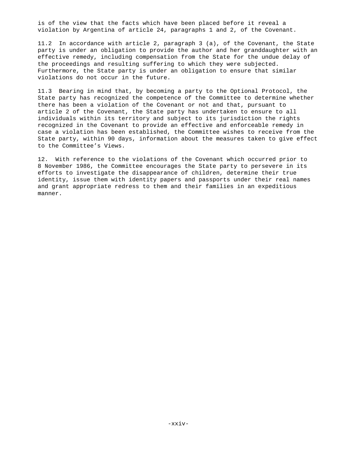is of the view that the facts which have been placed before it reveal a violation by Argentina of article 24, paragraphs 1 and 2, of the Covenant.

11.2 In accordance with article 2, paragraph 3 (a), of the Covenant, the State party is under an obligation to provide the author and her granddaughter with an effective remedy, including compensation from the State for the undue delay of the proceedings and resulting suffering to which they were subjected. Furthermore, the State party is under an obligation to ensure that similar violations do not occur in the future.

11.3 Bearing in mind that, by becoming a party to the Optional Protocol, the State party has recognized the competence of the Committee to determine whether there has been a violation of the Covenant or not and that, pursuant to article 2 of the Covenant, the State party has undertaken to ensure to all individuals within its territory and subject to its jurisdiction the rights recognized in the Covenant to provide an effective and enforceable remedy in case a violation has been established, the Committee wishes to receive from the State party, within 90 days, information about the measures taken to give effect to the Committee's Views.

12. With reference to the violations of the Covenant which occurred prior to 8 November 1986, the Committee encourages the State party to persevere in its efforts to investigate the disappearance of children, determine their true identity, issue them with identity papers and passports under their real names and grant appropriate redress to them and their families in an expeditious manner.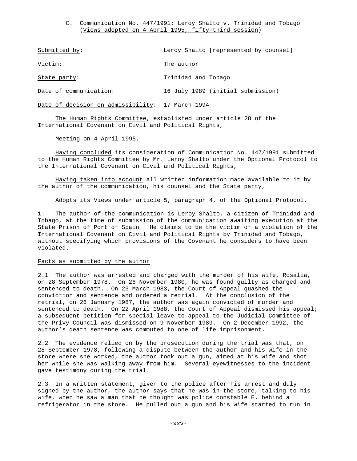#### C. Communication No. 447/1991; Leroy Shalto v. Trinidad and Tobago (Views adopted on 4 April 1995, fifty-third session)

| Submitted by:                                    | Leroy Shalto [represented by counsel] |
|--------------------------------------------------|---------------------------------------|
| Victim:                                          | The author                            |
| State party:                                     | Trinidad and Tobago                   |
| Date of communication:                           | 16 July 1989 (initial submission)     |
| Date of decision on admissibility: 17 March 1994 |                                       |

The Human Rights Committee, established under article 28 of the International Covenant on Civil and Political Rights,

Meeting on 4 April 1995,

Having concluded its consideration of Communication No. 447/1991 submitted to the Human Rights Committee by Mr. Leroy Shalto under the Optional Protocol to the International Covenant on Civil and Political Rights,

Having taken into account all written information made available to it by the author of the communication, his counsel and the State party,

Adopts its Views under article 5, paragraph 4, of the Optional Protocol.

1. The author of the communication is Leroy Shalto, a citizen of Trinidad and Tobago, at the time of submission of the communication awaiting execution at the State Prison of Port of Spain. He claims to be the victim of a violation of the International Covenant on Civil and Political Rights by Trinidad and Tobago, without specifying which provisions of the Covenant he considers to have been violated.

#### Facts as submitted by the author

2.1 The author was arrested and charged with the murder of his wife, Rosalia, on 28 September 1978. On 26 November 1980, he was found guilty as charged and sentenced to death. On 23 March 1983, the Court of Appeal quashed the conviction and sentence and ordered a retrial. At the conclusion of the retrial, on 26 January 1987, the author was again convicted of murder and sentenced to death. On 22 April 1988, the Court of Appeal dismissed his appeal; a subsequent petition for special leave to appeal to the Judicial Committee of the Privy Council was dismissed on 9 November 1989. On 2 December 1992, the author's death sentence was commuted to one of life imprisonment.

2.2 The evidence relied on by the prosecution during the trial was that, on 28 September 1978, following a dispute between the author and his wife in the store where she worked, the author took out a gun, aimed at his wife and shot her while she was walking away from him. Several eyewitnesses to the incident gave testimony during the trial.

2.3 In a written statement, given to the police after his arrest and duly signed by the author, the author says that he was in the store, talking to his wife, when he saw a man that he thought was police constable E. behind a refrigerator in the store. He pulled out a gun and his wife started to run in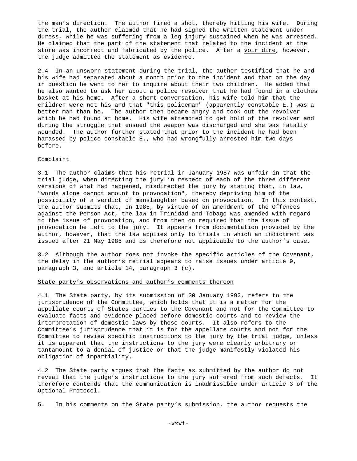the man's direction. The author fired a shot, thereby hitting his wife. During the trial, the author claimed that he had signed the written statement under duress, while he was suffering from a leg injury sustained when he was arrested. He claimed that the part of the statement that related to the incident at the store was incorrect and fabricated by the police. After a voir dire, however, the judge admitted the statement as evidence.

2.4 In an unsworn statement during the trial, the author testified that he and his wife had separated about a month prior to the incident and that on the day in question he went to her to inquire about their two children. He added that he also wanted to ask her about a police revolver that he had found in a clothes basket at his home. After a short conversation, his wife told him that the children were not his and that "this policeman" (apparently constable E.) was a better man than he. The author then became angry and took out the revolver which he had found at home. His wife attempted to get hold of the revolver and during the struggle that ensued the weapon was discharged and she was fatally wounded. The author further stated that prior to the incident he had been harassed by police constable E., who had wrongfully arrested him two days before.

#### Complaint

3.1 The author claims that his retrial in January 1987 was unfair in that the trial judge, when directing the jury in respect of each of the three different versions of what had happened, misdirected the jury by stating that, in law, "words alone cannot amount to provocation", thereby depriving him of the possibility of a verdict of manslaughter based on provocation. In this context, the author submits that, in 1985, by virtue of an amendment of the Offences against the Person Act, the law in Trinidad and Tobago was amended with regard to the issue of provocation, and from then on required that the issue of provocation be left to the jury. It appears from documentation provided by the author, however, that the law applies only to trials in which an indictment was issued after 21 May 1985 and is therefore not applicable to the author's case.

3.2 Although the author does not invoke the specific articles of the Covenant, the delay in the author's retrial appears to raise issues under article 9, paragraph 3, and article 14, paragraph 3 (c).

#### State party's observations and author's comments thereon

4.1 The State party, by its submission of 30 January 1992, refers to the jurisprudence of the Committee, which holds that it is a matter for the appellate courts of States parties to the Covenant and not for the Committee to evaluate facts and evidence placed before domestic courts and to review the interpretation of domestic laws by those courts. It also refers to the Committee's jurisprudence that it is for the appellate courts and not for the Committee to review specific instructions to the jury by the trial judge, unless it is apparent that the instructions to the jury were clearly arbitrary or tantamount to a denial of justice or that the judge manifestly violated his obligation of impartiality.

4.2 The State party argues that the facts as submitted by the author do not reveal that the judge's instructions to the jury suffered from such defects. It therefore contends that the communication is inadmissible under article 3 of the Optional Protocol.

5. In his comments on the State party's submission, the author requests the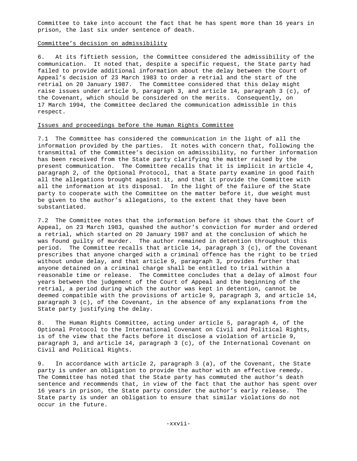Committee to take into account the fact that he has spent more than 16 years in prison, the last six under sentence of death.

#### Committee's decision on admissibility

6. At its fiftieth session, the Committee considered the admissibility of the communication. It noted that, despite a specific request, the State party had failed to provide additional information about the delay between the Court of Appeal's decision of 23 March 1983 to order a retrial and the start of the retrial on 20 January 1987. The Committee considered that this delay might raise issues under article 9, paragraph 3, and article 14, paragraph 3 (c), of the Covenant, which should be considered on the merits. Consequently, on 17 March 1994, the Committee declared the communication admissible in this respect.

#### Issues and proceedings before the Human Rights Committee

7.1 The Committee has considered the communication in the light of all the information provided by the parties. It notes with concern that, following the transmittal of the Committee's decision on admissibility, no further information has been received from the State party clarifying the matter raised by the present communication. The Committee recalls that it is implicit in article 4, paragraph 2, of the Optional Protocol, that a State party examine in good faith all the allegations brought against it, and that it provide the Committee with all the information at its disposal. In the light of the failure of the State party to cooperate with the Committee on the matter before it, due weight must be given to the author's allegations, to the extent that they have been substantiated.

7.2 The Committee notes that the information before it shows that the Court of Appeal, on 23 March 1983, quashed the author's conviction for murder and ordered a retrial, which started on 20 January 1987 and at the conclusion of which he was found guilty of murder. The author remained in detention throughout this period. The Committee recalls that article 14, paragraph 3 (c), of the Covenant prescribes that anyone charged with a criminal offence has the right to be tried without undue delay, and that article 9, paragraph 3, provides further that anyone detained on a criminal charge shall be entitled to trial within a reasonable time or release. The Committee concludes that a delay of almost four years between the judgement of the Court of Appeal and the beginning of the retrial, a period during which the author was kept in detention, cannot be deemed compatible with the provisions of article 9, paragraph 3, and article 14, paragraph 3 (c), of the Covenant, in the absence of any explanations from the State party justifying the delay.

8. The Human Rights Committee, acting under article 5, paragraph 4, of the Optional Protocol to the International Covenant on Civil and Political Rights, is of the view that the facts before it disclose a violation of article 9, paragraph 3, and article 14, paragraph 3 (c), of the International Covenant on Civil and Political Rights.

9. In accordance with article 2, paragraph 3 (a), of the Covenant, the State party is under an obligation to provide the author with an effective remedy. The Committee has noted that the State party has commuted the author's death sentence and recommends that, in view of the fact that the author has spent over 16 years in prison, the State party consider the author's early release. The State party is under an obligation to ensure that similar violations do not occur in the future.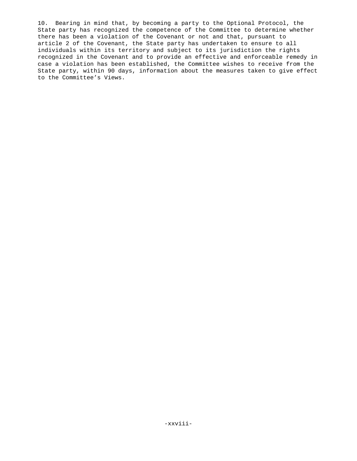10. Bearing in mind that, by becoming a party to the Optional Protocol, the State party has recognized the competence of the Committee to determine whether there has been a violation of the Covenant or not and that, pursuant to article 2 of the Covenant, the State party has undertaken to ensure to all individuals within its territory and subject to its jurisdiction the rights recognized in the Covenant and to provide an effective and enforceable remedy in case a violation has been established, the Committee wishes to receive from the State party, within 90 days, information about the measures taken to give effect to the Committee's Views.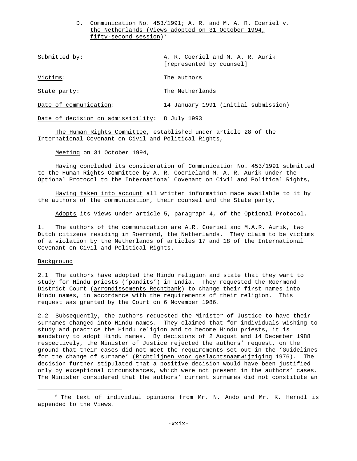D. Communication No. 453/1991; A. R. and M. A. R. Coeriel v. the Netherlands (Views adopted on 31 October 1994, fifty-second session) $6$ 

| Submitted by:                                  | A. R. Coeriel and M. A. R. Aurik<br>[represented by counsel] |
|------------------------------------------------|--------------------------------------------------------------|
| Victims:                                       | The authors                                                  |
| State party:                                   | The Netherlands                                              |
| Date of communication:                         | 14 January 1991 (initial submission)                         |
| Date of decision on admissibility: 8 July 1993 |                                                              |

The Human Rights Committee, established under article 28 of the International Covenant on Civil and Political Rights,

Meeting on 31 October 1994,

Having concluded its consideration of Communication No. 453/1991 submitted to the Human Rights Committee by A. R. Coerieland M. A. R. Aurik under the Optional Protocol to the International Covenant on Civil and Political Rights,

Having taken into account all written information made available to it by the authors of the communication, their counsel and the State party,

Adopts its Views under article 5, paragraph 4, of the Optional Protocol.

1. The authors of the communication are A.R. Coeriel and M.A.R. Aurik, two Dutch citizens residing in Roermond, the Netherlands. They claim to be victims of a violation by the Netherlands of articles 17 and 18 of the International Covenant on Civil and Political Rights.

#### Background

2.1 The authors have adopted the Hindu religion and state that they want to study for Hindu priests ('pandits') in India. They requested the Roermond District Court (arrondissements Rechtbank) to change their first names into Hindu names, in accordance with the requirements of their religion. This request was granted by the Court on 6 November 1986.

2.2 Subsequently, the authors requested the Minister of Justice to have their surnames changed into Hindu names. They claimed that for individuals wishing to study and practice the Hindu religion and to become Hindu priests, it is mandatory to adopt Hindu names. By decisions of 2 August and 14 December 1988 respectively, the Minister of Justice rejected the authors' request, on the ground that their cases did not meet the requirements set out in the 'Guidelines for the change of surname' (Richtlijnen voor geslachtsnaamwijziging 1976). The decision further stipulated that a positive decision would have been justified only by exceptional circumstances, which were not present in the authors' cases. The Minister considered that the authors' current surnames did not constitute an

 $6$  The text of individual opinions from Mr. N. Ando and Mr. K. Herndl is appended to the Views.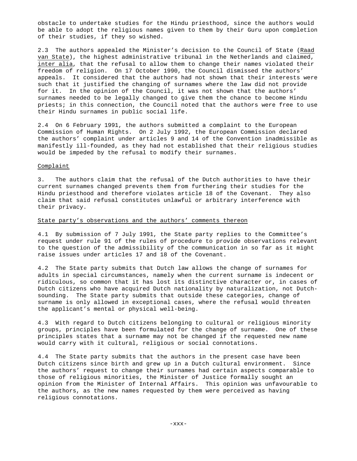obstacle to undertake studies for the Hindu priesthood, since the authors would be able to adopt the religious names given to them by their Guru upon completion of their studies, if they so wished.

2.3 The authors appealed the Minister's decision to the Council of State (Raad van State), the highest administrative tribunal in the Netherlands and claimed, inter alia, that the refusal to allow them to change their names violated their freedom of religion. On 17 October 1990, the Council dismissed the authors' appeals. It considered that the authors had not shown that their interests were such that it justified the changing of surnames where the law did not provide for it. In the opinion of the Council, it was not shown that the authors' surnames needed to be legally changed to give them the chance to become Hindu priests; in this connection, the Council noted that the authors were free to use their Hindu surnames in public social life.

2.4 On 6 February 1991, the authors submitted a complaint to the European Commission of Human Rights. On 2 July 1992, the European Commission declared the authors' complaint under articles 9 and 14 of the Convention inadmissible as manifestly ill-founded, as they had not established that their religious studies would be impeded by the refusal to modify their surnames.

#### Complaint

3. The authors claim that the refusal of the Dutch authorities to have their current surnames changed prevents them from furthering their studies for the Hindu priesthood and therefore violates article 18 of the Covenant. They also claim that said refusal constitutes unlawful or arbitrary interference with their privacy.

#### State party's observations and the authors' comments thereon

4.1 By submission of 7 July 1991, the State party replies to the Committee's request under rule 91 of the rules of procedure to provide observations relevant to the question of the admissibility of the communication in so far as it might raise issues under articles 17 and 18 of the Covenant.

4.2 The State party submits that Dutch law allows the change of surnames for adults in special circumstances, namely when the current surname is indecent or ridiculous, so common that it has lost its distinctive character or, in cases of Dutch citizens who have acquired Dutch nationality by naturalization, not Dutchsounding. The State party submits that outside these categories, change of surname is only allowed in exceptional cases, where the refusal would threaten the applicant's mental or physical well-being.

4.3 With regard to Dutch citizens belonging to cultural or religious minority groups, principles have been formulated for the change of surname. One of these principles states that a surname may not be changed if the requested new name would carry with it cultural, religious or social connotations.

4.4 The State party submits that the authors in the present case have been Dutch citizens since birth and grew up in a Dutch cultural environment. Since the authors' request to change their surnames had certain aspects comparable to those of religious minorities, the Minister of Justice formally sought an opinion from the Minister of Internal Affairs. This opinion was unfavourable to the authors, as the new names requested by them were perceived as having religious connotations.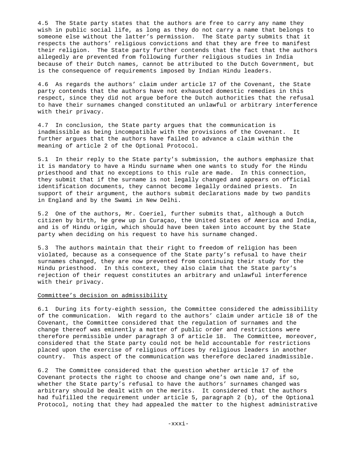4.5 The State party states that the authors are free to carry any name they wish in public social life, as long as they do not carry a name that belongs to someone else without the latter's permission. The State party submits that it respects the authors' religious convictions and that they are free to manifest their religion. The State party further contends that the fact that the authors allegedly are prevented from following further religious studies in India because of their Dutch names, cannot be attributed to the Dutch Government, but is the consequence of requirements imposed by Indian Hindu leaders.

4.6 As regards the authors' claim under article 17 of the Covenant, the State party contends that the authors have not exhausted domestic remedies in this respect, since they did not argue before the Dutch authorities that the refusal to have their surnames changed constituted an unlawful or arbitrary interference with their privacy.

4.7 In conclusion, the State party argues that the communication is inadmissible as being incompatible with the provisions of the Covenant. It further argues that the authors have failed to advance a claim within the meaning of article 2 of the Optional Protocol.

5.1 In their reply to the State party's submission, the authors emphasize that it is mandatory to have a Hindu surname when one wants to study for the Hindu priesthood and that no exceptions to this rule are made. In this connection, they submit that if the surname is not legally changed and appears on official identification documents, they cannot become legally ordained priests. In support of their argument, the authors submit declarations made by two pandits in England and by the Swami in New Delhi.

5.2 One of the authors, Mr. Coeriel, further submits that, although a Dutch citizen by birth, he grew up in Curaçao, the United States of America and India, and is of Hindu origin, which should have been taken into account by the State party when deciding on his request to have his surname changed.

5.3 The authors maintain that their right to freedom of religion has been violated, because as a consequence of the State party's refusal to have their surnames changed, they are now prevented from continuing their study for the Hindu priesthood. In this context, they also claim that the State party's rejection of their request constitutes an arbitrary and unlawful interference with their privacy.

#### Committee's decision on admissibility

6.1 During its forty-eighth session, the Committee considered the admissibility of the communication. With regard to the authors' claim under article 18 of the Covenant, the Committee considered that the regulation of surnames and the change thereof was eminently a matter of public order and restrictions were therefore permissible under paragraph 3 of article 18. The Committee, moreover, considered that the State party could not be held accountable for restrictions placed upon the exercise of religious offices by religious leaders in another country. This aspect of the communication was therefore declared inadmissible.

6.2 The Committee considered that the question whether article 17 of the Covenant protects the right to choose and change one's own name and, if so, whether the State party's refusal to have the authors' surnames changed was arbitrary should be dealt with on the merits. It considered that the authors had fulfilled the requirement under article 5, paragraph 2 (b), of the Optional Protocol, noting that they had appealed the matter to the highest administrative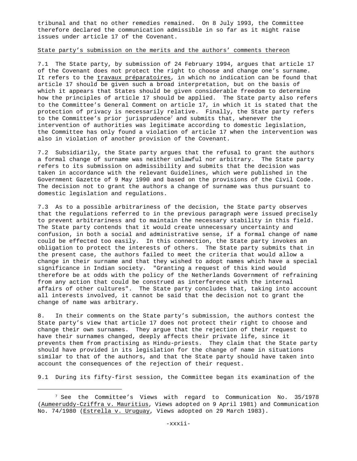tribunal and that no other remedies remained. On 8 July 1993, the Committee therefore declared the communication admissible in so far as it might raise issues under article 17 of the Covenant.

#### State party's submission on the merits and the authors' comments thereon

7.1 The State party, by submission of 24 February 1994, argues that article 17 of the Covenant does not protect the right to choose and change one's surname. It refers to the travaux préparatoires, in which no indication can be found that article 17 should be given such a broad interpretation, but on the basis of which it appears that States should be given considerable freedom to determine how the principles of article 17 should be applied. The State party also refers to the Committee's General Comment on article 17, in which it is stated that the protection of privacy is necessarily relative. Finally, the State party refers to the Committee's prior jurisprudence<sup>7</sup> and submits that, whenever the intervention of authorities was legitimate according to domestic legislation, the Committee has only found a violation of article 17 when the intervention was also in violation of another provision of the Covenant.

7.2 Subsidiarily, the State party argues that the refusal to grant the authors a formal change of surname was neither unlawful nor arbitrary. The State party refers to its submission on admissibility and submits that the decision was taken in accordance with the relevant Guidelines, which were published in the Government Gazette of 9 May 1990 and based on the provisions of the Civil Code. The decision not to grant the authors a change of surname was thus pursuant to domestic legislation and regulations.

7.3 As to a possible arbitrariness of the decision, the State party observes that the regulations referred to in the previous paragraph were issued precisely to prevent arbitrariness and to maintain the necessary stability in this field. The State party contends that it would create unnecessary uncertainty and confusion, in both a social and administrative sense, if a formal change of name could be effected too easily. In this connection, the State party invokes an obligation to protect the interests of others. The State party submits that in the present case, the authors failed to meet the criteria that would allow a change in their surname and that they wished to adopt names which have a special significance in Indian society. "Granting a request of this kind would therefore be at odds with the policy of the Netherlands Government of refraining from any action that could be construed as interference with the internal affairs of other cultures". The State party concludes that, taking into account all interests involved, it cannot be said that the decision not to grant the change of name was arbitrary.

8. In their comments on the State party's submission, the authors contest the State party's view that article 17 does not protect their right to choose and change their own surnames. They argue that the rejection of their request to have their surnames changed, deeply affects their private life, since it prevents them from practising as Hindu-priests. They claim that the State party should have provided in its legislation for the change of name in situations similar to that of the authors, and that the State party should have taken into account the consequences of the rejection of their request.

9.1 During its fifty-first session, the Committee began its examination of the

<sup>7</sup> See the Committee's Views with regard to Communication No. 35/1978 (Aumeeruddy-Cziffra v. Mauritius, Views adopted on 9 April 1981) and Communication No. 74/1980 (Estrella v. Uruguay, Views adopted on 29 March 1983).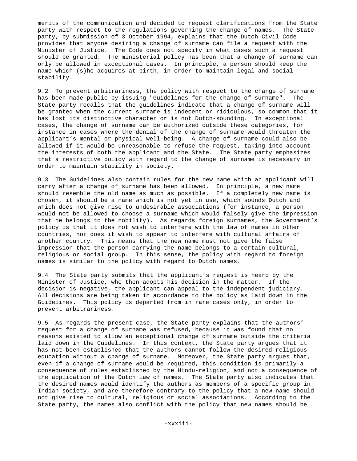merits of the communication and decided to request clarifications from the State party with respect to the regulations governing the change of names. The State party, by submission of 3 October 1994, explains that the Dutch Civil Code provides that anyone desiring a change of surname can file a request with the Minister of Justice. The Code does not specify in what cases such a request should be granted. The ministerial policy has been that a change of surname can only be allowed in exceptional cases. In principle, a person should keep the name which (s)he acquires at birth, in order to maintain legal and social stability.

9.2 To prevent arbitrariness, the policy with respect to the change of surname has been made public by issuing "Guidelines for the change of surname". The State party recalls that the guidelines indicate that a change of surname will be granted when the current surname is indecent or ridiculous, so common that it has lost its distinctive character or is not Dutch-sounding. In exceptional cases, the change of surname can be authorized outside these categories, for instance in cases where the denial of the change of surname would threaten the applicant's mental or physical well-being. A change of surname could also be allowed if it would be unreasonable to refuse the request, taking into account the interests of both the applicant and the State. The State party emphasizes that a restrictive policy with regard to the change of surname is necessary in order to maintain stability in society.

9.3 The Guidelines also contain rules for the new name which an applicant will carry after a change of surname has been allowed. In principle, a new name should resemble the old name as much as possible. If a completely new name is chosen, it should be a name which is not yet in use, which sounds Dutch and which does not give rise to undesirable associations (for instance, a person would not be allowed to choose a surname which would falsely give the impression that he belongs to the nobility). As regards foreign surnames, the Government's policy is that it does not wish to interfere with the law of names in other countries, nor does it wish to appear to interfere with cultural affairs of another country. This means that the new name must not give the false impression that the person carrying the name belongs to a certain cultural, religious or social group. In this sense, the policy with regard to foreign names is similar to the policy with regard to Dutch names.

9.4 The State party submits that the applicant's request is heard by the Minister of Justice, who then adopts his decision in the matter. If the decision is negative, the applicant can appeal to the independent judiciary. All decisions are being taken in accordance to the policy as laid down in the Guidelines. This policy is departed from in rare cases only, in order to prevent arbitrariness.

9.5 As regards the present case, the State party explains that the authors' request for a change of surname was refused, because it was found that no reasons existed to allow an exceptional change of surname outside the criteria laid down in the Guidelines. In this context, the State party argues that it has not been established that the authors cannot follow the desired religious education without a change of surname. Moreover, the State party argues that, even if a change of surname would be required, this condition is primarily a consequence of rules established by the Hindu-religion, and not a consequence of the application of the Dutch law of names. The State party also indicates that the desired names would identify the authors as members of a specific group in Indian society, and are therefore contrary to the policy that a new name should not give rise to cultural, religious or social associations. According to the State party, the names also conflict with the policy that new names should be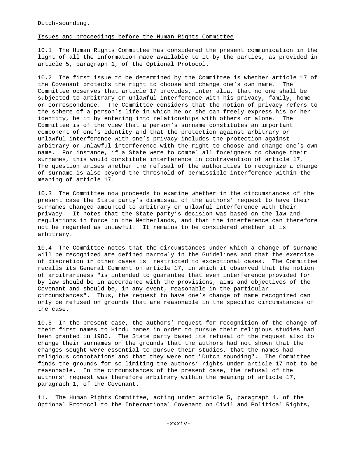#### Issues and proceedings before the Human Rights Committee

10.1 The Human Rights Committee has considered the present communication in the light of all the information made available to it by the parties, as provided in article 5, paragraph 1, of the Optional Protocol.

10.2 The first issue to be determined by the Committee is whether article 17 of the Covenant protects the right to choose and change one's own name. The Committee observes that article 17 provides, inter alia, that no one shall be subjected to arbitrary or unlawful interference with his privacy, family, home or correspondence. The Committee considers that the notion of privacy refers to the sphere of a person's life in which he or she can freely express his or her identity, be it by entering into relationships with others or alone. The Committee is of the view that a person's surname constitutes an important component of one's identity and that the protection against arbitrary or unlawful interference with one's privacy includes the protection against arbitrary or unlawful interference with the right to choose and change one's own name. For instance, if a State were to compel all foreigners to change their surnames, this would constitute interference in contravention of article 17. The question arises whether the refusal of the authorities to recognize a change of surname is also beyond the threshold of permissible interference within the meaning of article 17.

10.3 The Committee now proceeds to examine whether in the circumstances of the present case the State party's dismissal of the authors' request to have their surnames changed amounted to arbitrary or unlawful interference with their privacy. It notes that the State party's decision was based on the law and regulations in force in the Netherlands, and that the interference can therefore not be regarded as unlawful. It remains to be considered whether it is arbitrary.

10.4 The Committee notes that the circumstances under which a change of surname will be recognized are defined narrowly in the Guidelines and that the exercise of discretion in other cases is restricted to exceptional cases. The Committee recalls its General Comment on article 17, in which it observed that the notion of arbitrariness "is intended to guarantee that even interference provided for by law should be in accordance with the provisions, aims and objectives of the Covenant and should be, in any event, reasonable in the particular circumstances". Thus, the request to have one's change of name recognized can only be refused on grounds that are reasonable in the specific circumstances of the case.

10.5 In the present case, the authors' request for recognition of the change of their first names to Hindu names in order to pursue their religious studies had been granted in 1986. The State party based its refusal of the request also to change their surnames on the grounds that the authors had not shown that the changes sought were essential to pursue their studies, that the names had religious connotations and that they were not "Dutch sounding". The Committee finds the grounds for so limiting the authors' rights under article 17 not to be reasonable. In the circumstances of the present case, the refusal of the authors' request was therefore arbitrary within the meaning of article 17, paragraph 1, of the Covenant.

11. The Human Rights Committee, acting under article 5, paragraph 4, of the Optional Protocol to the International Covenant on Civil and Political Rights,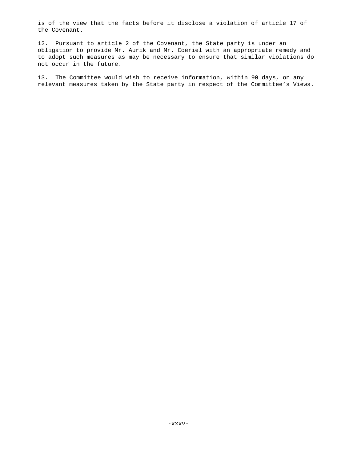is of the view that the facts before it disclose a violation of article 17 of the Covenant.

12. Pursuant to article 2 of the Covenant, the State party is under an obligation to provide Mr. Aurik and Mr. Coeriel with an appropriate remedy and to adopt such measures as may be necessary to ensure that similar violations do not occur in the future.

13. The Committee would wish to receive information, within 90 days, on any relevant measures taken by the State party in respect of the Committee's Views.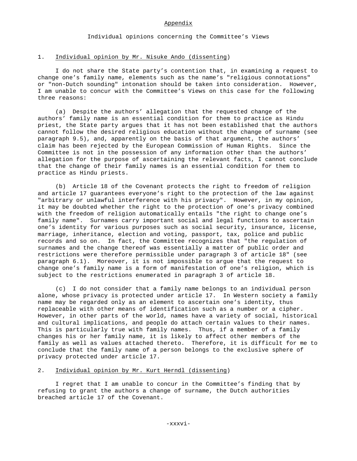## Appendix

Individual opinions concerning the Committee's Views

### 1. Individual opinion by Mr. Nisuke Ando (dissenting)

I do not share the State party's contention that, in examining a request to change one's family name, elements such as the name's "religious connotations" or "non-Dutch sounding" intonation should be taken into consideration. However, I am unable to concur with the Committee's Views on this case for the following three reasons:

(a) Despite the authors' allegation that the requested change of the authors' family name is an essential condition for them to practice as Hindu priest, the State party argues that it has not been established that the authors cannot follow the desired religious education without the change of surname (see paragraph 9.5), and, apparently on the basis of that argument, the authors' claim has been rejected by the European Commission of Human Rights. Since the Committee is not in the possession of any information other than the authors' allegation for the purpose of ascertaining the relevant facts, I cannot conclude that the change of their family names is an essential condition for them to practice as Hindu priests.

(b) Article 18 of the Covenant protects the right to freedom of religion and article 17 guarantees everyone's right to the protection of the law against "arbitrary or unlawful interference with his privacy". However, in my opinion, it may be doubted whether the right to the protection of one's privacy combined with the freedom of religion automatically entails "the right to change one's family name". Surnames carry important social and legal functions to ascertain one's identity for various purposes such as social security, insurance, license, marriage, inheritance, election and voting, passport, tax, police and public records and so on. In fact, the Committee recognizes that "the regulation of surnames and the change thereof was essentially a matter of public order and restrictions were therefore permissible under paragraph 3 of article 18" (see paragraph 6.1). Moreover, it is not impossible to argue that the request to change one's family name is a form of manifestation of one's religion, which is subject to the restrictions enumerated in paragraph 3 of article 18.

(c) I do not consider that a family name belongs to an individual person alone, whose privacy is protected under article 17. In Western society a family name may be regarded only as an element to ascertain one's identity, thus replaceable with other means of identification such as a number or a cipher. However, in other parts of the world, names have a variety of social, historical and cultural implications, and people do attach certain values to their names. This is particularly true with family names. Thus, if a member of a family changes his or her family name, it is likely to affect other members of the family as well as values attached thereto. Therefore, it is difficult for me to conclude that the family name of a person belongs to the exclusive sphere of privacy protected under article 17.

# 2. Individual opinion by Mr. Kurt Herndl (dissenting)

I regret that I am unable to concur in the Committee's finding that by refusing to grant the authors a change of surname, the Dutch authorities breached article 17 of the Covenant.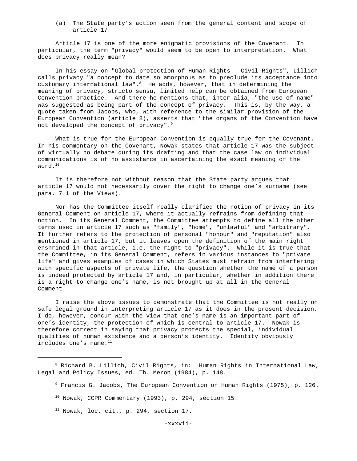(a) The State party's action seen from the general content and scope of article 17

Article 17 is one of the more enigmatic provisions of the Covenant. In particular, the term "privacy" would seem to be open to interpretation. What does privacy really mean?

In his essay on "Global protection of Human Rights - Civil Rights", Lillich calls privacy "a concept to date so amorphous as to preclude its acceptance into customary international law".<sup>8</sup> He adds, however, that in determining the meaning of privacy, stricto sensu, limited help can be obtained from European Convention practice. And there he mentions that, inter alia, "the use of name" was suggested as being part of the concept of privacy. This is, by the way, a quote taken from Jacobs, who, with reference to the similar provision of the European Convention (article 8), asserts that "the organs of the Convention have not developed the concept of privacy".<sup>9</sup>

What is true for the European Convention is equally true for the Covenant. In his commentary on the Covenant, Nowak states that article 17 was the subject of virtually no debate during its drafting and that the case law on individual communications is of no assistance in ascertaining the exact meaning of the word.<sup>10</sup>

It is therefore not without reason that the State party argues that article 17 would not necessarily cover the right to change one's surname (see para. 7.1 of the Views).

Nor has the Committee itself really clarified the notion of privacy in its General Comment on article 17, where it actually refrains from defining that notion. In its General Comment, the Committee attempts to define all the other terms used in article 17 such as "family", "home", "unlawful" and "arbitrary". It further refers to the protection of personal "honour" and "reputation" also mentioned in article 17, but it leaves open the definition of the main right enshrined in that article, i.e. the right to "privacy". While it is true that the Committee, in its General Comment, refers in various instances to "private life" and gives examples of cases in which States must refrain from interfering with specific aspects of private life, the question whether the name of a person is indeed protected by article 17 and, in particular, whether in addition there is a right to change one's name, is not brought up at all in the General Comment.

I raise the above issues to demonstrate that the Committee is not really on safe legal ground in interpreting article 17 as it does in the present decision. I do, however, concur with the view that one's name is an important part of one's identity, the protection of which is central to article 17. Nowak is therefore correct in saying that privacy protects the special, individual qualities of human existence and a person's identity. Identity obviously includes one's name.<sup>11</sup>

 $11$  Nowak, loc. cit., p. 294, section 17.

<sup>8</sup> Richard B. Lillich, Civil Rights, in: Human Rights in International Law, Legal and Policy Issues, ed. Th. Meron (1984), p. 148.

<sup>9</sup> Francis G. Jacobs, The European Convention on Human Rights (1975), p. 126.

<sup>10</sup> Nowak, CCPR Commentary (1993), p. 294, section 15.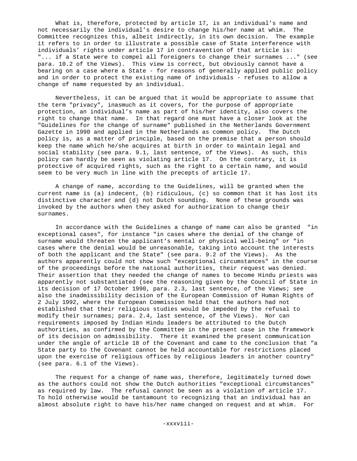What is, therefore, protected by article 17, is an individual's name and not necessarily the individual's desire to change his/her name at whim. The Committee recognizes this, albeit indirectly, in its own decision. The example it refers to in order to illustrate a possible case of State interference with individuals' rights under article 17 in contravention of that article is: "... if a State were to compel all foreigners to change their surnames ..." (see para. 10.2 of the Views). This view is correct, but obviously cannot have a bearing on a case where a State - for reasons of generally applied public policy and in order to protect the existing name of individuals - refuses to allow a change of name requested by an individual.

Nevertheless, it can be argued that it would be appropriate to assume that the term "privacy", inasmuch as it covers, for the purpose of appropriate protection, an individual's name as part of his/her identity, also covers the right to change that name. In that regard one must have a closer look at the "Guidelines for the change of surname" published in the Netherlands Government Gazette in 1990 and applied in the Netherlands as common policy. The Dutch policy is, as a matter of principle, based on the premise that a person should keep the name which he/she acquires at birth in order to maintain legal and social stability (see para. 9.1, last sentence, of the Views). As such, this policy can hardly be seen as violating article 17. On the contrary, it is protective of acquired rights, such as the right to a certain name, and would seem to be very much in line with the precepts of article 17.

A change of name, according to the Guidelines, will be granted when the current name is (a) indecent, (b) ridiculous, (c) so common that it has lost its distinctive character and (d) not Dutch sounding. None of these grounds was invoked by the authors when they asked for authorization to change their surnames.

In accordance with the Guidelines a change of name can also be granted "in exceptional cases", for instance "in cases where the denial of the change of surname would threaten the applicant's mental or physical well-being" or "in cases where the denial would be unreasonable, taking into account the interests of both the applicant and the State" (see para. 9.2 of the Views). As the authors apparently could not show such "exceptional circumstances" in the course of the proceedings before the national authorities, their request was denied. Their assertion that they needed the change of names to become Hindu priests was apparently not substantiated (see the reasoning given by the Council of State in its decision of 17 October 1990, para. 2.3, last sentence, of the Views; see also the inadmissibility decision of the European Commission of Human Rights of 2 July 1992, where the European Commission held that the authors had not established that their religious studies would be impeded by the refusal to modify their surnames; para. 2.4, last sentence, of the Views). Nor can requirements imposed by Indian Hindu leaders be attributed to the Dutch authorities, as confirmed by the Committee in the present case in the framework of its decision on admissibility. There it examined the present communication under the angle of article 18 of the Covenant and came to the conclusion that "a State party to the Covenant cannot be held accountable for restrictions placed upon the exercise of religious offices by religious leaders in another country" (see para. 6.1 of the Views).

The request for a change of name was, therefore, legitimately turned down as the authors could not show the Dutch authorities "exceptional circumstances" as required by law. The refusal cannot be seen as a violation of article 17. To hold otherwise would be tantamount to recognizing that an individual has an almost absolute right to have his/her name changed on request and at whim. For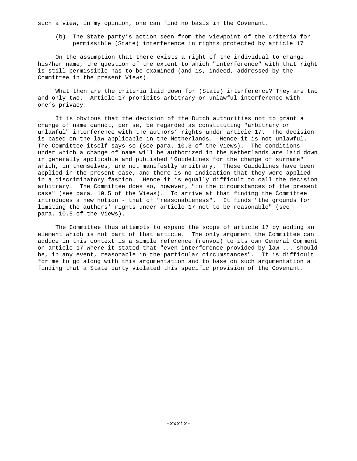such a view, in my opinion, one can find no basis in the Covenant.

(b) The State party's action seen from the viewpoint of the criteria for permissible (State) interference in rights protected by article 17

On the assumption that there exists a right of the individual to change his/her name, the question of the extent to which "interference" with that right is still permissible has to be examined (and is, indeed, addressed by the Committee in the present Views).

What then are the criteria laid down for (State) interference? They are two and only two. Article 17 prohibits arbitrary or unlawful interference with one's privacy.

It is obvious that the decision of the Dutch authorities not to grant a change of name cannot, per se, be regarded as constituting "arbitrary or unlawful" interference with the authors' rights under article 17. The decision is based on the law applicable in the Netherlands. Hence it is not unlawful. The Committee itself says so (see para. 10.3 of the Views). The conditions under which a change of name will be authorized in the Netherlands are laid down in generally applicable and published "Guidelines for the change of surname" which, in themselves, are not manifestly arbitrary. These Guidelines have been applied in the present case, and there is no indication that they were applied in a discriminatory fashion. Hence it is equally difficult to call the decision arbitrary. The Committee does so, however, "in the circumstances of the present case" (see para. 10.5 of the Views). To arrive at that finding the Committee introduces a new notion - that of "reasonableness". It finds "the grounds for limiting the authors' rights under article 17 not to be reasonable" (see para. 10.5 of the Views).

The Committee thus attempts to expand the scope of article 17 by adding an element which is not part of that article. The only argument the Committee can adduce in this context is a simple reference (renvoi) to its own General Comment on article 17 where it stated that "even interference provided by law ... should be, in any event, reasonable in the particular circumstances". It is difficult for me to go along with this argumentation and to base on such argumentation a finding that a State party violated this specific provision of the Covenant.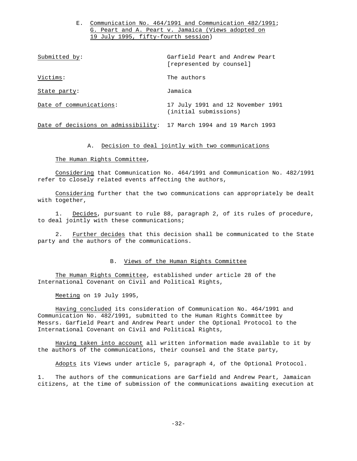## E. Communication No. 464/1991 and Communication 482/1991; G. Peart and A. Peart v. Jamaica (Views adopted on 19 July 1995, fifty-fourth session)

| Submitted by:                                                       | Garfield Peart and Andrew Peart<br>[represented by counsel] |
|---------------------------------------------------------------------|-------------------------------------------------------------|
| Victims:                                                            | The authors                                                 |
| State party:                                                        | Jamaica                                                     |
| Date of communications:                                             | 17 July 1991 and 12 November 1991<br>(initial submissions)  |
| Date of decisions on admissibility: 17 March 1994 and 19 March 1993 |                                                             |

### A. Decision to deal jointly with two communications

### The Human Rights Committee,

Considering that Communication No. 464/1991 and Communication No. 482/1991 refer to closely related events affecting the authors,

Considering further that the two communications can appropriately be dealt with together,

1. Decides, pursuant to rule 88, paragraph 2, of its rules of procedure, to deal jointly with these communications;

2. Further decides that this decision shall be communicated to the State party and the authors of the communications.

### B. Views of the Human Rights Committee

The Human Rights Committee, established under article 28 of the International Covenant on Civil and Political Rights,

Meeting on 19 July 1995,

Having concluded its consideration of Communication No. 464/1991 and Communication No. 482/1991, submitted to the Human Rights Committee by Messrs. Garfield Peart and Andrew Peart under the Optional Protocol to the International Covenant on Civil and Political Rights,

Having taken into account all written information made available to it by the authors of the communications, their counsel and the State party,

Adopts its Views under article 5, paragraph 4, of the Optional Protocol.

1. The authors of the communications are Garfield and Andrew Peart, Jamaican citizens, at the time of submission of the communications awaiting execution at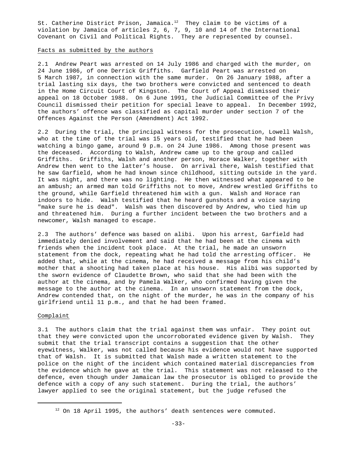St. Catherine District Prison, Jamaica. $12$  They claim to be victims of a violation by Jamaica of articles 2, 6, 7, 9, 10 and 14 of the International Covenant on Civil and Political Rights. They are represented by counsel.

### Facts as submitted by the authors

2.1 Andrew Peart was arrested on 14 July 1986 and charged with the murder, on 24 June 1986, of one Derrick Griffiths. Garfield Peart was arrested on 5 March 1987, in connection with the same murder. On 26 January 1988, after a trial lasting six days, the two brothers were convicted and sentenced to death in the Home Circuit Court of Kingston. The Court of Appeal dismissed their appeal on 18 October 1988. On 6 June 1991, the Judicial Committee of the Privy Council dismissed their petition for special leave to appeal. In December 1992, the authors' offence was classified as capital murder under section 7 of the Offences Against the Person (Amendment) Act 1992.

2.2 During the trial, the principal witness for the prosecution, Lowell Walsh, who at the time of the trial was 15 years old, testified that he had been watching a bingo game, around 9 p.m. on 24 June 1986. Among those present was the deceased. According to Walsh, Andrew came up to the group and called Griffiths. Griffiths, Walsh and another person, Horace Walker, together with Andrew then went to the latter's house. On arrival there, Walsh testified that he saw Garfield, whom he had known since childhood, sitting outside in the yard. It was night, and there was no lighting. He then witnessed what appeared to be an ambush; an armed man told Griffiths not to move, Andrew wrestled Griffiths to the ground, while Garfield threatened him with a gun. Walsh and Horace ran indoors to hide. Walsh testified that he heard gunshots and a voice saying "make sure he is dead". Walsh was then discovered by Andrew, who tied him up and threatened him. During a further incident between the two brothers and a newcomer, Walsh managed to escape.

2.3 The authors' defence was based on alibi. Upon his arrest, Garfield had immediately denied involvement and said that he had been at the cinema with friends when the incident took place. At the trial, he made an unsworn statement from the dock, repeating what he had told the arresting officer. He added that, while at the cinema, he had received a message from his child's mother that a shooting had taken place at his house. His alibi was supported by the sworn evidence of Claudette Brown, who said that she had been with the author at the cinema, and by Pamela Walker, who confirmed having given the message to the author at the cinema. In an unsworn statement from the dock, Andrew contended that, on the night of the murder, he was in the company of his girlfriend until 11 p.m., and that he had been framed.

#### **Complaint**

3.1 The authors claim that the trial against them was unfair. They point out that they were convicted upon the uncorroborated evidence given by Walsh. They submit that the trial transcript contains a suggestion that the other eyewitness, Walker, was not called because his evidence would not have supported that of Walsh. It is submitted that Walsh made a written statement to the police on the night of the incident which contained material discrepancies from the evidence which he gave at the trial. This statement was not released to the defence, even though under Jamaican law the prosecutor is obliged to provide the defence with a copy of any such statement. During the trial, the authors' lawyer applied to see the original statement, but the judge refused the

<sup>12</sup> On 18 April 1995, the authors' death sentences were commuted.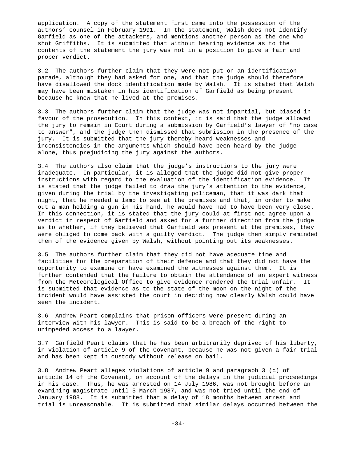application. A copy of the statement first came into the possession of the authors' counsel in February 1991. In the statement, Walsh does not identify Garfield as one of the attackers, and mentions another person as the one who shot Griffiths. It is submitted that without hearing evidence as to the contents of the statement the jury was not in a position to give a fair and proper verdict.

3.2 The authors further claim that they were not put on an identification parade, although they had asked for one, and that the judge should therefore have disallowed the dock identification made by Walsh. It is stated that Walsh may have been mistaken in his identification of Garfield as being present because he knew that he lived at the premises.

3.3 The authors further claim that the judge was not impartial, but biased in favour of the prosecution. In this context, it is said that the judge allowed the jury to remain in Court during a submission by Garfield's lawyer of "no case to answer", and the judge then dismissed that submission in the presence of the jury. It is submitted that the jury thereby heard weaknesses and inconsistencies in the arguments which should have been heard by the judge alone, thus prejudicing the jury against the authors.

3.4 The authors also claim that the judge's instructions to the jury were inadequate. In particular, it is alleged that the judge did not give proper instructions with regard to the evaluation of the identification evidence. It is stated that the judge failed to draw the jury's attention to the evidence, given during the trial by the investigating policeman, that it was dark that night, that he needed a lamp to see at the premises and that, in order to make out a man holding a gun in his hand, he would have had to have been very close. In this connection, it is stated that the jury could at first not agree upon a verdict in respect of Garfield and asked for a further direction from the judge as to whether, if they believed that Garfield was present at the premises, they were obliged to come back with a guilty verdict. The judge then simply reminded them of the evidence given by Walsh, without pointing out its weaknesses.

3.5 The authors further claim that they did not have adequate time and facilities for the preparation of their defence and that they did not have the opportunity to examine or have examined the witnesses against them. It is further contended that the failure to obtain the attendance of an expert witness from the Meteorological Office to give evidence rendered the trial unfair. It is submitted that evidence as to the state of the moon on the night of the incident would have assisted the court in deciding how clearly Walsh could have seen the incident.

3.6 Andrew Peart complains that prison officers were present during an interview with his lawyer. This is said to be a breach of the right to unimpeded access to a lawyer.

3.7 Garfield Peart claims that he has been arbitrarily deprived of his liberty, in violation of article 9 of the Covenant, because he was not given a fair trial and has been kept in custody without release on bail.

3.8 Andrew Peart alleges violations of article 9 and paragraph 3 (c) of article 14 of the Covenant, on account of the delays in the judicial proceedings in his case. Thus, he was arrested on 14 July 1986, was not brought before an examining magistrate until 5 March 1987, and was not tried until the end of January 1988. It is submitted that a delay of 18 months between arrest and trial is unreasonable. It is submitted that similar delays occurred between the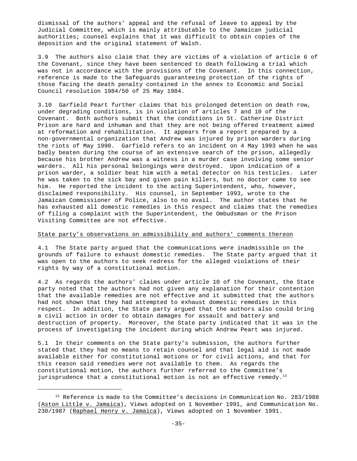dismissal of the authors' appeal and the refusal of leave to appeal by the Judicial Committee, which is mainly attributable to the Jamaican judicial authorities; counsel explains that it was difficult to obtain copies of the deposition and the original statement of Walsh.

3.9 The authors also claim that they are victims of a violation of article 6 of the Covenant, since they have been sentenced to death following a trial which was not in accordance with the provisions of the Covenant. In this connection, reference is made to the Safeguards guaranteeing protection of the rights of those facing the death penalty contained in the annex to Economic and Social Council resolution 1984/50 of 25 May 1984.

3.10 Garfield Peart further claims that his prolonged detention on death row, under degrading conditions, is in violation of articles 7 and 10 of the Covenant. Both authors submit that the conditions in St. Catherine District Prison are hard and inhuman and that they are not being offered treatment aimed at reformation and rehabilitation. It appears from a report prepared by a non-governmental organization that Andrew was injured by prison warders during the riots of May 1990. Garfield refers to an incident on 4 May 1993 when he was badly beaten during the course of an extensive search of the prison, allegedly because his brother Andrew was a witness in a murder case involving some senior warders. All his personal belongings were destroyed. Upon indication of a prison warder, a soldier beat him with a metal detector on his testicles. Later he was taken to the sick bay and given pain killers, but no doctor came to see him. He reported the incident to the acting Superintendent, who, however, disclaimed responsibility. His counsel, in September 1993, wrote to the Jamaican Commissioner of Police, also to no avail. The author states that he has exhausted all domestic remedies in this respect and claims that the remedies of filing a complaint with the Superintendent, the Ombudsman or the Prison Visiting Committee are not effective.

### State party's observations on admissibility and authors' comments thereon

4.1 The State party argued that the communications were inadmissible on the grounds of failure to exhaust domestic remedies. The State party argued that it was open to the authors to seek redress for the alleged violations of their rights by way of a constitutional motion.

4.2 As regards the authors' claims under article 10 of the Covenant, the State party noted that the authors had not given any explanation for their contention that the available remedies are not effective and it submitted that the authors had not shown that they had attempted to exhaust domestic remedies in this respect. In addition, the State party argued that the authors also could bring a civil action in order to obtain damages for assault and battery and destruction of property. Moreover, the State party indicated that it was in the process of investigating the incident during which Andrew Peart was injured.

5.1 In their comments on the State party's submission, the authors further stated that they had no means to retain counsel and that legal aid is not made available either for constitutional motions or for civil actions, and that for this reason said remedies were not available to them. As regards the constitutional motion, the authors further referred to the Committee's jurisprudence that a constitutional motion is not an effective remedy.<sup>13</sup>

 $13$  Reference is made to the Committee's decisions in Communication No. 283/1988 (Aston Little v. Jamaica), Views adopted on 1 November 1991, and Communication No. 230/1987 (Raphael Henry v. Jamaica), Views adopted on 1 November 1991.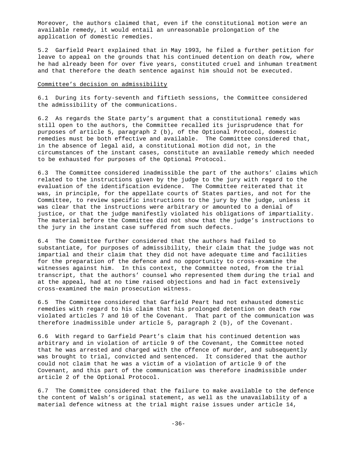Moreover, the authors claimed that, even if the constitutional motion were an available remedy, it would entail an unreasonable prolongation of the application of domestic remedies.

5.2 Garfield Peart explained that in May 1993, he filed a further petition for leave to appeal on the grounds that his continued detention on death row, where he had already been for over five years, constituted cruel and inhuman treatment and that therefore the death sentence against him should not be executed.

#### Committee's decision on admissibility

6.1 During its forty-seventh and fiftieth sessions, the Committee considered the admissibility of the communications.

6.2 As regards the State party's argument that a constitutional remedy was still open to the authors, the Committee recalled its jurisprudence that for purposes of article 5, paragraph 2 (b), of the Optional Protocol, domestic remedies must be both effective and available. The Committee considered that, in the absence of legal aid, a constitutional motion did not, in the circumstances of the instant cases, constitute an available remedy which needed to be exhausted for purposes of the Optional Protocol.

6.3 The Committee considered inadmissible the part of the authors' claims which related to the instructions given by the judge to the jury with regard to the evaluation of the identification evidence. The Committee reiterated that it was, in principle, for the appellate courts of States parties, and not for the Committee, to review specific instructions to the jury by the judge, unless it was clear that the instructions were arbitrary or amounted to a denial of justice, or that the judge manifestly violated his obligations of impartiality. The material before the Committee did not show that the judge's instructions to the jury in the instant case suffered from such defects.

6.4 The Committee further considered that the authors had failed to substantiate, for purposes of admissibility, their claim that the judge was not impartial and their claim that they did not have adequate time and facilities for the preparation of the defence and no opportunity to cross-examine the witnesses against him. In this context, the Committee noted, from the trial transcript, that the authors' counsel who represented them during the trial and at the appeal, had at no time raised objections and had in fact extensively cross-examined the main prosecution witness.

6.5 The Committee considered that Garfield Peart had not exhausted domestic remedies with regard to his claim that his prolonged detention on death row violated articles 7 and 10 of the Covenant. That part of the communication was therefore inadmissible under article 5, paragraph 2 (b), of the Covenant.

6.6 With regard to Garfield Peart's claim that his continued detention was arbitrary and in violation of article 9 of the Covenant, the Committee noted that he was arrested and charged with the offence of murder, and subsequently was brought to trial, convicted and sentenced. It considered that the author could not claim that he was a victim of a violation of article 9 of the Covenant, and this part of the communication was therefore inadmissible under article 2 of the Optional Protocol.

6.7 The Committee considered that the failure to make available to the defence the content of Walsh's original statement, as well as the unavailability of a material defence witness at the trial might raise issues under article 14,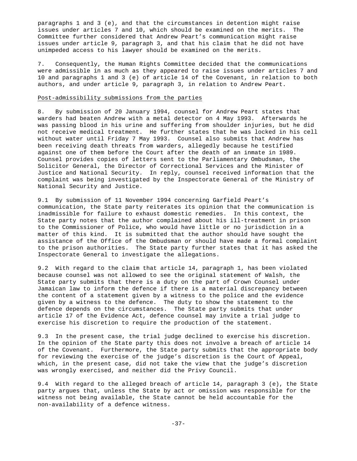paragraphs 1 and 3 (e), and that the circumstances in detention might raise issues under articles 7 and 10, which should be examined on the merits. The Committee further considered that Andrew Peart's communication might raise issues under article 9, paragraph 3, and that his claim that he did not have unimpeded access to his lawyer should be examined on the merits.

7. Consequently, the Human Rights Committee decided that the communications were admissible in as much as they appeared to raise issues under articles 7 and 10 and paragraphs 1 and 3 (e) of article 14 of the Covenant, in relation to both authors, and under article 9, paragraph 3, in relation to Andrew Peart.

#### Post-admissibility submissions from the parties

8. By submission of 20 January 1994, counsel for Andrew Peart states that warders had beaten Andrew with a metal detector on 4 May 1993. Afterwards he was passing blood in his urine and suffering from shoulder injuries, but he did not receive medical treatment. He further states that he was locked in his cell without water until Friday 7 May 1993. Counsel also submits that Andrew has been receiving death threats from warders, allegedly because he testified against one of them before the Court after the death of an inmate in 1989. Counsel provides copies of letters sent to the Parliamentary Ombudsman, the Solicitor General, the Director of Correctional Services and the Minister of Justice and National Security. In reply, counsel received information that the complaint was being investigated by the Inspectorate General of the Ministry of National Security and Justice.

9.1 By submission of 11 November 1994 concerning Garfield Peart's communication, the State party reiterates its opinion that the communication is inadmissible for failure to exhaust domestic remedies. In this context, the State party notes that the author complained about his ill-treatment in prison to the Commissioner of Police, who would have little or no jurisdiction in a matter of this kind. It is submitted that the author should have sought the assistance of the Office of the Ombudsman or should have made a formal complaint to the prison authorities. The State party further states that it has asked the Inspectorate General to investigate the allegations.

9.2 With regard to the claim that article 14, paragraph 1, has been violated because counsel was not allowed to see the original statement of Walsh, the State party submits that there is a duty on the part of Crown Counsel under Jamaican law to inform the defence if there is a material discrepancy between the content of a statement given by a witness to the police and the evidence given by a witness to the defence. The duty to show the statement to the defence depends on the circumstances. The State party submits that under article 17 of the Evidence Act, defence counsel may invite a trial judge to exercise his discretion to require the production of the statement.

9.3 In the present case, the trial judge declined to exercise his discretion. In the opinion of the State party this does not involve a breach of article 14 of the Covenant. Furthermore, the State party submits that the appropriate body for reviewing the exercise of the judge's discretion is the Court of Appeal, which, in the present case, did not take the view that the judge's discretion was wrongly exercised, and neither did the Privy Council.

9.4 With regard to the alleged breach of article 14, paragraph 3 (e), the State party argues that, unless the State by act or omission was responsible for the witness not being available, the State cannot be held accountable for the non-availability of a defence witness.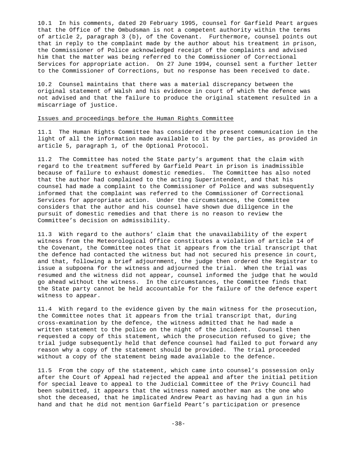10.1 In his comments, dated 20 February 1995, counsel for Garfield Peart argues that the Office of the Ombudsman is not a competent authority within the terms of article 2, paragraph 3 (b), of the Covenant. Furthermore, counsel points out that in reply to the complaint made by the author about his treatment in prison, the Commissioner of Police acknowledged receipt of the complaints and advised him that the matter was being referred to the Commissioner of Correctional Services for appropriate action. On 27 June 1994, counsel sent a further letter to the Commissioner of Corrections, but no response has been received to date.

10.2 Counsel maintains that there was a material discrepancy between the original statement of Walsh and his evidence in court of which the defence was not advised and that the failure to produce the original statement resulted in a miscarriage of justice.

### Issues and proceedings before the Human Rights Committee

11.1 The Human Rights Committee has considered the present communication in the light of all the information made available to it by the parties, as provided in article 5, paragraph 1, of the Optional Protocol.

11.2 The Committee has noted the State party's argument that the claim with regard to the treatment suffered by Garfield Peart in prison is inadmissible because of failure to exhaust domestic remedies. The Committee has also noted that the author had complained to the acting Superintendent, and that his counsel had made a complaint to the Commissioner of Police and was subsequently informed that the complaint was referred to the Commissioner of Correctional Services for appropriate action. Under the circumstances, the Committee considers that the author and his counsel have shown due diligence in the pursuit of domestic remedies and that there is no reason to review the Committee's decision on admissibility.

11.3 With regard to the authors' claim that the unavailability of the expert witness from the Meteorological Office constitutes a violation of article 14 of the Covenant, the Committee notes that it appears from the trial transcript that the defence had contacted the witness but had not secured his presence in court, and that, following a brief adjournment, the judge then ordered the Registrar to issue a subpoena for the witness and adjourned the trial. When the trial was resumed and the witness did not appear, counsel informed the judge that he would go ahead without the witness. In the circumstances, the Committee finds that the State party cannot be held accountable for the failure of the defence expert witness to appear.

11.4 With regard to the evidence given by the main witness for the prosecution, the Committee notes that it appears from the trial transcript that, during cross-examination by the defence, the witness admitted that he had made a written statement to the police on the night of the incident. Counsel then requested a copy of this statement, which the prosecution refused to give; the trial judge subsequently held that defence counsel had failed to put forward any reason why a copy of the statement should be provided. The trial proceeded without a copy of the statement being made available to the defence.

11.5 From the copy of the statement, which came into counsel's possession only after the Court of Appeal had rejected the appeal and after the initial petition for special leave to appeal to the Judicial Committee of the Privy Council had been submitted, it appears that the witness named another man as the one who shot the deceased, that he implicated Andrew Peart as having had a gun in his hand and that he did not mention Garfield Peart's participation or presence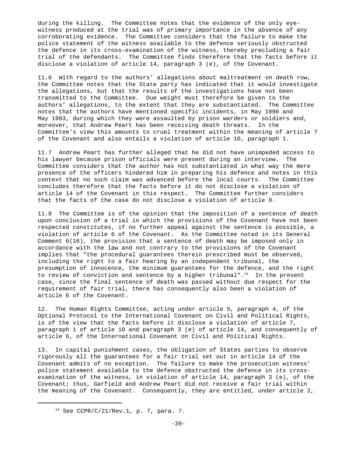during the killing. The Committee notes that the evidence of the only eyewitness produced at the trial was of primary importance in the absence of any corroborating evidence. The Committee considers that the failure to make the police statement of the witness available to the defence seriously obstructed the defence in its cross-examination of the witness, thereby precluding a fair trial of the defendants. The Committee finds therefore that the facts before it disclose a violation of article 14, paragraph 3 (e), of the Covenant.

11.6 With regard to the authors' allegations about maltreatment on death row, the Committee notes that the State party has indicated that it would investigate the allegations, but that the results of the investigations have not been transmitted to the Committee. Due weight must therefore be given to the authors' allegations, to the extent that they are substantiated. The Committee notes that the authors have mentioned specific incidents, in May 1990 and May 1993, during which they were assaulted by prison warders or soldiers and, moreover, that Andrew Peart has been receiving death threats. In the Committee's view this amounts to cruel treatment within the meaning of article 7 of the Covenant and also entails a violation of article 10, paragraph 1.

11.7 Andrew Peart has further alleged that he did not have unimpeded access to his lawyer because prison officials were present during an interview. The Committee considers that the author has not substantiated in what way the mere presence of the officers hindered him in preparing his defence and notes in this context that no such claim was advanced before the local courts. The Committee concludes therefore that the facts before it do not disclose a violation of article 14 of the Covenant in this respect. The Committee further considers that the facts of the case do not disclose a violation of article 9.

11.8 The Committee is of the opinion that the imposition of a sentence of death upon conclusion of a trial in which the provisions of the Covenant have not been respected constitutes, if no further appeal against the sentence is possible, a violation of article 6 of the Covenant. As the Committee noted in its General Comment 6(16), the provision that a sentence of death may be imposed only in accordance with the law and not contrary to the provisions of the Covenant implies that "the procedural guarantees therein prescribed must be observed, including the right to a fair hearing by an independent tribunal, the presumption of innocence, the minimum guarantees for the defence, and the right to review of conviction and sentence by a higher tribunal".<sup>14</sup> In the present case, since the final sentence of death was passed without due respect for the requirement of fair trial, there has consequently also been a violation of article 6 of the Covenant.

12. The Human Rights Committee, acting under article 5, paragraph 4, of the Optional Protocol to the International Covenant on Civil and Political Rights, is of the view that the facts before it disclose a violation of article 7, paragraph 1 of article 10 and paragraph 3 (e) of article 14, and consequently of article 6, of the International Covenant on Civil and Political Rights.

13. In capital punishment cases, the obligation of States parties to observe rigorously all the guarantees for a fair trial set out in article 14 of the Covenant admits of no exception. The failure to make the prosecution witness' police statement available to the defence obstructed the defence in its crossexamination of the witness, in violation of article 14, paragraph 3 (e), of the Covenant; thus, Garfield and Andrew Peart did not receive a fair trial within the meaning of the Covenant. Consequently, they are entitled, under article 2,

 $14$  See CCPR/C/21/Rev.1, p. 7, para. 7.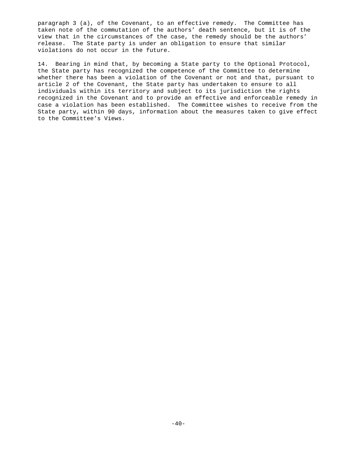paragraph 3 (a), of the Covenant, to an effective remedy. The Committee has taken note of the commutation of the authors' death sentence, but it is of the view that in the circumstances of the case, the remedy should be the authors' release. The State party is under an obligation to ensure that similar violations do not occur in the future.

14. Bearing in mind that, by becoming a State party to the Optional Protocol, the State party has recognized the competence of the Committee to determine whether there has been a violation of the Covenant or not and that, pursuant to article 2 of the Covenant, the State party has undertaken to ensure to all individuals within its territory and subject to its jurisdiction the rights recognized in the Covenant and to provide an effective and enforceable remedy in case a violation has been established. The Committee wishes to receive from the State party, within 90 days, information about the measures taken to give effect to the Committee's Views.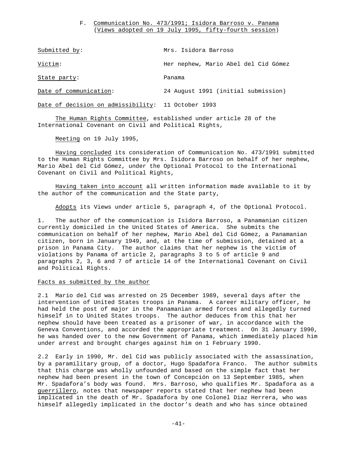## F. Communication No. 473/1991; Isidora Barroso v. Panama (Views adopted on 19 July 1995, fifty-fourth session)

| Submitted by:          | Mrs. Isidora Barroso                 |
|------------------------|--------------------------------------|
| Victim:                | Her nephew, Mario Abel del Cid Gómez |
| State party:           | Panama                               |
| Date of communication: | 24 August 1991 (initial submission)  |

Date of decision on admissibility: 11 October 1993

The Human Rights Committee, established under article 28 of the International Covenant on Civil and Political Rights,

Meeting on 19 July 1995,

Having concluded its consideration of Communication No. 473/1991 submitted to the Human Rights Committee by Mrs. Isidora Barroso on behalf of her nephew, Mario Abel del Cid Gómez, under the Optional Protocol to the International Covenant on Civil and Political Rights,

Having taken into account all written information made available to it by the author of the communication and the State party,

Adopts its Views under article 5, paragraph 4, of the Optional Protocol.

1. The author of the communication is Isidora Barroso, a Panamanian citizen currently domiciled in the United States of America. She submits the communication on behalf of her nephew, Mario Abel del Cid Gómez, a Panamanian citizen, born in January 1949, and, at the time of submission, detained at a prison in Panama City. The author claims that her nephew is the victim of violations by Panama of article 2, paragraphs 3 to 5 of article 9 and paragraphs 2, 3, 6 and 7 of article 14 of the International Covenant on Civil and Political Rights.

#### Facts as submitted by the author

2.1 Mario del Cid was arrested on 25 December 1989, several days after the intervention of United States troops in Panama. A career military officer, he had held the post of major in the Panamanian armed forces and allegedly turned himself in to United States troops. The author deduces from this that her nephew should have been treated as a prisoner of war, in accordance with the Geneva Conventions, and accorded the appropriate treatment. On 31 January 1990, he was handed over to the new Government of Panama, which immediately placed him under arrest and brought charges against him on 1 February 1990.

2.2 Early in 1990, Mr. del Cid was publicly associated with the assassination, by a paramilitary group, of a doctor, Hugo Spadafora Franco. The author submits that this charge was wholly unfounded and based on the simple fact that her nephew had been present in the town of Concepción on 13 September 1985, when Mr. Spadafora's body was found. Mrs. Barroso, who qualifies Mr. Spadafora as a guerrillero, notes that newspaper reports stated that her nephew had been implicated in the death of Mr. Spadafora by one Colonel Diaz Herrera, who was himself allegedly implicated in the doctor's death and who has since obtained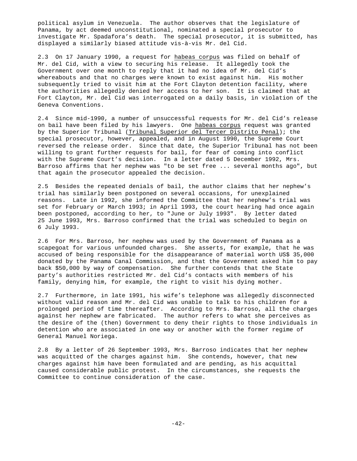political asylum in Venezuela. The author observes that the legislature of Panama, by act deemed unconstitutional, nominated a special prosecutor to investigate Mr. Spadafora's death. The special prosecutor, it is submitted, has displayed a similarly biased attitude vis-à-vis Mr. del Cid.

2.3 On 17 January 1990, a request for habeas corpus was filed on behalf of Mr. del Cid, with a view to securing his release. It allegedly took the Government over one month to reply that it had no idea of Mr. del Cid's whereabouts and that no charges were known to exist against him. His mother subsequently tried to visit him at the Fort Clayton detention facility, where the authorities allegedly denied her access to her son. It is claimed that at Fort Clayton, Mr. del Cid was interrogated on a daily basis, in violation of the Geneva Conventions.

2.4 Since mid-1990, a number of unsuccessful requests for Mr. del Cid's release on bail have been filed by his lawyers. One habeas corpus request was granted by the Superior Tribunal (Tribunal Superior del Tercer Distrito Penal); the special prosecutor, however, appealed, and in August 1990, the Supreme Court reversed the release order. Since that date, the Superior Tribunal has not been willing to grant further requests for bail, for fear of coming into conflict with the Supreme Court's decision. In a letter dated 5 December 1992, Mrs. Barroso affirms that her nephew was "to be set free ... several months ago", but that again the prosecutor appealed the decision.

2.5 Besides the repeated denials of bail, the author claims that her nephew's trial has similarly been postponed on several occasions, for unexplained reasons. Late in 1992, she informed the Committee that her nephew's trial was set for February or March 1993; in April 1993, the court hearing had once again been postponed, according to her, to "June or July 1993". By letter dated 25 June 1993, Mrs. Barroso confirmed that the trial was scheduled to begin on 6 July 1993.

2.6 For Mrs. Barroso, her nephew was used by the Government of Panama as a scapegoat for various unfounded charges. She asserts, for example, that he was accused of being responsible for the disappearance of material worth US\$ 35,000 donated by the Panama Canal Commission, and that the Government asked him to pay back \$50,000 by way of compensation. She further contends that the State party's authorities restricted Mr. del Cid's contacts with members of his family, denying him, for example, the right to visit his dying mother.

2.7 Furthermore, in late 1991, his wife's telephone was allegedly disconnected without valid reason and Mr. del Cid was unable to talk to his children for a prolonged period of time thereafter. According to Mrs. Barroso, all the charges against her nephew are fabricated. The author refers to what she perceives as the desire of the (then) Government to deny their rights to those individuals in detention who are associated in one way or another with the former regime of General Manuel Noriega.

2.8 By a letter of 26 September 1993, Mrs. Barroso indicates that her nephew was acquitted of the charges against him. She contends, however, that new charges against him have been formulated and are pending, as his acquittal caused considerable public protest. In the circumstances, she requests the Committee to continue consideration of the case.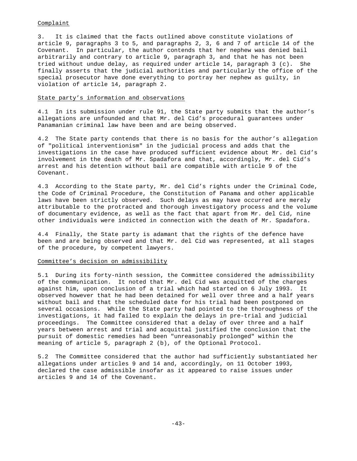### Complaint

3. It is claimed that the facts outlined above constitute violations of article 9, paragraphs 3 to 5, and paragraphs 2, 3, 6 and 7 of article 14 of the Covenant. In particular, the author contends that her nephew was denied bail arbitrarily and contrary to article 9, paragraph 3, and that he has not been tried without undue delay, as required under article 14, paragraph 3 (c). She finally asserts that the judicial authorities and particularly the office of the special prosecutor have done everything to portray her nephew as guilty, in violation of article 14, paragraph 2.

#### State party's information and observations

4.1 In its submission under rule 91, the State party submits that the author's allegations are unfounded and that Mr. del Cid's procedural guarantees under Panamanian criminal law have been and are being observed.

4.2 The State party contends that there is no basis for the author's allegation of "political interventionism" in the judicial process and adds that the investigations in the case have produced sufficient evidence about Mr. del Cid's involvement in the death of Mr. Spadafora and that, accordingly, Mr. del Cid's arrest and his detention without bail are compatible with article 9 of the Covenant.

4.3 According to the State party, Mr. del Cid's rights under the Criminal Code, the Code of Criminal Procedure, the Constitution of Panama and other applicable laws have been strictly observed. Such delays as may have occurred are merely attributable to the protracted and thorough investigatory process and the volume of documentary evidence, as well as the fact that apart from Mr. del Cid, nine other individuals were indicted in connection with the death of Mr. Spadafora.

4.4 Finally, the State party is adamant that the rights of the defence have been and are being observed and that Mr. del Cid was represented, at all stages of the procedure, by competent lawyers.

#### Committee's decision on admissibility

5.1 During its forty-ninth session, the Committee considered the admissibility of the communication. It noted that Mr. del Cid was acquitted of the charges against him, upon conclusion of a trial which had started on 6 July 1993. It observed however that he had been detained for well over three and a half years without bail and that the scheduled date for his trial had been postponed on several occasions. While the State party had pointed to the thoroughness of the investigations, it had failed to explain the delays in pre-trial and judicial proceedings. The Committee considered that a delay of over three and a half years between arrest and trial and acquittal justified the conclusion that the pursuit of domestic remedies had been "unreasonably prolonged" within the meaning of article 5, paragraph 2 (b), of the Optional Protocol.

5.2 The Committee considered that the author had sufficiently substantiated her allegations under articles 9 and 14 and, accordingly, on 11 October 1993, declared the case admissible insofar as it appeared to raise issues under articles 9 and 14 of the Covenant.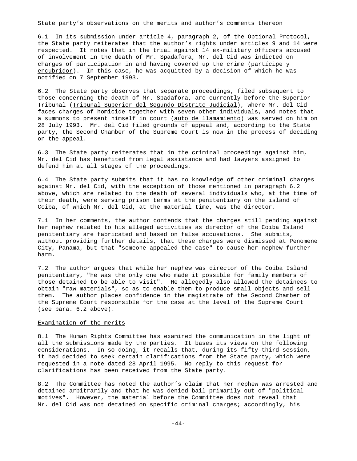#### State party's observations on the merits and author's comments thereon

6.1 In its submission under article 4, paragraph 2, of the Optional Protocol, the State party reiterates that the author's rights under articles 9 and 14 were respected. It notes that in the trial against 14 ex-military officers accused of involvement in the death of Mr. Spadafora, Mr. del Cid was indicted on charges of participation in and having covered up the crime (partícipe y encubridor). In this case, he was acquitted by a decision of which he was notified on 7 September 1993.

6.2 The State party observes that separate proceedings, filed subsequent to those concerning the death of Mr. Spadafora, are currently before the Superior Tribunal (Tribunal Superior del Segundo Distrito Judicial), where Mr. del Cid faces charges of homicide together with seven other individuals, and notes that a summons to present himself in court (auto de llamamiento) was served on him on 28 July 1993. Mr. del Cid filed grounds of appeal and, according to the State party, the Second Chamber of the Supreme Court is now in the process of deciding on the appeal.

6.3 The State party reiterates that in the criminal proceedings against him, Mr. del Cid has benefited from legal assistance and had lawyers assigned to defend him at all stages of the proceedings.

6.4 The State party submits that it has no knowledge of other criminal charges against Mr. del Cid, with the exception of those mentioned in paragraph 6.2 above, which are related to the death of several individuals who, at the time of their death, were serving prison terms at the penitentiary on the island of Coiba, of which Mr. del Cid, at the material time, was the director.

7.1 In her comments, the author contends that the charges still pending against her nephew related to his alleged activities as director of the Coiba Island penitentiary are fabricated and based on false accusations. She submits, without providing further details, that these charges were dismissed at Penomene City, Panama, but that "someone appealed the case" to cause her nephew further harm.

7.2 The author argues that while her nephew was director of the Coiba Island penitentiary, "he was the only one who made it possible for family members of those detained to be able to visit". He allegedly also allowed the detainees to obtain "raw materials", so as to enable them to produce small objects and sell them. The author places confidence in the magistrate of the Second Chamber of the Supreme Court responsible for the case at the level of the Supreme Court (see para. 6.2 above).

### Examination of the merits

8.1 The Human Rights Committee has examined the communication in the light of all the submissions made by the parties. It bases its views on the following considerations. In so doing, it recalls that, during its fifty-third session, it had decided to seek certain clarifications from the State party, which were requested in a note dated 28 April 1995. No reply to this request for clarifications has been received from the State party.

8.2 The Committee has noted the author's claim that her nephew was arrested and detained arbitrarily and that he was denied bail primarily out of "political motives". However, the material before the Committee does not reveal that Mr. del Cid was not detained on specific criminal charges; accordingly, his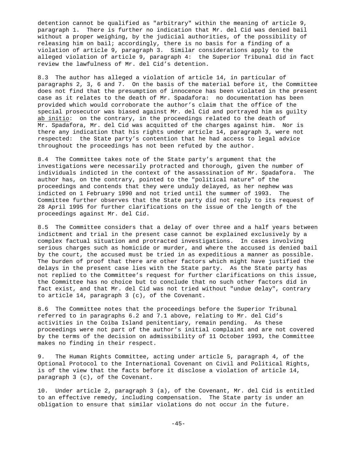detention cannot be qualified as "arbitrary" within the meaning of article 9, paragraph 1. There is further no indication that Mr. del Cid was denied bail without a proper weighing, by the judicial authorities, of the possibility of releasing him on bail; accordingly, there is no basis for a finding of a violation of article 9, paragraph 3. Similar considerations apply to the alleged violation of article 9, paragraph 4: the Superior Tribunal did in fact review the lawfulness of Mr. del Cid's detention.

8.3 The author has alleged a violation of article 14, in particular of paragraphs 2, 3, 6 and 7. On the basis of the material before it, the Committee does not find that the presumption of innocence has been violated in the present case as it relates to the death of Mr. Spadafora: no documentation has been provided which would corroborate the author's claim that the office of the special prosecutor was biased against Mr. del Cid and portrayed him as guilty ab initio: on the contrary, in the proceedings related to the death of Mr. Spadafora, Mr. del Cid was acquitted of the charges against him. Nor is there any indication that his rights under article 14, paragraph 3, were not respected: the State party's contention that he had access to legal advice throughout the proceedings has not been refuted by the author.

8.4 The Committee takes note of the State party's argument that the investigations were necessarily protracted and thorough, given the number of individuals indicted in the context of the assassination of Mr. Spadafora. The author has, on the contrary, pointed to the "political nature" of the proceedings and contends that they were unduly delayed, as her nephew was indicted on 1 February 1990 and not tried until the summer of 1993. The Committee further observes that the State party did not reply to its request of 28 April 1995 for further clarifications on the issue of the length of the proceedings against Mr. del Cid.

8.5 The Committee considers that a delay of over three and a half years between indictment and trial in the present case cannot be explained exclusively by a complex factual situation and protracted investigations. In cases involving serious charges such as homicide or murder, and where the accused is denied bail by the court, the accused must be tried in as expeditious a manner as possible. The burden of proof that there are other factors which might have justified the delays in the present case lies with the State party. As the State party has not replied to the Committee's request for further clarifications on this issue, the Committee has no choice but to conclude that no such other factors did in fact exist, and that Mr. del Cid was not tried without "undue delay", contrary to article 14, paragraph 3 (c), of the Covenant.

8.6 The Committee notes that the proceedings before the Superior Tribunal referred to in paragraphs 6.2 and 7.1 above, relating to Mr. del Cid's activities in the Coiba Island penitentiary, remain pending. As these proceedings were not part of the author's initial complaint and are not covered by the terms of the decision on admissibility of 11 October 1993, the Committee makes no finding in their respect.

9. The Human Rights Committee, acting under article 5, paragraph 4, of the Optional Protocol to the International Covenant on Civil and Political Rights, is of the view that the facts before it disclose a violation of article 14, paragraph 3 (c), of the Covenant.

10. Under article 2, paragraph 3 (a), of the Covenant, Mr. del Cid is entitled to an effective remedy, including compensation. The State party is under an obligation to ensure that similar violations do not occur in the future.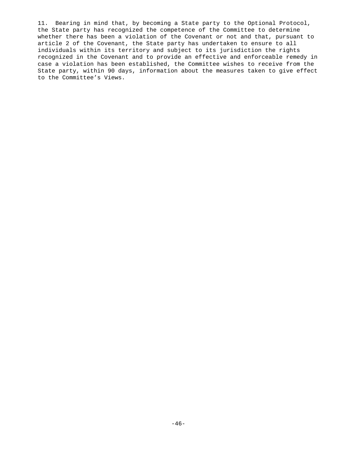11. Bearing in mind that, by becoming a State party to the Optional Protocol, the State party has recognized the competence of the Committee to determine whether there has been a violation of the Covenant or not and that, pursuant to article 2 of the Covenant, the State party has undertaken to ensure to all individuals within its territory and subject to its jurisdiction the rights recognized in the Covenant and to provide an effective and enforceable remedy in case a violation has been established, the Committee wishes to receive from the State party, within 90 days, information about the measures taken to give effect to the Committee's Views.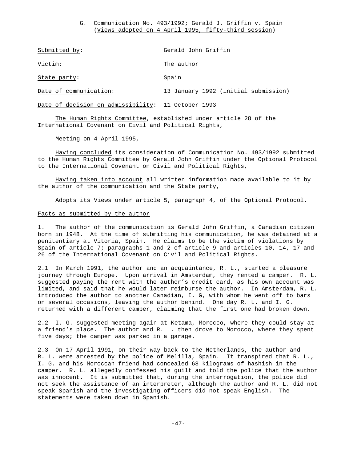## G. Communication No. 493/1992; Gerald J. Griffin v. Spain (Views adopted on 4 April 1995, fifty-third session)

| Submitted by:          | Gerald John Griffin                  |
|------------------------|--------------------------------------|
| Victim:                | The author                           |
| State party:           | Spain                                |
| Date of communication: | 13 January 1992 (initial submission) |

Date of decision on admissibility: 11 October 1993

The Human Rights Committee, established under article 28 of the International Covenant on Civil and Political Rights,

Meeting on 4 April 1995,

Having concluded its consideration of Communication No. 493/1992 submitted to the Human Rights Committee by Gerald John Griffin under the Optional Protocol to the International Covenant on Civil and Political Rights,

Having taken into account all written information made available to it by the author of the communication and the State party,

Adopts its Views under article 5, paragraph 4, of the Optional Protocol.

### Facts as submitted by the author

1. The author of the communication is Gerald John Griffin, a Canadian citizen born in 1948. At the time of submitting his communication, he was detained at a penitentiary at Vitoria, Spain. He claims to be the victim of violations by Spain of article 7; paragraphs 1 and 2 of article 9 and articles 10, 14, 17 and 26 of the International Covenant on Civil and Political Rights.

2.1 In March 1991, the author and an acquaintance, R. L., started a pleasure journey through Europe. Upon arrival in Amsterdam, they rented a camper. R. L. suggested paying the rent with the author's credit card, as his own account was limited, and said that he would later reimburse the author. In Amsterdam, R. L. introduced the author to another Canadian, I. G, with whom he went off to bars on several occasions, leaving the author behind. One day R. L. and I. G. returned with a different camper, claiming that the first one had broken down.

2.2 I. G. suggested meeting again at Ketama, Morocco, where they could stay at a friend's place. The author and R. L. then drove to Morocco, where they spent five days; the camper was parked in a garage.

2.3 On 17 April 1991, on their way back to the Netherlands, the author and R. L. were arrested by the police of Melilla, Spain. It transpired that R. L., I. G. and his Moroccan friend had concealed 68 kilograms of hashish in the camper. R. L. allegedly confessed his guilt and told the police that the author was innocent. It is submitted that, during the interrogation, the police did not seek the assistance of an interpreter, although the author and R. L. did not speak Spanish and the investigating officers did not speak English. The statements were taken down in Spanish.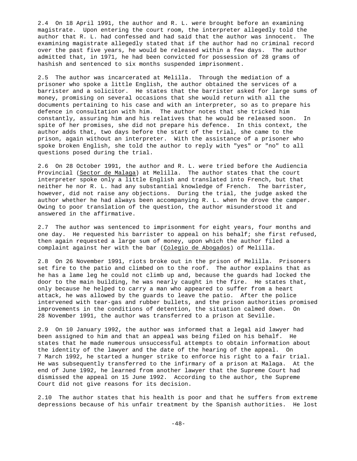2.4 On 18 April 1991, the author and R. L. were brought before an examining magistrate. Upon entering the court room, the interpreter allegedly told the author that R. L. had confessed and had said that the author was innocent. The examining magistrate allegedly stated that if the author had no criminal record over the past five years, he would be released within a few days. The author admitted that, in 1971, he had been convicted for possession of 28 grams of hashish and sentenced to six months suspended imprisonment.

2.5 The author was incarcerated at Melilla. Through the mediation of a prisoner who spoke a little English, the author obtained the services of a barrister and a solicitor. He states that the barrister asked for large sums of money, promising on several occasions that she would return with all the documents pertaining to his case and with an interpreter, so as to prepare his defence in consultation with him. The author notes that she tricked him constantly, assuring him and his relatives that he would be released soon. In spite of her promises, she did not prepare his defence. In this context, the author adds that, two days before the start of the trial, she came to the prison, again without an interpreter. With the assistance of a prisoner who spoke broken English, she told the author to reply with "yes" or "no" to all questions posed during the trial.

2.6 On 28 October 1991, the author and R. L. were tried before the Audiencia Provincial (Sector de Malaga) at Melilla. The author states that the court interpreter spoke only a little English and translated into French, but that neither he nor R. L. had any substantial knowledge of French. The barrister, however, did not raise any objections. During the trial, the judge asked the author whether he had always been accompanying R. L. when he drove the camper. Owing to poor translation of the question, the author misunderstood it and answered in the affirmative.

2.7 The author was sentenced to imprisonment for eight years, four months and one day. He requested his barrister to appeal on his behalf; she first refused, then again requested a large sum of money, upon which the author filed a complaint against her with the bar (Colegio de Abogados) of Melilla.

2.8 On 26 November 1991, riots broke out in the prison of Melilla. Prisoners set fire to the patio and climbed on to the roof. The author explains that as he has a lame leg he could not climb up and, because the guards had locked the door to the main building, he was nearly caught in the fire. He states that, only because he helped to carry a man who appeared to suffer from a heart attack, he was allowed by the guards to leave the patio. After the police intervened with tear-gas and rubber bullets, and the prison authorities promised improvements in the conditions of detention, the situation calmed down. On 28 November 1991, the author was transferred to a prison at Seville.

2.9 On 10 January 1992, the author was informed that a legal aid lawyer had been assigned to him and that an appeal was being filed on his behalf. He states that he made numerous unsuccessful attempts to obtain information about the identity of the lawyer and the date of the hearing of the appeal. On 7 March 1992, he started a hunger strike to enforce his right to a fair trial. He was subsequently transferred to the infirmary of a prison at Malaga. At the end of June 1992, he learned from another lawyer that the Supreme Court had dismissed the appeal on 15 June 1992. According to the author, the Supreme Court did not give reasons for its decision.

2.10 The author states that his health is poor and that he suffers from extreme depressions because of his unfair treatment by the Spanish authorities. He lost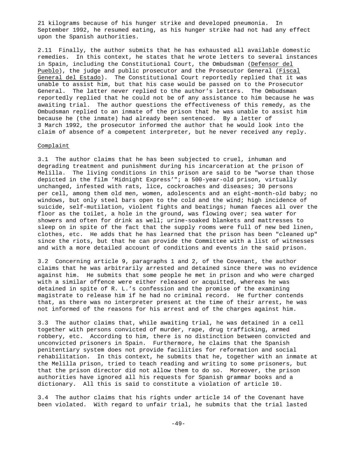21 kilograms because of his hunger strike and developed pneumonia. In September 1992, he resumed eating, as his hunger strike had not had any effect upon the Spanish authorities.

2.11 Finally, the author submits that he has exhausted all available domestic remedies. In this context, he states that he wrote letters to several instances in Spain, including the Constitutional Court, the Ombudsman (Defensor del Pueblo), the judge and public prosecutor and the Prosecutor General (Fiscal General del Estado). The Constitutional Court reportedly replied that it was unable to assist him, but that his case would be passed on to the Prosecutor General. The latter never replied to the author's letters. The Ombudsman reportedly replied that he could not be of any assistance to him because he was awaiting trial. The author questions the effectiveness of this remedy, as the Ombudsman replied to an inmate of the prison that he was unable to assist him because he (the inmate) had already been sentenced. By a letter of 3 March 1992, the prosecutor informed the author that he would look into the claim of absence of a competent interpreter, but he never received any reply.

#### **Complaint**

3.1 The author claims that he has been subjected to cruel, inhuman and degrading treatment and punishment during his incarceration at the prison of Melilla. The living conditions in this prison are said to be "worse than those depicted in the film 'Midnight Express'"; a 500-year-old prison, virtually unchanged, infested with rats, lice, cockroaches and diseases; 30 persons per cell, among them old men, women, adolescents and an eight-month-old baby; no windows, but only steel bars open to the cold and the wind; high incidence of suicide, self-mutilation, violent fights and beatings; human faeces all over the floor as the toilet, a hole in the ground, was flowing over; sea water for showers and often for drink as well; urine-soaked blankets and mattresses to sleep on in spite of the fact that the supply rooms were full of new bed linen, clothes, etc. He adds that he has learned that the prison has been "cleaned up" since the riots, but that he can provide the Committee with a list of witnesses and with a more detailed account of conditions and events in the said prison.

3.2 Concerning article 9, paragraphs 1 and 2, of the Covenant, the author claims that he was arbitrarily arrested and detained since there was no evidence against him. He submits that some people he met in prison and who were charged with a similar offence were either released or acquitted, whereas he was detained in spite of R. L.'s confession and the promise of the examining magistrate to release him if he had no criminal record. He further contends that, as there was no interpreter present at the time of their arrest, he was not informed of the reasons for his arrest and of the charges against him.

3.3 The author claims that, while awaiting trial, he was detained in a cell together with persons convicted of murder, rape, drug trafficking, armed robbery, etc. According to him, there is no distinction between convicted and unconvicted prisoners in Spain. Furthermore, he claims that the Spanish penitentiary system does not provide facilities for reformation and social rehabilitation. In this context, he submits that he, together with an inmate at the Melilla prison, tried to teach reading and writing to some prisoners, but that the prison director did not allow them to do so. Moreover, the prison authorities have ignored all his requests for Spanish grammar books and a dictionary. All this is said to constitute a violation of article 10.

3.4 The author claims that his rights under article 14 of the Covenant have been violated. With regard to unfair trial, he submits that the trial lasted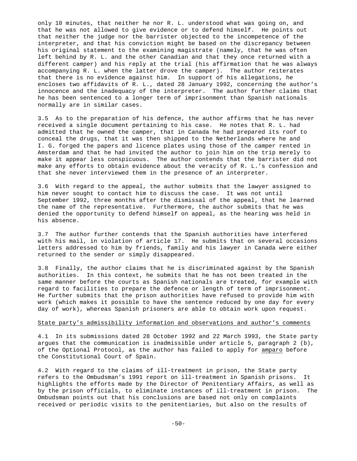only 10 minutes, that neither he nor R. L. understood what was going on, and that he was not allowed to give evidence or to defend himself. He points out that neither the judge nor the barrister objected to the incompetence of the interpreter, and that his conviction might be based on the discrepancy between his original statement to the examining magistrate (namely, that he was often left behind by R. L. and the other Canadian and that they once returned with a different camper) and his reply at the trial (his affirmation that he was always accompanying R. L. when the latter drove the camper). The author reiterates that there is no evidence against him. In support of his allegations, he encloses two affidavits of R. L., dated 28 January 1992, concerning the author's innocence and the inadequacy of the interpreter. The author further claims that he has been sentenced to a longer term of imprisonment than Spanish nationals normally are in similar cases.

3.5 As to the preparation of his defence, the author affirms that he has never received a single document pertaining to his case. He notes that R. L. had admitted that he owned the camper, that in Canada he had prepared its roof to conceal the drugs, that it was then shipped to the Netherlands where he and I. G. forged the papers and licence plates using those of the camper rented in Amsterdam and that he had invited the author to join him on the trip merely to make it appear less conspicuous. The author contends that the barrister did not make any efforts to obtain evidence about the veracity of R. L.'s confession and that she never interviewed them in the presence of an interpreter.

3.6 With regard to the appeal, the author submits that the lawyer assigned to him never sought to contact him to discuss the case. It was not until September 1992, three months after the dismissal of the appeal, that he learned the name of the representative. Furthermore, the author submits that he was denied the opportunity to defend himself on appeal, as the hearing was held in his absence.

3.7 The author further contends that the Spanish authorities have interfered with his mail, in violation of article 17. He submits that on several occasions letters addressed to him by friends, family and his lawyer in Canada were either returned to the sender or simply disappeared.

3.8 Finally, the author claims that he is discriminated against by the Spanish authorities. In this context, he submits that he has not been treated in the same manner before the courts as Spanish nationals are treated, for example with regard to facilities to prepare the defence or length of term of imprisonment. He further submits that the prison authorities have refused to provide him with work (which makes it possible to have the sentence reduced by one day for every day of work), whereas Spanish prisoners are able to obtain work upon request.

### State party's admissibility information and observations and author's comments

4.1 In its submissions dated 28 October 1992 and 22 March 1993, the State party argues that the communication is inadmissible under article 5, paragraph 2 (b), of the Optional Protocol, as the author has failed to apply for amparo before the Constitutional Court of Spain.

4.2 With regard to the claims of ill-treatment in prison, the State party refers to the Ombudsman's 1991 report on ill-treatment in Spanish prisons. It highlights the efforts made by the Director of Penitentiary Affairs, as well as by the prison officials, to eliminate instances of ill-treatment in prison. The Ombudsman points out that his conclusions are based not only on complaints received or periodic visits to the penitentiaries, but also on the results of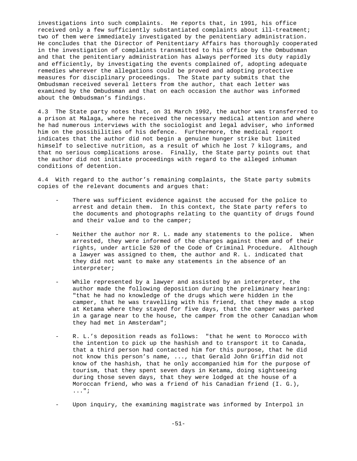investigations into such complaints. He reports that, in 1991, his office received only a few sufficiently substantiated complaints about ill-treatment; two of them were immediately investigated by the penitentiary administration. He concludes that the Director of Penitentiary Affairs has thoroughly cooperated in the investigation of complaints transmitted to his office by the Ombudsman and that the penitentiary administration has always performed its duty rapidly and efficiently, by investigating the events complained of, adopting adequate remedies wherever the allegations could be proved and adopting protective measures for disciplinary proceedings. The State party submits that the Ombudsman received several letters from the author, that each letter was examined by the Ombudsman and that on each occasion the author was informed about the Ombudsman's findings.

4.3 The State party notes that, on 31 March 1992, the author was transferred to a prison at Malaga, where he received the necessary medical attention and where he had numerous interviews with the sociologist and legal adviser, who informed him on the possibilities of his defence. Furthermore, the medical report indicates that the author did not begin a genuine hunger strike but limited himself to selective nutrition, as a result of which he lost 7 kilograms, and that no serious complications arose. Finally, the State party points out that the author did not initiate proceedings with regard to the alleged inhuman conditions of detention.

4.4 With regard to the author's remaining complaints, the State party submits copies of the relevant documents and argues that:

- There was sufficient evidence against the accused for the police to arrest and detain them. In this context, the State party refers to the documents and photographs relating to the quantity of drugs found and their value and to the camper;
- Neither the author nor R. L. made any statements to the police. When arrested, they were informed of the charges against them and of their rights, under article 520 of the Code of Criminal Procedure. Although a lawyer was assigned to them, the author and R. L. indicated that they did not want to make any statements in the absence of an interpreter;
- While represented by a lawyer and assisted by an interpreter, the author made the following deposition during the preliminary hearing: "that he had no knowledge of the drugs which were hidden in the camper, that he was travelling with his friend, that they made a stop at Ketama where they stayed for five days, that the camper was parked in a garage near to the house, the camper from the other Canadian whom they had met in Amsterdam";
- R. L.'s deposition reads as follows: "that he went to Morocco with the intention to pick up the hashish and to transport it to Canada, that a third person had contacted him for this purpose, that he did not know this person's name, ..., that Gerald John Griffin did not know of the hashish, that he only accompanied him for the purpose of tourism, that they spent seven days in Ketama, doing sightseeing during those seven days, that they were lodged at the house of a Moroccan friend, who was a friend of his Canadian friend (I. G.), ...";
- Upon inquiry, the examining magistrate was informed by Interpol in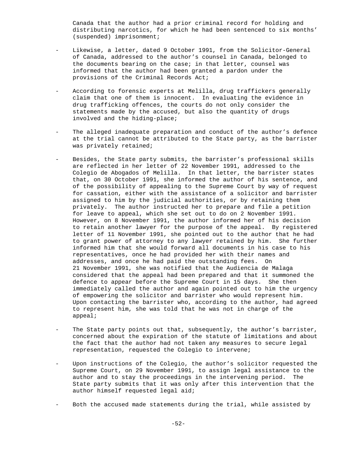Canada that the author had a prior criminal record for holding and distributing narcotics, for which he had been sentenced to six months' (suspended) imprisonment;

- Likewise, a letter, dated 9 October 1991, from the Solicitor-General of Canada, addressed to the author's counsel in Canada, belonged to the documents bearing on the case; in that letter, counsel was informed that the author had been granted a pardon under the provisions of the Criminal Records Act;
- According to forensic experts at Melilla, drug traffickers generally claim that one of them is innocent. In evaluating the evidence in drug trafficking offences, the courts do not only consider the statements made by the accused, but also the quantity of drugs involved and the hiding-place;
- The alleged inadequate preparation and conduct of the author's defence at the trial cannot be attributed to the State party, as the barrister was privately retained;
- Besides, the State party submits, the barrister's professional skills are reflected in her letter of 22 November 1991, addressed to the Colegio de Abogados of Melilla. In that letter, the barrister states that, on 30 October 1991, she informed the author of his sentence, and of the possibility of appealing to the Supreme Court by way of request for cassation, either with the assistance of a solicitor and barrister assigned to him by the judicial authorities, or by retaining them privately. The author instructed her to prepare and file a petition for leave to appeal, which she set out to do on 2 November 1991. However, on 8 November 1991, the author informed her of his decision to retain another lawyer for the purpose of the appeal. By registered letter of 11 November 1991, she pointed out to the author that he had to grant power of attorney to any lawyer retained by him. She further informed him that she would forward all documents in his case to his representatives, once he had provided her with their names and addresses, and once he had paid the outstanding fees. On 21 November 1991, she was notified that the Audiencia de Malaga considered that the appeal had been prepared and that it summoned the defence to appear before the Supreme Court in 15 days. She then immediately called the author and again pointed out to him the urgency of empowering the solicitor and barrister who would represent him. Upon contacting the barrister who, according to the author, had agreed to represent him, she was told that he was not in charge of the appeal;
- The State party points out that, subsequently, the author's barrister, concerned about the expiration of the statute of limitations and about the fact that the author had not taken any measures to secure legal representation, requested the Colegio to intervene;
- Upon instructions of the Colegio, the author's solicitor requested the Supreme Court, on 29 November 1991, to assign legal assistance to the author and to stay the proceedings in the intervening period. The State party submits that it was only after this intervention that the author himself requested legal aid;
- Both the accused made statements during the trial, while assisted by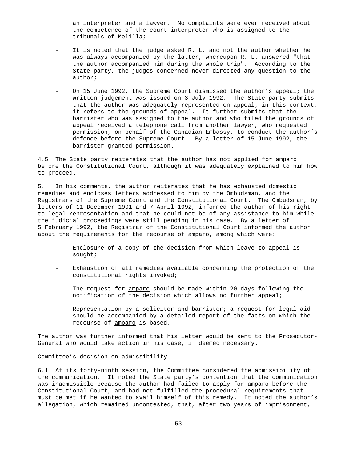an interpreter and a lawyer. No complaints were ever received about the competence of the court interpreter who is assigned to the tribunals of Melilla;

- It is noted that the judge asked R. L. and not the author whether he was always accompanied by the latter, whereupon R. L. answered "that the author accompanied him during the whole trip". According to the State party, the judges concerned never directed any question to the author;
- On 15 June 1992, the Supreme Court dismissed the author's appeal; the written judgement was issued on 3 July 1992. The State party submits that the author was adequately represented on appeal; in this context, it refers to the grounds of appeal. It further submits that the barrister who was assigned to the author and who filed the grounds of appeal received a telephone call from another lawyer, who requested permission, on behalf of the Canadian Embassy, to conduct the author's defence before the Supreme Court. By a letter of 15 June 1992, the barrister granted permission.

4.5 The State party reiterates that the author has not applied for amparo before the Constitutional Court, although it was adequately explained to him how to proceed.

5. In his comments, the author reiterates that he has exhausted domestic remedies and encloses letters addressed to him by the Ombudsman, and the Registrars of the Supreme Court and the Constitutional Court. The Ombudsman, by letters of 11 December 1991 and 7 April 1992, informed the author of his right to legal representation and that he could not be of any assistance to him while the judicial proceedings were still pending in his case. By a letter of 5 February 1992, the Registrar of the Constitutional Court informed the author about the requirements for the recourse of amparo, among which were:

- Enclosure of a copy of the decision from which leave to appeal is sought;
- Exhaustion of all remedies available concerning the protection of the constitutional rights invoked;
- The request for amparo should be made within 20 days following the notification of the decision which allows no further appeal;
- Representation by a solicitor and barrister; a request for legal aid should be accompanied by a detailed report of the facts on which the recourse of amparo is based.

The author was further informed that his letter would be sent to the Prosecutor-General who would take action in his case, if deemed necessary.

### Committee's decision on admissibility

6.1 At its forty-ninth session, the Committee considered the admissibility of the communication. It noted the State party's contention that the communication was inadmissible because the author had failed to apply for amparo before the Constitutional Court, and had not fulfilled the procedural requirements that must be met if he wanted to avail himself of this remedy. It noted the author's allegation, which remained uncontested, that, after two years of imprisonment,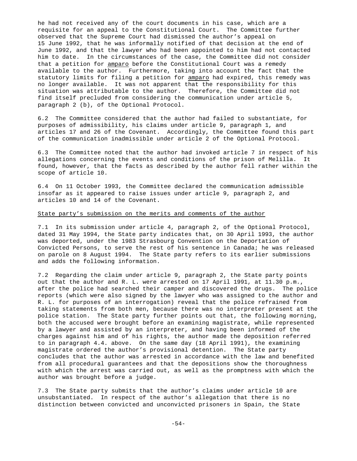he had not received any of the court documents in his case, which are a requisite for an appeal to the Constitutional Court. The Committee further observed that the Supreme Court had dismissed the author's appeal on 15 June 1992, that he was informally notified of that decision at the end of June 1992, and that the lawyer who had been appointed to him had not contacted him to date. In the circumstances of the case, the Committee did not consider that a petition for amparo before the Constitutional Court was a remedy available to the author. Furthermore, taking into account the fact that the statutory limits for filing a petition for amparo had expired, this remedy was no longer available. It was not apparent that the responsibility for this situation was attributable to the author. Therefore, the Committee did not find itself precluded from considering the communication under article 5, paragraph 2 (b), of the Optional Protocol.

6.2 The Committee considered that the author had failed to substantiate, for purposes of admissibility, his claims under article 9, paragraph 1, and articles 17 and 26 of the Covenant. Accordingly, the Committee found this part of the communication inadmissible under article 2 of the Optional Protocol.

6.3 The Committee noted that the author had invoked article 7 in respect of his allegations concerning the events and conditions of the prison of Melilla. It found, however, that the facts as described by the author fell rather within the scope of article 10.

6.4 On 11 October 1993, the Committee declared the communication admissible insofar as it appeared to raise issues under article 9, paragraph 2, and articles 10 and 14 of the Covenant.

### State party's submission on the merits and comments of the author

7.1 In its submission under article 4, paragraph 2, of the Optional Protocol, dated 31 May 1994, the State party indicates that, on 30 April 1993, the author was deported, under the 1983 Strasbourg Convention on the Deportation of Convicted Persons, to serve the rest of his sentence in Canada; he was released on parole on 8 August 1994. The State party refers to its earlier submissions and adds the following information.

7.2 Regarding the claim under article 9, paragraph 2, the State party points out that the author and R. L. were arrested on 17 April 1991, at 11.30 p.m., after the police had searched their camper and discovered the drugs. The police reports (which were also signed by the lawyer who was assigned to the author and R. L. for purposes of an interrogation) reveal that the police refrained from taking statements from both men, because there was no interpreter present at the police station. The State party further points out that, the following morning, both the accused were brought before an examining magistrate, while represented by a lawyer and assisted by an interpreter, and having been informed of the charges against him and of his rights, the author made the deposition referred to in paragraph 4.4. above. On the same day (18 April 1991), the examining magistrate ordered the author's provisional detention. The State party concludes that the author was arrested in accordance with the law and benefited from all procedural guarantees and that the depositions show the thoroughness with which the arrest was carried out, as well as the promptness with which the author was brought before a judge.

7.3 The State party submits that the author's claims under article 10 are unsubstantiated. In respect of the author's allegation that there is no distinction between convicted and unconvicted prisoners in Spain, the State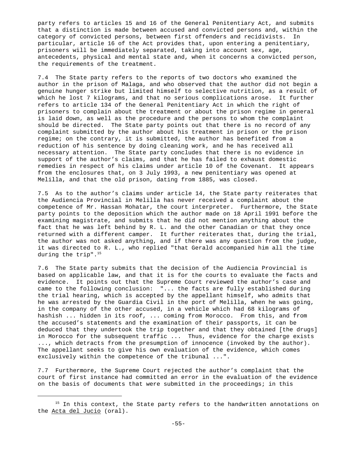party refers to articles 15 and 16 of the General Penitentiary Act, and submits that a distinction is made between accused and convicted persons and, within the category of convicted persons, between first offenders and recidivists. In particular, article 16 of the Act provides that, upon entering a penitentiary, prisoners will be immediately separated, taking into account sex, age, antecedents, physical and mental state and, when it concerns a convicted person, the requirements of the treatment.

7.4 The State party refers to the reports of two doctors who examined the author in the prison of Malaga, and who observed that the author did not begin a genuine hunger strike but limited himself to selective nutrition, as a result of which he lost 7 kilograms, and that no serious complications arose. It further refers to article 134 of the General Penitentiary Act in which the right of prisoners to complain about the treatment or about the prison regime in general is laid down, as well as the procedure and the persons to whom the complaint should be directed. The State party points out that there is no record of any complaint submitted by the author about his treatment in prison or the prison regime; on the contrary, it is submitted, the author has benefited from a reduction of his sentence by doing cleaning work, and he has received all necessary attention. The State party concludes that there is no evidence in support of the author's claims, and that he has failed to exhaust domestic remedies in respect of his claims under article 10 of the Covenant. It appears from the enclosures that, on 3 July 1993, a new penitentiary was opened at Melilla, and that the old prison, dating from 1885, was closed.

7.5 As to the author's claims under article 14, the State party reiterates that the Audiencia Provincial in Melilla has never received a complaint about the competence of Mr. Hassan Mohatar, the court interpreter. Furthermore, the State party points to the deposition which the author made on 18 April 1991 before the examining magistrate, and submits that he did not mention anything about the fact that he was left behind by R. L. and the other Canadian or that they once returned with a different camper. It further reiterates that, during the trial, the author was not asked anything, and if there was any question from the judge, it was directed to R. L., who replied "that Gerald accompanied him all the time during the trip".<sup>15</sup>

7.6 The State party submits that the decision of the Audiencia Provincial is based on applicable law, and that it is for the courts to evaluate the facts and evidence. It points out that the Supreme Court reviewed the author's case and came to the following conclusion: "... the facts are fully established during the trial hearing, which is accepted by the appellant himself, who admits that he was arrested by the Guardia Civil in the port of Melilla, when he was going, in the company of the other accused, in a vehicle which had 68 kilograms of hashish ... hidden in its roof, ... coming from Morocco. From this, and from the accused's statements and the examination of their passports, it can be deduced that they undertook the trip together and that they obtained [the drugs] in Morocco for the subsequent traffic ... Thus, evidence for the charge exists ..., which detracts from the presumption of innocence (invoked by the author). The appellant seeks to give his own evaluation of the evidence, which comes exclusively within the competence of the tribunal ...".

7.7 Furthermore, the Supreme Court rejected the author's complaint that the court of first instance had committed an error in the evaluation of the evidence on the basis of documents that were submitted in the proceedings; in this

<sup>&</sup>lt;sup>15</sup> In this context, the State party refers to the handwritten annotations on the Acta del Jucio (oral).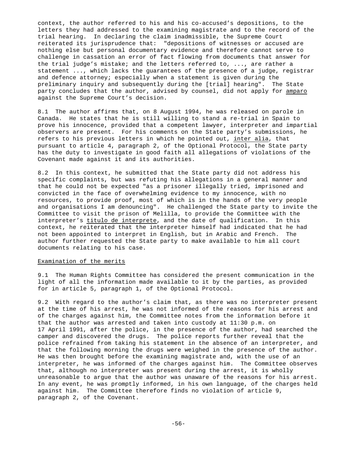context, the author referred to his and his co-accused's depositions, to the letters they had addressed to the examining magistrate and to the record of the trial hearing. In declaring the claim inadmissible, the Supreme Court reiterated its jurisprudence that: "depositions of witnesses or accused are nothing else but personal documentary evidence and therefore cannot serve to challenge in cassation an error of fact flowing from documents that answer for the trial judge's mistake; and the letters referred to, ..., are rather a statement ..., which lacks the guarantees of the presence of a judge, registrar and defence attorney; especially when a statement is given during the preliminary inquiry and subsequently during the [trial] hearing". The State party concludes that the author, advised by counsel, did not apply for amparo against the Supreme Court's decision.

8.1 The author affirms that, on 8 August 1994, he was released on parole in Canada. He states that he is still willing to stand a re-trial in Spain to prove his innocence, provided that a competent lawyer, interpreter and impartial observers are present. For his comments on the State party's submissions, he refers to his previous letters in which he pointed out, inter alia, that pursuant to article 4, paragraph 2, of the Optional Protocol, the State party has the duty to investigate in good faith all allegations of violations of the Covenant made against it and its authorities.

8.2 In this context, he submitted that the State party did not address his specific complaints, but was refuting his allegations in a general manner and that he could not be expected "as a prisoner illegally tried, imprisoned and convicted in the face of overwhelming evidence to my innocence, with no resources, to provide proof, most of which is in the hands of the very people and organisations I am denouncing". He challenged the State party to invite the Committee to visit the prison of Melilla, to provide the Committee with the interpreter's titulo de interprete, and the date of qualification. In this context, he reiterated that the interpreter himself had indicated that he had not been appointed to interpret in English, but in Arabic and French. The author further requested the State party to make available to him all court documents relating to his case.

### Examination of the merits

9.1 The Human Rights Committee has considered the present communication in the light of all the information made available to it by the parties, as provided for in article 5, paragraph 1, of the Optional Protocol.

9.2 With regard to the author's claim that, as there was no interpreter present at the time of his arrest, he was not informed of the reasons for his arrest and of the charges against him, the Committee notes from the information before it that the author was arrested and taken into custody at 11:30 p.m. on 17 April 1991, after the police, in the presence of the author, had searched the camper and discovered the drugs. The police reports further reveal that the police refrained from taking his statement in the absence of an interpreter, and that the following morning the drugs were weighed in the presence of the author. He was then brought before the examining magistrate and, with the use of an interpreter, he was informed of the charges against him. The Committee observes that, although no interpreter was present during the arrest, it is wholly unreasonable to argue that the author was unaware of the reasons for his arrest. In any event, he was promptly informed, in his own language, of the charges held against him. The Committee therefore finds no violation of article 9, paragraph 2, of the Covenant.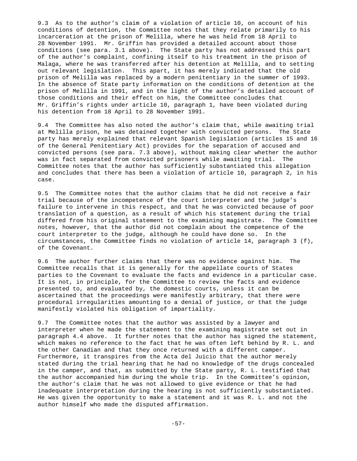9.3 As to the author's claim of a violation of article 10, on account of his conditions of detention, the Committee notes that they relate primarily to his incarceration at the prison of Melilla, where he was held from 18 April to 28 November 1991. Mr. Griffin has provided a detailed account about those conditions (see para. 3.1 above). The State party has not addressed this part of the author's complaint, confining itself to his treatment in the prison of Malaga, where he was transferred after his detention at Melilla, and to setting out relevant legislation. This apart, it has merely indicated that the old prison of Melilla was replaced by a modern penitentiary in the summer of 1993. In the absence of State party information on the conditions of detention at the prison of Melilla in 1991, and in the light of the author's detailed account of those conditions and their effect on him, the Committee concludes that Mr. Griffin's rights under article 10, paragraph 1, have been violated during his detention from 18 April to 28 November 1991.

9.4 The Committee has also noted the author's claim that, while awaiting trial at Melilla prison, he was detained together with convicted persons. The State party has merely explained that relevant Spanish legislation (articles 15 and 16 of the General Penitentiary Act) provides for the separation of accused and convicted persons (see para. 7.3 above), without making clear whether the author was in fact separated from convicted prisoners while awaiting trial. The Committee notes that the author has sufficiently substantiated this allegation and concludes that there has been a violation of article 10, paragraph 2, in his case.

9.5 The Committee notes that the author claims that he did not receive a fair trial because of the incompetence of the court interpreter and the judge's failure to intervene in this respect, and that he was convicted because of poor translation of a question, as a result of which his statement during the trial differed from his original statement to the examining magistrate. The Committee notes, however, that the author did not complain about the competence of the court interpreter to the judge, although he could have done so. In the circumstances, the Committee finds no violation of article 14, paragraph 3 (f), of the Covenant.

9.6 The author further claims that there was no evidence against him. The Committee recalls that it is generally for the appellate courts of States parties to the Covenant to evaluate the facts and evidence in a particular case. It is not, in principle, for the Committee to review the facts and evidence presented to, and evaluated by, the domestic courts, unless it can be ascertained that the proceedings were manifestly arbitrary, that there were procedural irregularities amounting to a denial of justice, or that the judge manifestly violated his obligation of impartiality.

9.7 The Committee notes that the author was assisted by a lawyer and interpreter when he made the statement to the examining magistrate set out in paragraph 4.4 above. It further notes that the author has signed the statement, which makes no reference to the fact that he was often left behind by R. L. and the other Canadian and that they once returned with a different camper. Furthermore, it transpires from the Acta del Juicio that the author merely stated during the trial hearing that he had no knowledge of the drugs concealed in the camper, and that, as submitted by the State party, R. L. testified that the author accompanied him during the whole trip. In the Committee's opinion, the author's claim that he was not allowed to give evidence or that he had inadequate interpretation during the hearing is not sufficiently substantiated. He was given the opportunity to make a statement and it was R. L. and not the author himself who made the disputed affirmation.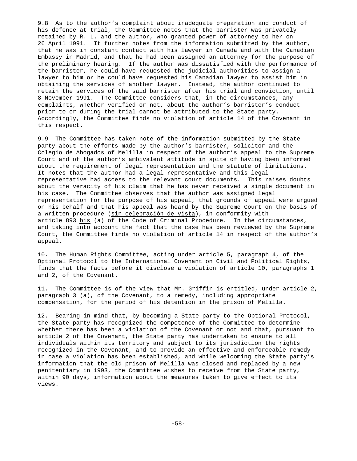9.8 As to the author's complaint about inadequate preparation and conduct of his defence at trial, the Committee notes that the barrister was privately retained by R. L. and the author, who granted power of attorney to her on 26 April 1991. It further notes from the information submitted by the author, that he was in constant contact with his lawyer in Canada and with the Canadian Embassy in Madrid, and that he had been assigned an attorney for the purpose of the preliminary hearing. If the author was dissatisfied with the performance of the barrister, he could have requested the judicial authorities to assign a lawyer to him or he could have requested his Canadian lawyer to assist him in obtaining the services of another lawyer. Instead, the author continued to retain the services of the said barrister after his trial and conviction, until 8 November 1991. The Committee considers that, in the circumstances, any complaints, whether verified or not, about the author's barrister's conduct prior to or during the trial cannot be attributed to the State party. Accordingly, the Committee finds no violation of article 14 of the Covenant in this respect.

9.9 The Committee has taken note of the information submitted by the State party about the efforts made by the author's barrister, solicitor and the Colegio de Abogados of Melilla in respect of the author's appeal to the Supreme Court and of the author's ambivalent attitude in spite of having been informed about the requirement of legal representation and the statute of limitations. It notes that the author had a legal representative and this legal representative had access to the relevant court documents. This raises doubts about the veracity of his claim that he has never received a single document in his case. The Committee observes that the author was assigned legal representation for the purpose of his appeal, that grounds of appeal were argued on his behalf and that his appeal was heard by the Supreme Court on the basis of a written procedure (sin celebración de vista), in conformity with article 893 bis (a) of the Code of Criminal Procedure. In the circumstances, and taking into account the fact that the case has been reviewed by the Supreme Court, the Committee finds no violation of article 14 in respect of the author's appeal.

10. The Human Rights Committee, acting under article 5, paragraph 4, of the Optional Protocol to the International Covenant on Civil and Political Rights, finds that the facts before it disclose a violation of article 10, paragraphs 1 and 2, of the Covenant.

11. The Committee is of the view that Mr. Griffin is entitled, under article 2, paragraph 3 (a), of the Covenant, to a remedy, including appropriate compensation, for the period of his detention in the prison of Melilla.

12. Bearing in mind that, by becoming a State party to the Optional Protocol, the State party has recognized the competence of the Committee to determine whether there has been a violation of the Covenant or not and that, pursuant to article 2 of the Covenant, the State party has undertaken to ensure to all individuals within its territory and subject to its jurisdiction the rights recognized in the Covenant, and to provide an effective and enforceable remedy in case a violation has been established, and while welcoming the State party's information that the old prison of Melilla was closed and replaced by a new penitentiary in 1993, the Committee wishes to receive from the State party, within 90 days, information about the measures taken to give effect to its views.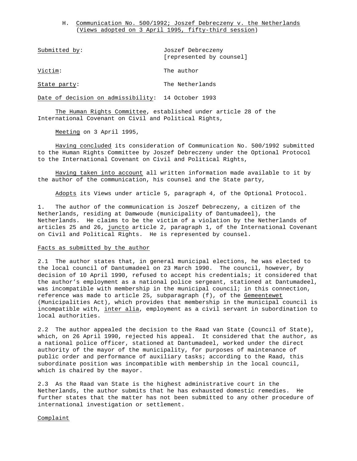## H. Communication No. 500/1992; Joszef Debreczeny v. the Netherlands (Views adopted on 3 April 1995, fifty-third session)

Submitted by: Joszef Debreczeny [represented by counsel]

Victim: The author

State party: The Netherlands

Date of decision on admissibility: 14 October 1993

The Human Rights Committee, established under article 28 of the International Covenant on Civil and Political Rights,

Meeting on 3 April 1995,

Having concluded its consideration of Communication No. 500/1992 submitted to the Human Rights Committee by Joszef Debreczeny under the Optional Protocol to the International Covenant on Civil and Political Rights,

Having taken into account all written information made available to it by the author of the communication, his counsel and the State party,

Adopts its Views under article 5, paragraph 4, of the Optional Protocol.

1. The author of the communication is Joszef Debreczeny, a citizen of the Netherlands, residing at Damwoude (municipality of Dantumadeel), the Netherlands. He claims to be the victim of a violation by the Netherlands of articles 25 and 26, juncto article 2, paragraph 1, of the International Covenant on Civil and Political Rights. He is represented by counsel.

### Facts as submitted by the author

2.1 The author states that, in general municipal elections, he was elected to the local council of Dantumadeel on 23 March 1990. The council, however, by decision of 10 April 1990, refused to accept his credentials; it considered that the author's employment as a national police sergeant, stationed at Dantumadeel, was incompatible with membership in the municipal council; in this connection, reference was made to article 25, subparagraph (f), of the Gemeentewet (Municipalities Act), which provides that membership in the municipal council is incompatible with, inter alia, employment as a civil servant in subordination to local authorities.

2.2 The author appealed the decision to the Raad van State (Council of State), which, on 26 April 1990, rejected his appeal. It considered that the author, as a national police officer, stationed at Dantumadeel, worked under the direct authority of the mayor of the municipality, for purposes of maintenance of public order and performance of auxiliary tasks; according to the Raad, this subordinate position was incompatible with membership in the local council, which is chaired by the mayor.

2.3 As the Raad van State is the highest administrative court in the Netherlands, the author submits that he has exhausted domestic remedies. He further states that the matter has not been submitted to any other procedure of international investigation or settlement.

#### Complaint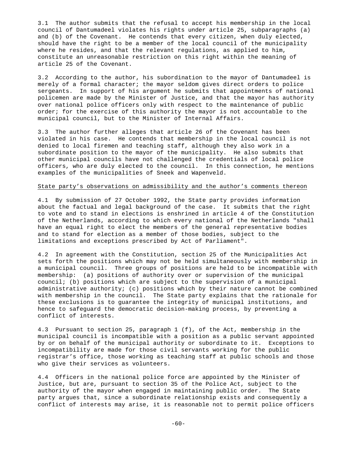3.1 The author submits that the refusal to accept his membership in the local council of Dantumadeel violates his rights under article 25, subparagraphs (a) and (b) of the Covenant. He contends that every citizen, when duly elected, should have the right to be a member of the local council of the municipality where he resides, and that the relevant regulations, as applied to him, constitute an unreasonable restriction on this right within the meaning of article 25 of the Covenant.

3.2 According to the author, his subordination to the mayor of Dantumadeel is merely of a formal character; the mayor seldom gives direct orders to police sergeants. In support of his argument he submits that appointments of national policemen are made by the Minister of Justice, and that the mayor has authority over national police officers only with respect to the maintenance of public order; for the exercise of this authority the mayor is not accountable to the municipal council, but to the Minister of Internal Affairs.

3.3 The author further alleges that article 26 of the Covenant has been violated in his case. He contends that membership in the local council is not denied to local firemen and teaching staff, although they also work in a subordinate position to the mayor of the municipality. He also submits that other municipal councils have not challenged the credentials of local police officers, who are duly elected to the council. In this connection, he mentions examples of the municipalities of Sneek and Wapenveld.

### State party's observations on admissibility and the author's comments thereon

4.1 By submission of 27 October 1992, the State party provides information about the factual and legal background of the case. It submits that the right to vote and to stand in elections is enshrined in article 4 of the Constitution of the Netherlands, according to which every national of the Netherlands "shall have an equal right to elect the members of the general representative bodies and to stand for election as a member of those bodies, subject to the limitations and exceptions prescribed by Act of Parliament".

4.2 In agreement with the Constitution, section 25 of the Municipalities Act sets forth the positions which may not be held simultaneously with membership in a municipal council. Three groups of positions are held to be incompatible with membership: (a) positions of authority over or supervision of the municipal council; (b) positions which are subject to the supervision of a municipal administrative authority; (c) positions which by their nature cannot be combined with membership in the council. The State party explains that the rationale for these exclusions is to guarantee the integrity of municipal institutions, and hence to safeguard the democratic decision-making process, by preventing a conflict of interests.

4.3 Pursuant to section 25, paragraph 1 (f), of the Act, membership in the municipal council is incompatible with a position as a public servant appointed by or on behalf of the municipal authority or subordinate to it. Exceptions to incompatibility are made for those civil servants working for the public registrar's office, those working as teaching staff at public schools and those who give their services as volunteers.

4.4 Officers in the national police force are appointed by the Minister of Justice, but are, pursuant to section 35 of the Police Act, subject to the authority of the mayor when engaged in maintaining public order. The State party argues that, since a subordinate relationship exists and consequently a conflict of interests may arise, it is reasonable not to permit police officers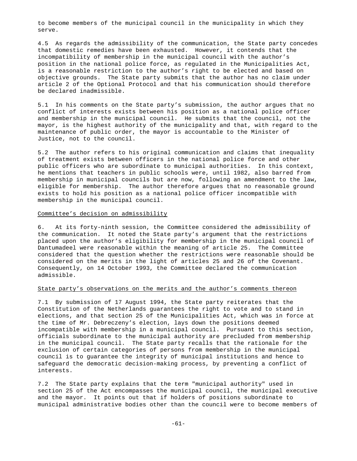to become members of the municipal council in the municipality in which they serve.

4.5 As regards the admissibility of the communication, the State party concedes that domestic remedies have been exhausted. However, it contends that the incompatibility of membership in the municipal council with the author's position in the national police force, as regulated in the Municipalities Act, is a reasonable restriction to the author's right to be elected and based on objective grounds. The State party submits that the author has no claim under article 2 of the Optional Protocol and that his communication should therefore be declared inadmissible.

5.1 In his comments on the State party's submission, the author argues that no conflict of interests exists between his position as a national police officer and membership in the municipal council. He submits that the council, not the mayor, is the highest authority of the municipality and that, with regard to the maintenance of public order, the mayor is accountable to the Minister of Justice, not to the council.

5.2 The author refers to his original communication and claims that inequality of treatment exists between officers in the national police force and other public officers who are subordinate to municipal authorities. In this context, he mentions that teachers in public schools were, until 1982, also barred from membership in municipal councils but are now, following an amendment to the law, eligible for membership. The author therefore argues that no reasonable ground exists to hold his position as a national police officer incompatible with membership in the municipal council.

### Committee's decision on admissibility

6. At its forty-ninth session, the Committee considered the admissibility of the communication. It noted the State party's argument that the restrictions placed upon the author's eligibility for membership in the municipal council of Dantumadeel were reasonable within the meaning of article 25. The Committee considered that the question whether the restrictions were reasonable should be considered on the merits in the light of articles 25 and 26 of the Covenant. Consequently, on 14 October 1993, the Committee declared the communication admissible.

#### State party's observations on the merits and the author's comments thereon

7.1 By submission of 17 August 1994, the State party reiterates that the Constitution of the Netherlands guarantees the right to vote and to stand in elections, and that section 25 of the Municipalities Act, which was in force at the time of Mr. Debreczeny's election, lays down the positions deemed incompatible with membership in a municipal council. Pursuant to this section, officials subordinate to the municipal authority are precluded from membership in the municipal council. The State party recalls that the rationale for the exclusion of certain categories of persons from membership in the municipal council is to guarantee the integrity of municipal institutions and hence to safeguard the democratic decision-making process, by preventing a conflict of interests.

7.2 The State party explains that the term "municipal authority" used in section 25 of the Act encompasses the municipal council, the municipal executive and the mayor. It points out that if holders of positions subordinate to municipal administrative bodies other than the council were to become members of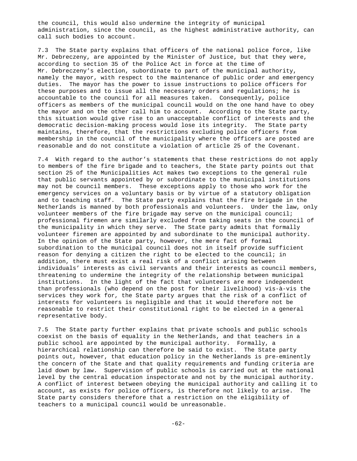the council, this would also undermine the integrity of municipal administration, since the council, as the highest administrative authority, can call such bodies to account.

7.3 The State party explains that officers of the national police force, like Mr. Debreczeny, are appointed by the Minister of Justice, but that they were, according to section 35 of the Police Act in force at the time of Mr. Debreczeny's election, subordinate to part of the municipal authority, namely the mayor, with respect to the maintenance of public order and emergency duties. The mayor has the power to issue instructions to police officers for these purposes and to issue all the necessary orders and regulations; he is accountable to the council for all measures taken. Consequently, police officers as members of the municipal council would on the one hand have to obey the mayor and on the other call him to account. According to the State party, this situation would give rise to an unacceptable conflict of interests and the democratic decision-making process would lose its integrity. The State party maintains, therefore, that the restrictions excluding police officers from membership in the council of the municipality where the officers are posted are reasonable and do not constitute a violation of article 25 of the Covenant.

7.4 With regard to the author's statements that these restrictions do not apply to members of the fire brigade and to teachers, the State party points out that section 25 of the Municipalities Act makes two exceptions to the general rule that public servants appointed by or subordinate to the municipal institutions may not be council members. These exceptions apply to those who work for the emergency services on a voluntary basis or by virtue of a statutory obligation and to teaching staff. The State party explains that the fire brigade in the Netherlands is manned by both professionals and volunteers. Under the law, only volunteer members of the fire brigade may serve on the municipal council; professional firemen are similarly excluded from taking seats in the council of the municipality in which they serve. The State party admits that formally volunteer firemen are appointed by and subordinate to the municipal authority. In the opinion of the State party, however, the mere fact of formal subordination to the municipal council does not in itself provide sufficient reason for denying a citizen the right to be elected to the council; in addition, there must exist a real risk of a conflict arising between individuals' interests as civil servants and their interests as council members, threatening to undermine the integrity of the relationship between municipal institutions. In the light of the fact that volunteers are more independent than professionals (who depend on the post for their livelihood) vis-à-vis the services they work for, the State party argues that the risk of a conflict of interests for volunteers is negligible and that it would therefore not be reasonable to restrict their constitutional right to be elected in a general representative body.

7.5 The State party further explains that private schools and public schools coexist on the basis of equality in the Netherlands, and that teachers in a public school are appointed by the municipal authority. Formally, a hierarchical relationship can therefore be said to exist. The State party points out, however, that education policy in the Netherlands is pre-eminently the concern of the State and that quality requirements and funding criteria are laid down by law. Supervision of public schools is carried out at the national level by the central education inspectorate and not by the municipal authority. A conflict of interest between obeying the municipal authority and calling it to account, as exists for police officers, is therefore not likely to arise. The State party considers therefore that a restriction on the eligibility of teachers to a municipal council would be unreasonable.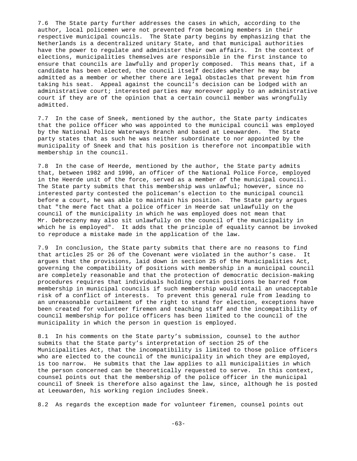7.6 The State party further addresses the cases in which, according to the author, local policemen were not prevented from becoming members in their respective municipal councils. The State party begins by emphasizing that the Netherlands is a decentralized unitary State, and that municipal authorities have the power to regulate and administer their own affairs. In the context of elections, municipalities themselves are responsible in the first instance to ensure that councils are lawfully and properly composed. This means that, if a candidate has been elected, the council itself decides whether he may be admitted as a member or whether there are legal obstacles that prevent him from taking his seat. Appeal against the council's decision can be lodged with an administrative court; interested parties may moreover apply to an administrative court if they are of the opinion that a certain council member was wrongfully admitted.

7.7 In the case of Sneek, mentioned by the author, the State party indicates that the police officer who was appointed to the municipal council was employed by the National Police Waterways Branch and based at Leeuwarden. The State party states that as such he was neither subordinate to nor appointed by the municipality of Sneek and that his position is therefore not incompatible with membership in the council.

7.8 In the case of Heerde, mentioned by the author, the State party admits that, between 1982 and 1990, an officer of the National Police Force, employed in the Heerde unit of the force, served as a member of the municipal council. The State party submits that this membership was unlawful; however, since no interested party contested the policeman's election to the municipal council before a court, he was able to maintain his position. The State party argues that "the mere fact that a police officer in Heerde sat unlawfully on the council of the municipality in which he was employed does not mean that Mr. Debreczeny may also sit unlawfully on the council of the municipality in which he is employed". It adds that the principle of equality cannot be invoked to reproduce a mistake made in the application of the law.

7.9 In conclusion, the State party submits that there are no reasons to find that articles 25 or 26 of the Covenant were violated in the author's case. It argues that the provisions, laid down in section 25 of the Municipalities Act, governing the compatibility of positions with membership in a municipal council are completely reasonable and that the protection of democratic decision-making procedures requires that individuals holding certain positions be barred from membership in municipal councils if such membership would entail an unacceptable risk of a conflict of interests. To prevent this general rule from leading to an unreasonable curtailment of the right to stand for election, exceptions have been created for volunteer firemen and teaching staff and the incompatibility of council membership for police officers has been limited to the council of the municipality in which the person in question is employed.

8.1 In his comments on the State party's submission, counsel to the author submits that the State party's interpretation of section 25 of the Municipalities Act, that the incompatibility is limited to those police officers who are elected to the council of the municipality in which they are employed, is too narrow. He submits that the law applies to all municipalities in which the person concerned can be theoretically requested to serve. In this context, counsel points out that the membership of the police officer in the municipal council of Sneek is therefore also against the law, since, although he is posted at Leeuwarden, his working region includes Sneek.

8.2 As regards the exception made for volunteer firemen, counsel points out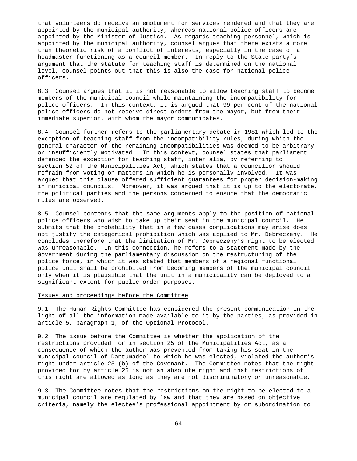that volunteers do receive an emolument for services rendered and that they are appointed by the municipal authority, whereas national police officers are appointed by the Minister of Justice. As regards teaching personnel, which is appointed by the municipal authority, counsel argues that there exists a more than theoretic risk of a conflict of interests, especially in the case of a headmaster functioning as a council member. In reply to the State party's argument that the statute for teaching staff is determined on the national level, counsel points out that this is also the case for national police officers.

8.3 Counsel argues that it is not reasonable to allow teaching staff to become members of the municipal council while maintaining the incompatibility for police officers. In this context, it is argued that 99 per cent of the national police officers do not receive direct orders from the mayor, but from their immediate superior, with whom the mayor communicates.

8.4 Counsel further refers to the parliamentary debate in 1981 which led to the exception of teaching staff from the incompatibility rules, during which the general character of the remaining incompatibilities was deemed to be arbitrary or insufficiently motivated. In this context, counsel states that parliament defended the exception for teaching staff, inter alia, by referring to section 52 of the Municipalities Act, which states that a councillor should refrain from voting on matters in which he is personally involved. It was argued that this clause offered sufficient guarantees for proper decision-making in municipal councils. Moreover, it was argued that it is up to the electorate, the political parties and the persons concerned to ensure that the democratic rules are observed.

8.5 Counsel contends that the same arguments apply to the position of national police officers who wish to take up their seat in the municipal council. He submits that the probability that in a few cases complications may arise does not justify the categorical prohibition which was applied to Mr. Debreczeny. He concludes therefore that the limitation of Mr. Debreczeny's right to be elected was unreasonable. In this connection, he refers to a statement made by the Government during the parliamentary discussion on the restructuring of the police force, in which it was stated that members of a regional functional police unit shall be prohibited from becoming members of the municipal council only when it is plausible that the unit in a municipality can be deployed to a significant extent for public order purposes.

# Issues and proceedings before the Committee

9.1 The Human Rights Committee has considered the present communication in the light of all the information made available to it by the parties, as provided in article 5, paragraph 1, of the Optional Protocol.

9.2 The issue before the Committee is whether the application of the restrictions provided for in section 25 of the Municipalities Act, as a consequence of which the author was prevented from taking his seat in the municipal council of Dantumadeel to which he was elected, violated the author's right under article 25 (b) of the Covenant. The Committee notes that the right provided for by article 25 is not an absolute right and that restrictions of this right are allowed as long as they are not discriminatory or unreasonable.

9.3 The Committee notes that the restrictions on the right to be elected to a municipal council are regulated by law and that they are based on objective criteria, namely the electee's professional appointment by or subordination to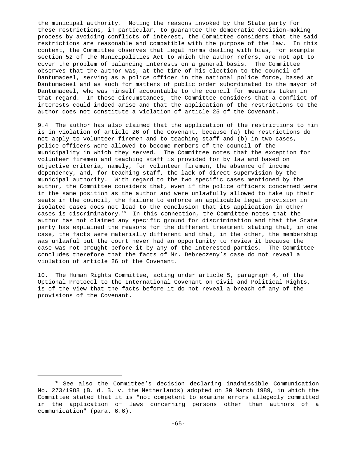the municipal authority. Noting the reasons invoked by the State party for these restrictions, in particular, to guarantee the democratic decision-making process by avoiding conflicts of interest, the Committee considers that the said restrictions are reasonable and compatible with the purpose of the law. In this context, the Committee observes that legal norms dealing with bias, for example section 52 of the Municipalities Act to which the author refers, are not apt to cover the problem of balancing interests on a general basis. The Committee observes that the author was, at the time of his election to the council of Dantumadeel, serving as a police officer in the national police force, based at Dantumadeel and as such for matters of public order subordinated to the mayor of Dantumadeel, who was himself accountable to the council for measures taken in that regard. In these circumstances, the Committee considers that a conflict of interests could indeed arise and that the application of the restrictions to the author does not constitute a violation of article 25 of the Covenant.

9.4 The author has also claimed that the application of the restrictions to him is in violation of article 26 of the Covenant, because (a) the restrictions do not apply to volunteer firemen and to teaching staff and (b) in two cases, police officers were allowed to become members of the council of the municipality in which they served. The Committee notes that the exception for volunteer firemen and teaching staff is provided for by law and based on objective criteria, namely, for volunteer firemen, the absence of income dependency, and, for teaching staff, the lack of direct supervision by the municipal authority. With regard to the two specific cases mentioned by the author, the Committee considers that, even if the police officers concerned were in the same position as the author and were unlawfully allowed to take up their seats in the council, the failure to enforce an applicable legal provision in isolated cases does not lead to the conclusion that its application in other cases is discriminatory.<sup>16</sup> In this connection, the Committee notes that the author has not claimed any specific ground for discrimination and that the State party has explained the reasons for the different treatment stating that, in one case, the facts were materially different and that, in the other, the membership was unlawful but the court never had an opportunity to review it because the case was not brought before it by any of the interested parties. The Committee concludes therefore that the facts of Mr. Debreczeny's case do not reveal a violation of article 26 of the Covenant.

10. The Human Rights Committee, acting under article 5, paragraph 4, of the Optional Protocol to the International Covenant on Civil and Political Rights, is of the view that the facts before it do not reveal a breach of any of the provisions of the Covenant.

<sup>&</sup>lt;sup>16</sup> See also the Committee's decision declaring inadmissible Communication No. 273/1988 (B. d. B. v. the Netherlands) adopted on 30 March 1989, in which the Committee stated that it is "not competent to examine errors allegedly committed in the application of laws concerning persons other than authors of a communication" (para. 6.6).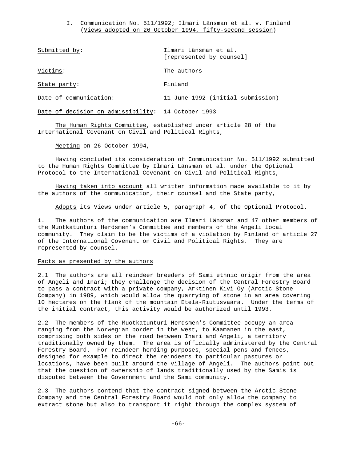# I. Communication No. 511/1992; Ilmari Länsman et al. v. Finland (Views adopted on 26 October 1994, fifty-second session)

| Submitted by:          | Ilmari Länsman et al.<br>[represented by counsel] |
|------------------------|---------------------------------------------------|
| Victims:               | The authors                                       |
| State party:           | Finland                                           |
| Date of communication: | 11 June 1992 (initial submission)                 |

Date of decision on admissibility: 14 October 1993

The Human Rights Committee, established under article 28 of the International Covenant on Civil and Political Rights,

Meeting on 26 October 1994,

Having concluded its consideration of Communication No. 511/1992 submitted to the Human Rights Committee by Ilmari Länsman et al. under the Optional Protocol to the International Covenant on Civil and Political Rights,

Having taken into account all written information made available to it by the authors of the communication, their counsel and the State party,

Adopts its Views under article 5, paragraph 4, of the Optional Protocol.

1. The authors of the communication are Ilmari Länsman and 47 other members of the Muotkatunturi Herdsmen's Committee and members of the Angeli local community. They claim to be the victims of a violation by Finland of article 27 of the International Covenant on Civil and Political Rights. They are represented by counsel.

#### Facts as presented by the authors

2.1 The authors are all reindeer breeders of Sami ethnic origin from the area of Angeli and Inari; they challenge the decision of the Central Forestry Board to pass a contract with a private company, Arktinen Kivi Oy (Arctic Stone Company) in 1989, which would allow the quarrying of stone in an area covering 10 hectares on the flank of the mountain Etela-Riutusvaara. Under the terms of the initial contract, this activity would be authorized until 1993.

2.2 The members of the Muotkatunturi Herdsmen's Committee occupy an area ranging from the Norwegian border in the west, to Kaamanen in the east, comprising both sides on the road between Inari and Angeli, a territory traditionally owned by them. The area is officially administered by the Central Forestry Board. For reindeer herding purposes, special pens and fences, designed for example to direct the reindeers to particular pastures or locations, have been built around the village of Angeli. The authors point out that the question of ownership of lands traditionally used by the Samis is disputed between the Government and the Sami community.

2.3 The authors contend that the contract signed between the Arctic Stone Company and the Central Forestry Board would not only allow the company to extract stone but also to transport it right through the complex system of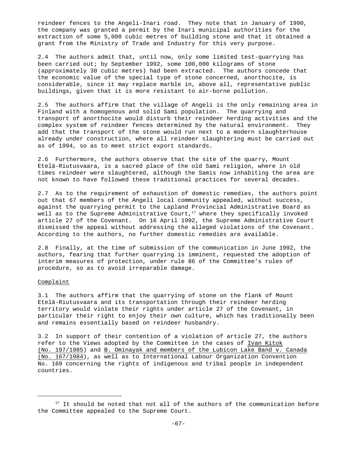reindeer fences to the Angeli-Inari road. They note that in January of 1990, the company was granted a permit by the Inari municipal authorities for the extraction of some 5,000 cubic metres of building stone and that it obtained a grant from the Ministry of Trade and Industry for this very purpose.

2.4 The authors admit that, until now, only some limited test-quarrying has been carried out; by September 1992, some 100,000 kilograms of stone (approximately 30 cubic metres) had been extracted. The authors concede that the economic value of the special type of stone concerned, anorthocite, is considerable, since it may replace marble in, above all, representative public buildings, given that it is more resistant to air-borne pollution.

2.5 The authors affirm that the village of Angeli is the only remaining area in Finland with a homogenous and solid Sami population. The quarrying and transport of anorthocite would disturb their reindeer herding activities and the complex system of reindeer fences determined by the natural environment. They add that the transport of the stone would run next to a modern slaughterhouse already under construction, where all reindeer slaughtering must be carried out as of 1994, so as to meet strict export standards.

2.6 Furthermore, the authors observe that the site of the quarry, Mount Etelä-Riutusvaara, is a sacred place of the old Sami religion, where in old times reindeer were slaughtered, although the Samis now inhabiting the area are not known to have followed these traditional practices for several decades.

2.7 As to the requirement of exhaustion of domestic remedies, the authors point out that 67 members of the Angeli local community appealed, without success, against the quarrying permit to the Lapland Provincial Administrative Board as well as to the Supreme Administrative Court,<sup>17</sup> where they specifically invoked article 27 of the Covenant. On 16 April 1992, the Supreme Administrative Court dismissed the appeal without addressing the alleged violations of the Covenant. According to the authors, no further domestic remedies are available.

2.8 Finally, at the time of submission of the communication in June 1992, the authors, fearing that further quarrying is imminent, requested the adoption of interim measures of protection, under rule 86 of the Committee's rules of procedure, so as to avoid irreparable damage.

### Complaint

3.1 The authors affirm that the quarrying of stone on the flank of Mount Etelä-Riutusvaara and its transportation through their reindeer herding territory would violate their rights under article 27 of the Covenant, in particular their right to enjoy their own culture, which has traditionally been and remains essentially based on reindeer husbandry.

3.2 In support of their contention of a violation of article 27, the authors refer to the Views adopted by the Committee in the cases of Ivan Kitok (No. 197/1985) and B. Ominayak and members of the Lubicon Lake Band v. Canada (No. 167/1984), as well as to International Labour Organization Convention No. 169 concerning the rights of indigenous and tribal people in independent countries.

<sup>&</sup>lt;sup>17</sup> It should be noted that not all of the authors of the communication before the Committee appealed to the Supreme Court.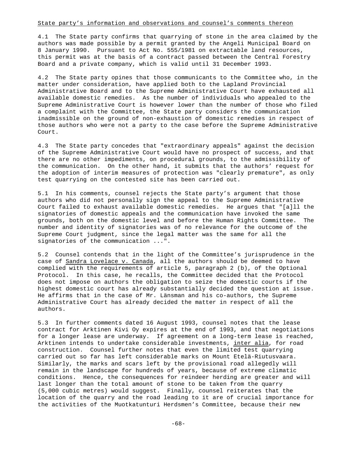### State party's information and observations and counsel's comments thereon

4.1 The State party confirms that quarrying of stone in the area claimed by the authors was made possible by a permit granted by the Angeli Municipal Board on 8 January 1990. Pursuant to Act No. 555/1981 on extractable land resources, this permit was at the basis of a contract passed between the Central Forestry Board and a private company, which is valid until 31 December 1993.

4.2 The State party opines that those communicants to the Committee who, in the matter under consideration, have applied both to the Lapland Provincial Administrative Board and to the Supreme Administrative Court have exhausted all available domestic remedies. As the number of individuals who appealed to the Supreme Administrative Court is however lower than the number of those who filed a complaint with the Committee, the State party considers the communication inadmissible on the ground of non-exhaustion of domestic remedies in respect of those authors who were not a party to the case before the Supreme Administrative Court.

4.3 The State party concedes that "extraordinary appeals" against the decision of the Supreme Administrative Court would have no prospect of success, and that there are no other impediments, on procedural grounds, to the admissibility of the communication. On the other hand, it submits that the authors' request for the adoption of interim measures of protection was "clearly premature", as only test quarrying on the contested site has been carried out.

5.1 In his comments, counsel rejects the State party's argument that those authors who did not personally sign the appeal to the Supreme Administrative Court failed to exhaust available domestic remedies. He argues that "[a]ll the signatories of domestic appeals and the communication have invoked the same grounds, both on the domestic level and before the Human Rights Committee. The number and identity of signatories was of no relevance for the outcome of the Supreme Court judgment, since the legal matter was the same for all the signatories of the communication ...".

5.2 Counsel contends that in the light of the Committee's jurisprudence in the case of Sandra Lovelace v. Canada, all the authors should be deemed to have complied with the requirements of article 5, paragraph 2 (b), of the Optional Protocol. In this case, he recalls, the Committee decided that the Protocol does not impose on authors the obligation to seize the domestic courts if the highest domestic court has already substantially decided the question at issue. He affirms that in the case of Mr. Länsman and his co-authors, the Supreme Administrative Court has already decided the matter in respect of all the authors.

5.3 In further comments dated 16 August 1993, counsel notes that the lease contract for Arktinen Kivi Oy expires at the end of 1993, and that negotiations for a longer lease are underway. If agreement on a long-term lease is reached, Arktinen intends to undertake considerable investments, inter alia, for road construction. Counsel further notes that even the limited test quarrying carried out so far has left considerable marks on Mount Etelä-Riutusvaara. Similarly, the marks and scars left by the provisional road allegedly will remain in the landscape for hundreds of years, because of extreme climatic conditions. Hence, the consequences for reindeer herding are greater and will last longer than the total amount of stone to be taken from the quarry (5,000 cubic metres) would suggest. Finally, counsel reiterates that the location of the quarry and the road leading to it are of crucial importance for the activities of the Muotkatunturi Herdsmen's Committee, because their new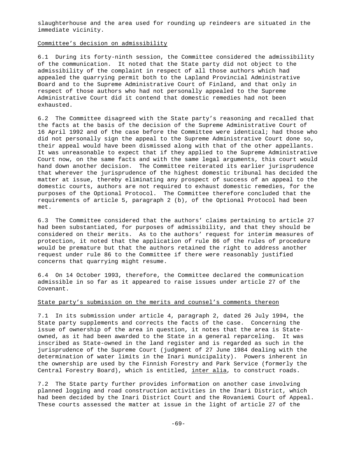slaughterhouse and the area used for rounding up reindeers are situated in the immediate vicinity.

### Committee's decision on admissibility

6.1 During its forty-ninth session, the Committee considered the admissibility of the communication. It noted that the State party did not object to the admissibility of the complaint in respect of all those authors which had appealed the quarrying permit both to the Lapland Provincial Administrative Board and to the Supreme Administrative Court of Finland, and that only in respect of those authors who had not personally appealed to the Supreme Administrative Court did it contend that domestic remedies had not been exhausted.

6.2 The Committee disagreed with the State party's reasoning and recalled that the facts at the basis of the decision of the Supreme Administrative Court of 16 April 1992 and of the case before the Committee were identical; had those who did not personally sign the appeal to the Supreme Administrative Court done so, their appeal would have been dismissed along with that of the other appellants. It was unreasonable to expect that if they applied to the Supreme Administrative Court now, on the same facts and with the same legal arguments, this court would hand down another decision. The Committee reiterated its earlier jurisprudence that wherever the jurisprudence of the highest domestic tribunal has decided the matter at issue, thereby eliminating any prospect of success of an appeal to the domestic courts, authors are not required to exhaust domestic remedies, for the purposes of the Optional Protocol. The Committee therefore concluded that the requirements of article 5, paragraph 2 (b), of the Optional Protocol had been met.

6.3 The Committee considered that the authors' claims pertaining to article 27 had been substantiated, for purposes of admissibility, and that they should be considered on their merits. As to the authors' request for interim measures of protection, it noted that the application of rule 86 of the rules of procedure would be premature but that the authors retained the right to address another request under rule 86 to the Committee if there were reasonably justified concerns that quarrying might resume.

6.4 On 14 October 1993, therefore, the Committee declared the communication admissible in so far as it appeared to raise issues under article 27 of the Covenant.

### State party's submission on the merits and counsel's comments thereon

7.1 In its submission under article 4, paragraph 2, dated 26 July 1994, the State party supplements and corrects the facts of the case. Concerning the issue of ownership of the area in question, it notes that the area is Stateowned, as it had been awarded to the State in a general reparceling. It was inscribed as State-owned in the land register and is regarded as such in the jurisprudence of the Supreme Court (judgment of 27 June 1984 dealing with the determination of water limits in the Inari municipality). Powers inherent in the ownership are used by the Finnish Forestry and Park Service (formerly the Central Forestry Board), which is entitled, inter alia, to construct roads.

7.2 The State party further provides information on another case involving planned logging and road construction activities in the Inari District, which had been decided by the Inari District Court and the Rovaniemi Court of Appeal. These courts assessed the matter at issue in the light of article 27 of the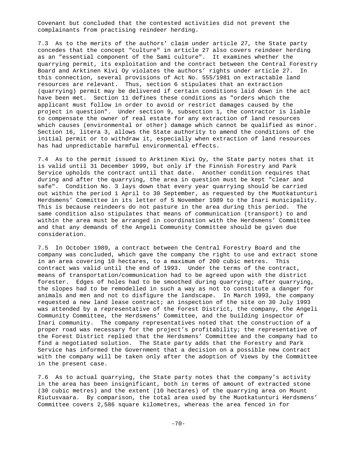Covenant but concluded that the contested activities did not prevent the complainants from practising reindeer herding.

7.3 As to the merits of the authors' claim under article 27, the State party concedes that the concept "culture" in article 27 also covers reindeer herding as an "essential component of the Sami culture". It examines whether the quarrying permit, its exploitation and the contract between the Central Forestry Board and Arktinen Kivi Oy violates the authors' rights under article 27. In this connection, several provisions of Act No. 555/1981 on extractable land resources are relevant. Thus, section 6 stipulates that an extraction (quarrying) permit may be delivered if certain conditions laid down in the act have been met. Section 11 defines these conditions as "orders which the applicant must follow in order to avoid or restrict damages caused by the project in question". Under section 9, subsection 1, the contractor is liable to compensate the owner of real estate for any extraction of land resources which causes (environmental or other) damage which cannot be qualified as minor. Section 16, litera 3, allows the State authority to amend the conditions of the initial permit or to withdraw it, especially when extraction of land resources has had unpredictable harmful environmental effects.

7.4 As to the permit issued to Arktinen Kivi Oy, the State party notes that it is valid until 31 December 1999, but only if the Finnish Forestry and Park Service upholds the contract until that date. Another condition requires that during and after the quarrying, the area in question must be kept "clear and safe". Condition No. 3 lays down that every year quarrying should be carried out within the period 1 April to 30 September, as requested by the Muotkatunturi Herdsmens' Committee in its letter of 5 November 1989 to the Inari municipality. This is because reindeers do not pasture in the area during this period. The same condition also stipulates that means of communication (transport) to and within the area must be arranged in coordination with the Herdsmens' Committee and that any demands of the Angeli Community Committee should be given due consideration.

7.5 In October 1989, a contract between the Central Forestry Board and the company was concluded, which gave the company the right to use and extract stone in an area covering 10 hectares, to a maximum of 200 cubic metres. This contract was valid until the end of 1993. Under the terms of the contract, means of transportation/communication had to be agreed upon with the district forester. Edges of holes had to be smoothed during quarrying; after quarrying, the slopes had to be remodelled in such a way as not to constitute a danger for animals and men and not to disfigure the landscape. In March 1993, the company requested a new land lease contract; an inspection of the site on 30 July 1993 was attended by a representative of the Forest District, the company, the Angeli Community Committee, the Herdsmens' Committee, and the building inspector of Inari community. The company representatives noted that the construction of a proper road was necessary for the project's profitability; the representative of the Forest District replied that the Herdsmens' Committee and the company had to find a negotiated solution. The State party adds that the Forestry and Park Service has informed the Government that a decision on a possible new contract with the company will be taken only after the adoption of Views by the Committee in the present case.

7.6 As to actual quarrying, the State party notes that the company's activity in the area has been insignificant, both in terms of amount of extracted stone (30 cubic metres) and the extent (10 hectares) of the quarrying area on Mount Riutusvaara. By comparison, the total area used by the Muotkatunturi Herdsmens' Committee covers 2,586 square kilometres, whereas the area fenced in for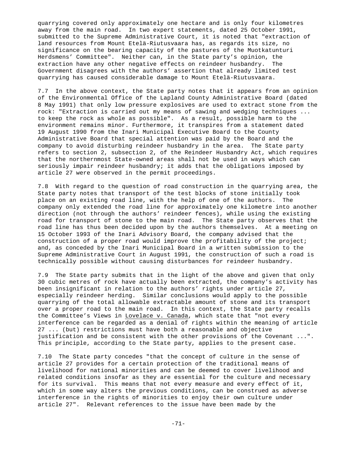quarrying covered only approximately one hectare and is only four kilometres away from the main road. In two expert statements, dated 25 October 1991, submitted to the Supreme Administrative Court, it is noted that "extraction of land resources from Mount Etelä-Riutusvaara has, as regards its size, no significance on the bearing capacity of the pastures of the Muotkatunturi Herdsmens' Committee". Neither can, in the State party's opinion, the extraction have any other negative effects on reindeer husbandry. The Government disagrees with the authors' assertion that already limited test quarrying has caused considerable damage to Mount Etelä-Riutusvaara.

7.7 In the above context, the State party notes that it appears from an opinion of the Environmental Office of the Lapland County Administrative Board (dated 8 May 1991) that only low pressure explosives are used to extract stone from the rock: "Extraction is carried out my means of sawing and wedging techniques ... to keep the rock as whole as possible". As a result, possible harm to the environment remains minor. Furthermore, it transpires from a statement dated 19 August 1990 from the Inari Municipal Executive Board to the County Administrative Board that special attention was paid by the Board and the company to avoid disturbing reindeer husbandry in the area. The State party refers to section 2, subsection 2, of the Reindeer Husbandry Act, which requires that the northernmost State-owned areas shall not be used in ways which can seriously impair reindeer husbandry; it adds that the obligations imposed by article 27 were observed in the permit proceedings.

7.8 With regard to the question of road construction in the quarrying area, the State party notes that transport of the test blocks of stone initially took place on an existing road line, with the help of one of the authors. The company only extended the road line for approximately one kilometre into another direction (not through the authors' reindeer fences), while using the existing road for transport of stone to the main road. The State party observes that the road line has thus been decided upon by the authors themselves. At a meeting on 15 October 1993 of the Inari Advisory Board, the company advised that the construction of a proper road would improve the profitability of the project; and, as conceded by the Inari Municipal Board in a written submission to the Supreme Administrative Court in August 1991, the construction of such a road is technically possible without causing disturbances for reindeer husbandry.

7.9 The State party submits that in the light of the above and given that only 30 cubic metres of rock have actually been extracted, the company's activity has been insignificant in relation to the authors' rights under article 27, especially reindeer herding. Similar conclusions would apply to the possible quarrying of the total allowable extractable amount of stone and its transport over a proper road to the main road. In this context, the State party recalls the Committee's Views in Lovelace v. Canada, which state that "not every interference can be regarded as a denial of rights within the meaning of article 27 ... (but) restrictions must have both a reasonable and objective justification and be consistent with the other provisions of the Covenant ...". This principle, according to the State party, applies to the present case.

7.10 The State party concedes "that the concept of culture in the sense of article 27 provides for a certain protection of the traditional means of livelihood for national minorities and can be deemed to cover livelihood and related conditions insofar as they are essential for the culture and necessary for its survival. This means that not every measure and every effect of it, which in some way alters the previous conditions, can be construed as adverse interference in the rights of minorities to enjoy their own culture under article 27". Relevant references to the issue have been made by the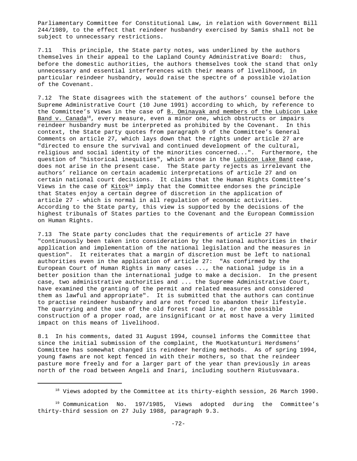Parliamentary Committee for Constitutional Law, in relation with Government Bill 244/1989, to the effect that reindeer husbandry exercised by Samis shall not be subject to unnecessary restrictions.

7.11 This principle, the State party notes, was underlined by the authors themselves in their appeal to the Lapland County Administrative Board: thus, before the domestic authorities, the authors themselves took the stand that only unnecessary and essential interferences with their means of livelihood, in particular reindeer husbandry, would raise the spectre of a possible violation of the Covenant.

7.12 The State disagrees with the statement of the authors' counsel before the Supreme Administrative Court (10 June 1991) according to which, by reference to the Committee's Views in the case of B. Ominayak and members of the Lubicon Lake Band v. Canada<sup>18</sup>, every measure, even a minor one, which obstructs or impairs reindeer husbandry must be interpreted as prohibited by the Covenant. In this context, the State party quotes from paragraph 9 of the Committee's General Comments on article 27, which lays down that the rights under article 27 are "directed to ensure the survival and continued development of the cultural, religious and social identity of the minorities concerned...". Furthermore, the question of "historical inequities", which arose in the Lubicon Lake Band case, does not arise in the present case. The State party rejects as irrelevant the authors' reliance on certain academic interpretations of article 27 and on certain national court decisions. It claims that the Human Rights Committee's Views in the case of  $Kitok^{19}$  imply that the Committee endorses the principle that States enjoy a certain degree of discretion in the application of article 27 - which is normal in all regulation of economic activities. According to the State party, this view is supported by the decisions of the highest tribunals of States parties to the Covenant and the European Commission on Human Rights.

7.13 The State party concludes that the requirements of article 27 have "continuously been taken into consideration by the national authorities in their application and implementation of the national legislation and the measures in question". It reiterates that a margin of discretion must be left to national authorities even in the application of article 27: "As confirmed by the European Court of Human Rights in many cases ..., the national judge is in a better position than the international judge to make a decision. In the present case, two administrative authorities and ... the Supreme Administrative Court, have examined the granting of the permit and related measures and considered them as lawful and appropriate". It is submitted that the authors can continue to practise reindeer husbandry and are not forced to abandon their lifestyle. The quarrying and the use of the old forest road line, or the possible construction of a proper road, are insignificant or at most have a very limited impact on this means of livelihood.

8.1 In his comments, dated 31 August 1994, counsel informs the Committee that since the initial submission of the complaint, the Muotkatunturi Herdsmens' Committee has somewhat changed its reindeer herding methods. As of spring 1994, young fawns are not kept fenced in with their mothers, so that the reindeer pasture more freely and for a larger part of the year than previously in areas north of the road between Angeli and Inari, including southern Riutusvaara.

<sup>&</sup>lt;sup>18</sup> Views adopted by the Committee at its thirty-eighth session, 26 March 1990.

<sup>&</sup>lt;sup>19</sup> Communication No. 197/1985, Views adopted during the Committee's thirty-third session on 27 July 1988, paragraph 9.3.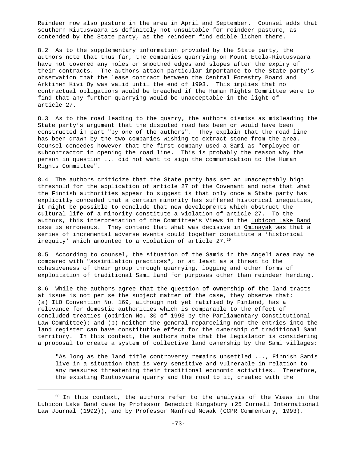Reindeer now also pasture in the area in April and September. Counsel adds that southern Riutusvaara is definitely not unsuitable for reindeer pasture, as contended by the State party, as the reindeer find edible lichen there.

8.2 As to the supplementary information provided by the State party, the authors note that thus far, the companies quarrying on Mount Etelä-Riutusvaara have not covered any holes or smoothed edges and slopes after the expiry of their contracts. The authors attach particular importance to the State party's observation that the lease contract between the Central Forestry Board and Arktinen Kivi Oy was valid until the end of 1993. This implies that no contractual obligations would be breached if the Human Rights Committee were to find that any further quarrying would be unacceptable in the light of article 27.

8.3 As to the road leading to the quarry, the authors dismiss as misleading the State party's argument that the disputed road has been or would have been constructed in part "by one of the authors". They explain that the road line has been drawn by the two companies wishing to extract stone from the area. Counsel concedes however that the first company used a Sami as "employee or subcontractor in opening the road line. This is probably the reason why the person in question ... did not want to sign the communication to the Human Rights Committee".

8.4 The authors criticize that the State party has set an unacceptably high threshold for the application of article 27 of the Covenant and note that what the Finnish authorities appear to suggest is that only once a State party has explicitly conceded that a certain minority has suffered historical inequities, it might be possible to conclude that new developments which obstruct the cultural life of a minority constitute a violation of article 27. To the authors, this interpretation of the Committee's Views in the Lubicon Lake Band case is erroneous. They contend that what was decisive in Ominayak was that a series of incremental adverse events could together constitute a 'historical inequity' which amounted to a violation of article  $27.^{20}$ 

8.5 According to counsel, the situation of the Samis in the Angeli area may be compared with "assimilation practices", or at least as a threat to the cohesiveness of their group through quarrying, logging and other forms of exploitation of traditional Sami land for purposes other than reindeer herding.

8.6 While the authors agree that the question of ownership of the land tracts at issue is not per se the subject matter of the case, they observe that: (a) ILO Convention No. 169, although not yet ratified by Finland, has a relevance for domestic authorities which is comparable to the effect of concluded treaties (opinion No. 30 of 1993 by the Parliamentary Constitutional Law Committee); and (b) neither the general reparceling nor the entries into the land register can have constitutive effect for the ownership of traditional Sami territory. In this context, the authors note that the legislator is considering a proposal to create a system of collective land ownership by the Sami villages:

"As long as the land title controversy remains unsettled ..., Finnish Samis live in a situation that is very sensitive and vulnerable in relation to any measures threatening their traditional economic activities. Therefore, the existing Riutusvaara quarry and the road to it, created with the

 $20$  In this context, the authors refer to the analysis of the Views in the Lubicon Lake Band case by Professor Benedict Kingsbury (25 Cornell International Law Journal (1992)), and by Professor Manfred Nowak (CCPR Commentary, 1993).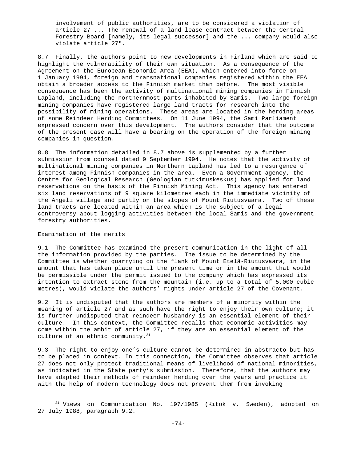involvement of public authorities, are to be considered a violation of article 27 ... The renewal of a land lease contract between the Central Forestry Board [namely, its legal successor] and the ... company would also violate article 27".

8.7 Finally, the authors point to new developments in Finland which are said to highlight the vulnerability of their own situation. As a consequence of the Agreement on the European Economic Area (EEA), which entered into force on 1 January 1994, foreign and transnational companies registered within the EEA obtain a broader access to the Finnish market than before. The most visible consequence has been the activity of multinational mining companies in Finnish Lapland, including the northernmost parts inhabited by Samis. Two large foreign mining companies have registered large land tracts for research into the possibility of mining operations. These areas are located in the herding areas of some Reindeer Herding Committees. On 11 June 1994, the Sami Parliament expressed concern over this development. The authors consider that the outcome of the present case will have a bearing on the operation of the foreign mining companies in question.

8.8 The information detailed in 8.7 above is supplemented by a further submission from counsel dated 9 September 1994. He notes that the activity of multinational mining companies in Northern Lapland has led to a resurgence of interest among Finnish companies in the area. Even a Government agency, the Centre for Geological Research (Geologian tutkimuskeskus) has applied for land reservations on the basis of the Finnish Mining Act. This agency has entered six land reservations of 9 square kilometres each in the immediate vicinity of the Angeli village and partly on the slopes of Mount Riutusvaara. Two of these land tracts are located within an area which is the subject of a legal controversy about logging activities between the local Samis and the government forestry authorities.

### Examination of the merits

9.1 The Committee has examined the present communication in the light of all the information provided by the parties. The issue to be determined by the Committee is whether quarrying on the flank of Mount Etelä-Riutusvaara, in the amount that has taken place until the present time or in the amount that would be permissible under the permit issued to the company which has expressed its intention to extract stone from the mountain (i.e. up to a total of 5,000 cubic metres), would violate the authors' rights under article 27 of the Covenant.

9.2 It is undisputed that the authors are members of a minority within the meaning of article 27 and as such have the right to enjoy their own culture; it is further undisputed that reindeer husbandry is an essential element of their culture. In this context, the Committee recalls that economic activities may come within the ambit of article 27, if they are an essential element of the culture of an ethnic community. $21$ 

9.3 The right to enjoy one's culture cannot be determined in abstracto but has to be placed in context. In this connection, the Committee observes that article 27 does not only protect traditional means of livelihood of national minorities, as indicated in the State party's submission. Therefore, that the authors may have adapted their methods of reindeer herding over the years and practice it with the help of modern technology does not prevent them from invoking

<sup>&</sup>lt;sup>21</sup> Views on Communication No. 197/1985 (Kitok v. Sweden), adopted on 27 July 1988, paragraph 9.2.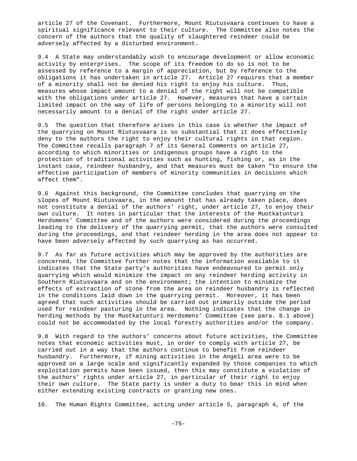article 27 of the Covenant. Furthermore, Mount Riutusvaara continues to have a spiritual significance relevant to their culture. The Committee also notes the concern of the authors that the quality of slaughtered reindeer could be adversely affected by a disturbed environment.

9.4 A State may understandably wish to encourage development or allow economic activity by enterprises. The scope of its freedom to do so is not to be assessed by reference to a margin of appreciation, but by reference to the obligations it has undertaken in article 27. Article 27 requires that a member of a minority shall not be denied his right to enjoy his culture. Thus, measures whose impact amount to a denial of the right will not be compatible with the obligations under article 27. However, measures that have a certain limited impact on the way of life of persons belonging to a minority will not necessarily amount to a denial of the right under article 27.

9.5 The question that therefore arises in this case is whether the impact of the quarrying on Mount Riutusvaara is so substantial that it does effectively deny to the authors the right to enjoy their cultural rights in that region. The Committee recalls paragraph 7 of its General Comments on article 27, according to which minorities or indigenous groups have a right to the protection of traditional activities such as hunting, fishing or, as in the instant case, reindeer husbandry, and that measures must be taken "to ensure the effective participation of members of minority communities in decisions which affect them".

9.6 Against this background, the Committee concludes that quarrying on the slopes of Mount Riutusvaara, in the amount that has already taken place, does not constitute a denial of the authors' right, under article 27, to enjoy their own culture. It notes in particular that the interests of the Muotkatunturi Herdsmens' Committee and of the authors were considered during the proceedings leading to the delivery of the quarrying permit, that the authors were consulted during the proceedings, and that reindeer herding in the area does not appear to have been adversely affected by such quarrying as has occurred.

9.7 As far as future activities which may be approved by the authorities are concerned, the Committee further notes that the information available to it indicates that the State party's authorities have endeavoured to permit only quarrying which would minimize the impact on any reindeer herding activity in Southern Riutusvaara and on the environment; the intention to minimize the effects of extraction of stone from the area on reindeer husbandry is reflected in the conditions laid down in the quarrying permit. Moreover, it has been agreed that such activities should be carried out primarily outside the period used for reindeer pasturing in the area. Nothing indicates that the change in herding methods by the Muotkatunturi Herdsmens' Committee (see para. 8.1 above) could not be accommodated by the local forestry authorities and/or the company.

9.8 With regard to the authors' concerns about future activities, the Committee notes that economic activities must, in order to comply with article 27, be carried out in a way that the authors continue to benefit from reindeer husbandry. Furthermore, if mining activities in the Angeli area were to be approved on a large scale and significantly expanded by those companies to which exploitation permits have been issued, then this may constitute a violation of the authors' rights under article 27, in particular of their right to enjoy their own culture. The State party is under a duty to bear this in mind when either extending existing contracts or granting new ones.

10. The Human Rights Committee, acting under article 5, paragraph 4, of the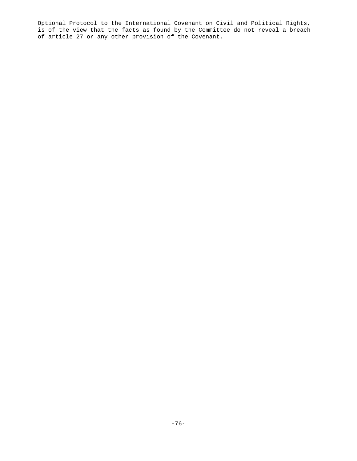Optional Protocol to the International Covenant on Civil and Political Rights, is of the view that the facts as found by the Committee do not reveal a breach of article 27 or any other provision of the Covenant.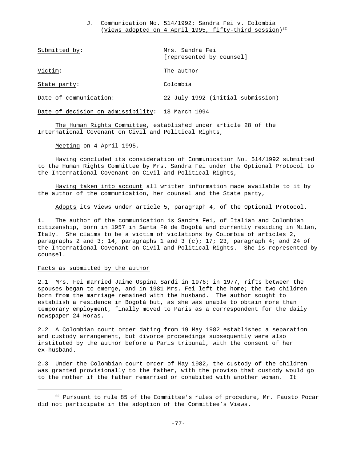# J. Communication No. 514/1992; Sandra Fei v. Colombia (Views adopted on 4 April 1995, fifty-third session)<sup>22</sup>

| Submitted by:          | Mrs. Sandra Fei<br>[represented by counsel] |
|------------------------|---------------------------------------------|
| Victim:                | The author                                  |
| State party:           | Colombia                                    |
| Date of communication: | 22 July 1992 (initial submission)           |

Date of decision on admissibility: 18 March 1994

The Human Rights Committee, established under article 28 of the International Covenant on Civil and Political Rights,

Meeting on 4 April 1995,

Having concluded its consideration of Communication No. 514/1992 submitted to the Human Rights Committee by Mrs. Sandra Fei under the Optional Protocol to the International Covenant on Civil and Political Rights,

Having taken into account all written information made available to it by the author of the communication, her counsel and the State party,

Adopts its Views under article 5, paragraph 4, of the Optional Protocol.

The author of the communication is Sandra Fei, of Italian and Colombian citizenship, born in 1957 in Santa Fé de Bogotá and currently residing in Milan, Italy. She claims to be a victim of violations by Colombia of articles 2, paragraphs 2 and 3; 14, paragraphs 1 and 3 (c); 17; 23, paragraph 4; and 24 of the International Covenant on Civil and Political Rights. She is represented by counsel.

## Facts as submitted by the author

2.1 Mrs. Fei married Jaime Ospina Sardi in 1976; in 1977, rifts between the spouses began to emerge, and in 1981 Mrs. Fei left the home; the two children born from the marriage remained with the husband. The author sought to establish a residence in Bogotá but, as she was unable to obtain more than temporary employment, finally moved to Paris as a correspondent for the daily newspaper 24 Horas.

2.2 A Colombian court order dating from 19 May 1982 established a separation and custody arrangement, but divorce proceedings subsequently were also instituted by the author before a Paris tribunal, with the consent of her ex-husband.

2.3 Under the Colombian court order of May 1982, the custody of the children was granted provisionally to the father, with the proviso that custody would go to the mother if the father remarried or cohabited with another woman. It

 $22$  Pursuant to rule 85 of the Committee's rules of procedure, Mr. Fausto Pocar did not participate in the adoption of the Committee's Views.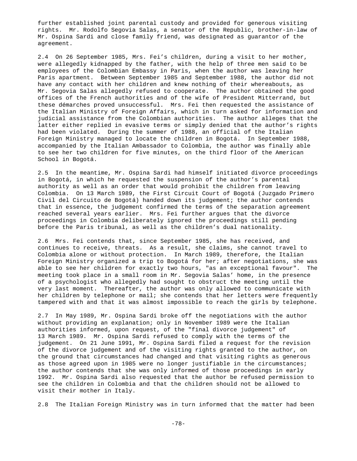further established joint parental custody and provided for generous visiting rights. Mr. Rodolfo Segovia Salas, a senator of the Republic, brother-in-law of Mr. Ospina Sardi and close family friend, was designated as guarantor of the agreement.

2.4 On 26 September 1985, Mrs. Fei's children, during a visit to her mother, were allegedly kidnapped by the father, with the help of three men said to be employees of the Colombian Embassy in Paris, when the author was leaving her Paris apartment. Between September 1985 and September 1988, the author did not have any contact with her children and knew nothing of their whereabouts, as Mr. Segovia Salas allegedly refused to cooperate. The author obtained the good offices of the French authorities and of the wife of President Mitterrand, but these démarches proved unsuccessful. Mrs. Fei then requested the assistance of the Italian Ministry of Foreign Affairs, which in turn asked for information and judicial assistance from the Colombian authorities. The author alleges that the latter either replied in evasive terms or simply denied that the author's rights had been violated. During the summer of 1988, an official of the Italian Foreign Ministry managed to locate the children in Bogotá. In September 1988, accompanied by the Italian Ambassador to Colombia, the author was finally able to see her two children for five minutes, on the third floor of the American School in Bogotá.

2.5 In the meantime, Mr. Ospina Sardi had himself initiated divorce proceedings in Bogotá, in which he requested the suspension of the author's parental authority as well as an order that would prohibit the children from leaving Colombia. On 13 March 1989, the First Circuit Court of Bogotá (Juzgado Primero Civil del Circuito de Bogotá) handed down its judgement; the author contends that in essence, the judgement confirmed the terms of the separation agreement reached several years earlier. Mrs. Fei further argues that the divorce proceedings in Colombia deliberately ignored the proceedings still pending before the Paris tribunal, as well as the children's dual nationality.

2.6 Mrs. Fei contends that, since September 1985, she has received, and continues to receive, threats. As a result, she claims, she cannot travel to Colombia alone or without protection. In March 1989, therefore, the Italian Foreign Ministry organized a trip to Bogotá for her; after negotiations, she was able to see her children for exactly two hours, "as an exceptional favour". The meeting took place in a small room in Mr. Segovia Salas' home, in the presence of a psychologist who allegedly had sought to obstruct the meeting until the very last moment. Thereafter, the author was only allowed to communicate with her children by telephone or mail; she contends that her letters were frequently tampered with and that it was almost impossible to reach the girls by telephone.

2.7 In May 1989, Mr. Ospina Sardi broke off the negotiations with the author without providing an explanation; only in November 1989 were the Italian authorities informed, upon request, of the "final divorce judgement" of 13 March 1989. Mr. Ospina Sardi refused to comply with the terms of the judgement. On 21 June 1991, Mr. Ospina Sardi filed a request for the revision of the divorce judgement and of the visiting rights granted to the author, on the ground that circumstances had changed and that visiting rights as generous as those agreed upon in 1985 were no longer justifiable in the circumstances; the author contends that she was only informed of those proceedings in early 1992. Mr. Ospina Sardi also requested that the author be refused permission to see the children in Colombia and that the children should not be allowed to visit their mother in Italy.

2.8 The Italian Foreign Ministry was in turn informed that the matter had been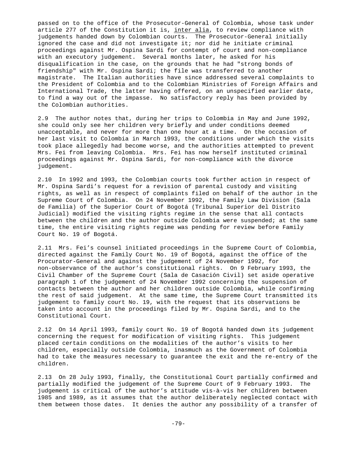passed on to the office of the Prosecutor-General of Colombia, whose task under article 277 of the Constitution it is, inter alia, to review compliance with judgements handed down by Colombian courts. The Prosecutor-General initially ignored the case and did not investigate it; nor did he initiate criminal proceedings against Mr. Ospina Sardi for contempt of court and non-compliance with an executory judgement. Several months later, he asked for his disqualification in the case, on the grounds that he had "strong bonds of friendship" with Mr. Ospina Sardi; the file was transferred to another magistrate. The Italian authorities have since addressed several complaints to the President of Colombia and to the Colombian Ministries of Foreign Affairs and International Trade, the latter having offered, on an unspecified earlier date, to find a way out of the impasse. No satisfactory reply has been provided by the Colombian authorities.

2.9 The author notes that, during her trips to Colombia in May and June 1992, she could only see her children very briefly and under conditions deemed unacceptable, and never for more than one hour at a time. On the occasion of her last visit to Colombia in March 1993, the conditions under which the visits took place allegedly had become worse, and the authorities attempted to prevent Mrs. Fei from leaving Colombia. Mrs. Fei has now herself instituted criminal proceedings against Mr. Ospina Sardi, for non-compliance with the divorce judgement.

2.10 In 1992 and 1993, the Colombian courts took further action in respect of Mr. Ospina Sardi's request for a revision of parental custody and visiting rights, as well as in respect of complaints filed on behalf of the author in the Supreme Court of Colombia. On 24 November 1992, the Family Law Division (Sala de Familia) of the Superior Court of Bogotá (Tribunal Superior del Distrito Judicial) modified the visiting rights regime in the sense that all contacts between the children and the author outside Colombia were suspended; at the same time, the entire visiting rights regime was pending for review before Family Court No. 19 of Bogotá.

2.11 Mrs. Fei's counsel initiated proceedings in the Supreme Court of Colombia, directed against the Family Court No. 19 of Bogotá, against the office of the Procurator-General and against the judgement of 24 November 1992, for non-observance of the author's constitutional rights. On 9 February 1993, the Civil Chamber of the Supreme Court (Sala de Casación Civil) set aside operative paragraph 1 of the judgement of 24 November 1992 concerning the suspension of contacts between the author and her children outside Colombia, while confirming the rest of said judgement. At the same time, the Supreme Court transmitted its judgement to family court No. 19, with the request that its observations be taken into account in the proceedings filed by Mr. Ospina Sardi, and to the Constitutional Court.

2.12 On 14 April 1993, family court No. 19 of Bogotá handed down its judgement concerning the request for modification of visiting rights. This judgement placed certain conditions on the modalities of the author's visits to her children, especially outside Colombia, inasmuch as the Government of Colombia had to take the measures necessary to guarantee the exit and the re-entry of the children.

2.13 On 28 July 1993, finally, the Constitutional Court partially confirmed and partially modified the judgement of the Supreme Court of 9 February 1993. The judgement is critical of the author's attitude vis-à-vis her children between 1985 and 1989, as it assumes that the author deliberately neglected contact with them between those dates. It denies the author any possibility of a transfer of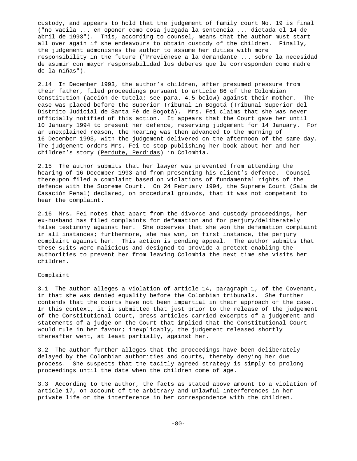custody, and appears to hold that the judgement of family court No. 19 is final ("no vacila ... en oponer como cosa juzgada la sentencia ... dictada el 14 de abril de 1993"). This, according to counsel, means that the author must start all over again if she endeavours to obtain custody of the children. Finally, the judgement admonishes the author to assume her duties with more responsibility in the future ("Previénese a la demandante ... sobre la necesidad de asumir con mayor responsabilidad los deberes que le corresponden como madre de la niñas").

2.14 In December 1993, the author's children, after presumed pressure from their father, filed proceedings pursuant to article 86 of the Colombian Constitution (acción de tutela; see para. 4.5 below) against their mother. The case was placed before the Superior Tribunal in Bogotá (Tribunal Superior del Distrito Judicial de Santa Fé de Bogotá). Mrs. Fei claims that she was never officially notified of this action. It appears that the Court gave her until 10 January 1994 to present her defence, reserving judgement for 14 January. For an unexplained reason, the hearing was then advanced to the morning of 16 December 1993, with the judgement delivered on the afternoon of the same day. The judgement orders Mrs. Fei to stop publishing her book about her and her children's story (Perdute, Perdidas) in Colombia.

2.15 The author submits that her lawyer was prevented from attending the hearing of 16 December 1993 and from presenting his client's defence. Counsel thereupon filed a complaint based on violations of fundamental rights of the defence with the Supreme Court. On 24 February 1994, the Supreme Court (Sala de Casación Penal) declared, on procedural grounds, that it was not competent to hear the complaint.

2.16 Mrs. Fei notes that apart from the divorce and custody proceedings, her ex-husband has filed complaints for defamation and for perjury/deliberately false testimony against her. She observes that she won the defamation complaint in all instances; furthermore, she has won, on first instance, the perjury complaint against her. This action is pending appeal. The author submits that these suits were malicious and designed to provide a pretext enabling the authorities to prevent her from leaving Colombia the next time she visits her children.

# **Complaint**

3.1 The author alleges a violation of article 14, paragraph 1, of the Covenant, in that she was denied equality before the Colombian tribunals. She further contends that the courts have not been impartial in their approach of the case. In this context, it is submitted that just prior to the release of the judgement of the Constitutional Court, press articles carried excerpts of a judgement and statements of a judge on the Court that implied that the Constitutional Court would rule in her favour; inexplicably, the judgement released shortly thereafter went, at least partially, against her.

3.2 The author further alleges that the proceedings have been deliberately delayed by the Colombian authorities and courts, thereby denying her due process. She suspects that the tacitly agreed strategy is simply to prolong proceedings until the date when the children come of age.

3.3 According to the author, the facts as stated above amount to a violation of article 17, on account of the arbitrary and unlawful interferences in her private life or the interference in her correspondence with the children.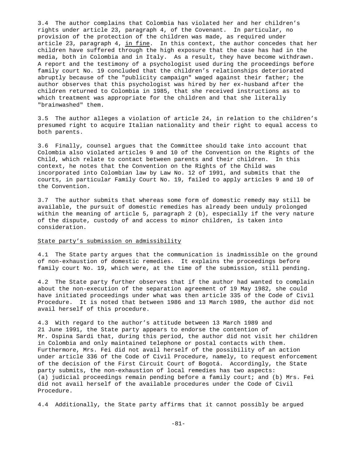3.4 The author complains that Colombia has violated her and her children's rights under article 23, paragraph 4, of the Covenant. In particular, no provision of the protection of the children was made, as required under article 23, paragraph 4, in fine. In this context, the author concedes that her children have suffered through the high exposure that the case has had in the media, both in Colombia and in Italy. As a result, they have become withdrawn. A report and the testimony of a psychologist used during the proceedings before family court No. 19 concluded that the children's relationships deteriorated abruptly because of the "publicity campaign" waged against their father; the author observes that this psychologist was hired by her ex-husband after the children returned to Colombia in 1985, that she received instructions as to which treatment was appropriate for the children and that she literally "brainwashed" them.

3.5 The author alleges a violation of article 24, in relation to the children's presumed right to acquire Italian nationality and their right to equal access to both parents.

3.6 Finally, counsel argues that the Committee should take into account that Colombia also violated articles 9 and 10 of the Convention on the Rights of the Child, which relate to contact between parents and their children. In this context, he notes that the Convention on the Rights of the Child was incorporated into Colombian law by Law No. 12 of 1991, and submits that the courts, in particular Family Court No. 19, failed to apply articles 9 and 10 of the Convention.

3.7 The author submits that whereas some form of domestic remedy may still be available, the pursuit of domestic remedies has already been unduly prolonged within the meaning of article 5, paragraph 2 (b), especially if the very nature of the dispute, custody of and access to minor children, is taken into consideration.

#### State party's submission on admissibility

4.1 The State party argues that the communication is inadmissible on the ground of non-exhaustion of domestic remedies. It explains the proceedings before family court No. 19, which were, at the time of the submission, still pending.

4.2 The State party further observes that if the author had wanted to complain about the non-execution of the separation agreement of 19 May 1982, she could have initiated proceedings under what was then article 335 of the Code of Civil Procedure. It is noted that between 1986 and 13 March 1989, the author did not avail herself of this procedure.

4.3 With regard to the author's attitude between 13 March 1989 and 21 June 1991, the State party appears to endorse the contention of Mr. Ospina Sardi that, during this period, the author did not visit her children in Colombia and only maintained telephone or postal contacts with them. Furthermore, Mrs. Fei did not avail herself of the possibility of an action under article 336 of the Code of Civil Procedure, namely, to request enforcement of the decision of the First Circuit Court of Bogotá. Accordingly, the State party submits, the non-exhaustion of local remedies has two aspects: (a) judicial proceedings remain pending before a family court; and (b) Mrs. Fei did not avail herself of the available procedures under the Code of Civil Procedure.

4.4 Additionally, the State party affirms that it cannot possibly be argued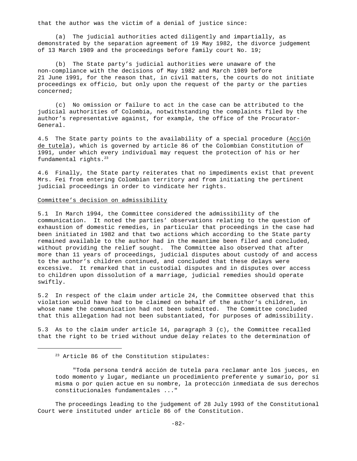that the author was the victim of a denial of justice since:

(a) The judicial authorities acted diligently and impartially, as demonstrated by the separation agreement of 19 May 1982, the divorce judgement of 13 March 1989 and the proceedings before family court No. 19;

(b) The State party's judicial authorities were unaware of the non-compliance with the decisions of May 1982 and March 1989 before 21 June 1991, for the reason that, in civil matters, the courts do not initiate proceedings ex officio, but only upon the request of the party or the parties concerned;

(c) No omission or failure to act in the case can be attributed to the judicial authorities of Colombia, notwithstanding the complaints filed by the author's representative against, for example, the office of the Procurator-General.

4.5 The State party points to the availability of a special procedure (Acción de tutela), which is governed by article 86 of the Colombian Constitution of 1991, under which every individual may request the protection of his or her fundamental rights.<sup>23</sup>

4.6 Finally, the State party reiterates that no impediments exist that prevent Mrs. Fei from entering Colombian territory and from initiating the pertinent judicial proceedings in order to vindicate her rights.

### Committee's decision on admissibility

5.1 In March 1994, the Committee considered the admissibility of the communication. It noted the parties' observations relating to the question of exhaustion of domestic remedies, in particular that proceedings in the case had been initiated in 1982 and that two actions which according to the State party remained available to the author had in the meantime been filed and concluded, without providing the relief sought. The Committee also observed that after more than 11 years of proceedings, judicial disputes about custody of and access to the author's children continued, and concluded that these delays were excessive. It remarked that in custodial disputes and in disputes over access to children upon dissolution of a marriage, judicial remedies should operate swiftly.

5.2 In respect of the claim under article 24, the Committee observed that this violation would have had to be claimed on behalf of the author's children, in whose name the communication had not been submitted. The Committee concluded that this allegation had not been substantiated, for purposes of admissibility.

5.3 As to the claim under article 14, paragraph 3 (c), the Committee recalled that the right to be tried without undue delay relates to the determination of

The proceedings leading to the judgement of 28 July 1993 of the Constitutional Court were instituted under article 86 of the Constitution.

<sup>&</sup>lt;sup>23</sup> Article 86 of the Constitution stipulates:

<sup>&</sup>quot;Toda persona tendrá acción de tutela para reclamar ante los jueces, en todo momento y lugar, mediante un procedimiento preferente y sumario, por sí misma o por quien actue en su nombre, la protección inmediata de sus derechos constitucionales fundamentales ..."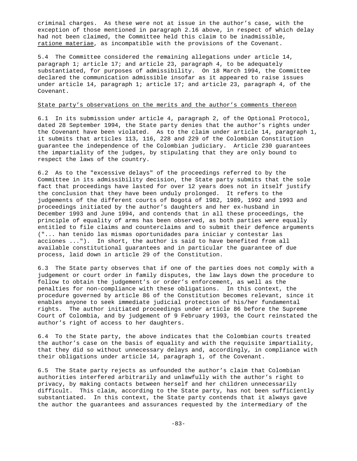criminal charges. As these were not at issue in the author's case, with the exception of those mentioned in paragraph 2.16 above, in respect of which delay had not been claimed, the Committee held this claim to be inadmissible, ratione materiae, as incompatible with the provisions of the Covenant.

5.4 The Committee considered the remaining allegations under article 14, paragraph 1; article 17; and article 23, paragraph 4, to be adequately substantiated, for purposes of admissibility. On 18 March 1994, the Committee declared the communication admissible insofar as it appeared to raise issues under article 14, paragraph 1; article 17; and article 23, paragraph 4, of the Covenant.

# State party's observations on the merits and the author's comments thereon

6.1 In its submission under article 4, paragraph 2, of the Optional Protocol, dated 28 September 1994, the State party denies that the author's rights under the Covenant have been violated. As to the claim under article 14, paragraph 1, it submits that articles 113, 116, 228 and 229 of the Colombian Constitution guarantee the independence of the Colombian judiciary. Article 230 guarantees the impartiality of the judges, by stipulating that they are only bound to respect the laws of the country.

6.2 As to the "excessive delays" of the proceedings referred to by the Committee in its admissibility decision, the State party submits that the sole fact that proceedings have lasted for over 12 years does not in itself justify the conclusion that they have been unduly prolonged. It refers to the judgements of the different courts of Bogotá of 1982, 1989, 1992 and 1993 and proceedings initiated by the author's daughters and her ex-husband in December 1993 and June 1994, and contends that in all these proceedings, the principle of equality of arms has been observed, as both parties were equally entitled to file claims and counterclaims and to submit their defence arguments ("... han tenido las mismas oportunidades para iniciar y contestar las acciones ..."). In short, the author is said to have benefited from all available constitutional guarantees and in particular the guarantee of due process, laid down in article 29 of the Constitution.

6.3 The State party observes that if one of the parties does not comply with a judgement or court order in family disputes, the law lays down the procedure to follow to obtain the judgement's or order's enforcement, as well as the penalties for non-compliance with these obligations. In this context, the procedure governed by article 86 of the Constitution becomes relevant, since it enables anyone to seek immediate judicial protection of his/her fundamental rights. The author initiated proceedings under article 86 before the Supreme Court of Colombia, and by judgement of 9 February 1993, the Court reinstated the author's right of access to her daughters.

6.4 To the State party, the above indicates that the Colombian courts treated the author's case on the basis of equality and with the requisite impartiality, that they did so without unnecessary delays and, accordingly, in compliance with their obligations under article 14, paragraph 1, of the Covenant.

6.5 The State party rejects as unfounded the author's claim that Colombian authorities interfered arbitrarily and unlawfully with the author's right to privacy, by making contacts between herself and her children unnecessarily difficult. This claim, according to the State party, has not been sufficiently substantiated. In this context, the State party contends that it always gave the author the guarantees and assurances requested by the intermediary of the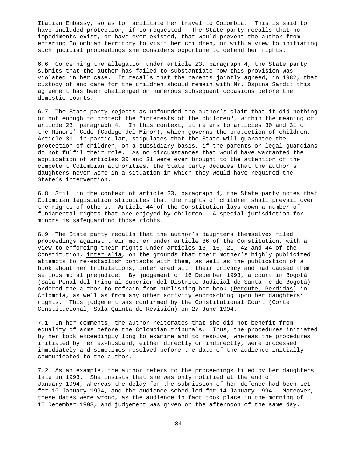Italian Embassy, so as to facilitate her travel to Colombia. This is said to have included protection, if so requested. The State party recalls that no impediments exist, or have ever existed, that would prevent the author from entering Colombian territory to visit her children, or with a view to initiating such judicial proceedings she considers opportune to defend her rights.

6.6 Concerning the allegation under article 23, paragraph 4, the State party submits that the author has failed to substantiate how this provision was violated in her case. It recalls that the parents jointly agreed, in 1982, that custody of and care for the children should remain with Mr. Ospina Sardi; this agreement has been challenged on numerous subsequent occasions before the domestic courts.

6.7 The State party rejects as unfounded the author's claim that it did nothing or not enough to protect the "interests of the children", within the meaning of article 23, paragraph 4. In this context, it refers to articles 30 and 31 of the Minors' Code (Codigo del Minor), which governs the protection of children. Article 31, in particular, stipulates that the State will guarantee the protection of children, on a subsidiary basis, if the parents or legal guardians do not fulfil their role. As no circumstances that would have warranted the application of articles 30 and 31 were ever brought to the attention of the competent Colombian authorities, the State party deduces that the author's daughters never were in a situation in which they would have required the State's intervention.

6.8 Still in the context of article 23, paragraph 4, the State party notes that Colombian legislation stipulates that the rights of children shall prevail over the rights of others. Article 44 of the Constitution lays down a number of fundamental rights that are enjoyed by children. A special jurisdiction for minors is safeguarding those rights.

6.9 The State party recalls that the author's daughters themselves filed proceedings against their mother under article 86 of the Constitution, with a view to enforcing their rights under articles 15, 16, 21, 42 and 44 of the Constitution, inter alia, on the grounds that their mother's highly publicized attempts to re-establish contacts with them, as well as the publication of a book about her tribulations, interfered with their privacy and had caused them serious moral prejudice. By judgement of 16 December 1993, a court in Bogotá (Sala Penal del Tribunal Superior del Distrito Judicial de Santa Fé de Bogotá) ordered the author to refrain from publishing her book (Perdute, Perdidas) in Colombia, as well as from any other activity encroaching upon her daughters' rights. This judgement was confirmed by the Constitutional Court (Corte Constitucional, Sala Quinta de Revisión) on 27 June 1994.

7.1 In her comments, the author reiterates that she did not benefit from equality of arms before the Colombian tribunals. Thus, the procedures initiated by her took exceedingly long to examine and to resolve, whereas the procedures initiated by her ex-husband, either directly or indirectly, were processed immediately and sometimes resolved before the date of the audience initially communicated to the author.

7.2 As an example, the author refers to the proceedings filed by her daughters late in 1993. She insists that she was only notified at the end of January 1994, whereas the delay for the submission of her defence had been set for 10 January 1994, and the audience scheduled for 14 January 1994. Moreover, these dates were wrong, as the audience in fact took place in the morning of 16 December 1993, and judgement was given on the afternoon of the same day.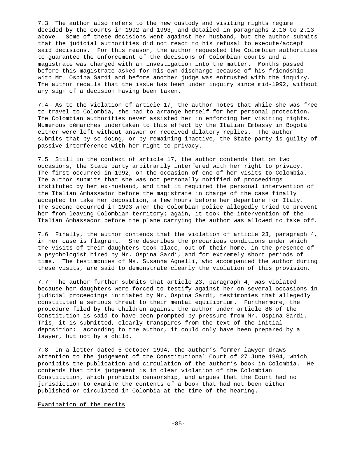7.3 The author also refers to the new custody and visiting rights regime decided by the courts in 1992 and 1993, and detailed in paragraphs 2.10 to 2.13 above. Some of these decisions went against her husband, but the author submits that the judicial authorities did not react to his refusal to execute/accept said decisions. For this reason, the author requested the Colombian authorities to guarantee the enforcement of the decisions of Colombian courts and a magistrate was charged with an investigation into the matter. Months passed before this magistrate asked for his own discharge because of his friendship with Mr. Ospina Sardi and before another judge was entrusted with the inquiry. The author recalls that the issue has been under inquiry since mid-1992, without any sign of a decision having been taken.

7.4 As to the violation of article 17, the author notes that while she was free to travel to Colombia, she had to arrange herself for her personal protection. The Colombian authorities never assisted her in enforcing her visiting rights. Numerous démarches undertaken to this effect by the Italian Embassy in Bogotá either were left without answer or received dilatory replies. The author submits that by so doing, or by remaining inactive, the State party is guilty of passive interference with her right to privacy.

7.5 Still in the context of article 17, the author contends that on two occasions, the State party arbitrarily interfered with her right to privacy. The first occurred in 1992, on the occasion of one of her visits to Colombia. The author submits that she was not personally notified of proceedings instituted by her ex-husband, and that it required the personal intervention of the Italian Ambassador before the magistrate in charge of the case finally accepted to take her deposition, a few hours before her departure for Italy. The second occurred in 1993 when the Colombian police allegedly tried to prevent her from leaving Colombian territory; again, it took the intervention of the Italian Ambassador before the plane carrying the author was allowed to take off.

7.6 Finally, the author contends that the violation of article 23, paragraph 4, in her case is flagrant. She describes the precarious conditions under which the visits of their daughters took place, out of their home, in the presence of a psychologist hired by Mr. Ospina Sardi, and for extremely short periods of time. The testimonies of Ms. Susanna Agnelli, who accompanied the author during these visits, are said to demonstrate clearly the violation of this provision.

7.7 The author further submits that article 23, paragraph 4, was violated because her daughters were forced to testify against her on several occasions in judicial proceedings initiated by Mr. Ospina Sardi, testimonies that allegedly constituted a serious threat to their mental equilibrium. Furthermore, the procedure filed by the children against the author under article 86 of the Constitution is said to have been prompted by pressure from Mr. Ospina Sardi. This, it is submitted, clearly transpires from the text of the initial deposition: according to the author, it could only have been prepared by a lawyer, but not by a child.

7.8 In a letter dated 5 October 1994, the author's former lawyer draws attention to the judgement of the Constitutional Court of 27 June 1994, which prohibits the publication and circulation of the author's book in Colombia. He contends that this judgement is in clear violation of the Colombian Constitution, which prohibits censorship, and argues that the Court had no jurisdiction to examine the contents of a book that had not been either published or circulated in Colombia at the time of the hearing.

## Examination of the merits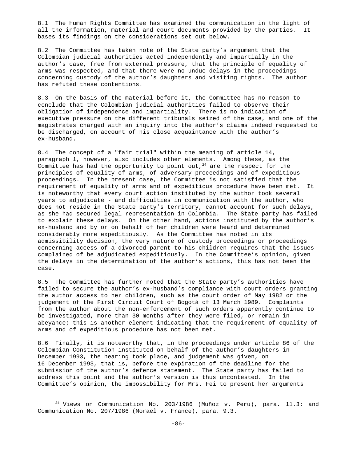8.1 The Human Rights Committee has examined the communication in the light of all the information, material and court documents provided by the parties. It bases its findings on the considerations set out below.

8.2 The Committee has taken note of the State party's argument that the Colombian judicial authorities acted independently and impartially in the author's case, free from external pressure, that the principle of equality of arms was respected, and that there were no undue delays in the proceedings concerning custody of the author's daughters and visiting rights. The author has refuted these contentions.

8.3 On the basis of the material before it, the Committee has no reason to conclude that the Colombian judicial authorities failed to observe their obligation of independence and impartiality. There is no indication of executive pressure on the different tribunals seized of the case, and one of the magistrates charged with an inquiry into the author's claims indeed requested to be discharged, on account of his close acquaintance with the author's ex-husband.

8.4 The concept of a "fair trial" within the meaning of article 14, paragraph 1, however, also includes other elements. Among these, as the Committee has had the opportunity to point out, $24$  are the respect for the principles of equality of arms, of adversary proceedings and of expeditious proceedings. In the present case, the Committee is not satisfied that the requirement of equality of arms and of expeditious procedure have been met. It is noteworthy that every court action instituted by the author took several years to adjudicate - and difficulties in communication with the author, who does not reside in the State party's territory, cannot account for such delays, as she had secured legal representation in Colombia. The State party has failed to explain these delays. On the other hand, actions instituted by the author's ex-husband and by or on behalf of her children were heard and determined considerably more expeditiously. As the Committee has noted in its admissibility decision, the very nature of custody proceedings or proceedings concerning access of a divorced parent to his children requires that the issues complained of be adjudicated expeditiously. In the Committee's opinion, given the delays in the determination of the author's actions, this has not been the case.

8.5 The Committee has further noted that the State party's authorities have failed to secure the author's ex-husband's compliance with court orders granting the author access to her children, such as the court order of May 1982 or the judgement of the First Circuit Court of Bogotá of 13 March 1989. Complaints from the author about the non-enforcement of such orders apparently continue to be investigated, more than 30 months after they were filed, or remain in abeyance; this is another element indicating that the requirement of equality of arms and of expeditious procedure has not been met.

8.6 Finally, it is noteworthy that, in the proceedings under article 86 of the Colombian Constitution instituted on behalf of the author's daughters in December 1993, the hearing took place, and judgement was given, on 16 December 1993, that is, before the expiration of the deadline for the submission of the author's defence statement. The State party has failed to address this point and the author's version is thus uncontested. In the Committee's opinion, the impossibility for Mrs. Fei to present her arguments

 $24$  Views on Communication No. 203/1986 (Muñoz v. Peru), para. 11.3; and Communication No. 207/1986 (Morael v. France), para. 9.3.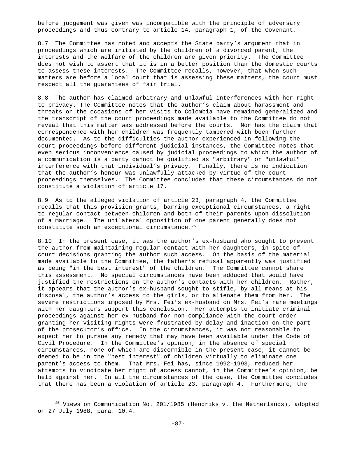before judgement was given was incompatible with the principle of adversary proceedings and thus contrary to article 14, paragraph 1, of the Covenant.

8.7 The Committee has noted and accepts the State party's argument that in proceedings which are initiated by the children of a divorced parent, the interests and the welfare of the children are given priority. The Committee does not wish to assert that it is in a better position than the domestic courts to assess these interests. The Committee recalls, however, that when such matters are before a local court that is assessing these matters, the court must respect all the guarantees of fair trial.

8.8 The author has claimed arbitrary and unlawful interferences with her right to privacy. The Committee notes that the author's claim about harassment and threats on the occasions of her visits to Colombia have remained generalized and the transcript of the court proceedings made available to the Committee do not reveal that this matter was addressed before the courts. Nor has the claim that correspondence with her children was frequently tampered with been further documented. As to the difficulties the author experienced in following the court proceedings before different judicial instances, the Committee notes that even serious inconvenience caused by judicial proceedings to which the author of a communication is a party cannot be qualified as "arbitrary" or "unlawful" interference with that individual's privacy. Finally, there is no indication that the author's honour was unlawfully attacked by virtue of the court proceedings themselves. The Committee concludes that these circumstances do not constitute a violation of article 17.

8.9 As to the alleged violation of article 23, paragraph 4, the Committee recalls that this provision grants, barring exceptional circumstances, a right to regular contact between children and both of their parents upon dissolution of a marriage. The unilateral opposition of one parent generally does not constitute such an exceptional circumstance. $25$ 

8.10 In the present case, it was the author's ex-husband who sought to prevent the author from maintaining regular contact with her daughters, in spite of court decisions granting the author such access. On the basis of the material made available to the Committee, the father's refusal apparently was justified as being "in the best interest" of the children. The Committee cannot share this assessment. No special circumstances have been adduced that would have justified the restrictions on the author's contacts with her children. Rather, it appears that the author's ex-husband sought to stifle, by all means at his disposal, the author's access to the girls, or to alienate them from her. The severe restrictions imposed by Mrs. Fei's ex-husband on Mrs. Fei's rare meetings with her daughters support this conclusion. Her attempts to initiate criminal proceedings against her ex-husband for non-compliance with the court order granting her visiting rights were frustrated by delay and inaction on the part of the prosecutor's office. In the circumstances, it was not reasonable to expect her to pursue any remedy that may have been available under the Code of Civil Procedure. In the Committee's opinion, in the absence of special circumstances, none of which are discernible in the present case, it cannot be deemed to be in the "best interest" of children virtually to eliminate one parent's access to them. That Mrs. Fei has, since 1992-1993, reduced her attempts to vindicate her right of access cannot, in the Committee's opinion, be held against her. In all the circumstances of the case, the Committee concludes that there has been a violation of article 23, paragraph 4. Furthermore, the

 $25$  Views on Communication No. 201/1985 (Hendriks v. the Netherlands), adopted on 27 July 1988, para. 10.4.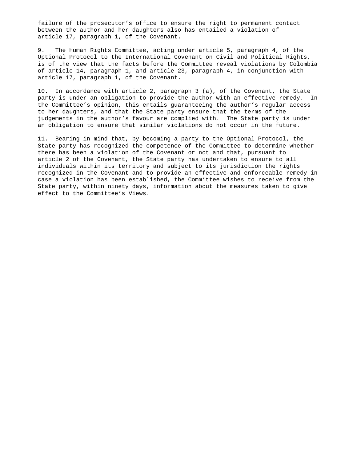failure of the prosecutor's office to ensure the right to permanent contact between the author and her daughters also has entailed a violation of article 17, paragraph 1, of the Covenant.

9. The Human Rights Committee, acting under article 5, paragraph 4, of the Optional Protocol to the International Covenant on Civil and Political Rights, is of the view that the facts before the Committee reveal violations by Colombia of article 14, paragraph 1, and article 23, paragraph 4, in conjunction with article 17, paragraph 1, of the Covenant.

10. In accordance with article 2, paragraph 3 (a), of the Covenant, the State party is under an obligation to provide the author with an effective remedy. In the Committee's opinion, this entails guaranteeing the author's regular access to her daughters, and that the State party ensure that the terms of the judgements in the author's favour are complied with. The State party is under an obligation to ensure that similar violations do not occur in the future.

11. Bearing in mind that, by becoming a party to the Optional Protocol, the State party has recognized the competence of the Committee to determine whether there has been a violation of the Covenant or not and that, pursuant to article 2 of the Covenant, the State party has undertaken to ensure to all individuals within its territory and subject to its jurisdiction the rights recognized in the Covenant and to provide an effective and enforceable remedy in case a violation has been established, the Committee wishes to receive from the State party, within ninety days, information about the measures taken to give effect to the Committee's Views.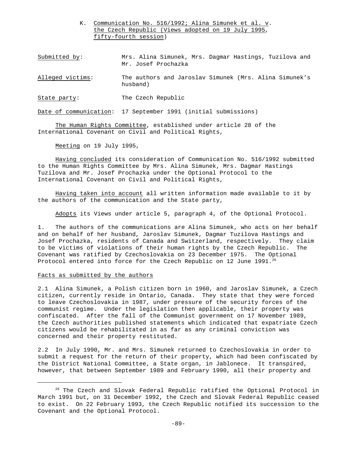K. Communication No. 516/1992; Alina Simunek et al. v. the Czech Republic (Views adopted on 19 July 1995, fifty-fourth session)

Submitted by: Mrs. Alina Simunek, Mrs. Dagmar Hastings, Tuzilova and Mr. Josef Prochazka

Alleged victims: The authors and Jaroslav Simunek (Mrs. Alina Simunek's husband)

State party: The Czech Republic

Date of communication: 17 September 1991 (initial submissions)

The Human Rights Committee, established under article 28 of the International Covenant on Civil and Political Rights,

Meeting on 19 July 1995,

Having concluded its consideration of Communication No. 516/1992 submitted to the Human Rights Committee by Mrs. Alina Simunek, Mrs. Dagmar Hastings Tuzilova and Mr. Josef Prochazka under the Optional Protocol to the International Covenant on Civil and Political Rights,

Having taken into account all written information made available to it by the authors of the communication and the State party,

Adopts its Views under article 5, paragraph 4, of the Optional Protocol.

1. The authors of the communications are Alina Simunek, who acts on her behalf and on behalf of her husband, Jaroslav Simunek, Dagmar Tuzilova Hastings and Josef Prochazka, residents of Canada and Switzerland, respectively. They claim to be victims of violations of their human rights by the Czech Republic. The Covenant was ratified by Czechoslovakia on 23 December 1975. The Optional Protocol entered into force for the Czech Republic on 12 June 1991.<sup>26</sup>

# Facts as submitted by the authors

2.1 Alina Simunek, a Polish citizen born in 1960, and Jaroslav Simunek, a Czech citizen, currently reside in Ontario, Canada. They state that they were forced to leave Czechoslovakia in 1987, under pressure of the security forces of the communist regime. Under the legislation then applicable, their property was confiscated. After the fall of the Communist government on 17 November 1989, the Czech authorities published statements which indicated that expatriate Czech citizens would be rehabilitated in as far as any criminal conviction was concerned and their property restituted.

2.2 In July 1990, Mr. and Mrs. Simunek returned to Czechoslovakia in order to submit a request for the return of their property, which had been confiscated by the District National Committee, a State organ, in Jablonece. It transpired, however, that between September 1989 and February 1990, all their property and

<sup>&</sup>lt;sup>26</sup> The Czech and Slovak Federal Republic ratified the Optional Protocol in March 1991 but, on 31 December 1992, the Czech and Slovak Federal Republic ceased to exist. On 22 February 1993, the Czech Republic notified its succession to the Covenant and the Optional Protocol.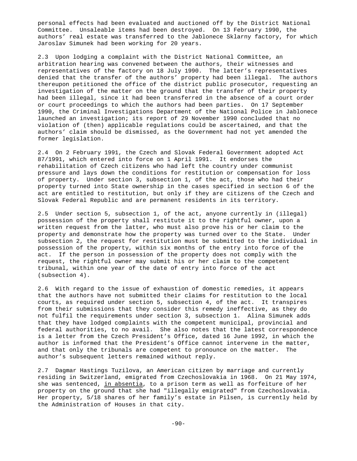personal effects had been evaluated and auctioned off by the District National Committee. Unsaleable items had been destroyed. On 13 February 1990, the authors' real estate was transferred to the Jablonece Sklarny factory, for which Jaroslav Simunek had been working for 20 years.

2.3 Upon lodging a complaint with the District National Committee, an arbitration hearing was convened between the authors, their witnesses and representatives of the factory on 18 July 1990. The latter's representatives denied that the transfer of the authors' property had been illegal. The authors thereupon petitioned the office of the district public prosecutor, requesting an investigation of the matter on the ground that the transfer of their property had been illegal, since it had been transferred in the absence of a court order or court proceedings to which the authors had been parties. On 17 September 1990, the Criminal Investigations Department of the National Police in Jablonece launched an investigation; its report of 29 November 1990 concluded that no violation of (then) applicable regulations could be ascertained, and that the authors' claim should be dismissed, as the Government had not yet amended the former legislation.

2.4 On 2 February 1991, the Czech and Slovak Federal Government adopted Act 87/1991, which entered into force on 1 April 1991. It endorses the rehabilitation of Czech citizens who had left the country under communist pressure and lays down the conditions for restitution or compensation for loss of property. Under section 3, subsection 1, of the act, those who had their property turned into State ownership in the cases specified in section 6 of the act are entitled to restitution, but only if they are citizens of the Czech and Slovak Federal Republic and are permanent residents in its territory.

2.5 Under section 5, subsection 1, of the act, anyone currently in (illegal) possession of the property shall restitute it to the rightful owner, upon a written request from the latter, who must also prove his or her claim to the property and demonstrate how the property was turned over to the State. Under subsection 2, the request for restitution must be submitted to the individual in possession of the property, within six months of the entry into force of the act. If the person in possession of the property does not comply with the request, the rightful owner may submit his or her claim to the competent tribunal, within one year of the date of entry into force of the act (subsection 4).

2.6 With regard to the issue of exhaustion of domestic remedies, it appears that the authors have not submitted their claims for restitution to the local courts, as required under section 5, subsection 4, of the act. It transpires from their submissions that they consider this remedy ineffective, as they do not fulfil the requirements under section 3, subsection 1. Alina Simunek adds that they have lodged complaints with the competent municipal, provincial and federal authorities, to no avail. She also notes that the latest correspondence is a letter from the Czech President's Office, dated 16 June 1992, in which the author is informed that the President's Office cannot intervene in the matter, and that only the tribunals are competent to pronounce on the matter. The author's subsequent letters remained without reply.

2.7 Dagmar Hastings Tuzilova, an American citizen by marriage and currently residing in Switzerland, emigrated from Czechoslovakia in 1968. On 21 May 1974, she was sentenced, in absentia, to a prison term as well as forfeiture of her property on the ground that she had "illegally emigrated" from Czechoslovakia. Her property, 5/18 shares of her family's estate in Pilsen, is currently held by the Administration of Houses in that city.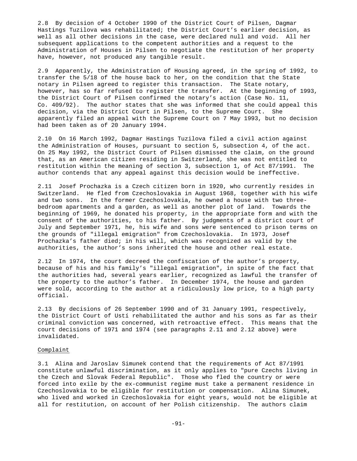2.8 By decision of 4 October 1990 of the District Court of Pilsen, Dagmar Hastings Tuzilova was rehabilitated; the District Court's earlier decision, as well as all other decisions in the case, were declared null and void. All her subsequent applications to the competent authorities and a request to the Administration of Houses in Pilsen to negotiate the restitution of her property have, however, not produced any tangible result.

2.9 Apparently, the Administration of Housing agreed, in the spring of 1992, to transfer the 5/18 of the house back to her, on the condition that the State notary in Pilsen agreed to register this transaction. The State notary, however, has so far refused to register the transfer. At the beginning of 1993, the District Court of Pilsen confirmed the notary's action (Case No. 11, Co. 409/92). The author states that she was informed that she could appeal this decision, via the District Court in Pilsen, to the Supreme Court. She apparently filed an appeal with the Supreme Court on 7 May 1993, but no decision had been taken as of 20 January 1994.

2.10 On 16 March 1992, Dagmar Hastings Tuzilova filed a civil action against the Administration of Houses, pursuant to section 5, subsection 4, of the act. On 25 May 1992, the District Court of Pilsen dismissed the claim, on the ground that, as an American citizen residing in Switzerland, she was not entitled to restitution within the meaning of section 3, subsection 1, of Act 87/1991. The author contends that any appeal against this decision would be ineffective.

2.11 Josef Prochazka is a Czech citizen born in 1920, who currently resides in Switzerland. He fled from Czechoslovakia in August 1968, together with his wife and two sons. In the former Czechoslovakia, he owned a house with two threebedroom apartments and a garden, as well as another plot of land. Towards the beginning of 1969, he donated his property, in the appropriate form and with the consent of the authorities, to his father. By judgments of a district court of July and September 1971, he, his wife and sons were sentenced to prison terms on the grounds of "illegal emigration" from Czechoslovakia. In 1973, Josef Prochazka's father died; in his will, which was recognized as valid by the authorities, the author's sons inherited the house and other real estate.

2.12 In 1974, the court decreed the confiscation of the author's property, because of his and his family's "illegal emigration", in spite of the fact that the authorities had, several years earlier, recognized as lawful the transfer of the property to the author's father. In December 1974, the house and garden were sold, according to the author at a ridiculously low price, to a high party official.

2.13 By decisions of 26 September 1990 and of 31 January 1991, respectively, the District Court of Ustí rehabilitated the author and his sons as far as their criminal conviction was concerned, with retroactive effect. This means that the court decisions of 1971 and 1974 (see paragraphs 2.11 and 2.12 above) were invalidated.

#### Complaint

3.1 Alina and Jaroslav Simunek contend that the requirements of Act 87/1991 constitute unlawful discrimination, as it only applies to "pure Czechs living in the Czech and Slovak Federal Republic". Those who fled the country or were forced into exile by the ex-communist regime must take a permanent residence in Czechoslovakia to be eligible for restitution or compensation. Alina Simunek, who lived and worked in Czechoslovakia for eight years, would not be eligible at all for restitution, on account of her Polish citizenship. The authors claim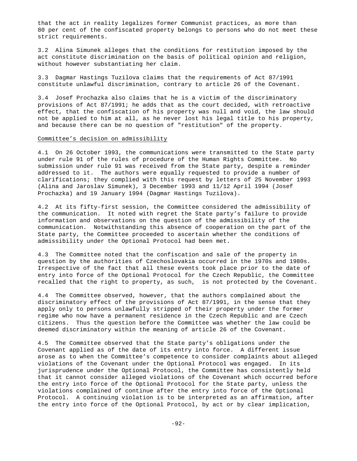that the act in reality legalizes former Communist practices, as more than 80 per cent of the confiscated property belongs to persons who do not meet these strict requirements.

3.2 Alina Simunek alleges that the conditions for restitution imposed by the act constitute discrimination on the basis of political opinion and religion, without however substantiating her claim.

3.3 Dagmar Hastings Tuzilova claims that the requirements of Act 87/1991 constitute unlawful discrimination, contrary to article 26 of the Covenant.

3.4 Josef Prochazka also claims that he is a victim of the discriminatory provisions of Act 87/1991; he adds that as the court decided, with retroactive effect, that the confiscation of his property was null and void, the law should not be applied to him at all, as he never lost his legal title to his property, and because there can be no question of "restitution" of the property.

### Committee's decision on admissibility

4.1 On 26 October 1993, the communications were transmitted to the State party under rule 91 of the rules of procedure of the Human Rights Committee. No submission under rule 91 was received from the State party, despite a reminder addressed to it. The authors were equally requested to provide a number of clarifications; they complied with this request by letters of 25 November 1993 (Alina and Jaroslav Simunek), 3 December 1993 and 11/12 April 1994 (Josef Prochazka) and 19 January 1994 (Dagmar Hastings Tuzilova).

4.2 At its fifty-first session, the Committee considered the admissibility of the communication. It noted with regret the State party's failure to provide information and observations on the question of the admissibility of the communication. Notwithstanding this absence of cooperation on the part of the State party, the Committee proceeded to ascertain whether the conditions of admissibility under the Optional Protocol had been met.

4.3 The Committee noted that the confiscation and sale of the property in question by the authorities of Czechoslovakia occurred in the 1970s and 1980s. Irrespective of the fact that all these events took place prior to the date of entry into force of the Optional Protocol for the Czech Republic, the Committee recalled that the right to property, as such, is not protected by the Covenant.

4.4 The Committee observed, however, that the authors complained about the discriminatory effect of the provisions of Act 87/1991, in the sense that they apply only to persons unlawfully stripped of their property under the former regime who now have a permanent residence in the Czech Republic and are Czech citizens. Thus the question before the Committee was whether the law could be deemed discriminatory within the meaning of article 26 of the Covenant.

4.5 The Committee observed that the State party's obligations under the Covenant applied as of the date of its entry into force. A different issue arose as to when the Committee's competence to consider complaints about alleged violations of the Covenant under the Optional Protocol was engaged. In its jurisprudence under the Optional Protocol, the Committee has consistently held that it cannot consider alleged violations of the Covenant which occurred before the entry into force of the Optional Protocol for the State party, unless the violations complained of continue after the entry into force of the Optional Protocol. A continuing violation is to be interpreted as an affirmation, after the entry into force of the Optional Protocol, by act or by clear implication,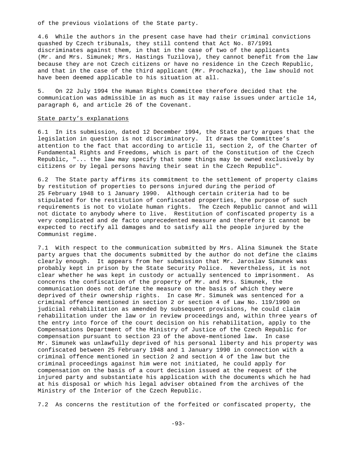of the previous violations of the State party.

4.6 While the authors in the present case have had their criminal convictions quashed by Czech tribunals, they still contend that Act No. 87/1991 discriminates against them, in that in the case of two of the applicants (Mr. and Mrs. Simunek; Mrs. Hastings Tuzilova), they cannot benefit from the law because they are not Czech citizens or have no residence in the Czech Republic, and that in the case of the third applicant (Mr. Prochazka), the law should not have been deemed applicable to his situation at all.

5. On 22 July 1994 the Human Rights Committee therefore decided that the communication was admissible in as much as it may raise issues under article 14, paragraph 6, and article 26 of the Covenant.

# State party's explanations

6.1 In its submission, dated 12 December 1994, the State party argues that the legislation in question is not discriminatory. It draws the Committee's attention to the fact that according to article 11, section 2, of the Charter of Fundamental Rights and Freedoms, which is part of the Constitution of the Czech Republic, "... the law may specify that some things may be owned exclusively by citizens or by legal persons having their seat in the Czech Republic".

6.2 The State party affirms its commitment to the settlement of property claims by restitution of properties to persons injured during the period of 25 February 1948 to 1 January 1990. Although certain criteria had to be stipulated for the restitution of confiscated properties, the purpose of such requirements is not to violate human rights. The Czech Republic cannot and will not dictate to anybody where to live. Restitution of confiscated property is a very complicated and de facto unprecedented measure and therefore it cannot be expected to rectify all damages and to satisfy all the people injured by the Communist regime.

7.1 With respect to the communication submitted by Mrs. Alina Simunek the State party argues that the documents submitted by the author do not define the claims clearly enough. It appears from her submission that Mr. Jaroslav Simunek was probably kept in prison by the State Security Police. Nevertheless, it is not clear whether he was kept in custody or actually sentenced to imprisonment. As concerns the confiscation of the property of Mr. and Mrs. Simunek, the communication does not define the measure on the basis of which they were deprived of their ownership rights. In case Mr. Simunek was sentenced for a criminal offence mentioned in section 2 or section 4 of Law No. 119/1990 on judicial rehabilitation as amended by subsequent provisions, he could claim rehabilitation under the law or in review proceedings and, within three years of the entry into force of the court decision on his rehabilitation, apply to the Compensations Department of the Ministry of Justice of the Czech Republic for compensation pursuant to section 23 of the above-mentioned law. In case Mr. Simunek was unlawfully deprived of his personal liberty and his property was confiscated between 25 February 1948 and 1 January 1990 in connection with a criminal offence mentioned in section 2 and section 4 of the law but the criminal proceedings against him were not initiated, he could apply for compensation on the basis of a court decision issued at the request of the injured party and substantiate his application with the documents which he had at his disposal or which his legal adviser obtained from the archives of the Ministry of the Interior of the Czech Republic.

7.2 As concerns the restitution of the forfeited or confiscated property, the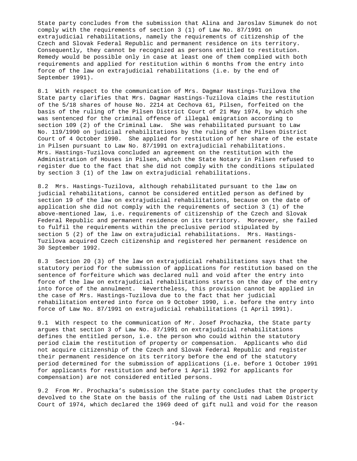State party concludes from the submission that Alina and Jaroslav Simunek do not comply with the requirements of section 3 (1) of Law No. 87/1991 on extrajudicial rehabilitations, namely the requirements of citizenship of the Czech and Slovak Federal Republic and permanent residence on its territory. Consequently, they cannot be recognized as persons entitled to restitution. Remedy would be possible only in case at least one of them complied with both requirements and applied for restitution within 6 months from the entry into force of the law on extrajudicial rehabilitations (i.e. by the end of September 1991).

8.1 With respect to the communication of Mrs. Dagmar Hastings-Tuzilova the State party clarifies that Mrs. Dagmar Hastings-Tuzilova claims the restitution of the 5/18 shares of house No. 2214 at Cechova 61, Pilsen, forfeited on the basis of the ruling of the Pilsen District Court of 21 May 1974, by which she was sentenced for the criminal offence of illegal emigration according to section 109 (2) of the Criminal Law. She was rehabilitated pursuant to Law No. 119/1990 on judicial rehabilitations by the ruling of the Pilsen District Court of 4 October 1990. She applied for restitution of her share of the estate in Pilsen pursuant to Law No. 87/1991 on extrajudicial rehabilitations. Mrs. Hastings-Tuzilova concluded an agreement on the restitution with the Administration of Houses in Pilsen, which the State Notary in Pilsen refused to register due to the fact that she did not comply with the conditions stipulated by section 3 (1) of the law on extrajudicial rehabilitations.

8.2 Mrs. Hastings-Tuzilova, although rehabilitated pursuant to the law on judicial rehabilitations, cannot be considered entitled person as defined by section 19 of the law on extrajudicial rehabilitations, because on the date of application she did not comply with the requirements of section 3 (1) of the above-mentioned law, i.e. requirements of citizenship of the Czech and Slovak Federal Republic and permanent residence on its territory. Moreover, she failed to fulfil the requirements within the preclusive period stipulated by section 5 (2) of the law on extrajudicial rehabilitations. Mrs. Hastings-Tuzilova acquired Czech citizenship and registered her permanent residence on 30 September 1992.

8.3 Section 20 (3) of the law on extrajudicial rehabilitations says that the statutory period for the submission of applications for restitution based on the sentence of forfeiture which was declared null and void after the entry into force of the law on extrajudicial rehabilitations starts on the day of the entry into force of the annulment. Nevertheless, this provision cannot be applied in the case of Mrs. Hastings-Tuzilova due to the fact that her judicial rehabilitation entered into force on 9 October 1990, i.e. before the entry into force of Law No. 87/1991 on extrajudicial rehabilitations (1 April 1991).

9.1 With respect to the communication of Mr. Josef Prochazka, the State party argues that section 3 of Law No. 87/1991 on extrajudicial rehabilitations defines the entitled person, i.e. the person who could within the statutory period claim the restitution of property or compensation. Applicants who did not acquire citizenship of the Czech and Slovak Federal Republic and register their permanent residence on its territory before the end of the statutory period determined for the submission of applications (i.e. before 1 October 1991 for applicants for restitution and before 1 April 1992 for applicants for compensation) are not considered entitled persons.

9.2 From Mr. Prochazka's submission the State party concludes that the property devolved to the State on the basis of the ruling of the Usti nad Labem District Court of 1974, which declared the 1969 deed of gift null and void for the reason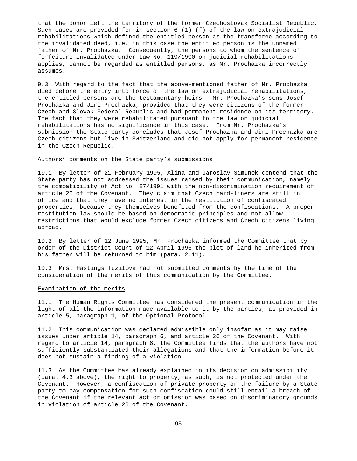that the donor left the territory of the former Czechoslovak Socialist Republic. Such cases are provided for in section 6 (1) (f) of the law on extrajudicial rehabilitations which defined the entitled person as the transferee according to the invalidated deed, i.e. in this case the entitled person is the unnamed father of Mr. Prochazka. Consequently, the persons to whom the sentence of forfeiture invalidated under Law No. 119/1990 on judicial rehabilitations applies, cannot be regarded as entitled persons, as Mr. Prochazka incorrectly assumes.

9.3 With regard to the fact that the above-mentioned father of Mr. Prochazka died before the entry into force of the law on extrajudicial rehabilitations, the entitled persons are the testamentary heirs - Mr. Prochazka's sons Josef Prochazka and Jiri Prochazka, provided that they were citizens of the former Czech and Slovak Federal Republic and had permanent residence on its territory. The fact that they were rehabilitated pursuant to the law on judicial rehabilitations has no significance in this case. From Mr. Prochazka's submission the State party concludes that Josef Prochazka and Jiri Prochazka are Czech citizens but live in Switzerland and did not apply for permanent residence in the Czech Republic.

### Authors' comments on the State party's submissions

10.1 By letter of 21 February 1995, Alina and Jaroslav Simunek contend that the State party has not addressed the issues raised by their communication, namely the compatibility of Act No. 87/1991 with the non-discrimination requirement of article 26 of the Covenant. They claim that Czech hard-liners are still in office and that they have no interest in the restitution of confiscated properties, because they themselves benefited from the confiscations. A proper restitution law should be based on democratic principles and not allow restrictions that would exclude former Czech citizens and Czech citizens living abroad.

10.2 By letter of 12 June 1995, Mr. Prochazka informed the Committee that by order of the District Court of 12 April 1995 the plot of land he inherited from his father will be returned to him (para. 2.11).

10.3 Mrs. Hastings Tuzilova had not submitted comments by the time of the consideration of the merits of this communication by the Committee.

### Examination of the merits

11.1 The Human Rights Committee has considered the present communication in the light of all the information made available to it by the parties, as provided in article 5, paragraph 1, of the Optional Protocol.

11.2 This communication was declared admissible only insofar as it may raise issues under article 14, paragraph 6, and article 26 of the Covenant. With regard to article 14, paragraph 6, the Committee finds that the authors have not sufficiently substantiated their allegations and that the information before it does not sustain a finding of a violation.

11.3 As the Committee has already explained in its decision on admissibility (para. 4.3 above), the right to property, as such, is not protected under the Covenant. However, a confiscation of private property or the failure by a State party to pay compensation for such confiscation could still entail a breach of the Covenant if the relevant act or omission was based on discriminatory grounds in violation of article 26 of the Covenant.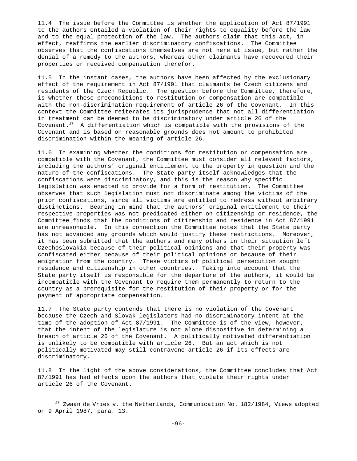11.4 The issue before the Committee is whether the application of Act 87/1991 to the authors entailed a violation of their rights to equality before the law and to the equal protection of the law. The authors claim that this act, in effect, reaffirms the earlier discriminatory confiscations. The Committee observes that the confiscations themselves are not here at issue, but rather the denial of a remedy to the authors, whereas other claimants have recovered their properties or received compensation therefor.

11.5 In the instant cases, the authors have been affected by the exclusionary effect of the requirement in Act 87/1991 that claimants be Czech citizens and residents of the Czech Republic. The question before the Committee, therefore, is whether these preconditions to restitution or compensation are compatible with the non-discrimination requirement of article 26 of the Covenant. In this context the Committee reiterates its jurisprudence that not all differentiation in treatment can be deemed to be discriminatory under article 26 of the Covenant.<sup>27</sup> A differentiation which is compatible with the provisions of the Covenant and is based on reasonable grounds does not amount to prohibited discrimination within the meaning of article 26.

11.6 In examining whether the conditions for restitution or compensation are compatible with the Covenant, the Committee must consider all relevant factors, including the authors' original entitlement to the property in question and the nature of the confiscations. The State party itself acknowledges that the confiscations were discriminatory, and this is the reason why specific legislation was enacted to provide for a form of restitution. The Committee observes that such legislation must not discriminate among the victims of the prior confiscations, since all victims are entitled to redress without arbitrary distinctions. Bearing in mind that the authors' original entitlement to their respective properties was not predicated either on citizenship or residence, the Committee finds that the conditions of citizenship and residence in Act 87/1991 are unreasonable. In this connection the Committee notes that the State party has not advanced any grounds which would justify these restrictions. Moreover, it has been submitted that the authors and many others in their situation left Czechoslovakia because of their political opinions and that their property was confiscated either because of their political opinions or because of their emigration from the country. These victims of political persecution sought residence and citizenship in other countries. Taking into account that the State party itself is responsible for the departure of the authors, it would be incompatible with the Covenant to require them permanently to return to the country as a prerequisite for the restitution of their property or for the payment of appropriate compensation.

11.7 The State party contends that there is no violation of the Covenant because the Czech and Slovak legislators had no discriminatory intent at the time of the adoption of Act 87/1991. The Committee is of the view, however, that the intent of the legislature is not alone dispositive in determining a breach of article 26 of the Covenant. A politically motivated differentiation is unlikely to be compatible with article 26. But an act which is not politically motivated may still contravene article 26 if its effects are discriminatory.

11.8 In the light of the above considerations, the Committee concludes that Act 87/1991 has had effects upon the authors that violate their rights under article 26 of the Covenant.

 $27$  Zwaan de Vries v. the Netherlands, Communication No. 182/1984, Views adopted on 9 April 1987, para. 13.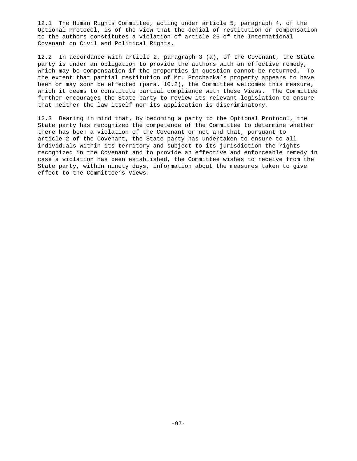12.1 The Human Rights Committee, acting under article 5, paragraph 4, of the Optional Protocol, is of the view that the denial of restitution or compensation to the authors constitutes a violation of article 26 of the International Covenant on Civil and Political Rights.

12.2 In accordance with article 2, paragraph 3 (a), of the Covenant, the State party is under an obligation to provide the authors with an effective remedy, which may be compensation if the properties in question cannot be returned. To the extent that partial restitution of Mr. Prochazka's property appears to have been or may soon be effected (para. 10.2), the Committee welcomes this measure, which it deems to constitute partial compliance with these Views. The Committee further encourages the State party to review its relevant legislation to ensure that neither the law itself nor its application is discriminatory.

12.3 Bearing in mind that, by becoming a party to the Optional Protocol, the State party has recognized the competence of the Committee to determine whether there has been a violation of the Covenant or not and that, pursuant to article 2 of the Covenant, the State party has undertaken to ensure to all individuals within its territory and subject to its jurisdiction the rights recognized in the Covenant and to provide an effective and enforceable remedy in case a violation has been established, the Committee wishes to receive from the State party, within ninety days, information about the measures taken to give effect to the Committee's Views.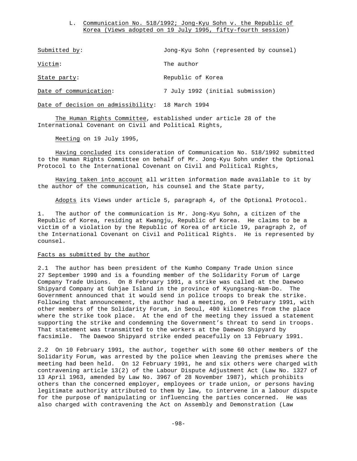# L. Communication No. 518/1992; Jong-Kyu Sohn v. the Republic of Korea (Views adopted on 19 July 1995, fifty-fourth session)

| Submitted by:          | Jong-Kyu Sohn (represented by counsel) |
|------------------------|----------------------------------------|
| Victim:                | The author                             |
| State party:           | Republic of Korea                      |
| Date of communication: | 7 July 1992 (initial submission)       |

Date of decision on admissibility: 18 March 1994

The Human Rights Committee, established under article 28 of the International Covenant on Civil and Political Rights,

Meeting on 19 July 1995,

Having concluded its consideration of Communication No. 518/1992 submitted to the Human Rights Committee on behalf of Mr. Jong-Kyu Sohn under the Optional Protocol to the International Covenant on Civil and Political Rights,

Having taken into account all written information made available to it by the author of the communication, his counsel and the State party,

Adopts its Views under article 5, paragraph 4, of the Optional Protocol.

1. The author of the communication is Mr. Jong-Kyu Sohn, a citizen of the Republic of Korea, residing at Kwangju, Republic of Korea. He claims to be a victim of a violation by the Republic of Korea of article 19, paragraph 2, of the International Covenant on Civil and Political Rights. He is represented by counsel.

#### Facts as submitted by the author

2.1 The author has been president of the Kumho Company Trade Union since 27 September 1990 and is a founding member of the Solidarity Forum of Large Company Trade Unions. On 8 February 1991, a strike was called at the Daewoo Shipyard Company at Guhjae Island in the province of Kyungsang-Nam-Do. The Government announced that it would send in police troops to break the strike. Following that announcement, the author had a meeting, on 9 February 1991, with other members of the Solidarity Forum, in Seoul, 400 kilometres from the place where the strike took place. At the end of the meeting they issued a statement supporting the strike and condemning the Government's threat to send in troops. That statement was transmitted to the workers at the Daewoo Shipyard by facsimile. The Daewoo Shipyard strike ended peacefully on 13 February 1991.

2.2 On 10 February 1991, the author, together with some 60 other members of the Solidarity Forum, was arrested by the police when leaving the premises where the meeting had been held. On 12 February 1991, he and six others were charged with contravening article 13(2) of the Labour Dispute Adjustment Act (Law No. 1327 of 13 April 1963, amended by Law No. 3967 of 28 November 1987), which prohibits others than the concerned employer, employees or trade union, or persons having legitimate authority attributed to them by law, to intervene in a labour dispute for the purpose of manipulating or influencing the parties concerned. He was also charged with contravening the Act on Assembly and Demonstration (Law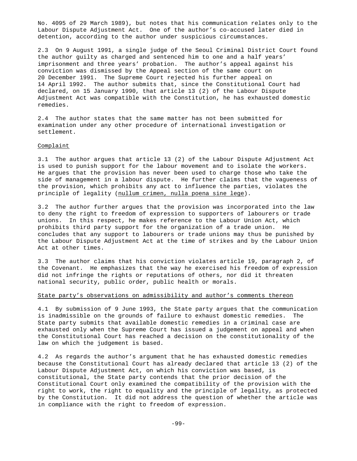No. 4095 of 29 March 1989), but notes that his communication relates only to the Labour Dispute Adjustment Act. One of the author's co-accused later died in detention, according to the author under suspicious circumstances.

2.3 On 9 August 1991, a single judge of the Seoul Criminal District Court found the author guilty as charged and sentenced him to one and a half years' imprisonment and three years' probation. The author's appeal against his conviction was dismissed by the Appeal section of the same court on 20 December 1991. The Supreme Court rejected his further appeal on 14 April 1992. The author submits that, since the Constitutional Court had declared, on 15 January 1990, that article 13 (2) of the Labour Dispute Adjustment Act was compatible with the Constitution, he has exhausted domestic remedies.

2.4 The author states that the same matter has not been submitted for examination under any other procedure of international investigation or settlement.

#### Complaint

3.1 The author argues that article 13 (2) of the Labour Dispute Adjustment Act is used to punish support for the labour movement and to isolate the workers. He argues that the provision has never been used to charge those who take the side of management in a labour dispute. He further claims that the vagueness of the provision, which prohibits any act to influence the parties, violates the principle of legality (nullum crimen, nulla poena sine lege).

3.2 The author further argues that the provision was incorporated into the law to deny the right to freedom of expression to supporters of labourers or trade unions. In this respect, he makes reference to the Labour Union Act, which prohibits third party support for the organization of a trade union. He concludes that any support to labourers or trade unions may thus be punished by the Labour Dispute Adjustment Act at the time of strikes and by the Labour Union Act at other times.

3.3 The author claims that his conviction violates article 19, paragraph 2, of the Covenant. He emphasizes that the way he exercised his freedom of expression did not infringe the rights or reputations of others, nor did it threaten national security, public order, public health or morals.

## State party's observations on admissibility and author's comments thereon

4.1 By submission of 9 June 1993, the State party argues that the communication is inadmissible on the grounds of failure to exhaust domestic remedies. The State party submits that available domestic remedies in a criminal case are exhausted only when the Supreme Court has issued a judgement on appeal and when the Constitutional Court has reached a decision on the constitutionality of the law on which the judgement is based.

4.2 As regards the author's argument that he has exhausted domestic remedies because the Constitutional Court has already declared that article 13 (2) of the Labour Dispute Adjustment Act, on which his conviction was based, is constitutional, the State party contends that the prior decision of the Constitutional Court only examined the compatibility of the provision with the right to work, the right to equality and the principle of legality, as protected by the Constitution. It did not address the question of whether the article was in compliance with the right to freedom of expression.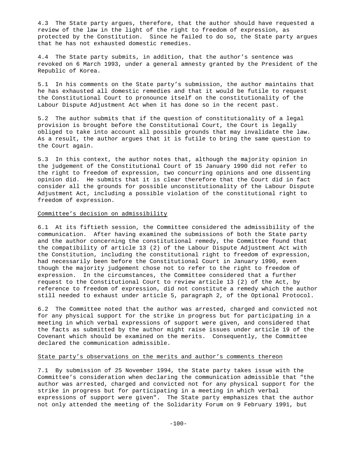4.3 The State party argues, therefore, that the author should have requested a review of the law in the light of the right to freedom of expression, as protected by the Constitution. Since he failed to do so, the State party argues that he has not exhausted domestic remedies.

4.4 The State party submits, in addition, that the author's sentence was revoked on 6 March 1993, under a general amnesty granted by the President of the Republic of Korea.

5.1 In his comments on the State party's submission, the author maintains that he has exhausted all domestic remedies and that it would be futile to request the Constitutional Court to pronounce itself on the constitutionality of the Labour Dispute Adjustment Act when it has done so in the recent past.

5.2 The author submits that if the question of constitutionality of a legal provision is brought before the Constitutional Court, the Court is legally obliged to take into account all possible grounds that may invalidate the law. As a result, the author argues that it is futile to bring the same question to the Court again.

5.3 In this context, the author notes that, although the majority opinion in the judgement of the Constitutional Court of 15 January 1990 did not refer to the right to freedom of expression, two concurring opinions and one dissenting opinion did. He submits that it is clear therefore that the Court did in fact consider all the grounds for possible unconstitutionality of the Labour Dispute Adjustment Act, including a possible violation of the constitutional right to freedom of expression.

## Committee's decision on admissibility

6.1 At its fiftieth session, the Committee considered the admissibility of the communication. After having examined the submissions of both the State party and the author concerning the constitutional remedy, the Committee found that the compatibility of article 13 (2) of the Labour Dispute Adjustment Act with the Constitution, including the constitutional right to freedom of expression, had necessarily been before the Constitutional Court in January 1990, even though the majority judgement chose not to refer to the right to freedom of expression. In the circumstances, the Committee considered that a further request to the Constitutional Court to review article 13 (2) of the Act, by reference to freedom of expression, did not constitute a remedy which the author still needed to exhaust under article 5, paragraph 2, of the Optional Protocol.

6.2 The Committee noted that the author was arrested, charged and convicted not for any physical support for the strike in progress but for participating in a meeting in which verbal expressions of support were given, and considered that the facts as submitted by the author might raise issues under article 19 of the Covenant which should be examined on the merits. Consequently, the Committee declared the communication admissible.

## State party's observations on the merits and author's comments thereon

7.1 By submission of 25 November 1994, the State party takes issue with the Committee's consideration when declaring the communication admissible that "the author was arrested, charged and convicted not for any physical support for the strike in progress but for participating in a meeting in which verbal expressions of support were given". The State party emphasizes that the author not only attended the meeting of the Solidarity Forum on 9 February 1991, but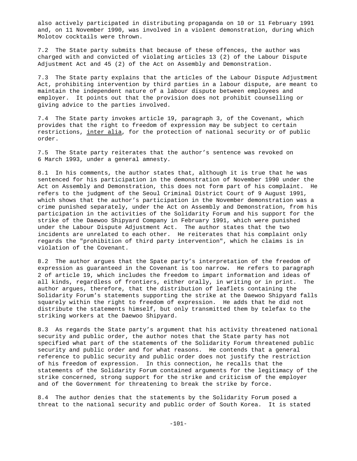also actively participated in distributing propaganda on 10 or 11 February 1991 and, on 11 November 1990, was involved in a violent demonstration, during which Molotov cocktails were thrown.

7.2 The State party submits that because of these offences, the author was charged with and convicted of violating articles 13 (2) of the Labour Dispute Adjustment Act and 45 (2) of the Act on Assembly and Demonstration.

7.3 The State party explains that the articles of the Labour Dispute Adjustment Act, prohibiting intervention by third parties in a labour dispute, are meant to maintain the independent nature of a labour dispute between employees and employer. It points out that the provision does not prohibit counselling or giving advice to the parties involved.

7.4 The State party invokes article 19, paragraph 3, of the Covenant, which provides that the right to freedom of expression may be subject to certain restrictions, inter alia, for the protection of national security or of public order.

7.5 The State party reiterates that the author's sentence was revoked on 6 March 1993, under a general amnesty.

8.1 In his comments, the author states that, although it is true that he was sentenced for his participation in the demonstration of November 1990 under the Act on Assembly and Demonstration, this does not form part of his complaint. He refers to the judgment of the Seoul Criminal District Court of 9 August 1991, which shows that the author's participation in the November demonstration was a crime punished separately, under the Act on Assembly and Demonstration, from his participation in the activities of the Solidarity Forum and his support for the strike of the Daewoo Shipyard Company in February 1991, which were punished under the Labour Dispute Adjustment Act. The author states that the two incidents are unrelated to each other. He reiterates that his complaint only regards the "prohibition of third party intervention", which he claims is in violation of the Covenant.

8.2 The author argues that the Spate party's interpretation of the freedom of expression as guaranteed in the Covenant is too narrow. He refers to paragraph 2 of article 19, which includes the freedom to impart information and ideas of all kinds, regardless of frontiers, either orally, in writing or in print. The author argues, therefore, that the distribution of leaflets containing the Solidarity Forum's statements supporting the strike at the Daewoo Shipyard falls squarely within the right to freedom of expression. He adds that he did not distribute the statements himself, but only transmitted them by telefax to the striking workers at the Daewoo Shipyard.

8.3 As regards the State party's argument that his activity threatened national security and public order, the author notes that the State party has not specified what part of the statements of the Solidarity Forum threatened public security and public order and for what reasons. He contends that a general reference to public security and public order does not justify the restriction of his freedom of expression. In this connection, he recalls that the statements of the Solidarity Forum contained arguments for the legitimacy of the strike concerned, strong support for the strike and criticism of the employer and of the Government for threatening to break the strike by force.

8.4 The author denies that the statements by the Solidarity Forum posed a threat to the national security and public order of South Korea. It is stated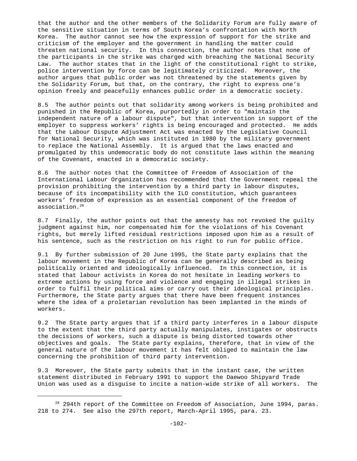that the author and the other members of the Solidarity Forum are fully aware of the sensitive situation in terms of South Korea's confrontation with North Korea. The author cannot see how the expression of support for the strike and criticism of the employer and the government in handling the matter could threaten national security. In this connection, the author notes that none of the participants in the strike was charged with breaching the National Security Law. The author states that in the light of the constitutional right to strike, police intervention by force can be legitimately criticized. Moreover, the author argues that public order was not threatened by the statements given by the Solidarity Forum, but that, on the contrary, the right to express one's opinion freely and peacefully enhances public order in a democratic society.

8.5 The author points out that solidarity among workers is being prohibited and punished in the Republic of Korea, purportedly in order to "maintain the independent nature of a labour dispute", but that intervention in support of the employer to suppress workers' rights is being encouraged and protected. He adds that the Labour Dispute Adjustment Act was enacted by the Legislative Council for National Security, which was instituted in 1980 by the military government to replace the National Assembly. It is argued that the laws enacted and promulgated by this undemocratic body do not constitute laws within the meaning of the Covenant, enacted in a democratic society.

8.6 The author notes that the Committee of Freedom of Association of the International Labour Organization has recommended that the Government repeal the provision prohibiting the intervention by a third party in labour disputes, because of its incompatibility with the ILO constitution, which guarantees workers' freedom of expression as an essential component of the freedom of association.28

8.7 Finally, the author points out that the amnesty has not revoked the guilty judgment against him, nor compensated him for the violations of his Covenant rights, but merely lifted residual restrictions imposed upon him as a result of his sentence, such as the restriction on his right to run for public office.

9.1 By further submission of 20 June 1995, the State party explains that the labour movement in the Republic of Korea can be generally described as being politically oriented and ideologically influenced. In this connection, it is stated that labour activists in Korea do not hesitate in leading workers to extreme actions by using force and violence and engaging in illegal strikes in order to fulfil their political aims or carry out their ideological principles. Furthermore, the State party argues that there have been frequent instances where the idea of a proletarian revolution has been implanted in the minds of workers.

9.2 The State party argues that if a third party interferes in a labour dispute to the extent that the third party actually manipulates, instigates or obstructs the decisions of workers, such a dispute is being distorted towards other objectives and goals. The State party explains, therefore, that in view of the general nature of the labour movement it has felt obliged to maintain the law concerning the prohibition of third party intervention.

9.3 Moreover, the State party submits that in the instant case, the written statement distributed in February 1991 to support the Daewoo Shipyard Trade Union was used as a disguise to incite a nation-wide strike of all workers. The

<sup>&</sup>lt;sup>28</sup> 294th report of the Committee on Freedom of Association, June 1994, paras. 218 to 274. See also the 297th report, March-April 1995, para. 23.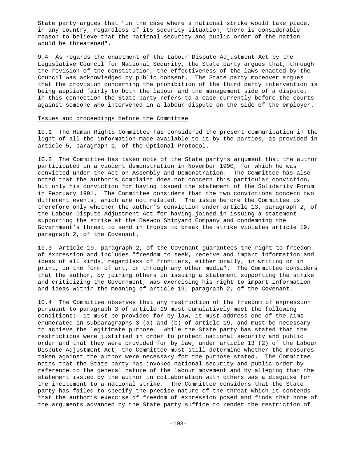State party argues that "in the case where a national strike would take place, in any country, regardless of its security situation, there is considerable reason to believe that the national security and public order of the nation would be threatened".

9.4 As regards the enactment of the Labour Dispute Adjustment Act by the Legislative Council for National Security, the State party argues that, through the revision of the constitution, the effectiveness of the laws enacted by the Council was acknowledged by public consent. The State party moreover argues that the provision concerning the prohibition of the third party intervention is being applied fairly to both the labour and the management side of a dispute. In this connection the State party refers to a case currently before the courts against someone who intervened in a labour dispute on the side of the employer.

## Issues and proceedings before the Committee

10.1 The Human Rights Committee has considered the present communication in the light of all the information made available to it by the parties, as provided in article 5, paragraph 1, of the Optional Protocol.

10.2 The Committee has taken note of the State party's argument that the author participated in a violent demonstration in November 1990, for which he was convicted under the Act on Assembly and Demonstration. The Committee has also noted that the author's complaint does not concern this particular conviction, but only his conviction for having issued the statement of the Solidarity Forum in February 1991. The Committee considers that the two convictions concern two different events, which are not related. The issue before the Committee is therefore only whether the author's conviction under article 13, paragraph 2, of the Labour Dispute Adjustment Act for having joined in issuing a statement supporting the strike at the Daewoo Shipyard Company and condemning the Government's threat to send in troops to break the strike violates article 19, paragraph 2, of the Covenant.

10.3 Article 19, paragraph 2, of the Covenant guarantees the right to freedom of expression and includes "freedom to seek, receive and impart information and ideas of all kinds, regardless of frontiers, either orally, in writing or in print, in the form of art, or through any other media". The Committee considers that the author, by joining others in issuing a statement supporting the strike and criticizing the Government, was exercising his right to impart information and ideas within the meaning of article 19, paragraph 2, of the Covenant.

10.4 The Committee observes that any restriction of the freedom of expression pursuant to paragraph 3 of article 19 must cumulatively meet the following conditions: it must be provided for by law, it must address one of the aims enumerated in subparagraphs 3 (a) and (b) of article 19, and must be necessary to achieve the legitimate purpose. While the State party has stated that the restrictions were justified in order to protect national security and public order and that they were provided for by law, under article 13 (2) of the Labour Dispute Adjustment Act, the Committee must still determine whether the measures taken against the author were necessary for the purpose stated. The Committee notes that the State party has invoked national security and public order by reference to the general nature of the labour movement and by alleging that the statement issued by the author in collaboration with others was a disguise for the incitement to a national strike. The Committee considers that the State party has failed to specify the precise nature of the threat which it contends that the author's exercise of freedom of expression posed and finds that none of the arguments advanced by the State party suffice to render the restriction of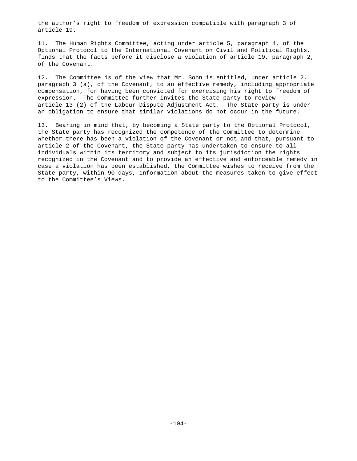the author's right to freedom of expression compatible with paragraph 3 of article 19.

11. The Human Rights Committee, acting under article 5, paragraph 4, of the Optional Protocol to the International Covenant on Civil and Political Rights, finds that the facts before it disclose a violation of article 19, paragraph 2, of the Covenant.

12. The Committee is of the view that Mr. Sohn is entitled, under article 2, paragraph 3 (a), of the Covenant, to an effective remedy, including appropriate compensation, for having been convicted for exercising his right to freedom of expression. The Committee further invites the State party to review article 13 (2) of the Labour Dispute Adjustment Act. The State party is under an obligation to ensure that similar violations do not occur in the future.

13. Bearing in mind that, by becoming a State party to the Optional Protocol, the State party has recognized the competence of the Committee to determine whether there has been a violation of the Covenant or not and that, pursuant to article 2 of the Covenant, the State party has undertaken to ensure to all individuals within its territory and subject to its jurisdiction the rights recognized in the Covenant and to provide an effective and enforceable remedy in case a violation has been established, the Committee wishes to receive from the State party, within 90 days, information about the measures taken to give effect to the Committee's Views.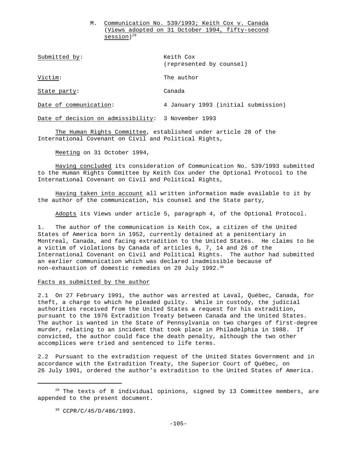M. Communication No. 539/1993; Keith Cox v. Canada (Views adopted on 31 October 1994, fifty-second  $s$ ession)<sup>29</sup>

| Keith Cox<br>(represented by counsel)              |
|----------------------------------------------------|
| The author                                         |
| Canada                                             |
| 4 January 1993 (initial submission)                |
| Date of decision on admissibility: 3 November 1993 |
|                                                    |

The Human Rights Committee, established under article 28 of the International Covenant on Civil and Political Rights,

Meeting on 31 October 1994,

Having concluded its consideration of Communication No. 539/1993 submitted to the Human Rights Committee by Keith Cox under the Optional Protocol to the International Covenant on Civil and Political Rights,

Having taken into account all written information made available to it by the author of the communication, his counsel and the State party,

Adopts its Views under article 5, paragraph 4, of the Optional Protocol.

1. The author of the communication is Keith Cox, a citizen of the United States of America born in 1952, currently detained at a penitentiary in Montreal, Canada, and facing extradition to the United States. He claims to be a victim of violations by Canada of articles 6, 7, 14 and 26 of the International Covenant on Civil and Political Rights. The author had submitted an earlier communication which was declared inadmissible because of non-exhaustion of domestic remedies on 29 July 1992.<sup>30</sup>

## Facts as submitted by the author

2.1 On 27 February 1991, the author was arrested at Laval, Québec, Canada, for theft, a charge to which he pleaded guilty. While in custody, the judicial authorities received from the United States a request for his extradition, pursuant to the 1976 Extradition Treaty between Canada and the United States. The author is wanted in the State of Pennsylvania on two charges of first-degree murder, relating to an incident that took place in Philadelphia in 1988. If convicted, the author could face the death penalty, although the two other accomplices were tried and sentenced to life terms.

2.2 Pursuant to the extradition request of the United States Government and in accordance with the Extradition Treaty, the Superior Court of Québec, on 26 July 1991, ordered the author's extradition to the United States of America.

 $29$  The texts of 8 individual opinions, signed by 13 Committee members, are appended to the present document.

<sup>30</sup> CCPR/C/45/D/486/1993.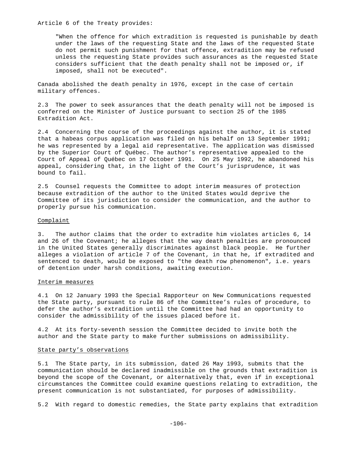Article 6 of the Treaty provides:

"When the offence for which extradition is requested is punishable by death under the laws of the requesting State and the laws of the requested State do not permit such punishment for that offence, extradition may be refused unless the requesting State provides such assurances as the requested State considers sufficient that the death penalty shall not be imposed or, if imposed, shall not be executed".

Canada abolished the death penalty in 1976, except in the case of certain military offences.

2.3 The power to seek assurances that the death penalty will not be imposed is conferred on the Minister of Justice pursuant to section 25 of the 1985 Extradition Act.

2.4 Concerning the course of the proceedings against the author, it is stated that a habeas corpus application was filed on his behalf on 13 September 1991; he was represented by a legal aid representative. The application was dismissed by the Superior Court of Québec. The author's representative appealed to the Court of Appeal of Québec on 17 October 1991. On 25 May 1992, he abandoned his appeal, considering that, in the light of the Court's jurisprudence, it was bound to fail.

2.5 Counsel requests the Committee to adopt interim measures of protection because extradition of the author to the United States would deprive the Committee of its jurisdiction to consider the communication, and the author to properly pursue his communication.

#### **Complaint**

3. The author claims that the order to extradite him violates articles 6, 14 and 26 of the Covenant; he alleges that the way death penalties are pronounced in the United States generally discriminates against black people. He further alleges a violation of article 7 of the Covenant, in that he, if extradited and sentenced to death, would be exposed to "the death row phenomenon", i.e. years of detention under harsh conditions, awaiting execution.

#### Interim measures

4.1 On 12 January 1993 the Special Rapporteur on New Communications requested the State party, pursuant to rule 86 of the Committee's rules of procedure, to defer the author's extradition until the Committee had had an opportunity to consider the admissibility of the issues placed before it.

4.2 At its forty-seventh session the Committee decided to invite both the author and the State party to make further submissions on admissibility.

#### State party's observations

5.1 The State party, in its submission, dated 26 May 1993, submits that the communication should be declared inadmissible on the grounds that extradition is beyond the scope of the Covenant, or alternatively that, even if in exceptional circumstances the Committee could examine questions relating to extradition, the present communication is not substantiated, for purposes of admissibility.

5.2 With regard to domestic remedies, the State party explains that extradition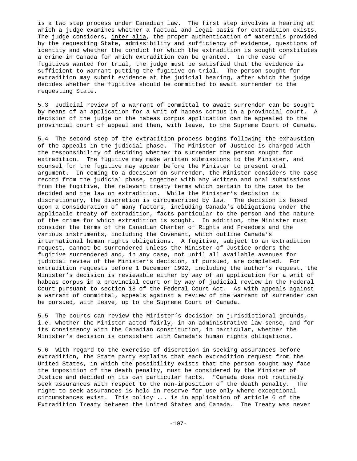is a two step process under Canadian law. The first step involves a hearing at which a judge examines whether a factual and legal basis for extradition exists. The judge considers, inter alia, the proper authentication of materials provided by the requesting State, admissibility and sufficiency of evidence, questions of identity and whether the conduct for which the extradition is sought constitutes a crime in Canada for which extradition can be granted. In the case of fugitives wanted for trial, the judge must be satisfied that the evidence is sufficient to warrant putting the fugitive on trial. The person sought for extradition may submit evidence at the judicial hearing, after which the judge decides whether the fugitive should be committed to await surrender to the requesting State.

5.3 Judicial review of a warrant of committal to await surrender can be sought by means of an application for a writ of habeas corpus in a provincial court. A decision of the judge on the habeas corpus application can be appealed to the provincial court of appeal and then, with leave, to the Supreme Court of Canada.

5.4 The second step of the extradition process begins following the exhaustion of the appeals in the judicial phase. The Minister of Justice is charged with the responsibility of deciding whether to surrender the person sought for extradition. The fugitive may make written submissions to the Minister, and counsel for the fugitive may appear before the Minister to present oral argument. In coming to a decision on surrender, the Minister considers the case record from the judicial phase, together with any written and oral submissions from the fugitive, the relevant treaty terms which pertain to the case to be decided and the law on extradition. While the Minister's decision is discretionary, the discretion is circumscribed by law. The decision is based upon a consideration of many factors, including Canada's obligations under the applicable treaty of extradition, facts particular to the person and the nature of the crime for which extradition is sought. In addition, the Minister must consider the terms of the Canadian Charter of Rights and Freedoms and the various instruments, including the Covenant, which outline Canada's international human rights obligations. A fugitive, subject to an extradition request, cannot be surrendered unless the Minister of Justice orders the fugitive surrendered and, in any case, not until all available avenues for judicial review of the Minister's decision, if pursued, are completed. For extradition requests before 1 December 1992, including the author's request, the Minister's decision is reviewable either by way of an application for a writ of habeas corpus in a provincial court or by way of judicial review in the Federal Court pursuant to section 18 of the Federal Court Act. As with appeals against a warrant of committal, appeals against a review of the warrant of surrender can be pursued, with leave, up to the Supreme Court of Canada.

5.5 The courts can review the Minister's decision on jurisdictional grounds, i.e. whether the Minister acted fairly, in an administrative law sense, and for its consistency with the Canadian constitution, in particular, whether the Minister's decision is consistent with Canada's human rights obligations.

5.6 With regard to the exercise of discretion in seeking assurances before extradition, the State party explains that each extradition request from the United States, in which the possibility exists that the person sought may face the imposition of the death penalty, must be considered by the Minister of Justice and decided on its own particular facts. "Canada does not routinely seek assurances with respect to the non-imposition of the death penalty. The right to seek assurances is held in reserve for use only where exceptional circumstances exist. This policy ... is in application of article 6 of the Extradition Treaty between the United States and Canada. The Treaty was never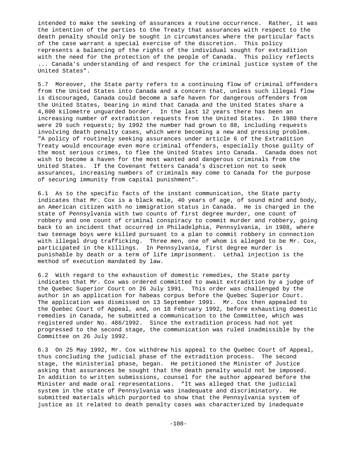intended to make the seeking of assurances a routine occurrence. Rather, it was the intention of the parties to the Treaty that assurances with respect to the death penalty should only be sought in circumstances where the particular facts of the case warrant a special exercise of the discretion. This policy represents a balancing of the rights of the individual sought for extradition with the need for the protection of the people of Canada. This policy reflects ... Canada's understanding of and respect for the criminal justice system of the United States".

5.7 Moreover, the State party refers to a continuing flow of criminal offenders from the United States into Canada and a concern that, unless such illegal flow is discouraged, Canada could become a safe haven for dangerous offenders from the United States, bearing in mind that Canada and the United States share a 4,800 kilometre unguarded border. In the last 12 years there has been an increasing number of extradition requests from the United States. In 1980 there were 29 such requests; by 1992 the number had grown to 88, including requests involving death penalty cases, which were becoming a new and pressing problem. "A policy of routinely seeking assurances under article 6 of the Extradition Treaty would encourage even more criminal offenders, especially those guilty of the most serious crimes, to flee the United States into Canada. Canada does not wish to become a haven for the most wanted and dangerous criminals from the United States. If the Covenant fetters Canada's discretion not to seek assurances, increasing numbers of criminals may come to Canada for the purpose of securing immunity from capital punishment".

6.1 As to the specific facts of the instant communication, the State party indicates that Mr. Cox is a black male, 40 years of age, of sound mind and body, an American citizen with no immigration status in Canada. He is charged in the state of Pennsylvania with two counts of first degree murder, one count of robbery and one count of criminal conspiracy to commit murder and robbery, going back to an incident that occurred in Philadelphia, Pennsylvania, in 1988, where two teenage boys were killed pursuant to a plan to commit robbery in connection with illegal drug trafficking. Three men, one of whom is alleged to be Mr. Cox, participated in the killings. In Pennsylvania, first degree murder is punishable by death or a term of life imprisonment. Lethal injection is the method of execution mandated by law.

6.2 With regard to the exhaustion of domestic remedies, the State party indicates that Mr. Cox was ordered committed to await extradition by a judge of the Quebec Superior Court on 26 July 1991. This order was challenged by the author in an application for habeas corpus before the Quebec Superior Court. The application was dismissed on 13 September 1991. Mr. Cox then appealed to the Quebec Court of Appeal, and, on 18 February 1992, before exhausting domestic remedies in Canada, he submitted a communication to the Committee, which was registered under No. 486/1992. Since the extradition process had not yet progressed to the second stage, the communication was ruled inadmissible by the Committee on 26 July 1992.

6.3 On 25 May 1992, Mr. Cox withdrew his appeal to the Quebec Court of Appeal, thus concluding the judicial phase of the extradition process. The second stage, the ministerial phase, began. He petitioned the Minister of Justice asking that assurances be sought that the death penalty would not be imposed. In addition to written submissions, counsel for the author appeared before the Minister and made oral representations. "It was alleged that the judicial system in the state of Pennsylvania was inadequate and discriminatory. He submitted materials which purported to show that the Pennsylvania system of justice as it related to death penalty cases was characterized by inadequate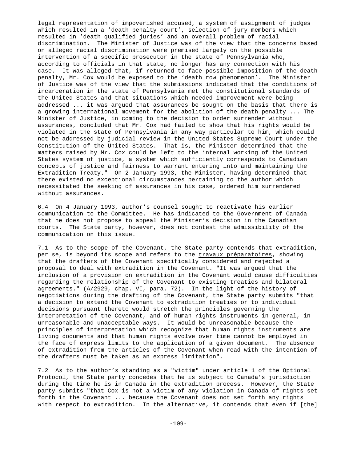legal representation of impoverished accused, a system of assignment of judges which resulted in a 'death penalty court', selection of jury members which resulted in 'death qualified juries' and an overall problem of racial discrimination. The Minister of Justice was of the view that the concerns based on alleged racial discrimination were premised largely on the possible intervention of a specific prosecutor in the state of Pennsylvania who, according to officials in that state, no longer has any connection with his case. It was alleged that, if returned to face possible imposition of the death penalty, Mr. Cox would be exposed to the 'death row phenomenon'. The Minister of Justice was of the view that the submissions indicated that the conditions of incarceration in the state of Pennsylvania met the constitutional standards of the United States and that situations which needed improvement were being addressed ... it was argued that assurances be sought on the basis that there is a growing international movement for the abolition of the death penalty ... The Minister of Justice, in coming to the decision to order surrender without assurances, concluded that Mr. Cox had failed to show that his rights would be violated in the state of Pennsylvania in any way particular to him, which could not be addressed by judicial review in the United States Supreme Court under the Constitution of the United States. That is, the Minister determined that the matters raised by Mr. Cox could be left to the internal working of the United States system of justice, a system which sufficiently corresponds to Canadian concepts of justice and fairness to warrant entering into and maintaining the Extradition Treaty." On 2 January 1993, the Minister, having determined that there existed no exceptional circumstances pertaining to the author which necessitated the seeking of assurances in his case, ordered him surrendered without assurances.

6.4 On 4 January 1993, author's counsel sought to reactivate his earlier communication to the Committee. He has indicated to the Government of Canada that he does not propose to appeal the Minister's decision in the Canadian courts. The State party, however, does not contest the admissibility of the communication on this issue.

7.1 As to the scope of the Covenant, the State party contends that extradition, per se, is beyond its scope and refers to the *travaux préparatoires*, showing that the drafters of the Covenant specifically considered and rejected a proposal to deal with extradition in the Covenant. "It was argued that the inclusion of a provision on extradition in the Covenant would cause difficulties regarding the relationship of the Covenant to existing treaties and bilateral agreements." (A/2929, chap. VI, para. 72). In the light of the history of negotiations during the drafting of the Covenant, the State party submits "that a decision to extend the Covenant to extradition treaties or to individual decisions pursuant thereto would stretch the principles governing the interpretation of the Covenant, and of human rights instruments in general, in unreasonable and unacceptable ways. It would be unreasonable because the principles of interpretation which recognize that human rights instruments are living documents and that human rights evolve over time cannot be employed in the face of express limits to the application of a given document. The absence of extradition from the articles of the Covenant when read with the intention of the drafters must be taken as an express limitation".

7.2 As to the author's standing as a "victim" under article 1 of the Optional Protocol, the State party concedes that he is subject to Canada's jurisdiction during the time he is in Canada in the extradition process. However, the State party submits "that Cox is not a victim of any violation in Canada of rights set forth in the Covenant ... because the Covenant does not set forth any rights with respect to extradition. In the alternative, it contends that even if [the]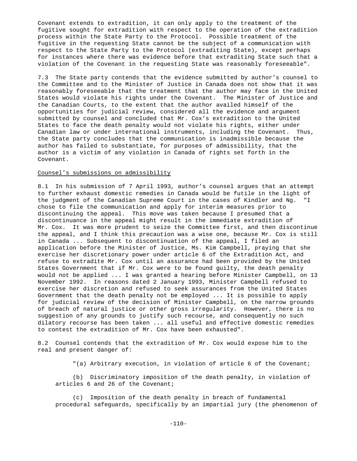Covenant extends to extradition, it can only apply to the treatment of the fugitive sought for extradition with respect to the operation of the extradition process within the State Party to the Protocol. Possible treatment of the fugitive in the requesting State cannot be the subject of a communication with respect to the State Party to the Protocol (extraditing State), except perhaps for instances where there was evidence before that extraditing State such that a violation of the Covenant in the requesting State was reasonably foreseeable".

7.3 The State party contends that the evidence submitted by author's counsel to the Committee and to the Minister of Justice in Canada does not show that it was reasonably foreseeable that the treatment that the author may face in the United States would violate his rights under the Covenant. The Minister of Justice and the Canadian Courts, to the extent that the author availed himself of the opportunities for judicial review, considered all the evidence and argument submitted by counsel and concluded that Mr. Cox's extradition to the United States to face the death penalty would not violate his rights, either under Canadian law or under international instruments, including the Covenant. Thus, the State party concludes that the communication is inadmissible because the author has failed to substantiate, for purposes of admissibility, that the author is a victim of any violation in Canada of rights set forth in the Covenant.

## Counsel's submissions on admissibility

8.1 In his submission of 7 April 1993, author's counsel argues that an attempt to further exhaust domestic remedies in Canada would be futile in the light of the judgment of the Canadian Supreme Court in the cases of Kindler and Ng. "I chose to file the communication and apply for interim measures prior to discontinuing the appeal. This move was taken because I presumed that a discontinuance in the appeal might result in the immediate extradition of Mr. Cox. It was more prudent to seize the Committee first, and then discontinue the appeal, and I think this precaution was a wise one, because Mr. Cox is still in Canada ... Subsequent to discontinuation of the appeal, I filed an application before the Minister of Justice, Ms. Kim Campbell, praying that she exercise her discretionary power under article 6 of the Extradition Act, and refuse to extradite Mr. Cox until an assurance had been provided by the United States Government that if Mr. Cox were to be found guilty, the death penalty would not be applied ... I was granted a hearing before Minister Campbell, on 13 November 1992. In reasons dated 2 January 1993, Minister Campbell refused to exercise her discretion and refused to seek assurances from the United States Government that the death penalty not be employed ... It is possible to apply for judicial review of the decision of Minister Campbell, on the narrow grounds of breach of natural justice or other gross irregularity. However, there is no suggestion of any grounds to justify such recourse, and consequently no such dilatory recourse has been taken ... all useful and effective domestic remedies to contest the extradition of Mr. Cox have been exhausted".

8.2 Counsel contends that the extradition of Mr. Cox would expose him to the real and present danger of:

"(a) Arbitrary execution, in violation of article 6 of the Covenant;

(b) Discriminatory imposition of the death penalty, in violation of articles 6 and 26 of the Covenant;

(c) Imposition of the death penalty in breach of fundamental procedural safeguards, specifically by an impartial jury (the phenomenon of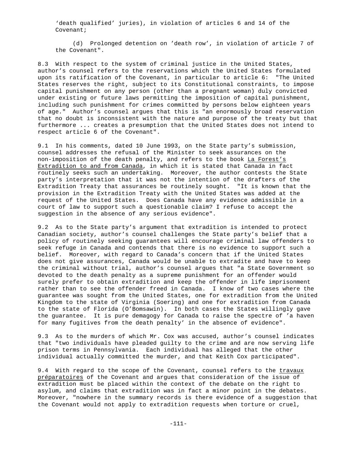'death qualified' juries), in violation of articles 6 and 14 of the Covenant;

(d) Prolonged detention on 'death row', in violation of article 7 of the Covenant".

8.3 With respect to the system of criminal justice in the United States, author's counsel refers to the reservations which the United States formulated upon its ratification of the Covenant, in particular to article 6: "The United States reserves the right, subject to its Constitutional constraints, to impose capital punishment on any person (other than a pregnant woman) duly convicted under existing or future laws permitting the imposition of capital punishment, including such punishment for crimes committed by persons below eighteen years of age." Author's counsel argues that this is "an enormously broad reservation that no doubt is inconsistent with the nature and purpose of the treaty but that furthermore ... creates a presumption that the United States does not intend to respect article 6 of the Covenant".

9.1 In his comments, dated 10 June 1993, on the State party's submission, counsel addresses the refusal of the Minister to seek assurances on the non-imposition of the death penalty, and refers to the book La Forest's Extradition to and from Canada, in which it is stated that Canada in fact routinely seeks such an undertaking. Moreover, the author contests the State party's interpretation that it was not the intention of the drafters of the Extradition Treaty that assurances be routinely sought. "It is known that the provision in the Extradition Treaty with the United States was added at the request of the United States. Does Canada have any evidence admissible in a court of law to support such a questionable claim? I refuse to accept the suggestion in the absence of any serious evidence".

9.2 As to the State party's argument that extradition is intended to protect Canadian society, author's counsel challenges the State party's belief that a policy of routinely seeking guarantees will encourage criminal law offenders to seek refuge in Canada and contends that there is no evidence to support such a belief. Moreover, with regard to Canada's concern that if the United States does not give assurances, Canada would be unable to extradite and have to keep the criminal without trial, author's counsel argues that "a State Government so devoted to the death penalty as a supreme punishment for an offender would surely prefer to obtain extradition and keep the offender in life imprisonment rather than to see the offender freed in Canada. I know of two cases where the guarantee was sought from the United States, one for extradition from the United Kingdom to the state of Virginia (Soering) and one for extradition from Canada to the state of Florida (O'Bomsawin). In both cases the States willingly gave the guarantee. It is pure demagogy for Canada to raise the spectre of 'a haven for many fugitives from the death penalty' in the absence of evidence".

9.3 As to the murders of which Mr. Cox was accused, author's counsel indicates that "two individuals have pleaded guilty to the crime and are now serving life prison terms in Pennsylvania. Each individual has alleged that the other individual actually committed the murder, and that Keith Cox participated".

9.4 With regard to the scope of the Covenant, counsel refers to the travaux préparatoires of the Covenant and argues that consideration of the issue of extradition must be placed within the context of the debate on the right to asylum, and claims that extradition was in fact a minor point in the debates. Moreover, "nowhere in the summary records is there evidence of a suggestion that the Covenant would not apply to extradition requests when torture or cruel,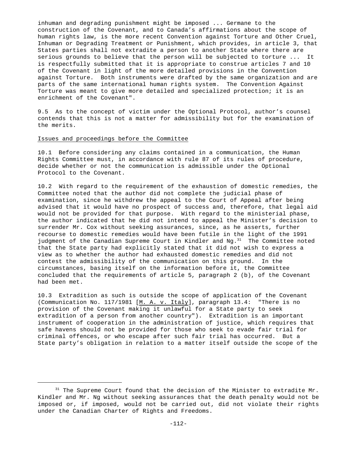inhuman and degrading punishment might be imposed ... Germane to the construction of the Covenant, and to Canada's affirmations about the scope of human rights law, is the more recent Convention against Torture and Other Cruel, Inhuman or Degrading Treatment or Punishment, which provides, in article 3, that States parties shall not extradite a person to another State where there are serious grounds to believe that the person will be subjected to torture ... It is respectfully submitted that it is appropriate to construe articles 7 and 10 of the Covenant in light of the more detailed provisions in the Convention against Torture. Both instruments were drafted by the same organization and are parts of the same international human rights system. The Convention Against Torture was meant to give more detailed and specialized protection; it is an enrichment of the Covenant".

9.5 As to the concept of victim under the Optional Protocol, author's counsel contends that this is not a matter for admissibility but for the examination of the merits.

### Issues and proceedings before the Committee

10.1 Before considering any claims contained in a communication, the Human Rights Committee must, in accordance with rule 87 of its rules of procedure, decide whether or not the communication is admissible under the Optional Protocol to the Covenant.

10.2 With regard to the requirement of the exhaustion of domestic remedies, the Committee noted that the author did not complete the judicial phase of examination, since he withdrew the appeal to the Court of Appeal after being advised that it would have no prospect of success and, therefore, that legal aid would not be provided for that purpose. With regard to the ministerial phase, the author indicated that he did not intend to appeal the Minister's decision to surrender Mr. Cox without seeking assurances, since, as he asserts, further recourse to domestic remedies would have been futile in the light of the 1991 judgment of the Canadian Supreme Court in Kindler and  $Nq$ .<sup>31</sup> The Committee noted that the State party had explicitly stated that it did not wish to express a view as to whether the author had exhausted domestic remedies and did not contest the admissibility of the communication on this ground. In the circumstances, basing itself on the information before it, the Committee concluded that the requirements of article 5, paragraph 2 (b), of the Covenant had been met.

10.3 Extradition as such is outside the scope of application of the Covenant (Communication No. 117/1981 [M. A. v. Italy], paragraph 13.4: "There is no provision of the Covenant making it unlawful for a State party to seek extradition of a person from another country"). Extradition is an important instrument of cooperation in the administration of justice, which requires that safe havens should not be provided for those who seek to evade fair trial for criminal offences, or who escape after such fair trial has occurred. But a State party's obligation in relation to a matter itself outside the scope of the

 $31$  The Supreme Court found that the decision of the Minister to extradite Mr. Kindler and Mr. Ng without seeking assurances that the death penalty would not be imposed or, if imposed, would not be carried out, did not violate their rights under the Canadian Charter of Rights and Freedoms.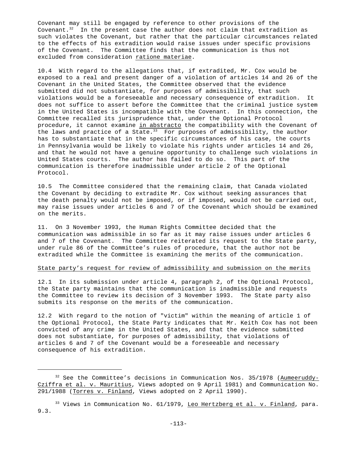Covenant may still be engaged by reference to other provisions of the Covenant. $32$  In the present case the author does not claim that extradition as such violates the Covenant, but rather that the particular circumstances related to the effects of his extradition would raise issues under specific provisions of the Covenant. The Committee finds that the communication is thus not excluded from consideration ratione materiae.

10.4 With regard to the allegations that, if extradited, Mr. Cox would be exposed to a real and present danger of a violation of articles 14 and 26 of the Covenant in the United States, the Committee observed that the evidence submitted did not substantiate, for purposes of admissibility, that such violations would be a foreseeable and necessary consequence of extradition. It does not suffice to assert before the Committee that the criminal justice system in the United States is incompatible with the Covenant. In this connection, the Committee recalled its jurisprudence that, under the Optional Protocol procedure, it cannot examine in abstracto the compatibility with the Covenant of the laws and practice of a State.<sup>33</sup> For purposes of admissibility, the author has to substantiate that in the specific circumstances of his case, the courts in Pennsylvania would be likely to violate his rights under articles 14 and 26, and that he would not have a genuine opportunity to challenge such violations in United States courts. The author has failed to do so. This part of the communication is therefore inadmissible under article 2 of the Optional Protocol.

10.5 The Committee considered that the remaining claim, that Canada violated the Covenant by deciding to extradite Mr. Cox without seeking assurances that the death penalty would not be imposed, or if imposed, would not be carried out, may raise issues under articles 6 and 7 of the Covenant which should be examined on the merits.

11. On 3 November 1993, the Human Rights Committee decided that the communication was admissible in so far as it may raise issues under articles 6 and 7 of the Covenant. The Committee reiterated its request to the State party, under rule 86 of the Committee's rules of procedure, that the author not be extradited while the Committee is examining the merits of the communication.

## State party's request for review of admissibility and submission on the merits

12.1 In its submission under article 4, paragraph 2, of the Optional Protocol, the State party maintains that the communication is inadmissible and requests the Committee to review its decision of 3 November 1993. The State party also submits its response on the merits of the communication.

12.2 With regard to the notion of "victim" within the meaning of article 1 of the Optional Protocol, the State Party indicates that Mr. Keith Cox has not been convicted of any crime in the United States, and that the evidence submitted does not substantiate, for purposes of admissibility, that violations of articles 6 and 7 of the Covenant would be a foreseeable and necessary consequence of his extradition.

<sup>&</sup>lt;sup>32</sup> See the Committee's decisions in Communication Nos. 35/1978 (Aumeeruddy-Cziffra et al. v. Mauritius, Views adopted on 9 April 1981) and Communication No. 291/1988 (Torres v. Finland, Views adopted on 2 April 1990).

<sup>&</sup>lt;sup>33</sup> Views in Communication No. 61/1979, Leo Hertzberg et al. v. Finland, para. 9.3.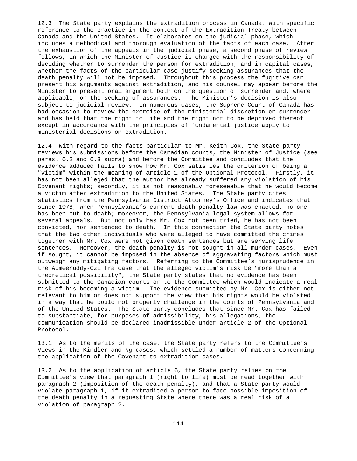12.3 The State party explains the extradition process in Canada, with specific reference to the practice in the context of the Extradition Treaty between Canada and the United States. It elaborates on the judicial phase, which includes a methodical and thorough evaluation of the facts of each case. After the exhaustion of the appeals in the judicial phase, a second phase of review follows, in which the Minister of Justice is charged with the responsibility of deciding whether to surrender the person for extradition, and in capital cases, whether the facts of the particular case justify seeking assurances that the death penalty will not be imposed. Throughout this process the fugitive can present his arguments against extradition, and his counsel may appear before the Minister to present oral argument both on the question of surrender and, where applicable, on the seeking of assurances. The Minister's decision is also subject to judicial review. In numerous cases, the Supreme Court of Canada has had occasion to review the exercise of the ministerial discretion on surrender and has held that the right to life and the right not to be deprived thereof except in accordance with the principles of fundamental justice apply to ministerial decisions on extradition.

12.4 With regard to the facts particular to Mr. Keith Cox, the State party reviews his submissions before the Canadian courts, the Minister of Justice (see paras. 6.2 and 6.3 supra) and before the Committee and concludes that the evidence adduced fails to show how Mr. Cox satisfies the criterion of being a "victim" within the meaning of article 1 of the Optional Protocol. Firstly, it has not been alleged that the author has already suffered any violation of his Covenant rights; secondly, it is not reasonably foreseeable that he would become a victim after extradition to the United States. The State party cites statistics from the Pennsylvania District Attorney's Office and indicates that since 1976, when Pennsylvania's current death penalty law was enacted, no one has been put to death; moreover, the Pennsylvania legal system allows for several appeals. But not only has Mr. Cox not been tried, he has not been convicted, nor sentenced to death. In this connection the State party notes that the two other individuals who were alleged to have committed the crimes together with Mr. Cox were not given death sentences but are serving life sentences. Moreover, the death penalty is not sought in all murder cases. Even if sought, it cannot be imposed in the absence of aggravating factors which must outweigh any mitigating factors. Referring to the Committee's jurisprudence in the Aumeeruddy-Cziffra case that the alleged victim's risk be "more than a theoretical possibility", the State party states that no evidence has been submitted to the Canadian courts or to the Committee which would indicate a real risk of his becoming a victim. The evidence submitted by Mr. Cox is either not relevant to him or does not support the view that his rights would be violated in a way that he could not properly challenge in the courts of Pennsylvania and of the United States. The State party concludes that since Mr. Cox has failed to substantiate, for purposes of admissibility, his allegations, the communication should be declared inadmissible under article 2 of the Optional Protocol.

13.1 As to the merits of the case, the State party refers to the Committee's Views in the Kindler and Ng cases, which settled a number of matters concerning the application of the Covenant to extradition cases.

13.2 As to the application of article 6, the State party relies on the Committee's view that paragraph 1 (right to life) must be read together with paragraph 2 (imposition of the death penalty), and that a State party would violate paragraph 1, if it extradited a person to face possible imposition of the death penalty in a requesting State where there was a real risk of a violation of paragraph 2.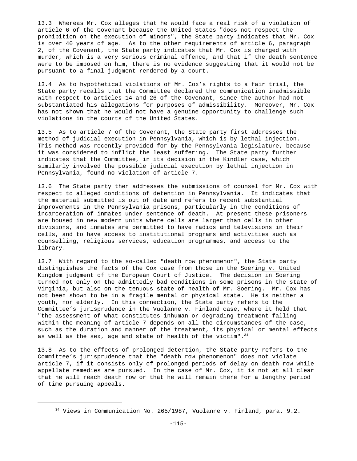13.3 Whereas Mr. Cox alleges that he would face a real risk of a violation of article 6 of the Covenant because the United States "does not respect the prohibition on the execution of minors", the State party indicates that Mr. Cox is over 40 years of age. As to the other requirements of article 6, paragraph 2, of the Covenant, the State party indicates that Mr. Cox is charged with murder, which is a very serious criminal offence, and that if the death sentence were to be imposed on him, there is no evidence suggesting that it would not be pursuant to a final judgment rendered by a court.

13.4 As to hypothetical violations of Mr. Cox's rights to a fair trial, the State party recalls that the Committee declared the communication inadmissible with respect to articles 14 and 26 of the Covenant, since the author had not substantiated his allegations for purposes of admissibility. Moreover, Mr. Cox has not shown that he would not have a genuine opportunity to challenge such violations in the courts of the United States.

13.5 As to article 7 of the Covenant, the State party first addresses the method of judicial execution in Pennsylvania, which is by lethal injection. This method was recently provided for by the Pennsylvania legislature, because it was considered to inflict the least suffering. The State party further indicates that the Committee, in its decision in the Kindler case, which similarly involved the possible judicial execution by lethal injection in Pennsylvania, found no violation of article 7.

13.6 The State party then addresses the submissions of counsel for Mr. Cox with respect to alleged conditions of detention in Pennsylvania. It indicates that the material submitted is out of date and refers to recent substantial improvements in the Pennsylvania prisons, particularly in the conditions of incarceration of inmates under sentence of death. At present these prisoners are housed in new modern units where cells are larger than cells in other divisions, and inmates are permitted to have radios and televisions in their cells, and to have access to institutional programs and activities such as counselling, religious services, education programmes, and access to the library.

13.7 With regard to the so-called "death row phenomenon", the State party distinguishes the facts of the Cox case from those in the Soering v. United Kingdom judgment of the European Court of Justice. The decision in Soering turned not only on the admittedly bad conditions in some prisons in the state of Virginia, but also on the tenuous state of health of Mr. Soering. Mr. Cox has not been shown to be in a fragile mental or physical state. He is neither a youth, nor elderly. In this connection, the State party refers to the Committee's jurisprudence in the Vuolanne v. Finland case, where it held that "the assessment of what constitutes inhuman or degrading treatment falling within the meaning of article 7 depends on all the circumstances of the case, such as the duration and manner of the treatment, its physical or mental effects as well as the sex, age and state of health of the victim".<sup>34</sup>

13.8 As to the effects of prolonged detention, the State party refers to the Committee's jurisprudence that the "death row phenomenon" does not violate article 7, if it consists only of prolonged periods of delay on death row while appellate remedies are pursued. In the case of Mr. Cox, it is not at all clear that he will reach death row or that he will remain there for a lengthy period of time pursuing appeals.

<sup>&</sup>lt;sup>34</sup> Views in Communication No. 265/1987, Vuolanne v. Finland, para. 9.2.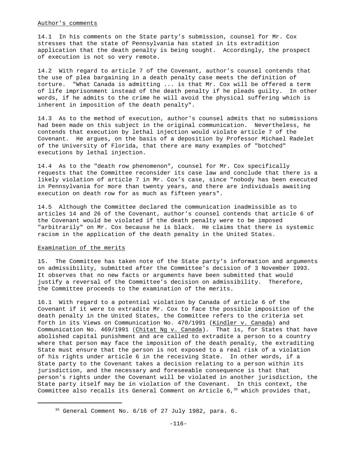#### Author's comments

14.1 In his comments on the State party's submission, counsel for Mr. Cox stresses that the state of Pennsylvania has stated in its extradition application that the death penalty is being sought. Accordingly, the prospect of execution is not so very remote.

14.2 With regard to article 7 of the Covenant, author's counsel contends that the use of plea bargaining in a death penalty case meets the definition of torture. "What Canada is admitting ... is that Mr. Cox will be offered a term of life imprisonment instead of the death penalty if he pleads guilty. In other words, if he admits to the crime he will avoid the physical suffering which is inherent in imposition of the death penalty".

14.3 As to the method of execution, author's counsel admits that no submissions had been made on this subject in the original communication. Nevertheless, he contends that execution by lethal injection would violate article 7 of the Covenant. He argues, on the basis of a deposition by Professor Michael Radelet of the University of Florida, that there are many examples of "botched" executions by lethal injection.

14.4 As to the "death row phenomenon", counsel for Mr. Cox specifically requests that the Committee reconsider its case law and conclude that there is a likely violation of article 7 in Mr. Cox's case, since "nobody has been executed in Pennsylvania for more than twenty years, and there are individuals awaiting execution on death row for as much as fifteen years".

14.5 Although the Committee declared the communication inadmissible as to articles 14 and 26 of the Covenant, author's counsel contends that article 6 of the Covenant would be violated if the death penalty were to be imposed "arbitrarily" on Mr. Cox because he is black. He claims that there is systemic racism in the application of the death penalty in the United States.

#### Examination of the merits

15. The Committee has taken note of the State party's information and arguments on admissibility, submitted after the Committee's decision of 3 November 1993. It observes that no new facts or arguments have been submitted that would justify a reversal of the Committee's decision on admissibility. Therefore, the Committee proceeds to the examination of the merits.

16.1 With regard to a potential violation by Canada of article 6 of the Covenant if it were to extradite Mr. Cox to face the possible imposition of the death penalty in the United States, the Committee refers to the criteria set forth in its Views on Communication No. 470/1991 (Kindler v. Canada) and Communication No. 469/1991 (Chitat Ng v. Canada). That is, for States that have abolished capital punishment and are called to extradite a person to a country where that person may face the imposition of the death penalty, the extraditing State must ensure that the person is not exposed to a real risk of a violation of his rights under article 6 in the receiving State. In other words, if a State party to the Covenant takes a decision relating to a person within its jurisdiction, and the necessary and foreseeable consequence is that that person's rights under the Covenant will be violated in another jurisdiction, the State party itself may be in violation of the Covenant. In this context, the Committee also recalls its General Comment on Article  $6,$ <sup>35</sup> which provides that,

<sup>35</sup> General Comment No. 6/16 of 27 July 1982, para. 6.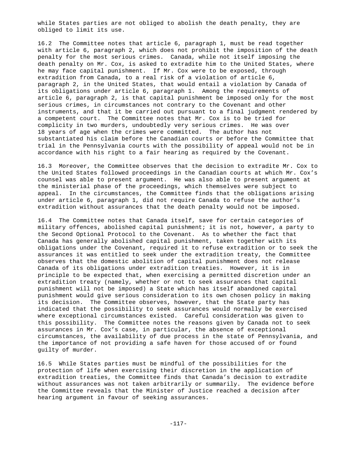while States parties are not obliged to abolish the death penalty, they are obliged to limit its use.

16.2 The Committee notes that article 6, paragraph 1, must be read together with article 6, paragraph 2, which does not prohibit the imposition of the death penalty for the most serious crimes. Canada, while not itself imposing the death penalty on Mr. Cox, is asked to extradite him to the United States, where he may face capital punishment. If Mr. Cox were to be exposed, through extradition from Canada, to a real risk of a violation of article 6, paragraph 2, in the United States, that would entail a violation by Canada of its obligations under article 6, paragraph 1. Among the requirements of article 6, paragraph 2, is that capital punishment be imposed only for the most serious crimes, in circumstances not contrary to the Covenant and other instruments, and that it be carried out pursuant to a final judgment rendered by a competent court. The Committee notes that Mr. Cox is to be tried for complicity in two murders, undoubtedly very serious crimes. He was over 18 years of age when the crimes were committed. The author has not substantiated his claim before the Canadian courts or before the Committee that trial in the Pennsylvania courts with the possibility of appeal would not be in accordance with his right to a fair hearing as required by the Covenant.

16.3 Moreover, the Committee observes that the decision to extradite Mr. Cox to the United States followed proceedings in the Canadian courts at which Mr. Cox's counsel was able to present argument. He was also able to present argument at the ministerial phase of the proceedings, which themselves were subject to appeal. In the circumstances, the Committee finds that the obligations arising under article 6, paragraph 1, did not require Canada to refuse the author's extradition without assurances that the death penalty would not be imposed.

16.4 The Committee notes that Canada itself, save for certain categories of military offences, abolished capital punishment; it is not, however, a party to the Second Optional Protocol to the Covenant. As to whether the fact that Canada has generally abolished capital punishment, taken together with its obligations under the Covenant, required it to refuse extradition or to seek the assurances it was entitled to seek under the extradition treaty, the Committee observes that the domestic abolition of capital punishment does not release Canada of its obligations under extradition treaties. However, it is in principle to be expected that, when exercising a permitted discretion under an extradition treaty (namely, whether or not to seek assurances that capital punishment will not be imposed) a State which has itself abandoned capital punishment would give serious consideration to its own chosen policy in making its decision. The Committee observes, however, that the State party has indicated that the possibility to seek assurances would normally be exercised where exceptional circumstances existed. Careful consideration was given to this possibility. The Committee notes the reasons given by Canada not to seek assurances in Mr. Cox's case, in particular, the absence of exceptional circumstances, the availability of due process in the state of Pennsylvania, and the importance of not providing a safe haven for those accused of or found guilty of murder.

16.5 While States parties must be mindful of the possibilities for the protection of life when exercising their discretion in the application of extradition treaties, the Committee finds that Canada's decision to extradite without assurances was not taken arbitrarily or summarily. The evidence before the Committee reveals that the Minister of Justice reached a decision after hearing argument in favour of seeking assurances.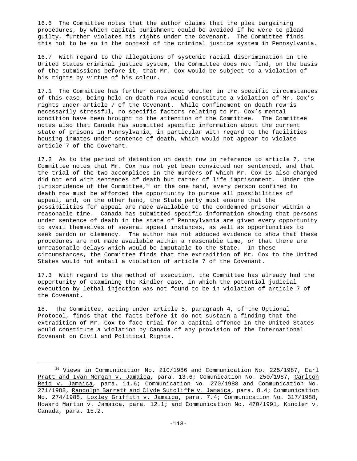16.6 The Committee notes that the author claims that the plea bargaining procedures, by which capital punishment could be avoided if he were to plead guilty, further violates his rights under the Covenant. The Committee finds this not to be so in the context of the criminal justice system in Pennsylvania.

16.7 With regard to the allegations of systemic racial discrimination in the United States criminal justice system, the Committee does not find, on the basis of the submissions before it, that Mr. Cox would be subject to a violation of his rights by virtue of his colour.

17.1 The Committee has further considered whether in the specific circumstances of this case, being held on death row would constitute a violation of Mr. Cox's rights under article 7 of the Covenant. While confinement on death row is necessarily stressful, no specific factors relating to Mr. Cox's mental condition have been brought to the attention of the Committee. The Committee notes also that Canada has submitted specific information about the current state of prisons in Pennsylvania, in particular with regard to the facilities housing inmates under sentence of death, which would not appear to violate article 7 of the Covenant.

17.2 As to the period of detention on death row in reference to article 7, the Committee notes that Mr. Cox has not yet been convicted nor sentenced, and that the trial of the two accomplices in the murders of which Mr. Cox is also charged did not end with sentences of death but rather of life imprisonment. Under the jurisprudence of the Committee,  $36$  on the one hand, every person confined to death row must be afforded the opportunity to pursue all possibilities of appeal, and, on the other hand, the State party must ensure that the possibilities for appeal are made available to the condemned prisoner within a reasonable time. Canada has submitted specific information showing that persons under sentence of death in the state of Pennsylvania are given every opportunity to avail themselves of several appeal instances, as well as opportunities to seek pardon or clemency. The author has not adduced evidence to show that these procedures are not made available within a reasonable time, or that there are unreasonable delays which would be imputable to the State. In these circumstances, the Committee finds that the extradition of Mr. Cox to the United States would not entail a violation of article 7 of the Covenant.

17.3 With regard to the method of execution, the Committee has already had the opportunity of examining the Kindler case, in which the potential judicial execution by lethal injection was not found to be in violation of article 7 of the Covenant.

18. The Committee, acting under article 5, paragraph 4, of the Optional Protocol, finds that the facts before it do not sustain a finding that the extradition of Mr. Cox to face trial for a capital offence in the United States would constitute a violation by Canada of any provision of the International Covenant on Civil and Political Rights.

<sup>&</sup>lt;sup>36</sup> Views in Communication No. 210/1986 and Communication No. 225/1987, Earl Pratt and Ivan Morgan v. Jamaica, para. 13.6; Comunication No. 250/1987, Carlton Reid v. Jamaica, para. 11.6; Communication No. 270/1988 and Communication No. 271/1988, Randolph Barrett and Clyde Sutcliffe v. Jamaica, para. 8.4; Communication No. 274/1988, Loxley Griffith v. Jamaica, para. 7.4; Communication No. 317/1988, Howard Martin v. Jamaica, para. 12.1; and Communication No. 470/1991, Kindler v. Canada, para. 15.2.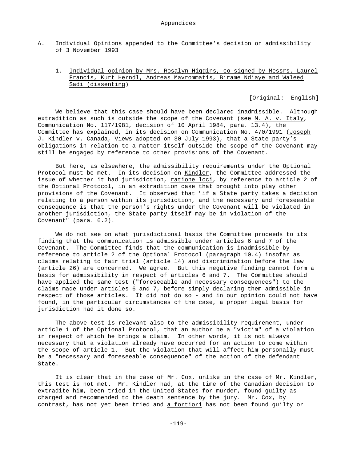## Appendices

A. Individual Opinions appended to the Committee's decision on admissibility of 3 November 1993

# 1. Individual opinion by Mrs. Rosalyn Higgins, co-signed by Messrs. Laurel Francis, Kurt Herndl, Andreas Mavrommatis, Birame Ndiaye and Waleed Sadi (dissenting)

[Original: English]

We believe that this case should have been declared inadmissible. Although extradition as such is outside the scope of the Covenant (see  $M$ . A. v. Italy, Communication No. 117/1981, decision of 10 April 1984, para. 13.4), the Committee has explained, in its decision on Communication No. 470/1991 (Joseph J. Kindler v. Canada, Views adopted on 30 July 1993), that a State party's obligations in relation to a matter itself outside the scope of the Covenant may still be engaged by reference to other provisions of the Covenant.

But here, as elsewhere, the admissibility requirements under the Optional Protocol must be met. In its decision on Kindler, the Committee addressed the issue of whether it had jurisdiction, ratione loci, by reference to article 2 of the Optional Protocol, in an extradition case that brought into play other provisions of the Covenant. It observed that "if a State party takes a decision relating to a person within its jurisdiction, and the necessary and foreseeable consequence is that the person's rights under the Covenant will be violated in another jurisdiction, the State party itself may be in violation of the Covenant" (para. 6.2).

We do not see on what jurisdictional basis the Committee proceeds to its finding that the communication is admissible under articles 6 and 7 of the Covenant. The Committee finds that the communication is inadmissible by reference to article 2 of the Optional Protocol (paragraph 10.4) insofar as claims relating to fair trial (article 14) and discrimination before the law (article 26) are concerned. We agree. But this negative finding cannot form a basis for admissibility in respect of articles 6 and 7. The Committee should have applied the same test ("foreseeable and necessary consequences") to the claims made under articles 6 and 7, before simply declaring them admissible in respect of those articles. It did not do so - and in our opinion could not have found, in the particular circumstances of the case, a proper legal basis for jurisdiction had it done so.

The above test is relevant also to the admissibility requirement, under article 1 of the Optional Protocol, that an author be a "victim" of a violation in respect of which he brings a claim. In other words, it is not always necessary that a violation already have occurred for an action to come within the scope of article 1. But the violation that will affect him personally must be a "necessary and foreseeable consequence" of the action of the defendant State.

It is clear that in the case of Mr. Cox, unlike in the case of Mr. Kindler, this test is not met. Mr. Kindler had, at the time of the Canadian decision to extradite him, been tried in the United States for murder, found guilty as charged and recommended to the death sentence by the jury. Mr. Cox, by contrast, has not yet been tried and a fortiori has not been found guilty or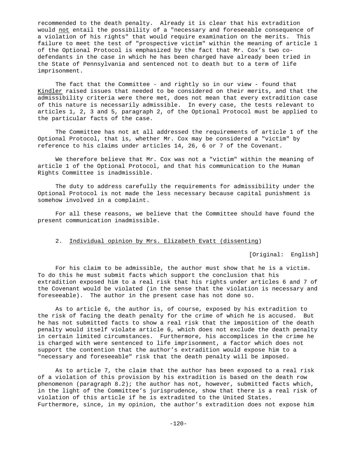recommended to the death penalty. Already it is clear that his extradition would not entail the possibility of a "necessary and foreseeable consequence of a violation of his rights" that would require examination on the merits. This failure to meet the test of "prospective victim" within the meaning of article 1 of the Optional Protocol is emphasized by the fact that Mr. Cox's two codefendants in the case in which he has been charged have already been tried in the State of Pennsylvania and sentenced not to death but to a term of life imprisonment.

The fact that the Committee - and rightly so in our view - found that Kindler raised issues that needed to be considered on their merits, and that the admissibility criteria were there met, does not mean that every extradition case of this nature is necessarily admissible. In every case, the tests relevant to articles 1, 2, 3 and 5, paragraph 2, of the Optional Protocol must be applied to the particular facts of the case.

The Committee has not at all addressed the requirements of article 1 of the Optional Protocol, that is, whether Mr. Cox may be considered a "victim" by reference to his claims under articles 14, 26, 6 or 7 of the Covenant.

We therefore believe that Mr. Cox was not a "victim" within the meaning of article 1 of the Optional Protocol, and that his communication to the Human Rights Committee is inadmissible.

The duty to address carefully the requirements for admissibility under the Optional Protocol is not made the less necessary because capital punishment is somehow involved in a complaint.

For all these reasons, we believe that the Committee should have found the present communication inadmissible.

#### 2. Individual opinion by Mrs. Elizabeth Evatt (dissenting)

[Original: English]

For his claim to be admissible, the author must show that he is a victim. To do this he must submit facts which support the conclusion that his extradition exposed him to a real risk that his rights under articles 6 and 7 of the Covenant would be violated (in the sense that the violation is necessary and foreseeable). The author in the present case has not done so.

As to article 6, the author is, of course, exposed by his extradition to the risk of facing the death penalty for the crime of which he is accused. But he has not submitted facts to show a real risk that the imposition of the death penalty would itself violate article 6, which does not exclude the death penalty in certain limited circumstances. Furthermore, his accomplices in the crime he is charged with were sentenced to life imprisonment, a factor which does not support the contention that the author's extradition would expose him to a "necessary and foreseeable" risk that the death penalty will be imposed.

As to article 7, the claim that the author has been exposed to a real risk of a violation of this provision by his extradition is based on the death row phenomenon (paragraph 8.2); the author has not, however, submitted facts which, in the light of the Committee's jurisprudence, show that there is a real risk of violation of this article if he is extradited to the United States. Furthermore, since, in my opinion, the author's extradition does not expose him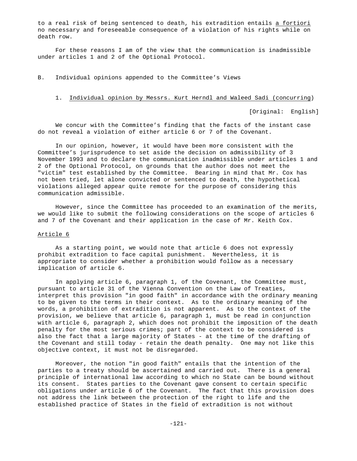to a real risk of being sentenced to death, his extradition entails a fortiori no necessary and foreseeable consequence of a violation of his rights while on death row.

For these reasons I am of the view that the communication is inadmissible under articles 1 and 2 of the Optional Protocol.

B. Individual opinions appended to the Committee's Views

#### 1. Individual opinion by Messrs. Kurt Herndl and Waleed Sadi (concurring)

[Original: English]

We concur with the Committee's finding that the facts of the instant case do not reveal a violation of either article 6 or 7 of the Covenant.

In our opinion, however, it would have been more consistent with the Committee's jurisprudence to set aside the decision on admissibility of 3 November 1993 and to declare the communication inadmissible under articles 1 and 2 of the Optional Protocol, on grounds that the author does not meet the "victim" test established by the Committee. Bearing in mind that Mr. Cox has not been tried, let alone convicted or sentenced to death, the hypothetical violations alleged appear quite remote for the purpose of considering this communication admissible.

However, since the Committee has proceeded to an examination of the merits, we would like to submit the following considerations on the scope of articles 6 and 7 of the Covenant and their application in the case of Mr. Keith Cox.

### Article 6

As a starting point, we would note that article 6 does not expressly prohibit extradition to face capital punishment. Nevertheless, it is appropriate to consider whether a prohibition would follow as a necessary implication of article 6.

In applying article 6, paragraph 1, of the Covenant, the Committee must, pursuant to article 31 of the Vienna Convention on the Law of Treaties, interpret this provision "in good faith" in accordance with the ordinary meaning to be given to the terms in their context. As to the ordinary meaning of the words, a prohibition of extradition is not apparent. As to the context of the provision, we believe that article 6, paragraph 1, must be read in conjunction with article 6, paragraph 2, which does not prohibit the imposition of the death penalty for the most serious crimes; part of the context to be considered is also the fact that a large majority of States - at the time of the drafting of the Covenant and still today - retain the death penalty. One may not like this objective context, it must not be disregarded.

Moreover, the notion "in good faith" entails that the intention of the parties to a treaty should be ascertained and carried out. There is a general principle of international law according to which no State can be bound without its consent. States parties to the Covenant gave consent to certain specific obligations under article 6 of the Covenant. The fact that this provision does not address the link between the protection of the right to life and the established practice of States in the field of extradition is not without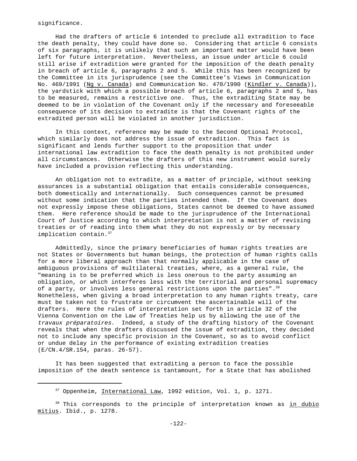significance.

Had the drafters of article 6 intended to preclude all extradition to face the death penalty, they could have done so. Considering that article 6 consists of six paragraphs, it is unlikely that such an important matter would have been left for future interpretation. Nevertheless, an issue under article 6 could still arise if extradition were granted for the imposition of the death penalty in breach of article 6, paragraphs 2 and 5. While this has been recognized by the Committee in its jurisprudence (see the Committee's Views in Communication No. 469/1991 (Ng v. Canada) and Communication No. 470/1990 (Kindler v. Canada)), the yardstick with which a possible breach of article 6, paragraphs 2 and 5, has to be measured, remains a restrictive one. Thus, the extraditing State may be deemed to be in violation of the Covenant only if the necessary and foreseeable consequence of its decision to extradite is that the Covenant rights of the extradited person will be violated in another jurisdiction.

In this context, reference may be made to the Second Optional Protocol, which similarly does not address the issue of extradition. This fact is significant and lends further support to the proposition that under international law extradition to face the death penalty is not prohibited under all circumstances. Otherwise the drafters of this new instrument would surely have included a provision reflecting this understanding.

An obligation not to extradite, as a matter of principle, without seeking assurances is a substantial obligation that entails considerable consequences, both domestically and internationally. Such consequences cannot be presumed without some indication that the parties intended them. If the Covenant does not expressly impose these obligations, States cannot be deemed to have assumed them. Here reference should be made to the jurisprudence of the International Court of Justice according to which interpretation is not a matter of revising treaties or of reading into them what they do not expressly or by necessary implication contain.37

Admittedly, since the primary beneficiaries of human rights treaties are not States or Governments but human beings, the protection of human rights calls for a more liberal approach than that normally applicable in the case of ambiguous provisions of multilateral treaties, where, as a general rule, the "meaning is to be preferred which is less onerous to the party assuming an obligation, or which interferes less with the territorial and personal supremacy of a party, or involves less general restrictions upon the parties". $38$ Nonetheless, when giving a broad interpretation to any human rights treaty, care must be taken not to frustrate or circumvent the ascertainable will of the drafters. Here the rules of interpretation set forth in article 32 of the Vienna Convention on the Law of Treaties help us by allowing the use of the travaux préparatoires. Indeed, a study of the drafting history of the Covenant reveals that when the drafters discussed the issue of extradition, they decided not to include any specific provision in the Covenant, so as to avoid conflict or undue delay in the performance of existing extradition treaties (E/CN.4/SR.154, paras. 26-57).

It has been suggested that extraditing a person to face the possible imposition of the death sentence is tantamount, for a State that has abolished

<sup>38</sup> This corresponds to the principle of interpretation known as in dubio mitius. Ibid., p. 1278.

<sup>37</sup> Oppenheim, International Law, 1992 edition, Vol. 1, p. 1271.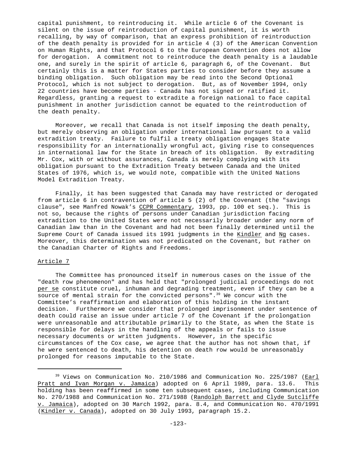capital punishment, to reintroducing it. While article 6 of the Covenant is silent on the issue of reintroduction of capital punishment, it is worth recalling, by way of comparison, that an express prohibition of reintroduction of the death penalty is provided for in article 4 (3) of the American Convention on Human Rights, and that Protocol 6 to the European Convention does not allow for derogation. A commitment not to reintroduce the death penalty is a laudable one, and surely in the spirit of article 6, paragraph 6, of the Covenant. But certainly this is a matter for States parties to consider before they assume a binding obligation. Such obligation may be read into the Second Optional Protocol, which is not subject to derogation. But, as of November 1994, only 22 countries have become parties - Canada has not signed or ratified it. Regardless, granting a request to extradite a foreign national to face capital punishment in another jurisdiction cannot be equated to the reintroduction of the death penalty.

Moreover, we recall that Canada is not itself imposing the death penalty, but merely observing an obligation under international law pursuant to a valid extradition treaty. Failure to fulfil a treaty obligation engages State responsibility for an internationally wrongful act, giving rise to consequences in international law for the State in breach of its obligation. By extraditing Mr. Cox, with or without assurances, Canada is merely complying with its obligation pursuant to the Extradition Treaty between Canada and the United States of 1976, which is, we would note, compatible with the United Nations Model Extradition Treaty.

Finally, it has been suggested that Canada may have restricted or derogated from article 6 in contravention of article 5 (2) of the Covenant (the "savings clause", see Manfred Nowak's CCPR Commentary, 1993, pp. 100 et seq.). This is not so, because the rights of persons under Canadian jurisdiction facing extradition to the United States were not necessarily broader under any norm of Canadian law than in the Covenant and had not been finally determined until the Supreme Court of Canada issued its 1991 judgments in the Kindler and Ng cases. Moreover, this determination was not predicated on the Covenant, but rather on the Canadian Charter of Rights and Freedoms.

## Article 7

The Committee has pronounced itself in numerous cases on the issue of the "death row phenomenon" and has held that "prolonged judicial proceedings do not per se constitute cruel, inhuman and degrading treatment, even if they can be a source of mental strain for the convicted persons".<sup>39</sup> We concur with the Committee's reaffirmation and elaboration of this holding in the instant decision. Furthermore we consider that prolonged imprisonment under sentence of death could raise an issue under article 7 of the Covenant if the prolongation were unreasonable and attributable primarily to the State, as when the State is responsible for delays in the handling of the appeals or fails to issue necessary documents or written judgments. However, in the specific circumstances of the Cox case, we agree that the author has not shown that, if he were sentenced to death, his detention on death row would be unreasonably prolonged for reasons imputable to the State.

 $39$  Views on Communication No. 210/1986 and Communication No. 225/1987 ( $Earl$ </u> Pratt and Ivan Morgan v. Jamaica) adopted on 6 April 1989, para. 13.6. This holding has been reaffirmed in some ten subsequent cases, including Communication No. 270/1988 and Communication No. 271/1988 (Randolph Barrett and Clyde Sutcliffe v. Jamaica), adopted on 30 March 1992, para. 8.4, and Communication No. 470/1991 (Kindler v. Canada), adopted on 30 July 1993, paragraph 15.2.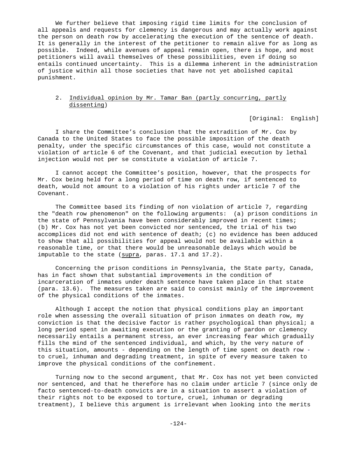We further believe that imposing rigid time limits for the conclusion of all appeals and requests for clemency is dangerous and may actually work against the person on death row by accelerating the execution of the sentence of death. It is generally in the interest of the petitioner to remain alive for as long as possible. Indeed, while avenues of appeal remain open, there is hope, and most petitioners will avail themselves of these possibilities, even if doing so entails continued uncertainty. This is a dilemma inherent in the administration of justice within all those societies that have not yet abolished capital punishment.

### 2. Individual opinion by Mr. Tamar Ban (partly concurring, partly dissenting)

[Original: English]

I share the Committee's conclusion that the extradition of Mr. Cox by Canada to the United States to face the possible imposition of the death penalty, under the specific circumstances of this case, would not constitute a violation of article 6 of the Covenant, and that judicial execution by lethal injection would not per se constitute a violation of article 7.

I cannot accept the Committee's position, however, that the prospects for Mr. Cox being held for a long period of time on death row, if sentenced to death, would not amount to a violation of his rights under article 7 of the Covenant.

The Committee based its finding of non violation of article 7, regarding the "death row phenomenon" on the following arguments: (a) prison conditions in the state of Pennsylvania have been considerably improved in recent times; (b) Mr. Cox has not yet been convicted nor sentenced, the trial of his two accomplices did not end with sentence of death; (c) no evidence has been adduced to show that all possibilities for appeal would not be available within a reasonable time, or that there would be unreasonable delays which would be imputable to the state (supra, paras. 17.1 and 17.2).

Concerning the prison conditions in Pennsylvania, the State party, Canada, has in fact shown that substantial improvements in the condition of incarceration of inmates under death sentence have taken place in that state (para. 13.6). The measures taken are said to consist mainly of the improvement of the physical conditions of the inmates.

Although I accept the notion that physical conditions play an important role when assessing the overall situation of prison inmates on death row, my conviction is that the decisive factor is rather psychological than physical; a long period spent in awaiting execution or the granting of pardon or clemency necessarily entails a permanent stress, an ever increasing fear which gradually fills the mind of the sentenced individual, and which, by the very nature of this situation, amounts - depending on the length of time spent on death row to cruel, inhuman and degrading treatment, in spite of every measure taken to improve the physical conditions of the confinement.

Turning now to the second argument, that Mr. Cox has not yet been convicted nor sentenced, and that he therefore has no claim under article 7 (since only de facto sentenced-to-death convicts are in a situation to assert a violation of their rights not to be exposed to torture, cruel, inhuman or degrading treatment), I believe this argument is irrelevant when looking into the merits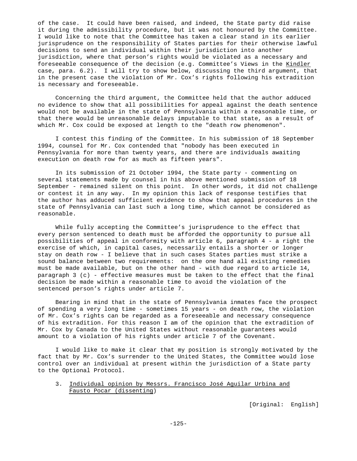of the case. It could have been raised, and indeed, the State party did raise it during the admissibility procedure, but it was not honoured by the Committee. I would like to note that the Committee has taken a clear stand in its earlier jurisprudence on the responsibility of States parties for their otherwise lawful decisions to send an individual within their jurisdiction into another jurisdiction, where that person's rights would be violated as a necessary and foreseeable consequence of the decision (e.g. Committee's Views in the Kindler case, para. 6.2). I will try to show below, discussing the third argument, that in the present case the violation of Mr. Cox's rights following his extradition is necessary and foreseeable.

Concerning the third argument, the Committee held that the author adduced no evidence to show that all possibilities for appeal against the death sentence would not be available in the state of Pennsylvania within a reasonable time, or that there would be unreasonable delays imputable to that state, as a result of which Mr. Cox could be exposed at length to the "death row phenomenon".

I contest this finding of the Committee. In his submission of 18 September 1994, counsel for Mr. Cox contended that "nobody has been executed in Pennsylvania for more than twenty years, and there are individuals awaiting execution on death row for as much as fifteen years".

In its submission of 21 October 1994, the State party - commenting on several statements made by counsel in his above mentioned submission of 18 September - remained silent on this point. In other words, it did not challenge or contest it in any way. In my opinion this lack of response testifies that the author has adduced sufficient evidence to show that appeal procedures in the state of Pennsylvania can last such a long time, which cannot be considered as reasonable.

While fully accepting the Committee's jurisprudence to the effect that every person sentenced to death must be afforded the opportunity to pursue all possibilities of appeal in conformity with article 6, paragraph4-a right the exercise of which, in capital cases, necessarily entails a shorter or longer stay on death row - I believe that in such cases States parties must strike a sound balance between two requirements: on the one hand all existing remedies must be made available, but on the other hand - with due regard to article 14, paragraph  $3$  (c) - effective measures must be taken to the effect that the final decision be made within a reasonable time to avoid the violation of the sentenced person's rights under article 7.

Bearing in mind that in the state of Pennsylvania inmates face the prospect of spending a very long time - sometimes 15 years - on death row, the violation of Mr. Cox's rights can be regarded as a foreseeable and necessary consequence of his extradition. For this reason I am of the opinion that the extradition of Mr. Cox by Canada to the United States without reasonable guarantees would amount to a violation of his rights under article 7 of the Covenant.

I would like to make it clear that my position is strongly motivated by the fact that by Mr. Cox's surrender to the United States, the Committee would lose control over an individual at present within the jurisdiction of a State party to the Optional Protocol.

# 3. Individual opinion by Messrs. Francisco José Aguilar Urbina and Fausto Pocar (dissenting)

[Original: English]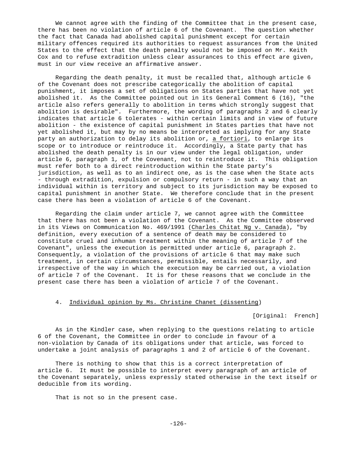We cannot agree with the finding of the Committee that in the present case, there has been no violation of article 6 of the Covenant. The question whether the fact that Canada had abolished capital punishment except for certain military offences required its authorities to request assurances from the United States to the effect that the death penalty would not be imposed on Mr. Keith Cox and to refuse extradition unless clear assurances to this effect are given, must in our view receive an affirmative answer.

Regarding the death penalty, it must be recalled that, although article 6 of the Covenant does not prescribe categorically the abolition of capital punishment, it imposes a set of obligations on States parties that have not yet abolished it. As the Committee pointed out in its General Comment 6 (16), "the article also refers generally to abolition in terms which strongly suggest that abolition is desirable". Furthermore, the wording of paragraphs 2 and 6 clearly indicates that article 6 tolerates - within certain limits and in view of future abolition - the existence of capital punishment in States parties that have not yet abolished it, but may by no means be interpreted as implying for any State party an authorization to delay its abolition or, a fortiori, to enlarge its scope or to introduce or reintroduce it. Accordingly, a State party that has abolished the death penalty is in our view under the legal obligation, under article 6, paragraph 1, of the Covenant, not to reintroduce it. This obligation must refer both to a direct reintroduction within the State party's jurisdiction, as well as to an indirect one, as is the case when the State acts - through extradition, expulsion or compulsory return - in such a way that an individual within is territory and subject to its jurisdiction may be exposed to capital punishment in another State. We therefore conclude that in the present case there has been a violation of article 6 of the Covenant.

Regarding the claim under article 7, we cannot agree with the Committee that there has not been a violation of the Covenant. As the Committee observed in its Views on Communication No. 469/1991 (Charles Chitat Ng v. Canada), "by definition, every execution of a sentence of death may be considered to constitute cruel and inhuman treatment within the meaning of article 7 of the Covenant", unless the execution is permitted under article 6, paragraph 2. Consequently, a violation of the provisions of article 6 that may make such treatment, in certain circumstances, permissible, entails necessarily, and irrespective of the way in which the execution may be carried out, a violation of article 7 of the Covenant. It is for these reasons that we conclude in the present case there has been a violation of article 7 of the Covenant.

#### 4. Individual opinion by Ms. Christine Chanet (dissenting)

[Original: French]

As in the Kindler case, when replying to the questions relating to article 6 of the Covenant, the Committee in order to conclude in favour of a non-violation by Canada of its obligations under that article, was forced to undertake a joint analysis of paragraphs 1 and 2 of article 6 of the Covenant.

There is nothing to show that this is a correct interpretation of article 6. It must be possible to interpret every paragraph of an article of the Covenant separately, unless expressly stated otherwise in the text itself or deducible from its wording.

That is not so in the present case.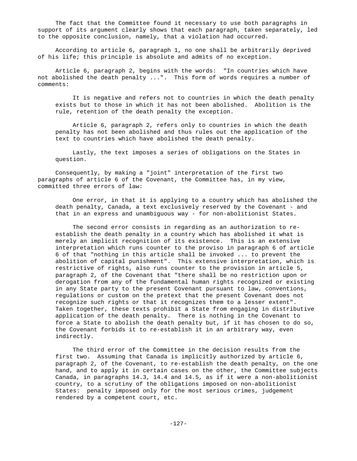The fact that the Committee found it necessary to use both paragraphs in support of its argument clearly shows that each paragraph, taken separately, led to the opposite conclusion, namely, that a violation had occurred.

According to article 6, paragraph 1, no one shall be arbitrarily deprived of his life; this principle is absolute and admits of no exception.

Article 6, paragraph 2, begins with the words: "In countries which have not abolished the death penalty ...". This form of words requires a number of comments:

It is negative and refers not to countries in which the death penalty exists but to those in which it has not been abolished. Abolition is the rule, retention of the death penalty the exception.

Article 6, paragraph 2, refers only to countries in which the death penalty has not been abolished and thus rules out the application of the text to countries which have abolished the death penalty.

Lastly, the text imposes a series of obligations on the States in question.

Consequently, by making a "joint" interpretation of the first two paragraphs of article 6 of the Covenant, the Committee has, in my view, committed three errors of law:

One error, in that it is applying to a country which has abolished the death penalty, Canada, a text exclusively reserved by the Covenant - and that in an express and unambiguous way - for non-abolitionist States.

The second error consists in regarding as an authorization to reestablish the death penalty in a country which has abolished it what is merely an implicit recognition of its existence. This is an extensive interpretation which runs counter to the proviso in paragraph 6 of article 6 of that "nothing in this article shall be invoked ... to prevent the abolition of capital punishment". This extensive interpretation, which is restrictive of rights, also runs counter to the provision in article 5, paragraph 2, of the Covenant that "there shall be no restriction upon or derogation from any of the fundamental human rights recognized or existing in any State party to the present Covenant pursuant to law, conventions, regulations or custom on the pretext that the present Covenant does not recognize such rights or that it recognizes them to a lesser extent". Taken together, these texts prohibit a State from engaging in distributive application of the death penalty. There is nothing in the Covenant to force a State to abolish the death penalty but, if it has chosen to do so, the Covenant forbids it to re-establish it in an arbitrary way, even indirectly.

The third error of the Committee in the decision results from the first two. Assuming that Canada is implicitly authorized by article 6, paragraph 2, of the Covenant, to re-establish the death penalty, on the one hand, and to apply it in certain cases on the other, the Committee subjects Canada, in paragraphs 14.3, 14.4 and 14.5, as if it were a non-abolitionist country, to a scrutiny of the obligations imposed on non-abolitionist States: penalty imposed only for the most serious crimes, judgement rendered by a competent court, etc.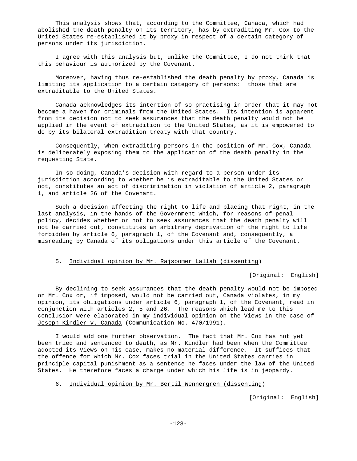This analysis shows that, according to the Committee, Canada, which had abolished the death penalty on its territory, has by extraditing Mr. Cox to the United States re-established it by proxy in respect of a certain category of persons under its jurisdiction.

I agree with this analysis but, unlike the Committee, I do not think that this behaviour is authorized by the Covenant.

Moreover, having thus re-established the death penalty by proxy, Canada is limiting its application to a certain category of persons: those that are extraditable to the United States.

Canada acknowledges its intention of so practising in order that it may not become a haven for criminals from the United States. Its intention is apparent from its decision not to seek assurances that the death penalty would not be applied in the event of extradition to the United States, as it is empowered to do by its bilateral extradition treaty with that country.

Consequently, when extraditing persons in the position of Mr. Cox, Canada is deliberately exposing them to the application of the death penalty in the requesting State.

In so doing, Canada's decision with regard to a person under its jurisdiction according to whether he is extraditable to the United States or not, constitutes an act of discrimination in violation of article 2, paragraph 1, and article 26 of the Covenant.

Such a decision affecting the right to life and placing that right, in the last analysis, in the hands of the Government which, for reasons of penal policy, decides whether or not to seek assurances that the death penalty will not be carried out, constitutes an arbitrary deprivation of the right to life forbidden by article 6, paragraph 1, of the Covenant and, consequently, a misreading by Canada of its obligations under this article of the Covenant.

## 5. Individual opinion by Mr. Rajsoomer Lallah (dissenting)

[Original: English]

By declining to seek assurances that the death penalty would not be imposed on Mr. Cox or, if imposed, would not be carried out, Canada violates, in my opinion, its obligations under article 6, paragraph 1, of the Covenant, read in conjunction with articles 2, 5 and 26. The reasons which lead me to this conclusion were elaborated in my individual opinion on the Views in the case of Joseph Kindler v. Canada (Communication No. 470/1991).

I would add one further observation. The fact that Mr. Cox has not yet been tried and sentenced to death, as Mr. Kindler had been when the Committee adopted its Views on his case, makes no material difference. It suffices that the offence for which Mr. Cox faces trial in the United States carries in principle capital punishment as a sentence he faces under the law of the United States. He therefore faces a charge under which his life is in jeopardy.

# 6. Individual opinion by Mr. Bertil Wennergren (dissenting)

[Original: English]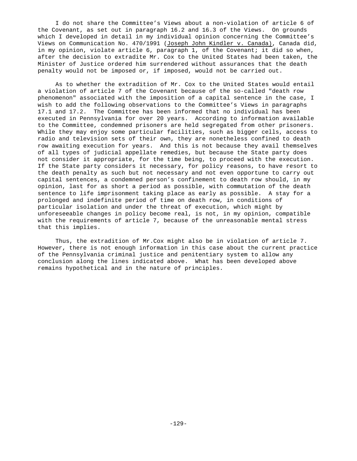I do not share the Committee's Views about a non-violation of article 6 of the Covenant, as set out in paragraph 16.2 and 16.3 of the Views. On grounds which I developed in detail in my individual opinion concerning the Committee's Views on Communication No. 470/1991 (Joseph John Kindler v. Canada), Canada did, in my opinion, violate article 6, paragraph 1, of the Covenant; it did so when, after the decision to extradite Mr. Cox to the United States had been taken, the Minister of Justice ordered him surrendered without assurances that the death penalty would not be imposed or, if imposed, would not be carried out.

As to whether the extradition of Mr. Cox to the United States would entail a violation of article 7 of the Covenant because of the so-called "death row phenomenon" associated with the imposition of a capital sentence in the case, I wish to add the following observations to the Committee's Views in paragraphs 17.1 and 17.2. The Committee has been informed that no individual has been executed in Pennsylvania for over 20 years. According to information available to the Committee, condemned prisoners are held segregated from other prisoners. While they may enjoy some particular facilities, such as bigger cells, access to radio and television sets of their own, they are nonetheless confined to death row awaiting execution for years. And this is not because they avail themselves of all types of judicial appellate remedies, but because the State party does not consider it appropriate, for the time being, to proceed with the execution. If the State party considers it necessary, for policy reasons, to have resort to the death penalty as such but not necessary and not even opportune to carry out capital sentences, a condemned person's confinement to death row should, in my opinion, last for as short a period as possible, with commutation of the death sentence to life imprisonment taking place as early as possible. A stay for a prolonged and indefinite period of time on death row, in conditions of particular isolation and under the threat of execution, which might by unforeseeable changes in policy become real, is not, in my opinion, compatible with the requirements of article 7, because of the unreasonable mental stress that this implies.

Thus, the extradition of Mr.Cox might also be in violation of article 7. However, there is not enough information in this case about the current practice of the Pennsylvania criminal justice and penitentiary system to allow any conclusion along the lines indicated above. What has been developed above remains hypothetical and in the nature of principles.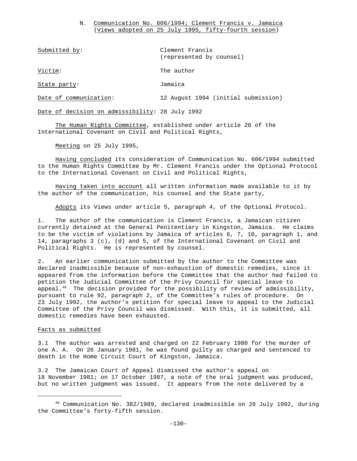## N. Communication No. 606/1994; Clement Francis v. Jamaica (Views adopted on 25 July 1995, fifty-fourth session)

| Submitted by:          | Clement Francis<br>(represented by counsel) |
|------------------------|---------------------------------------------|
| Victim:                | The author                                  |
| State party:           | Jamaica                                     |
| Date of communication: | 12 August 1994 (initial submission)         |

Date of decision on admissibility: 28 July 1992

The Human Rights Committee, established under article 28 of the International Covenant on Civil and Political Rights,

Meeting on 25 July 1995,

Having concluded its consideration of Communication No. 606/1994 submitted to the Human Rights Committee by Mr. Clement Francis under the Optional Protocol to the International Covenant on Civil and Political Rights,

Having taken into account all written information made available to it by the author of the communication, his counsel and the State party,

Adopts its Views under article 5, paragraph 4, of the Optional Protocol.

1. The author of the communication is Clement Francis, a Jamaican citizen currently detained at the General Penitentiary in Kingston, Jamaica. He claims to be the victim of violations by Jamaica of articles 6, 7, 10, paragraph 1, and 14, paragraphs 3 (c), (d) and 5, of the International Covenant on Civil and Political Rights. He is represented by counsel.

2. An earlier communication submitted by the author to the Committee was declared inadmissible because of non-exhaustion of domestic remedies, since it appeared from the information before the Committee that the author had failed to petition the Judicial Committee of the Privy Council for special leave to appeal.<sup>40</sup> The decision provided for the possibility of review of admissibility, pursuant to rule 92, paragraph 2, of the Committee's rules of procedure. On 23 July 1992, the author's petition for special leave to appeal to the Judicial Committee of the Privy Council was dismissed. With this, it is submitted, all domestic remedies have been exhausted.

## Facts as submitted

3.1 The author was arrested and charged on 22 February 1980 for the murder of one A. A. On 26 January 1981, he was found guilty as charged and sentenced to death in the Home Circuit Court of Kingston, Jamaica.

3.2 The Jamaican Court of Appeal dismissed the author's appeal on 18 November 1981; on 17 October 1987, a note of the oral judgment was produced, but no written judgment was issued. It appears from the note delivered by a

 $40$  Communication No. 382/1989, declared inadmissible on 28 July 1992, during the Committee's forty-fifth session.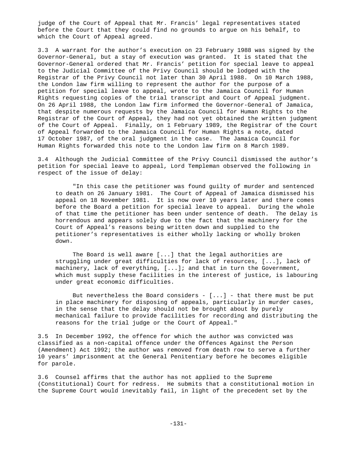judge of the Court of Appeal that Mr. Francis' legal representatives stated before the Court that they could find no grounds to argue on his behalf, to which the Court of Appeal agreed.

3.3 A warrant for the author's execution on 23 February 1988 was signed by the Governor-General, but a stay of execution was granted. It is stated that the Governor-General ordered that Mr. Francis' petition for special leave to appeal to the Judicial Committee of the Privy Council should be lodged with the Registrar of the Privy Council not later than 30 April 1988. On 10 March 1988, the London law firm willing to represent the author for the purpose of a petition for special leave to appeal, wrote to the Jamaica Council for Human Rights requesting copies of the trial transcript and Court of Appeal judgment. On 26 April 1988, the London law firm informed the Governor-General of Jamaica, that despite numerous requests by the Jamaica Council for Human Rights to the Registrar of the Court of Appeal, they had not yet obtained the written judgment of the Court of Appeal. Finally, on 1 February 1989, the Registrar of the Court of Appeal forwarded to the Jamaica Council for Human Rights a note, dated 17 October 1987, of the oral judgment in the case. The Jamaica Council for Human Rights forwarded this note to the London law firm on 8 March 1989.

3.4 Although the Judicial Committee of the Privy Council dismissed the author's petition for special leave to appeal, Lord Templeman observed the following in respect of the issue of delay:

"In this case the petitioner was found guilty of murder and sentenced to death on 26 January 1981. The Court of Appeal of Jamaica dismissed his appeal on 18 November 1981. It is now over 10 years later and there comes before the Board a petition for special leave to appeal. During the whole of that time the petitioner has been under sentence of death. The delay is horrendous and appears solely due to the fact that the machinery for the Court of Appeal's reasons being written down and supplied to the petitioner's representatives is either wholly lacking or wholly broken down.

The Board is well aware [...] that the legal authorities are struggling under great difficulties for lack of resources, [...], lack of machinery, lack of everything, [...]; and that in turn the Government, which must supply these facilities in the interest of justice, is labouring under great economic difficulties.

But nevertheless the Board considers  $-$  [...] - that there must be put in place machinery for disposing of appeals, particularly in murder cases, in the sense that the delay should not be brought about by purely mechanical failure to provide facilities for recording and distributing the reasons for the trial judge or the Court of Appeal."

3.5 In December 1992, the offence for which the author was convicted was classified as a non-capital offence under the Offences Against the Person (Amendment) Act 1992; the author was removed from death row to serve a further 10 years' imprisonment at the General Penitentiary before he becomes eligible for parole.

3.6 Counsel affirms that the author has not applied to the Supreme (Constitutional) Court for redress. He submits that a constitutional motion in the Supreme Court would inevitably fail, in light of the precedent set by the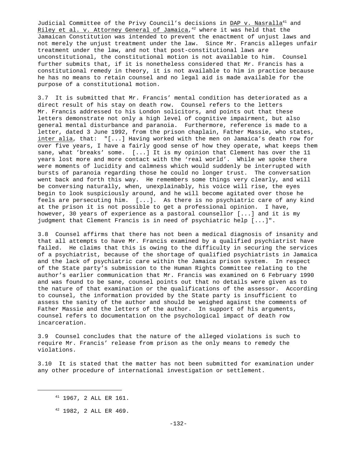Judicial Committee of the Privy Council's decisions in DAP v. Nasralla<sup>41</sup> and Riley et al. v. Attorney General of Jamaica,  $42$  where it was held that the Jamaican Constitution was intended to prevent the enactment of unjust laws and not merely the unjust treatment under the law. Since Mr. Francis alleges unfair treatment under the law, and not that post-constitutional laws are unconstitutional, the constitutional motion is not available to him. Counsel further submits that, if it is nonetheless considered that Mr. Francis has a constitutional remedy in theory, it is not available to him in practice because he has no means to retain counsel and no legal aid is made available for the purpose of a constitutional motion.

3.7 It is submitted that Mr. Francis' mental condition has deteriorated as a direct result of his stay on death row. Counsel refers to the letters Mr. Francis addressed to his London solicitors, and points out that these letters demonstrate not only a high level of cognitive impairment, but also general mental disturbance and paranoia. Furthermore, reference is made to a letter, dated 3 June 1992, from the prison chaplain, Father Massie, who states, inter alia, that: "[...] Having worked with the men on Jamaica's death row for over five years, I have a fairly good sense of how they operate, what keeps them sane, what 'breaks' some. [...] It is my opinion that Clement has over the 11 years lost more and more contact with the 'real world'. While we spoke there were moments of lucidity and calmness which would suddenly be interrupted with bursts of paranoia regarding those he could no longer trust. The conversation went back and forth this way. He remembers some things very clearly, and will be conversing naturally, when, unexplainably, his voice will rise, the eyes begin to look suspiciously around, and he will become agitated over those he feels are persecuting him. [...]. As there is no psychiatric care of any kind at the prison it is not possible to get a professional opinion. I have, however, 30 years of experience as a pastoral counsellor [...] and it is my judgment that Clement Francis is in need of psychiatric help [...]".

3.8 Counsel affirms that there has not been a medical diagnosis of insanity and that all attempts to have Mr. Francis examined by a qualified psychiatrist have failed. He claims that this is owing to the difficulty in securing the services of a psychiatrist, because of the shortage of qualified psychiatrists in Jamaica and the lack of psychiatric care within the Jamaica prison system. In respect of the State party's submission to the Human Rights Committee relating to the author's earlier communication that Mr. Francis was examined on 6 February 1990 and was found to be sane, counsel points out that no details were given as to the nature of that examination or the qualifications of the assessor. According to counsel, the information provided by the State party is insufficient to assess the sanity of the author and should be weighed against the comments of Father Massie and the letters of the author. In support of his arguments, counsel refers to documentation on the psychological impact of death row incarceration.

3.9 Counsel concludes that the nature of the alleged violations is such to require Mr. Francis' release from prison as the only means to remedy the violations.

3.10 It is stated that the matter has not been submitted for examination under any other procedure of international investigation or settlement.

<sup>41</sup> 1967, 2 ALL ER 161.

<sup>42</sup> 1982, 2 ALL ER 469.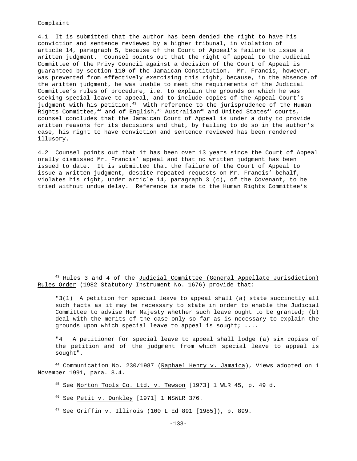## Complaint

4.1 It is submitted that the author has been denied the right to have his conviction and sentence reviewed by a higher tribunal, in violation of article 14, paragraph 5, because of the Court of Appeal's failure to issue a written judgment. Counsel points out that the right of appeal to the Judicial Committee of the Privy Council against a decision of the Court of Appeal is guaranteed by section 110 of the Jamaican Constitution. Mr. Francis, however, was prevented from effectively exercising this right, because, in the absence of the written judgment, he was unable to meet the requirements of the Judicial Committee's rules of procedure, i.e. to explain the grounds on which he was seeking special leave to appeal, and to include copies of the Appeal Court's judgment with his petition. $43$  With reference to the jurisprudence of the Human Rights Committee,<sup>44</sup> and of English,<sup>45</sup> Australian<sup>46</sup> and United States<sup>47</sup> courts, counsel concludes that the Jamaican Court of Appeal is under a duty to provide written reasons for its decisions and that, by failing to do so in the author's case, his right to have conviction and sentence reviewed has been rendered illusory.

4.2 Counsel points out that it has been over 13 years since the Court of Appeal orally dismissed Mr. Francis' appeal and that no written judgment has been issued to date. It is submitted that the failure of the Court of Appeal to issue a written judgment, despite repeated requests on Mr. Francis' behalf, violates his right, under article 14, paragraph 3 (c), of the Covenant, to be tried without undue delay. Reference is made to the Human Rights Committee's

<sup>43</sup> Rules 3 and 4 of the Judicial Committee (General Appellate Jurisdiction) Rules Order (1982 Statutory Instrument No. 1676) provide that:

"3(1) A petition for special leave to appeal shall (a) state succinctly all such facts as it may be necessary to state in order to enable the Judicial Committee to advise Her Majesty whether such leave ought to be granted; (b) deal with the merits of the case only so far as is necessary to explain the grounds upon which special leave to appeal is sought; ....

"4 A petitioner for special leave to appeal shall lodge (a) six copies of the petition and of the judgment from which special leave to appeal is sought".

<sup>44</sup> Communication No. 230/1987 (Raphael Henry v. Jamaica), Views adopted on 1 November 1991, para. 8.4.

45 See Norton Tools Co. Ltd. v. Tewson [1973] 1 WLR 45, p. 49 d.

<sup>46</sup> See Petit v. Dunkley [1971] 1 NSWLR 376.

<sup>47</sup> See Griffin v. Illinois (100 L Ed 891 [1985]), p. 899.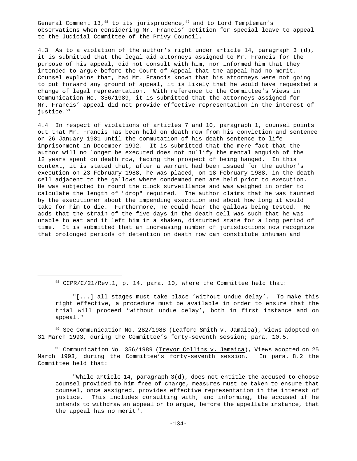General Comment 13,<sup>48</sup> to its jurisprudence,<sup>49</sup> and to Lord Templeman's observations when considering Mr. Francis' petition for special leave to appeal to the Judicial Committee of the Privy Council.

4.3 As to a violation of the author's right under article 14, paragraph 3 (d), it is submitted that the legal aid attorneys assigned to Mr. Francis for the purpose of his appeal, did not consult with him, nor informed him that they intended to argue before the Court of Appeal that the appeal had no merit. Counsel explains that, had Mr. Francis known that his attorneys were not going to put forward any ground of appeal, it is likely that he would have requested a change of legal representation. With reference to the Committee's Views in Communication No. 356/1989, it is submitted that the attorneys assigned for Mr. Francis' appeal did not provide effective representation in the interest of justice.<sup>50</sup>

4.4 In respect of violations of articles 7 and 10, paragraph 1, counsel points out that Mr. Francis has been held on death row from his conviction and sentence on 26 January 1981 until the commutation of his death sentence to life imprisonment in December 1992. It is submitted that the mere fact that the author will no longer be executed does not nullify the mental anguish of the 12 years spent on death row, facing the prospect of being hanged. In this context, it is stated that, after a warrant had been issued for the author's execution on 23 February 1988, he was placed, on 18 February 1988, in the death cell adjacent to the gallows where condemned men are held prior to execution. He was subjected to round the clock surveillance and was weighed in order to calculate the length of "drop" required. The author claims that he was taunted by the executioner about the impending execution and about how long it would take for him to die. Furthermore, he could hear the gallows being tested. He adds that the strain of the five days in the death cell was such that he was unable to eat and it left him in a shaken, disturbed state for a long period of time. It is submitted that an increasing number of jurisdictions now recognize that prolonged periods of detention on death row can constitute inhuman and

 $48$  CCPR/C/21/Rev.1, p. 14, para. 10, where the Committee held that:

"[...] all stages must take place 'without undue delay'. To make this right effective, a procedure must be available in order to ensure that the trial will proceed 'without undue delay', both in first instance and on appeal."

<sup>49</sup> See Communication No. 282/1988 (Leaford Smith v. Jamaica), Views adopted on 31 March 1993, during the Committee's forty-seventh session; para. 10.5.

<sup>50</sup> Communication No. 356/1989 (Trevor Collins v. Jamaica), Views adopted on 25 March 1993, during the Committee's forty-seventh session. In para. 8.2 the Committee held that:

"While article 14, paragraph 3(d), does not entitle the accused to choose counsel provided to him free of charge, measures must be taken to ensure that counsel, once assigned, provides effective representation in the interest of justice. This includes consulting with, and informing, the accused if he intends to withdraw an appeal or to argue, before the appellate instance, that the appeal has no merit".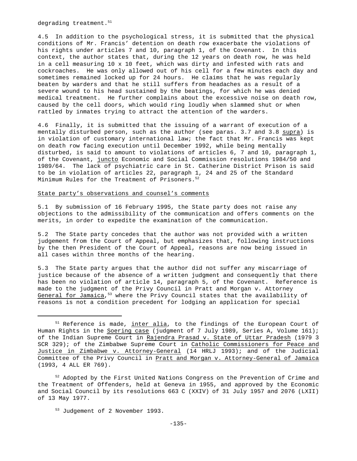degrading treatment.<sup>51</sup>

4.5 In addition to the psychological stress, it is submitted that the physical conditions of Mr. Francis' detention on death row exacerbate the violations of his rights under articles 7 and 10, paragraph 1, of the Covenant. In this context, the author states that, during the 12 years on death row, he was held in a cell measuring 10 x 10 feet, which was dirty and infested with rats and cockroaches. He was only allowed out of his cell for a few minutes each day and sometimes remained locked up for 24 hours. He claims that he was regularly beaten by warders and that he still suffers from headaches as a result of a severe wound to his head sustained by the beatings, for which he was denied medical treatment. He further complains about the excessive noise on death row, caused by the cell doors, which would ring loudly when slammed shut or when rattled by inmates trying to attract the attention of the warders.

4.6 Finally, it is submitted that the issuing of a warrant of execution of a mentally disturbed person, such as the author (see paras. 3.7 and 3.8 supra) is in violation of customary international law; the fact that Mr. Francis was kept on death row facing execution until December 1992, while being mentally disturbed, is said to amount to violations of articles 6, 7 and 10, paragraph 1, of the Covenant, juncto Economic and Social Commission resolutions 1984/50 and 1989/64. The lack of psychiatric care in St. Catherine District Prison is said to be in violation of articles 22, paragraph 1, 24 and 25 of the Standard Minimum Rules for the Treatment of Prisoners.<sup>52</sup>

### State party's observations and counsel's comments

5.1 By submission of 16 February 1995, the State party does not raise any objections to the admissibility of the communication and offers comments on the merits, in order to expedite the examination of the communication.

5.2 The State party concedes that the author was not provided with a written judgement from the Court of Appeal, but emphasizes that, following instructions by the then President of the Court of Appeal, reasons are now being issued in all cases within three months of the hearing.

5.3 The State party argues that the author did not suffer any miscarriage of justice because of the absence of a written judgment and consequently that there has been no violation of article 14, paragraph 5, of the Covenant. Reference is made to the judgment of the Privy Council in Pratt and Morgan v. Attorney General for Jamaica, $53$  where the Privy Council states that the availability of reasons is not a condition precedent for lodging an application for special

 $52$  Adopted by the First United Nations Congress on the Prevention of Crime and the Treatment of Offenders, held at Geneva in 1955, and approved by the Economic and Social Council by its resolutions 663 C (XXIV) of 31 July 1957 and 2076 (LXII) of 13 May 1977.

<sup>53</sup> Judgement of 2 November 1993.

 $51$  Reference is made, inter alia, to the findings of the European Court of Human Rights in the Soering case (judgment of 7 July 1989, Series A, Volume 161); of the Indian Supreme Court in Rajendra Prasad v. State of Uttar Pradesh (1979 3 SCR 329); of the Zimbabwe Supreme Court in Catholic Commissioners for Peace and Justice in Zimbabwe v. Attorney-General (14 HRLJ 1993); and of the Judicial Committee of the Privy Council in Pratt and Morgan v. Attorney-General of Jamaica (1993, 4 ALL ER 769).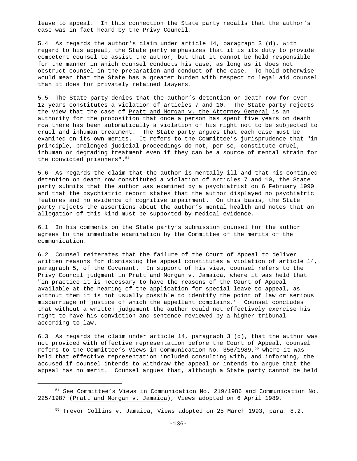leave to appeal. In this connection the State party recalls that the author's case was in fact heard by the Privy Council.

5.4 As regards the author's claim under article 14, paragraph 3 (d), with regard to his appeal, the State party emphasizes that it is its duty to provide competent counsel to assist the author, but that it cannot be held responsible for the manner in which counsel conducts his case, as long as it does not obstruct counsel in the preparation and conduct of the case. To hold otherwise would mean that the State has a greater burden with respect to legal aid counsel than it does for privately retained lawyers.

5.5 The State party denies that the author's detention on death row for over 12 years constitutes a violation of articles 7 and 10. The State party rejects the view that the case of Pratt and Morgan v. the Attorney General is an authority for the proposition that once a person has spent five years on death row there has been automatically a violation of his right not to be subjected to cruel and inhuman treatment. The State party argues that each case must be examined on its own merits. It refers to the Committee's jurisprudence that "in principle, prolonged judicial proceedings do not, per se, constitute cruel, inhuman or degrading treatment even if they can be a source of mental strain for the convicted prisoners".<sup>54</sup>

5.6 As regards the claim that the author is mentally ill and that his continued detention on death row constituted a violation of articles 7 and 10, the State party submits that the author was examined by a psychiatrist on 6 February 1990 and that the psychiatric report states that the author displayed no psychiatric features and no evidence of cognitive impairment. On this basis, the State party rejects the assertions about the author's mental health and notes that an allegation of this kind must be supported by medical evidence.

6.1 In his comments on the State party's submission counsel for the author agrees to the immediate examination by the Committee of the merits of the communication.

6.2 Counsel reiterates that the failure of the Court of Appeal to deliver written reasons for dismissing the appeal constitutes a violation of article 14, paragraph 5, of the Covenant. In support of his view, counsel refers to the Privy Council judgment in Pratt and Morgan v. Jamaica, where it was held that "in practice it is necessary to have the reasons of the Court of Appeal available at the hearing of the application for special leave to appeal, as without them it is not usually possible to identify the point of law or serious miscarriage of justice of which the appellant complains." Counsel concludes that without a written judgement the author could not effectively exercise his right to have his conviction and sentence reviewed by a higher tribunal according to law.

6.3 As regards the claim under article 14, paragraph 3 (d), that the author was not provided with effective representation before the Court of Appeal, counsel refers to the Committee's Views in Communication No.  $356/1989,$ <sup>55</sup> where it was held that effective representation included consulting with, and informing, the accused if counsel intends to withdraw the appeal or intends to argue that the appeal has no merit. Counsel argues that, although a State party cannot be held

<sup>54</sup> See Committee's Views in Communication No. 219/1986 and Communication No. 225/1987 (Pratt and Morgan v. Jamaica), Views adopted on 6 April 1989.

<sup>&</sup>lt;sup>55</sup> Trevor Collins v. Jamaica, Views adopted on 25 March 1993, para. 8.2.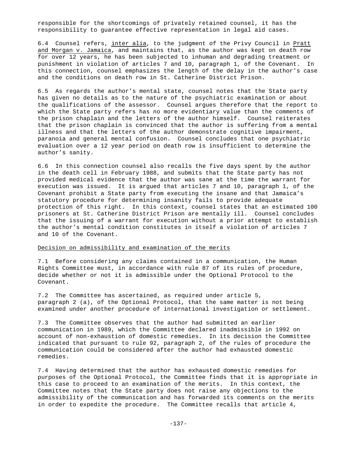responsible for the shortcomings of privately retained counsel, it has the responsibility to guarantee effective representation in legal aid cases.

6.4 Counsel refers, inter alia, to the judgment of the Privy Council in Pratt and Morgan v. Jamaica, and maintains that, as the author was kept on death row for over 12 years, he has been subjected to inhuman and degrading treatment or punishment in violation of articles 7 and 10, paragraph 1, of the Covenant. In this connection, counsel emphasizes the length of the delay in the author's case and the conditions on death row in St. Catherine District Prison.

6.5 As regards the author's mental state, counsel notes that the State party has given no details as to the nature of the psychiatric examination or about the qualifications of the assessor. Counsel argues therefore that the report to which the State party refers has no more evidentiary value than the comments of the prison chaplain and the letters of the author himself. Counsel reiterates that the prison chaplain is convinced that the author is suffering from a mental illness and that the letters of the author demonstrate cognitive impairment, paranoia and general mental confusion. Counsel concludes that one psychiatric evaluation over a 12 year period on death row is insufficient to determine the author's sanity.

6.6 In this connection counsel also recalls the five days spent by the author in the death cell in February 1988, and submits that the State party has not provided medical evidence that the author was sane at the time the warrant for execution was issued. It is argued that articles 7 and 10, paragraph 1, of the Covenant prohibit a State party from executing the insane and that Jamaica's statutory procedure for determining insanity fails to provide adequate protection of this right. In this context, counsel states that an estimated 100 prisoners at St. Catherine District Prison are mentally ill. Counsel concludes that the issuing of a warrant for execution without a prior attempt to establish the author's mental condition constitutes in itself a violation of articles 7 and 10 of the Covenant.

### Decision on admissibility and examination of the merits

7.1 Before considering any claims contained in a communication, the Human Rights Committee must, in accordance with rule 87 of its rules of procedure, decide whether or not it is admissible under the Optional Protocol to the Covenant.

7.2 The Committee has ascertained, as required under article 5, paragraph 2 (a), of the Optional Protocol, that the same matter is not being examined under another procedure of international investigation or settlement.

7.3 The Committee observes that the author had submitted an earlier communication in 1989, which the Committee declared inadmissible in 1992 on account of non-exhaustion of domestic remedies. In its decision the Committee indicated that pursuant to rule 92, paragraph 2, of the rules of procedure the communication could be considered after the author had exhausted domestic remedies.

7.4 Having determined that the author has exhausted domestic remedies for purposes of the Optional Protocol, the Committee finds that it is appropriate in this case to proceed to an examination of the merits. In this context, the Committee notes that the State party does not raise any objections to the admissibility of the communication and has forwarded its comments on the merits in order to expedite the procedure. The Committee recalls that article 4,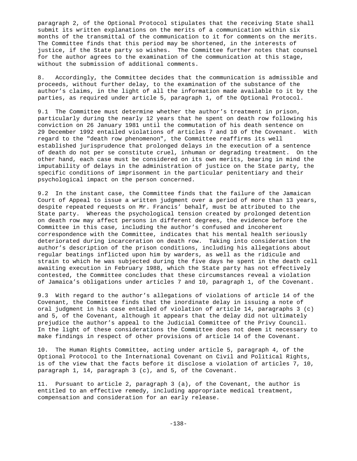paragraph 2, of the Optional Protocol stipulates that the receiving State shall submit its written explanations on the merits of a communication within six months of the transmittal of the communication to it for comments on the merits. The Committee finds that this period may be shortened, in the interests of justice, if the State party so wishes. The Committee further notes that counsel for the author agrees to the examination of the communication at this stage, without the submission of additional comments.

8. Accordingly, the Committee decides that the communication is admissible and proceeds, without further delay, to the examination of the substance of the author's claims, in the light of all the information made available to it by the parties, as required under article 5, paragraph 1, of the Optional Protocol.

9.1 The Committee must determine whether the author's treatment in prison, particularly during the nearly 12 years that he spent on death row following his conviction on 26 January 1981 until the commutation of his death sentence on 29 December 1992 entailed violations of articles 7 and 10 of the Covenant. With regard to the "death row phenomenon", the Committee reaffirms its well established jurisprudence that prolonged delays in the execution of a sentence of death do not per se constitute cruel, inhuman or degrading treatment. On the other hand, each case must be considered on its own merits, bearing in mind the imputability of delays in the administration of justice on the State party, the specific conditions of imprisonment in the particular penitentiary and their psychological impact on the person concerned.

9.2 In the instant case, the Committee finds that the failure of the Jamaican Court of Appeal to issue a written judgment over a period of more than 13 years, despite repeated requests on Mr. Francis' behalf, must be attributed to the State party. Whereas the psychological tension created by prolonged detention on death row may affect persons in different degrees, the evidence before the Committee in this case, including the author's confused and incoherent correspondence with the Committee, indicates that his mental health seriously deteriorated during incarceration on death row. Taking into consideration the author's description of the prison conditions, including his allegations about regular beatings inflicted upon him by warders, as well as the ridicule and strain to which he was subjected during the five days he spent in the death cell awaiting execution in February 1988, which the State party has not effectively contested, the Committee concludes that these circumstances reveal a violation of Jamaica's obligations under articles 7 and 10, paragraph 1, of the Covenant.

9.3 With regard to the author's allegations of violations of article 14 of the Covenant, the Committee finds that the inordinate delay in issuing a note of oral judgment in his case entailed of violation of article 14, paragraphs 3 (c) and 5, of the Covenant, although it appears that the delay did not ultimately prejudice the author's appeal to the Judicial Committee of the Privy Council. In the light of these considerations the Committee does not deem it necessary to make findings in respect of other provisions of article 14 of the Covenant.

10. The Human Rights Committee, acting under article 5, paragraph 4, of the Optional Protocol to the International Covenant on Civil and Political Rights, is of the view that the facts before it disclose a violation of articles 7, 10, paragraph 1, 14, paragraph 3 (c), and 5, of the Covenant.

11. Pursuant to article 2, paragraph 3 (a), of the Covenant, the author is entitled to an effective remedy, including appropriate medical treatment, compensation and consideration for an early release.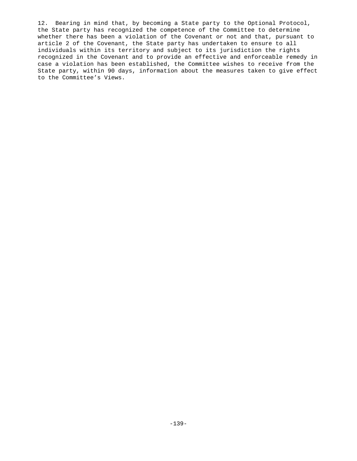12. Bearing in mind that, by becoming a State party to the Optional Protocol, the State party has recognized the competence of the Committee to determine whether there has been a violation of the Covenant or not and that, pursuant to article 2 of the Covenant, the State party has undertaken to ensure to all individuals within its territory and subject to its jurisdiction the rights recognized in the Covenant and to provide an effective and enforceable remedy in case a violation has been established, the Committee wishes to receive from the State party, within 90 days, information about the measures taken to give effect to the Committee's Views.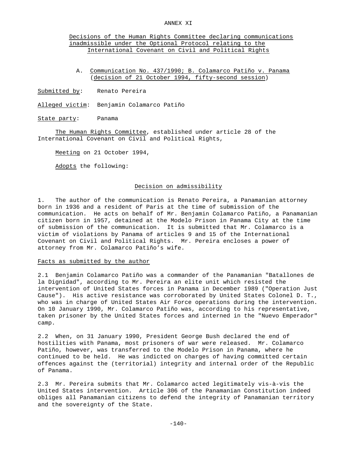# ANNEX XI

# Decisions of the Human Rights Committee declaring communications inadmissible under the Optional Protocol relating to the International Covenant on Civil and Political Rights

A. Communication No. 437/1990; B. Colamarco Patiño v. Panama (decision of 21 October 1994, fifty-second session)

Submitted by: Renato Pereira

Alleged victim: Benjamin Colamarco Patiño

State party: Panama

The Human Rights Committee, established under article 28 of the International Covenant on Civil and Political Rights,

Meeting on 21 October 1994,

Adopts the following:

### Decision on admissibility

1. The author of the communication is Renato Pereira, a Panamanian attorney born in 1936 and a resident of Paris at the time of submission of the communication. He acts on behalf of Mr. Benjamin Colamarco Patiño, a Panamanian citizen born in 1957, detained at the Modelo Prison in Panama City at the time of submission of the communication. It is submitted that Mr. Colamarco is a victim of violations by Panama of articles 9 and 15 of the International Covenant on Civil and Political Rights. Mr. Pereira encloses a power of attorney from Mr. Colamarco Patiño's wife.

#### Facts as submitted by the author

2.1 Benjamin Colamarco Patiño was a commander of the Panamanian "Batallones de la Dignidad", according to Mr. Pereira an elite unit which resisted the intervention of United States forces in Panama in December 1989 ("Operation Just Cause"). His active resistance was corroborated by United States Colonel D. T., who was in charge of United States Air Force operations during the intervention. On 10 January 1990, Mr. Colamarco Patiño was, according to his representative, taken prisoner by the United States forces and interned in the "Nuevo Emperador" camp.

2.2 When, on 31 January 1990, President George Bush declared the end of hostilities with Panama, most prisoners of war were released. Mr. Colamarco Patiño, however, was transferred to the Modelo Prison in Panama, where he continued to be held. He was indicted on charges of having committed certain offences against the (territorial) integrity and internal order of the Republic of Panama.

2.3 Mr. Pereira submits that Mr. Colamarco acted legitimately vis-à-vis the United States intervention. Article 306 of the Panamanian Constitution indeed obliges all Panamanian citizens to defend the integrity of Panamanian territory and the sovereignty of the State.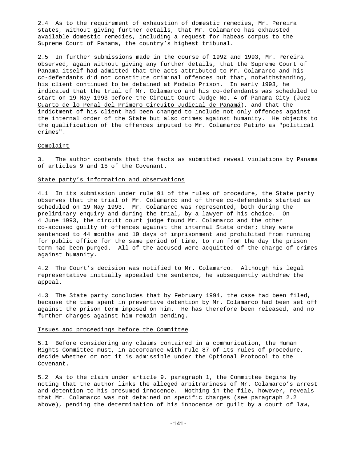2.4 As to the requirement of exhaustion of domestic remedies, Mr. Pereira states, without giving further details, that Mr. Colamarco has exhausted available domestic remedies, including a request for habeas corpus to the Supreme Court of Panama, the country's highest tribunal.

2.5 In further submissions made in the course of 1992 and 1993, Mr. Pereira observed, again without giving any further details, that the Supreme Court of Panama itself had admitted that the acts attributed to Mr. Colamarco and his co-defendants did not constitute criminal offences but that, notwithstanding, his client continued to be detained at Modelo Prison. In early 1993, he indicated that the trial of Mr. Colamarco and his co-defendants was scheduled to start on 19 May 1993 before the Circuit Court Judge No. 4 of Panama City (Juez Cuarto de lo Penal del Primero Circuito Judicial de Panamá), and that the indictment of his client had been changed to include not only offences against the internal order of the State but also crimes against humanity. He objects to the qualification of the offences imputed to Mr. Colamarco Patiño as "political crimes".

#### Complaint

3. The author contends that the facts as submitted reveal violations by Panama of articles 9 and 15 of the Covenant.

# State party's information and observations

4.1 In its submission under rule 91 of the rules of procedure, the State party observes that the trial of Mr. Colamarco and of three co-defendants started as scheduled on 19 May 1993. Mr. Colamarco was represented, both during the preliminary enquiry and during the trial, by a lawyer of his choice. On 4 June 1993, the circuit court judge found Mr. Colamarco and the other co-accused guilty of offences against the internal State order; they were sentenced to 44 months and 10 days of imprisonment and prohibited from running for public office for the same period of time, to run from the day the prison term had been purged. All of the accused were acquitted of the charge of crimes against humanity.

4.2 The Court's decision was notified to Mr. Colamarco. Although his legal representative initially appealed the sentence, he subsequently withdrew the appeal.

4.3 The State party concludes that by February 1994, the case had been filed, because the time spent in preventive detention by Mr. Colamarco had been set off against the prison term imposed on him. He has therefore been released, and no further charges against him remain pending.

# Issues and proceedings before the Committee

5.1 Before considering any claims contained in a communication, the Human Rights Committee must, in accordance with rule 87 of its rules of procedure, decide whether or not it is admissible under the Optional Protocol to the Covenant.

5.2 As to the claim under article 9, paragraph 1, the Committee begins by noting that the author links the alleged arbitrariness of Mr. Colamarco's arrest and detention to his presumed innocence. Nothing in the file, however, reveals that Mr. Colamarco was not detained on specific charges (see paragraph 2.2 above), pending the determination of his innocence or guilt by a court of law,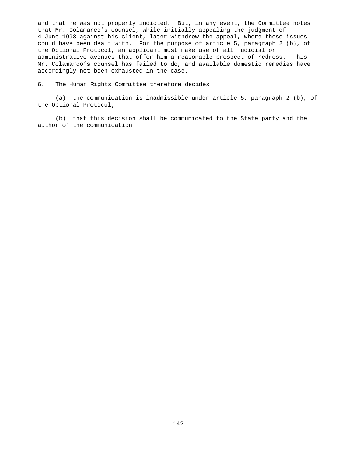and that he was not properly indicted. But, in any event, the Committee notes that Mr. Colamarco's counsel, while initially appealing the judgment of 4 June 1993 against his client, later withdrew the appeal, where these issues could have been dealt with. For the purpose of article 5, paragraph 2 (b), of the Optional Protocol, an applicant must make use of all judicial or administrative avenues that offer him a reasonable prospect of redress. This Mr. Colamarco's counsel has failed to do, and available domestic remedies have accordingly not been exhausted in the case.

6. The Human Rights Committee therefore decides:

(a) the communication is inadmissible under article 5, paragraph 2 (b), of the Optional Protocol;

(b) that this decision shall be communicated to the State party and the author of the communication.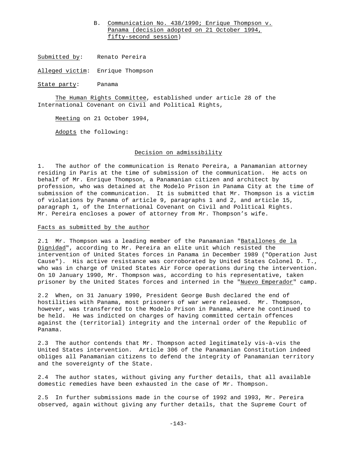- B. Communication No. 438/1990; Enrique Thompson v. Panama (decision adopted on 21 October 1994, fifty-second session)
- Submitted by: Renato Pereira

Alleged victim: Enrique Thompson

State party: Panama

The Human Rights Committee, established under article 28 of the International Covenant on Civil and Political Rights,

Meeting on 21 October 1994,

Adopts the following:

### Decision on admissibility

1. The author of the communication is Renato Pereira, a Panamanian attorney residing in Paris at the time of submission of the communication. He acts on behalf of Mr. Enrique Thompson, a Panamanian citizen and architect by profession, who was detained at the Modelo Prison in Panama City at the time of submission of the communication. It is submitted that Mr. Thompson is a victim of violations by Panama of article 9, paragraphs 1 and 2, and article 15, paragraph 1, of the International Covenant on Civil and Political Rights. Mr. Pereira encloses a power of attorney from Mr. Thompson's wife.

### Facts as submitted by the author

2.1 Mr. Thompson was a leading member of the Panamanian "Batallones de la Dignidad", according to Mr. Pereira an elite unit which resisted the intervention of United States forces in Panama in December 1989 ("Operation Just Cause"). His active resistance was corroborated by United States Colonel D. T., who was in charge of United States Air Force operations during the intervention. On 10 January 1990, Mr. Thompson was, according to his representative, taken prisoner by the United States forces and interned in the "Nuevo Emperador" camp.

2.2 When, on 31 January 1990, President George Bush declared the end of hostilities with Panama, most prisoners of war were released. Mr. Thompson, however, was transferred to the Modelo Prison in Panama, where he continued to be held. He was indicted on charges of having committed certain offences against the (territorial) integrity and the internal order of the Republic of Panama.

2.3 The author contends that Mr. Thompson acted legitimately vis-à-vis the United States intervention. Article 306 of the Panamanian Constitution indeed obliges all Panamanian citizens to defend the integrity of Panamanian territory and the sovereignty of the State.

2.4 The author states, without giving any further details, that all available domestic remedies have been exhausted in the case of Mr. Thompson.

2.5 In further submissions made in the course of 1992 and 1993, Mr. Pereira observed, again without giving any further details, that the Supreme Court of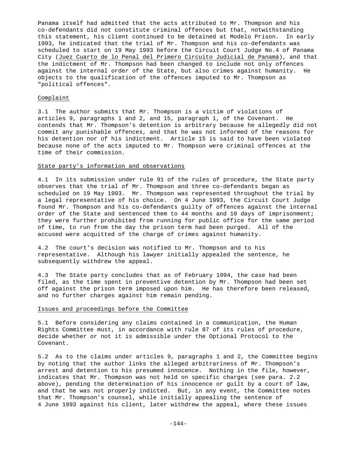Panama itself had admitted that the acts attributed to Mr. Thompson and his co-defendants did not constitute criminal offences but that, notwithstanding this statement, his client continued to be detained at Modelo Prison. In early 1993, he indicated that the trial of Mr. Thompson and his co-defendants was scheduled to start on 19 May 1993 before the Circuit Court Judge No.4 of Panama City (Juez Cuarto de lo Penal del Primero Circuito Judicial de Panamá), and that the indictment of Mr. Thompson had been changed to include not only offences against the internal order of the State, but also crimes against humanity. He objects to the qualification of the offences imputed to Mr. Thompson as "political offences".

### **Complaint**

3.1 The author submits that Mr. Thompson is a victim of violations of articles 9, paragraphs 1 and 2, and 15, paragraph 1, of the Covenant. He contends that Mr. Thompson's detention is arbitrary because he allegedly did not commit any punishable offences, and that he was not informed of the reasons for his detention nor of his indictment. Article 15 is said to have been violated because none of the acts imputed to Mr. Thompson were criminal offences at the time of their commission.

# State party's information and observations

4.1 In its submission under rule 91 of the rules of procedure, the State party observes that the trial of Mr. Thompson and three co-defendants began as scheduled on 19 May 1993. Mr. Thompson was represented throughout the trial by a legal representative of his choice. On 4 June 1993, the Circuit Court Judge found Mr. Thompson and his co-defendants guilty of offences against the internal order of the State and sentenced them to 44 months and 10 days of imprisonment; they were further prohibited from running for public office for the same period of time, to run from the day the prison term had been purged. All of the accused were acquitted of the charge of crimes against humanity.

4.2 The court's decision was notified to Mr. Thompson and to his representative. Although his lawyer initially appealed the sentence, he subsequently withdrew the appeal.

4.3 The State party concludes that as of February 1994, the case had been filed, as the time spent in preventive detention by Mr. Thompson had been set off against the prison term imposed upon him. He has therefore been released, and no further charges against him remain pending.

# Issues and proceedings before the Committee

5.1 Before considering any claims contained in a communication, the Human Rights Committee must, in accordance with rule 87 of its rules of procedure, decide whether or not it is admissible under the Optional Protocol to the Covenant.

5.2 As to the claims under articles 9, paragraphs 1 and 2, the Committee begins by noting that the author links the alleged arbitrariness of Mr. Thompson's arrest and detention to his presumed innocence. Nothing in the file, however, indicates that Mr. Thompson was not held on specific charges (see para. 2.2 above), pending the determination of his innocence or guilt by a court of law, and that he was not properly indicted. But, in any event, the Committee notes that Mr. Thompson's counsel, while initially appealing the sentence of 4 June 1993 against his client, later withdrew the appeal, where these issues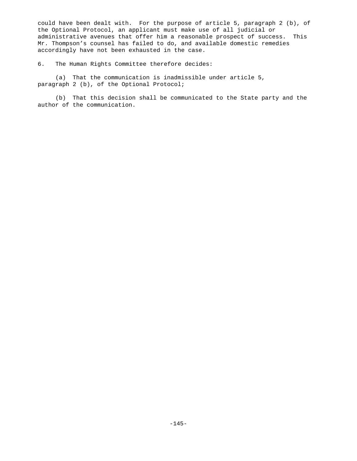could have been dealt with. For the purpose of article 5, paragraph 2 (b), of the Optional Protocol, an applicant must make use of all judicial or administrative avenues that offer him a reasonable prospect of success. This Mr. Thompson's counsel has failed to do, and available domestic remedies accordingly have not been exhausted in the case.

6. The Human Rights Committee therefore decides:

(a) That the communication is inadmissible under article 5, paragraph 2 (b), of the Optional Protocol;

(b) That this decision shall be communicated to the State party and the author of the communication.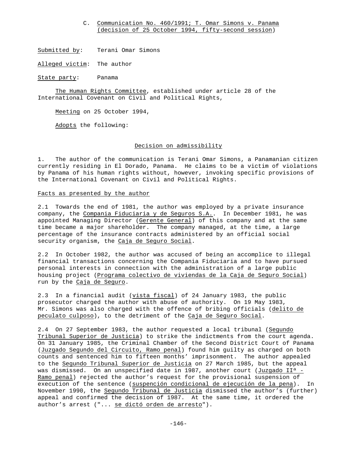C. Communication No. 460/1991; T. Omar Simons v. Panama (decision of 25 October 1994, fifty-second session)

Submitted by: Terani Omar Simons

Alleged victim: The author

State party: Panama

The Human Rights Committee, established under article 28 of the International Covenant on Civil and Political Rights,

Meeting on 25 October 1994,

Adopts the following:

#### Decision on admissibility

1. The author of the communication is Terani Omar Simons, a Panamanian citizen currently residing in El Dorado, Panama. He claims to be a victim of violations by Panama of his human rights without, however, invoking specific provisions of the International Covenant on Civil and Political Rights.

### Facts as presented by the author

2.1 Towards the end of 1981, the author was employed by a private insurance company, the Compania Fiduciaria y de Seguros S.A.. In December 1981, he was appointed Managing Director (Gerente General) of this company and at the same time became a major shareholder. The company managed, at the time, a large percentage of the insurance contracts administered by an official social security organism, the Caja de Seguro Social.

2.2 In October 1982, the author was accused of being an accomplice to illegal financial transactions concerning the Compania Fiduciaria and to have pursued personal interests in connection with the administration of a large public housing project (Programa colectivo de viviendas de la Caja de Seguro Social) run by the Caja de Seguro.

2.3 In a financial audit (vista fiscal) of 24 January 1983, the public prosecutor charged the author with abuse of authority. On 19 May 1983, Mr. Simons was also charged with the offence of bribing officials (delito de peculato culposo), to the detriment of the Caja de Seguro Social.

2.4 On 27 September 1983, the author requested a local tribunal (Segundo Tribunal Superior de Justicia) to strike the indictments from the court agenda. On 31 January 1985, the Criminal Chamber of the Second District Court of Panama (Juzgado Segundo del Circuito, Ramo penal) found him guilty as charged on both counts and sentenced him to fifteen months' imprisonment. The author appealed to the Segundo Tribunal Superior de Justicia on 27 March 1985, but the appeal was dismissed. On an unspecified date in 1987, another court (Juzgado II<sup>a</sup> -Ramo penal) rejected the author's request for the provisional suspension of execution of the sentence (suspención condicional de ejecución de la pena). In November 1990, the Segundo Tribunal de Justicia dismissed the author's (further) appeal and confirmed the decision of 1987. At the same time, it ordered the author's arrest ("... se dictó orden de arresto").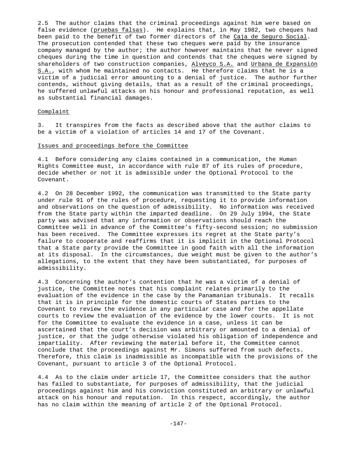2.5 The author claims that the criminal proceedings against him were based on false evidence (pruebas falsas). He explains that, in May 1982, two cheques had been paid to the benefit of two former directors of the Caja de Seguro Social. The prosecution contended that these two cheques were paid by the insurance company managed by the author; the author however maintains that he never signed cheques during the time in question and contends that the cheques were signed by shareholders of two construction companies, Alveyco S.A. and Urbana de Expansión S.A., with whom he maintained no contacts. He therefore claims that he is a victim of a judicial error amounting to a denial of justice. The author further contends, without giving details, that as a result of the criminal proceedings, he suffered unlawful attacks on his honour and professional reputation, as well as substantial financial damages.

### Complaint

3. It transpires from the facts as described above that the author claims to be a victim of a violation of articles 14 and 17 of the Covenant.

#### Issues and proceedings before the Committee

4.1 Before considering any claims contained in a communication, the Human Rights Committee must, in accordance with rule 87 of its rules of procedure, decide whether or not it is admissible under the Optional Protocol to the Covenant.

4.2 On 28 December 1992, the communication was transmitted to the State party under rule 91 of the rules of procedure, requesting it to provide information and observations on the question of admissibility. No information was received from the State party within the imparted deadline. On 29 July 1994, the State party was advised that any information or observations should reach the Committee well in advance of the Committee's fifty-second session; no submission has been received. The Committee expresses its regret at the State party's failure to cooperate and reaffirms that it is implicit in the Optional Protocol that a State party provide the Committee in good faith with all the information at its disposal. In the circumstances, due weight must be given to the author's allegations, to the extent that they have been substantiated, for purposes of admissibility.

4.3 Concerning the author's contention that he was a victim of a denial of justice, the Committee notes that his complaint relates primarily to the evaluation of the evidence in the case by the Panamanian tribunals. It recalls that it is in principle for the domestic courts of States parties to the Covenant to review the evidence in any particular case and for the appellate courts to review the evaluation of the evidence by the lower courts. It is not for the Committee to evaluate the evidence in a case, unless it can be ascertained that the court's decision was arbitrary or amounted to a denial of justice, or that the judge otherwise violated his obligation of independence and impartiality. After reviewing the material before it, the Committee cannot conclude that the proceedings against Mr. Simons suffered from such defects. Therefore, this claim is inadmissible as incompatible with the provisions of the Covenant, pursuant to article 3 of the Optional Protocol.

4.4 As to the claim under article 17, the Committee considers that the author has failed to substantiate, for purposes of admissibility, that the judicial proceedings against him and his conviction constituted an arbitrary or unlawful attack on his honour and reputation. In this respect, accordingly, the author has no claim within the meaning of article 2 of the Optional Protocol.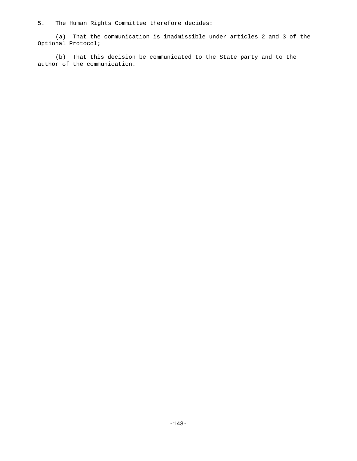5. The Human Rights Committee therefore decides:

(a) That the communication is inadmissible under articles 2 and 3 of the Optional Protocol;

(b) That this decision be communicated to the State party and to the author of the communication.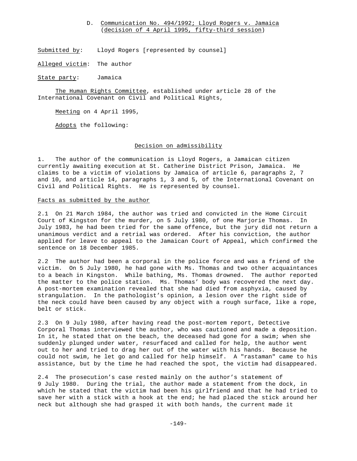D. Communication No. 494/1992; Lloyd Rogers v. Jamaica (decision of 4 April 1995, fifty-third session)

Submitted by: Lloyd Rogers [represented by counsel]

Alleged victim: The author

State party: Jamaica

The Human Rights Committee, established under article 28 of the International Covenant on Civil and Political Rights,

Meeting on 4 April 1995,

Adopts the following:

#### Decision on admissibility

1. The author of the communication is Lloyd Rogers, a Jamaican citizen currently awaiting execution at St. Catherine District Prison, Jamaica. He claims to be a victim of violations by Jamaica of article 6, paragraphs 2, 7 and 10, and article 14, paragraphs 1, 3 and 5, of the International Covenant on Civil and Political Rights. He is represented by counsel.

# Facts as submitted by the author

2.1 On 21 March 1984, the author was tried and convicted in the Home Circuit Court of Kingston for the murder, on 5 July 1980, of one Marjorie Thomas. In July 1983, he had been tried for the same offence, but the jury did not return a unanimous verdict and a retrial was ordered. After his conviction, the author applied for leave to appeal to the Jamaican Court of Appeal, which confirmed the sentence on 18 December 1985.

2.2 The author had been a corporal in the police force and was a friend of the victim. On 5 July 1980, he had gone with Ms. Thomas and two other acquaintances to a beach in Kingston. While bathing, Ms. Thomas drowned. The author reported the matter to the police station. Ms. Thomas' body was recovered the next day. A post-mortem examination revealed that she had died from asphyxia, caused by strangulation. In the pathologist's opinion, a lesion over the right side of the neck could have been caused by any object with a rough surface, like a rope, belt or stick.

2.3 On 9 July 1980, after having read the post-mortem report, Detective Corporal Thomas interviewed the author, who was cautioned and made a deposition. In it, he stated that on the beach, the deceased had gone for a swim; when she suddenly plunged under water, resurfaced and called for help, the author went out to her and tried to drag her out of the water with his hands. Because he could not swim, he let go and called for help himself. A "rastaman" came to his assistance, but by the time he had reached the spot, the victim had disappeared.

2.4 The prosecution's case rested mainly on the author's statement of 9 July 1980. During the trial, the author made a statement from the dock, in which he stated that the victim had been his girlfriend and that he had tried to save her with a stick with a hook at the end; he had placed the stick around her neck but although she had grasped it with both hands, the current made it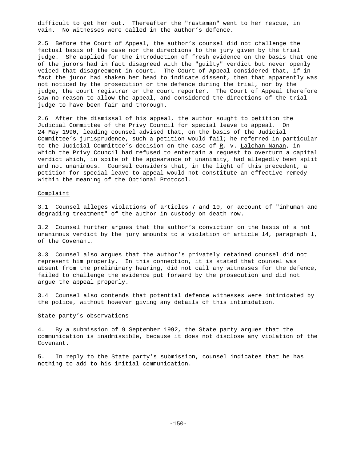difficult to get her out. Thereafter the "rastaman" went to her rescue, in vain. No witnesses were called in the author's defence.

2.5 Before the Court of Appeal, the author's counsel did not challenge the factual basis of the case nor the directions to the jury given by the trial judge. She applied for the introduction of fresh evidence on the basis that one of the jurors had in fact disagreed with the "guilty" verdict but never openly voiced that disagreement in court. The Court of Appeal considered that, if in fact the juror had shaken her head to indicate dissent, then that apparently was not noticed by the prosecution or the defence during the trial, nor by the judge, the court registrar or the court reporter. The Court of Appeal therefore saw no reason to allow the appeal, and considered the directions of the trial judge to have been fair and thorough.

2.6 After the dismissal of his appeal, the author sought to petition the Judicial Committee of the Privy Council for special leave to appeal. On 24 May 1990, leading counsel advised that, on the basis of the Judicial Committee's jurisprudence, such a petition would fail; he referred in particular to the Judicial Committee's decision on the case of R. v. Lalchan Nanan, in which the Privy Council had refused to entertain a request to overturn a capital verdict which, in spite of the appearance of unanimity, had allegedly been split and not unanimous. Counsel considers that, in the light of this precedent, a petition for special leave to appeal would not constitute an effective remedy within the meaning of the Optional Protocol.

### **Complaint**

3.1 Counsel alleges violations of articles 7 and 10, on account of "inhuman and degrading treatment" of the author in custody on death row.

3.2 Counsel further argues that the author's conviction on the basis of a not unanimous verdict by the jury amounts to a violation of article 14, paragraph 1, of the Covenant.

3.3 Counsel also argues that the author's privately retained counsel did not represent him properly. In this connection, it is stated that counsel was absent from the preliminary hearing, did not call any witnesses for the defence, failed to challenge the evidence put forward by the prosecution and did not argue the appeal properly.

3.4 Counsel also contends that potential defence witnesses were intimidated by the police, without however giving any details of this intimidation.

### State party's observations

4. By a submission of 9 September 1992, the State party argues that the communication is inadmissible, because it does not disclose any violation of the Covenant.

5. In reply to the State party's submission, counsel indicates that he has nothing to add to his initial communication.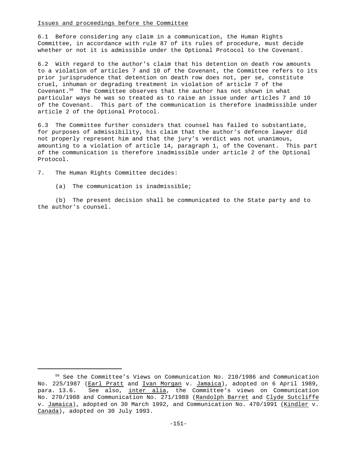### Issues and proceedings before the Committee

6.1 Before considering any claim in a communication, the Human Rights Committee, in accordance with rule 87 of its rules of procedure, must decide whether or not it is admissible under the Optional Protocol to the Covenant.

6.2 With regard to the author's claim that his detention on death row amounts to a violation of articles 7 and 10 of the Covenant, the Committee refers to its prior jurisprudence that detention on death row does not, per se, constitute cruel, inhuman or degrading treatment in violation of article 7 of the Covenant.56 The Committee observes that the author has not shown in what particular ways he was so treated as to raise an issue under articles 7 and 10 of the Covenant. This part of the communication is therefore inadmissible under article 2 of the Optional Protocol.

6.3 The Committee further considers that counsel has failed to substantiate, for purposes of admissibility, his claim that the author's defence lawyer did not properly represent him and that the jury's verdict was not unanimous, amounting to a violation of article 14, paragraph 1, of the Covenant. This part of the communication is therefore inadmissible under article 2 of the Optional Protocol.

7. The Human Rights Committee decides:

(a) The communication is inadmissible;

(b) The present decision shall be communicated to the State party and to the author's counsel.

<sup>56</sup> See the Committee's Views on Communication No. 210/1986 and Communication No. 225/1987 (Earl Pratt and Ivan Morgan v. Jamaica), adopted on 6 April 1989, para. 13.6. See also, inter alia, the Committee's views on Communication No. 270/1988 and Communication No. 271/1988 (Randolph Barret and Clyde Sutcliffe v. Jamaica), adopted on 30 March 1992, and Communication No. 470/1991 (Kindler v. Canada), adopted on 30 July 1993.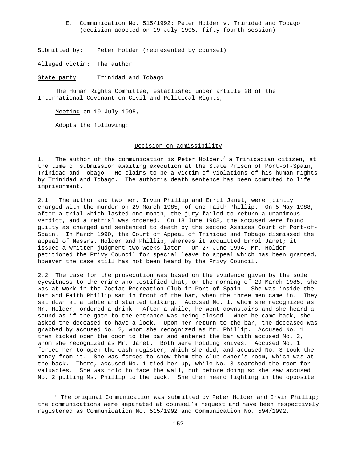E. Communication No. 515/1992; Peter Holder v. Trinidad and Tobago (decision adopted on 19 July 1995, fifty-fourth session)

Submitted by: Peter Holder (represented by counsel)

Alleged victim: The author

State party: Trinidad and Tobago

The Human Rights Committee, established under article 28 of the International Covenant on Civil and Political Rights,

Meeting on 19 July 1995,

Adopts the following:

### Decision on admissibility

1. The author of the communication is Peter Holder,<sup>2</sup> a Trinidadian citizen, at the time of submission awaiting execution at the State Prison of Port-of-Spain, Trinidad and Tobago. He claims to be a victim of violations of his human rights by Trinidad and Tobago. The author's death sentence has been commuted to life imprisonment.

2.1 The author and two men, Irvin Phillip and Errol Janet, were jointly charged with the murder on 29 March 1985, of one Faith Phillip. On 5 May 1988, after a trial which lasted one month, the jury failed to return a unanimous verdict, and a retrial was ordered. On 18 June 1988, the accused were found guilty as charged and sentenced to death by the second Assizes Court of Port-of-Spain. In March 1990, the Court of Appeal of Trinidad and Tobago dismissed the appeal of Messrs. Holder and Phillip, whereas it acquitted Errol Janet; it issued a written judgment two weeks later. On 27 June 1994, Mr. Holder petitioned the Privy Council for special leave to appeal which has been granted, however the case still has not been heard by the Privy Council.

2.2 The case for the prosecution was based on the evidence given by the sole eyewitness to the crime who testified that, on the morning of 29 March 1985, she was at work in the Zodiac Recreation Club in Port-of-Spain. She was inside the bar and Faith Phillip sat in front of the bar, when the three men came in. They sat down at a table and started talking. Accused No. 1, whom she recognized as Mr. Holder, ordered a drink. After a while, he went downstairs and she heard a sound as if the gate to the entrance was being closed. When he came back, she asked the deceased to have a look. Upon her return to the bar, the deceased was grabbed by accused No. 2, whom she recognized as Mr. Phillip. Accused No. 1 then kicked open the door to the bar and entered the bar with accused No. 3, whom she recognized as Mr. Janet. Both were holding knives. Accused No. 1 forced her to open the cash register, which she did, and accused No. 3 took the money from it. She was forced to show them the club owner's room, which was at the back. There, accused No. 1 tied her up, while No. 3 searched the room for valuables. She was told to face the wall, but before doing so she saw accused No. 2 pulling Ms. Phillip to the back. She then heard fighting in the opposite

 $2$  The original Communication was submitted by Peter Holder and Irvin Phillip; the communications were separated at counsel's request and have been respectively registered as Communication No. 515/1992 and Communication No. 594/1992.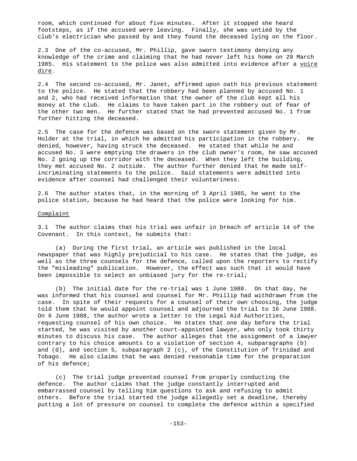room, which continued for about five minutes. After it stopped she heard footsteps, as if the accused were leaving. Finally, she was untied by the club's electrician who passed by and they found the deceased lying on the floor.

2.3 One of the co-accused, Mr. Phillip, gave sworn testimony denying any knowledge of the crime and claiming that he had never left his home on 29 March 1985. His statement to the police was also admitted into evidence after a voire dire.

2.4 The second co-accused, Mr. Janet, affirmed upon oath his previous statement to the police. He stated that the robbery had been planned by accused No. 1 and 2, who had received information that the owner of the club kept all his money at the club. He claims to have taken part in the robbery out of fear of the other two men. He further stated that he had prevented accused No. 1 from further hitting the deceased.

2.5 The case for the defence was based on the sworn statement given by Mr. Holder at the trial, in which he admitted his participation in the robbery. He denied, however, having struck the deceased. He stated that while he and accused No. 3 were emptying the drawers in the club owner's room, he saw accused No. 2 going up the corridor with the deceased. When they left the building, they met accused No. 2 outside. The author further denied that he made selfincriminating statements to the police. Said statements were admitted into evidence after counsel had challenged their voluntariness.

2.6 The author states that, in the morning of 3 April 1985, he went to the police station, because he had heard that the police were looking for him.

### Complaint

3.1 The author claims that his trial was unfair in breach of article 14 of the Covenant. In this context, he submits that:

(a) During the first trial, an article was published in the local newspaper that was highly prejudicial to his case. He states that the judge, as well as the three counsels for the defence, called upon the reporters to rectify the "misleading" publication. However, the effect was such that it would have been impossible to select an unbiased jury for the re-trial;

(b) The initial date for the re-trial was 1 June 1988. On that day, he was informed that his counsel and counsel for Mr. Phillip had withdrawn from the case. In spite of their requests for a counsel of their own choosing, the judge told them that he would appoint counsel and adjourned the trial to 16 June 1988. On 6 June 1988, the author wrote a letter to the Legal Aid Authorities, requesting counsel of his own choice. He states that one day before the trial started, he was visited by another court-appointed lawyer, who only took thirty minutes to discuss his case. The author alleges that the assignment of a lawyer contrary to his choice amounts to a violation of section 4, subparagraphs (b) and (d), and section 5, subparagraph 2 (c), of the Constitution of Trinidad and Tobago. He also claims that he was denied reasonable time for the preparation of his defence;

(c) The trial judge prevented counsel from properly conducting the defence. The author claims that the judge constantly interrupted and embarrassed counsel by telling him questions to ask and refusing to admit others. Before the trial started the judge allegedly set a deadline, thereby putting a lot of pressure on counsel to complete the defence within a specified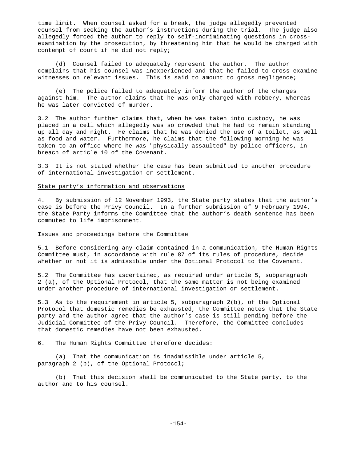time limit. When counsel asked for a break, the judge allegedly prevented counsel from seeking the author's instructions during the trial. The judge also allegedly forced the author to reply to self-incriminating questions in crossexamination by the prosecution, by threatening him that he would be charged with contempt of court if he did not reply;

(d) Counsel failed to adequately represent the author. The author complains that his counsel was inexperienced and that he failed to cross-examine witnesses on relevant issues. This is said to amount to gross negligence;

(e) The police failed to adequately inform the author of the charges against him. The author claims that he was only charged with robbery, whereas he was later convicted of murder.

3.2 The author further claims that, when he was taken into custody, he was placed in a cell which allegedly was so crowded that he had to remain standing up all day and night. He claims that he was denied the use of a toilet, as well as food and water. Furthermore, he claims that the following morning he was taken to an office where he was "physically assaulted" by police officers, in breach of article 10 of the Covenant.

3.3 It is not stated whether the case has been submitted to another procedure of international investigation or settlement.

### State party's information and observations

4. By submission of 12 November 1993, the State party states that the author's case is before the Privy Council. In a further submission of 9 February 1994, the State Party informs the Committee that the author's death sentence has been commuted to life imprisonment.

### Issues and proceedings before the Committee

5.1 Before considering any claim contained in a communication, the Human Rights Committee must, in accordance with rule 87 of its rules of procedure, decide whether or not it is admissible under the Optional Protocol to the Covenant.

5.2 The Committee has ascertained, as required under article 5, subparagraph 2 (a), of the Optional Protocol, that the same matter is not being examined under another procedure of international investigation or settlement.

5.3 As to the requirement in article 5, subparagraph 2(b), of the Optional Protocol that domestic remedies be exhausted, the Committee notes that the State party and the author agree that the author's case is still pending before the Judicial Committee of the Privy Council. Therefore, the Committee concludes that domestic remedies have not been exhausted.

6. The Human Rights Committee therefore decides:

(a) That the communication is inadmissible under article 5, paragraph 2 (b), of the Optional Protocol;

(b) That this decision shall be communicated to the State party, to the author and to his counsel.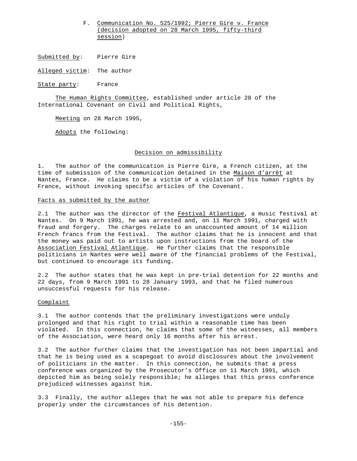F. Communication No. 525/1992; Pierre Gire v. France (decision adopted on 28 March 1995, fifty-third session)

Submitted by: Pierre Gire

Alleged victim: The author

State party: France

The Human Rights Committee, established under article 28 of the International Covenant on Civil and Political Rights,

Meeting on 28 March 1995,

Adopts the following:

### Decision on admissibility

1. The author of the communication is Pierre Gire, a French citizen, at the time of submission of the communication detained in the Maison d'arrêt at Nantes, France. He claims to be a victim of a violation of his human rights by France, without invoking specific articles of the Covenant.

### Facts as submitted by the author

2.1 The author was the director of the Festival Atlantique, a music festival at Nantes. On 9 March 1991, he was arrested and, on 11 March 1991, charged with fraud and forgery. The charges relate to an unaccounted amount of 14 million French francs from the Festival. The author claims that he is innocent and that the money was paid out to artists upon instructions from the board of the Association Festival Atlantique. He further claims that the responsible politicians in Nantes were well aware of the financial problems of the Festival, but continued to encourage its funding.

2.2 The author states that he was kept in pre-trial detention for 22 months and 22 days, from 9 March 1991 to 28 January 1993, and that he filed numerous unsuccessful requests for his release.

### Complaint

3.1 The author contends that the preliminary investigations were unduly prolonged and that his right to trial within a reasonable time has been violated. In this connection, he claims that some of the witnesses, all members of the Association, were heard only 16 months after his arrest.

3.2 The author further claims that the investigation has not been impartial and that he is being used as a scapegoat to avoid disclosures about the involvement of politicians in the matter. In this connection, he submits that a press conference was organized by the Prosecutor's Office on 11 March 1991, which depicted him as being solely responsible; he alleges that this press conference prejudiced witnesses against him.

3.3 Finally, the author alleges that he was not able to prepare his defence properly under the circumstances of his detention.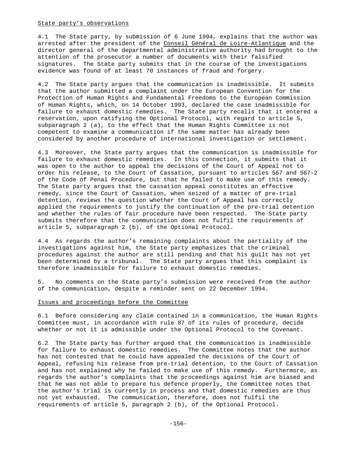### State party's observations

4.1 The State party, by submission of 6 June 1994, explains that the author was arrested after the president of the Conseil Général de Loire-Atlantique and the director general of the departmental administrative authority had brought to the attention of the prosecutor a number of documents with their falsified signatures. The State party submits that in the course of the investigations evidence was found of at least 70 instances of fraud and forgery.

4.2 The State party argues that the communication is inadmissible. It submits that the author submitted a complaint under the European Convention for the Protection of Human Rights and Fundamental Freedoms to the European Commission of Human Rights, which, on 14 October 1993, declared the case inadmissible for failure to exhaust domestic remedies. The State party recalls that it entered a reservation, upon ratifying the Optional Protocol, with regard to article 5, subparagraph 2 (a), to the effect that the Human Rights Committee is not competent to examine a communication if the same matter has already been considered by another procedure of international investigation or settlement.

4.3 Moreover, the State party argues that the communication is inadmissible for failure to exhaust domestic remedies. In this connection, it submits that it was open to the author to appeal the decisions of the Court of Appeal not to order his release, to the Court of Cassation, pursuant to articles 567 and 567-2 of the Code of Penal Procedure, but that he failed to make use of this remedy. The State party argues that the cassation appeal constitutes an effective remedy, since the Court of Cassation, when seized of a matter of pre-trial detention, reviews the question whether the Court of Appeal has correctly applied the requirements to justify the continuation of the pre-trial detention and whether the rules of fair procedure have been respected. The State party submits therefore that the communication does not fulfil the requirements of article 5, subparagraph 2 (b), of the Optional Protocol.

4.4 As regards the author's remaining complaints about the partiality of the investigations against him, the State party emphasizes that the criminal procedures against the author are still pending and that his guilt has not yet been determined by a tribunal. The State party argues that this complaint is therefore inadmissible for failure to exhaust domestic remedies.

5. No comments on the State party's submission were received from the author of the communication, despite a reminder sent on 22 December 1994.

### Issues and proceedings before the Committee

6.1 Before considering any claim contained in a communication, the Human Rights Committee must, in accordance with rule 87 of its rules of procedure, decide whether or not it is admissible under the Optional Protocol to the Covenant.

6.2 The State party has further argued that the communication is inadmissible for failure to exhaust domestic remedies. The Committee notes that the author has not contested that he could have appealed the decisions of the Court of Appeal, refusing his release from pre-trial detention, to the Court of Cassation and has not explained why he failed to make use of this remedy. Furthermore, as regards the author's complaints that the proceedings against him are biased and that he was not able to prepare his defence properly, the Committee notes that the author's trial is currently in process and that domestic remedies are thus not yet exhausted. The communication, therefore, does not fulfil the requirements of article 5, paragraph 2 (b), of the Optional Protocol.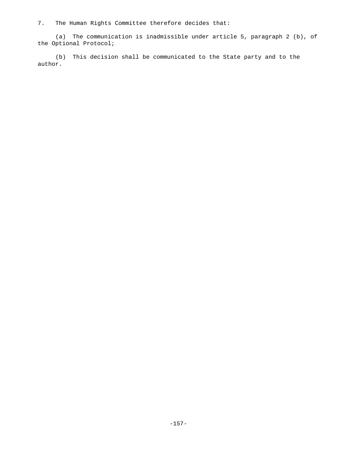7. The Human Rights Committee therefore decides that:

(a) The communication is inadmissible under article 5, paragraph 2 (b), of the Optional Protocol;

(b) This decision shall be communicated to the State party and to the author.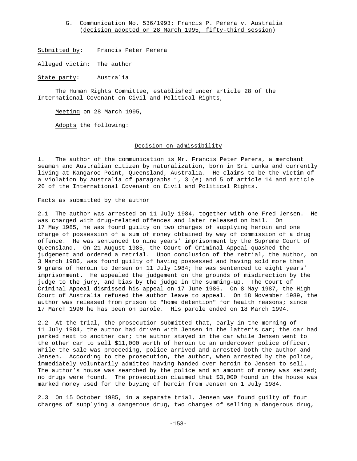G. Communication No. 536/1993; Francis P. Perera v. Australia (decision adopted on 28 March 1995, fifty-third session)

Submitted by: Francis Peter Perera

Alleged victim: The author

State party: Australia

The Human Rights Committee, established under article 28 of the International Covenant on Civil and Political Rights,

Meeting on 28 March 1995,

Adopts the following:

### Decision on admissibility

1. The author of the communication is Mr. Francis Peter Perera, a merchant seaman and Australian citizen by naturalization, born in Sri Lanka and currently living at Kangaroo Point, Queensland, Australia. He claims to be the victim of a violation by Australia of paragraphs 1, 3 (e) and 5 of article 14 and article 26 of the International Covenant on Civil and Political Rights.

# Facts as submitted by the author

2.1 The author was arrested on 11 July 1984, together with one Fred Jensen. He was charged with drug-related offences and later released on bail. On 17 May 1985, he was found guilty on two charges of supplying heroin and one charge of possession of a sum of money obtained by way of commission of a drug offence. He was sentenced to nine years' imprisonment by the Supreme Court of Queensland. On 21 August 1985, the Court of Criminal Appeal quashed the judgement and ordered a retrial. Upon conclusion of the retrial, the author, on 3 March 1986, was found guilty of having possessed and having sold more than 9 grams of heroin to Jensen on 11 July 1984; he was sentenced to eight years' imprisonment. He appealed the judgement on the grounds of misdirection by the judge to the jury, and bias by the judge in the summing-up. The Court of Criminal Appeal dismissed his appeal on 17 June 1986. On 8 May 1987, the High Court of Australia refused the author leave to appeal. On 18 November 1989, the author was released from prison to "home detention" for health reasons; since 17 March 1990 he has been on parole. His parole ended on 18 March 1994.

2.2 At the trial, the prosecution submitted that, early in the morning of 11 July 1984, the author had driven with Jensen in the latter's car; the car had parked next to another car; the author stayed in the car while Jensen went to the other car to sell \$11,000 worth of heroin to an undercover police officer. While the sale was proceeding, police arrived and arrested both the author and Jensen. According to the prosecution, the author, when arrested by the police, immediately voluntarily admitted having handed over heroin to Jensen to sell. The author's house was searched by the police and an amount of money was seized; no drugs were found. The prosecution claimed that \$3,000 found in the house was marked money used for the buying of heroin from Jensen on 1 July 1984.

2.3 On 15 October 1985, in a separate trial, Jensen was found guilty of four charges of supplying a dangerous drug, two charges of selling a dangerous drug,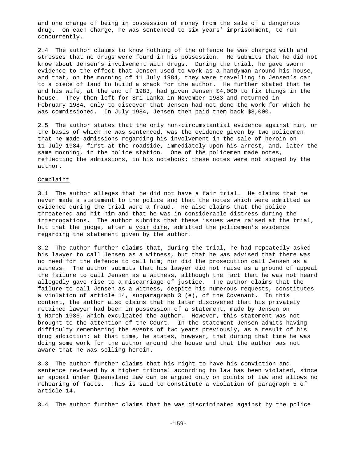and one charge of being in possession of money from the sale of a dangerous drug. On each charge, he was sentenced to six years' imprisonment, to run concurrently.

2.4 The author claims to know nothing of the offence he was charged with and stresses that no drugs were found in his possession. He submits that he did not know about Jensen's involvement with drugs. During the trial, he gave sworn evidence to the effect that Jensen used to work as a handyman around his house, and that, on the morning of 11 July 1984, they were travelling in Jensen's car to a piece of land to build a shack for the author. He further stated that he and his wife, at the end of 1983, had given Jensen \$4,000 to fix things in the house. They then left for Sri Lanka in November 1983 and returned in February 1984, only to discover that Jensen had not done the work for which he was commissioned. In July 1984, Jensen then paid them back \$3,000.

2.5 The author states that the only non-circumstantial evidence against him, on the basis of which he was sentenced, was the evidence given by two policemen that he made admissions regarding his involvement in the sale of heroin on 11 July 1984, first at the roadside, immediately upon his arrest, and, later the same morning, in the police station. One of the policemen made notes, reflecting the admissions, in his notebook; these notes were not signed by the author.

### Complaint

3.1 The author alleges that he did not have a fair trial. He claims that he never made a statement to the police and that the notes which were admitted as evidence during the trial were a fraud. He also claims that the police threatened and hit him and that he was in considerable distress during the interrogations. The author submits that these issues were raised at the trial, but that the judge, after a voir dire, admitted the policemen's evidence regarding the statement given by the author.

3.2 The author further claims that, during the trial, he had repeatedly asked his lawyer to call Jensen as a witness, but that he was advised that there was no need for the defence to call him; nor did the prosecution call Jensen as a witness. The author submits that his lawyer did not raise as a ground of appeal the failure to call Jensen as a witness, although the fact that he was not heard allegedly gave rise to a miscarriage of justice. The author claims that the failure to call Jensen as a witness, despite his numerous requests, constitutes a violation of article 14, subparagraph 3 (e), of the Covenant. In this context, the author also claims that he later discovered that his privately retained lawyer had been in possession of a statement, made by Jensen on 1 March 1986, which exculpated the author. However, this statement was not brought to the attention of the Court. In the statement Jensen admits having difficulty remembering the events of two years previously, as a result of his drug addiction; at that time, he states, however, that during that time he was doing some work for the author around the house and that the author was not aware that he was selling heroin.

3.3 The author further claims that his right to have his conviction and sentence reviewed by a higher tribunal according to law has been violated, since an appeal under Queensland law can be argued only on points of law and allows no rehearing of facts. This is said to constitute a violation of paragraph 5 of article 14.

3.4 The author further claims that he was discriminated against by the police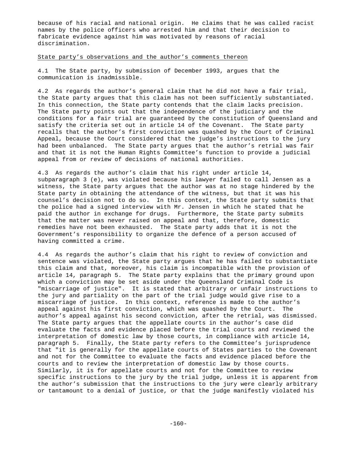because of his racial and national origin. He claims that he was called racist names by the police officers who arrested him and that their decision to fabricate evidence against him was motivated by reasons of racial discrimination.

# State party's observations and the author's comments thereon

4.1 The State party, by submission of December 1993, argues that the communication is inadmissible.

4.2 As regards the author's general claim that he did not have a fair trial, the State party argues that this claim has not been sufficiently substantiated. In this connection, the State party contends that the claim lacks precision. The State party points out that the independence of the judiciary and the conditions for a fair trial are guaranteed by the constitution of Queensland and satisfy the criteria set out in article 14 of the Covenant. The State party recalls that the author's first conviction was quashed by the Court of Criminal Appeal, because the Court considered that the judge's instructions to the jury had been unbalanced. The State party argues that the author's retrial was fair and that it is not the Human Rights Committee's function to provide a judicial appeal from or review of decisions of national authorities.

4.3 As regards the author's claim that his right under article 14, subparagraph 3 (e), was violated because his lawyer failed to call Jensen as a witness, the State party argues that the author was at no stage hindered by the State party in obtaining the attendance of the witness, but that it was his counsel's decision not to do so. In this context, the State party submits that the police had a signed interview with Mr. Jensen in which he stated that he paid the author in exchange for drugs. Furthermore, the State party submits that the matter was never raised on appeal and that, therefore, domestic remedies have not been exhausted. The State party adds that it is not the Government's responsibility to organize the defence of a person accused of having committed a crime.

4.4 As regards the author's claim that his right to review of conviction and sentence was violated, the State party argues that he has failed to substantiate this claim and that, moreover, his claim is incompatible with the provision of article 14, paragraph 5. The State party explains that the primary ground upon which a conviction may be set aside under the Queensland Criminal Code is "miscarriage of justice". It is stated that arbitrary or unfair instructions to the jury and partiality on the part of the trial judge would give rise to a miscarriage of justice. In this context, reference is made to the author's appeal against his first conviction, which was quashed by the Court. The author's appeal against his second conviction, after the retrial, was dismissed. The State party argues that the appellate courts in the author's case did evaluate the facts and evidence placed before the trial courts and reviewed the interpretation of domestic law by those courts, in compliance with article 14, paragraph 5. Finally, the State party refers to the Committee's jurisprudence that "it is generally for the appellate courts of States parties to the Covenant and not for the Committee to evaluate the facts and evidence placed before the courts and to review the interpretation of domestic law by those courts. Similarly, it is for appellate courts and not for the Committee to review specific instructions to the jury by the trial judge, unless it is apparent from the author's submission that the instructions to the jury were clearly arbitrary or tantamount to a denial of justice, or that the judge manifestly violated his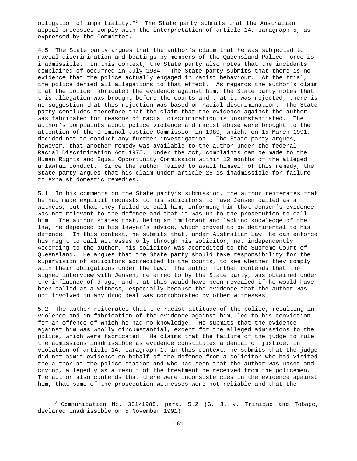obligation of impartiality."<sup>3</sup> The State party submits that the Australian appeal processes comply with the interpretation of article 14, paragraph 5, as expressed by the Committee.

4.5 The State party argues that the author's claim that he was subjected to racial discrimination and beatings by members of the Queensland Police Force is inadmissible. In this context, the State party also notes that the incidents complained of occurred in July 1984. The State party submits that there is no evidence that the police actually engaged in racist behaviour. At the trial, the police denied all allegations to that effect. As regards the author's claim that the police fabricated the evidence against him, the State party notes that this allegation was brought before the courts and that it was rejected; there is no suggestion that this rejection was based on racial discrimination. The State party concludes therefore that the claim that the evidence against the author was fabricated for reasons of racial discrimination is unsubstantiated. The author's complaints about police violence and racist abuse were brought to the attention of the Criminal Justice Commission in 1989, which, on 15 March 1991, decided not to conduct any further investigation. The State party argues, however, that another remedy was available to the author under the federal Racial Discrimination Act 1975. Under the Act, complaints can be made to the Human Rights and Equal Opportunity Commission within 12 months of the alleged unlawful conduct. Since the author failed to avail himself of this remedy, the State party argues that his claim under article 26 is inadmissible for failure to exhaust domestic remedies.

5.1 In his comments on the State party's submission, the author reiterates that he had made explicit requests to his solicitors to have Jensen called as a witness, but that they failed to call him, informing him that Jensen's evidence was not relevant to the defence and that it was up to the prosecution to call him. The author states that, being an immigrant and lacking knowledge of the law, he depended on his lawyer's advice, which proved to be detrimental to his defence. In this context, he submits that, under Australian law, he can enforce his right to call witnesses only through his solicitor, not independently. According to the author, his solicitor was accredited to the Supreme Court of Queensland. He argues that the State party should take responsibility for the supervision of solicitors accredited to the courts, to see whether they comply with their obligations under the law. The author further contends that the signed interview with Jensen, referred to by the State party, was obtained under the influence of drugs, and that this would have been revealed if he would have been called as a witness, especially because the evidence that the author was not involved in any drug deal was corroborated by other witnesses.

5.2 The author reiterates that the racist attitude of the police, resulting in violence and in fabrication of the evidence against him, led to his conviction for an offence of which he had no knowledge. He submits that the evidence against him was wholly circumstantial, except for the alleged admissions to the police, which were fabricated. He claims that the failure of the judge to rule the admissions inadmissible as evidence constitutes a denial of justice, in violation of article 14, paragraph 1; in this context, he submits that the judge did not admit evidence on behalf of the defence from a solicitor who had visited the author at the police station and who had seen that the author was upset and crying, allegedly as a result of the treatment he received from the policemen. The author also contends that there were inconsistencies in the evidence against him, that some of the prosecution witnesses were not reliable and that the

 $3$  Communication No. 331/1988, para. 5.2 (G. J. v. Trinidad and Tobago, declared inadmissible on 5 November 1991).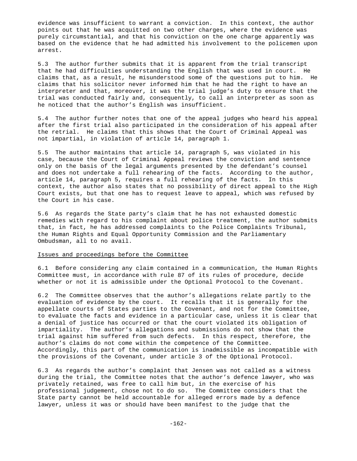evidence was insufficient to warrant a conviction. In this context, the author points out that he was acquitted on two other charges, where the evidence was purely circumstantial, and that his conviction on the one charge apparently was based on the evidence that he had admitted his involvement to the policemen upon arrest.

5.3 The author further submits that it is apparent from the trial transcript that he had difficulties understanding the English that was used in court. He claims that, as a result, he misunderstood some of the questions put to him. He claims that his solicitor never informed him that he had the right to have an interpreter and that, moreover, it was the trial judge's duty to ensure that the trial was conducted fairly and, consequently, to call an interpreter as soon as he noticed that the author's English was insufficient.

5.4 The author further notes that one of the appeal judges who heard his appeal after the first trial also participated in the consideration of his appeal after the retrial. He claims that this shows that the Court of Criminal Appeal was not impartial, in violation of article 14, paragraph 1.

5.5 The author maintains that article 14, paragraph 5, was violated in his case, because the Court of Criminal Appeal reviews the conviction and sentence only on the basis of the legal arguments presented by the defendant's counsel and does not undertake a full rehearing of the facts. According to the author, article 14, paragraph 5, requires a full rehearing of the facts. In this context, the author also states that no possibility of direct appeal to the High Court exists, but that one has to request leave to appeal, which was refused by the Court in his case.

5.6 As regards the State party's claim that he has not exhausted domestic remedies with regard to his complaint about police treatment, the author submits that, in fact, he has addressed complaints to the Police Complaints Tribunal, the Human Rights and Equal Opportunity Commission and the Parliamentary Ombudsman, all to no avail.

#### Issues and proceedings before the Committee

6.1 Before considering any claim contained in a communication, the Human Rights Committee must, in accordance with rule 87 of its rules of procedure, decide whether or not it is admissible under the Optional Protocol to the Covenant.

6.2 The Committee observes that the author's allegations relate partly to the evaluation of evidence by the court. It recalls that it is generally for the appellate courts of States parties to the Covenant, and not for the Committee, to evaluate the facts and evidence in a particular case, unless it is clear that a denial of justice has occurred or that the court violated its obligation of impartiality. The author's allegations and submissions do not show that the trial against him suffered from such defects. In this respect, therefore, the author's claims do not come within the competence of the Committee. Accordingly, this part of the communication is inadmissible as incompatible with the provisions of the Covenant, under article 3 of the Optional Protocol.

6.3 As regards the author's complaint that Jensen was not called as a witness during the trial, the Committee notes that the author's defence lawyer, who was privately retained, was free to call him but, in the exercise of his professional judgement, chose not to do so. The Committee considers that the State party cannot be held accountable for alleged errors made by a defence lawyer, unless it was or should have been manifest to the judge that the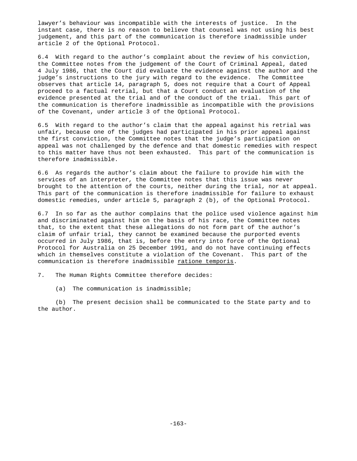lawyer's behaviour was incompatible with the interests of justice. In the instant case, there is no reason to believe that counsel was not using his best judgement, and this part of the communication is therefore inadmissible under article 2 of the Optional Protocol.

6.4 With regard to the author's complaint about the review of his conviction, the Committee notes from the judgement of the Court of Criminal Appeal, dated 4 July 1986, that the Court did evaluate the evidence against the author and the judge's instructions to the jury with regard to the evidence. The Committee observes that article 14, paragraph 5, does not require that a Court of Appeal proceed to a factual retrial, but that a Court conduct an evaluation of the evidence presented at the trial and of the conduct of the trial. This part of the communication is therefore inadmissible as incompatible with the provisions of the Covenant, under article 3 of the Optional Protocol.

6.5 With regard to the author's claim that the appeal against his retrial was unfair, because one of the judges had participated in his prior appeal against the first conviction, the Committee notes that the judge's participation on appeal was not challenged by the defence and that domestic remedies with respect to this matter have thus not been exhausted. This part of the communication is therefore inadmissible.

6.6 As regards the author's claim about the failure to provide him with the services of an interpreter, the Committee notes that this issue was never brought to the attention of the courts, neither during the trial, nor at appeal. This part of the communication is therefore inadmissible for failure to exhaust domestic remedies, under article 5, paragraph 2 (b), of the Optional Protocol.

6.7 In so far as the author complains that the police used violence against him and discriminated against him on the basis of his race, the Committee notes that, to the extent that these allegations do not form part of the author's claim of unfair trial, they cannot be examined because the purported events occurred in July 1986, that is, before the entry into force of the Optional Protocol for Australia on 25 December 1991, and do not have continuing effects which in themselves constitute a violation of the Covenant. This part of the communication is therefore inadmissible ratione temporis.

7. The Human Rights Committee therefore decides:

(a) The communication is inadmissible;

(b) The present decision shall be communicated to the State party and to the author.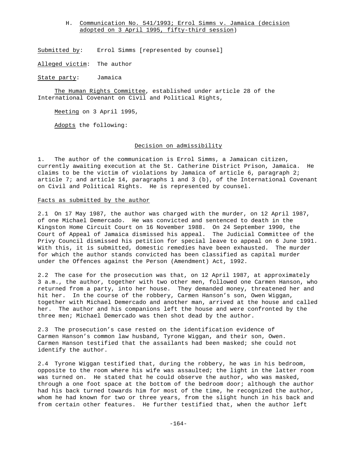H. Communication No. 541/1993; Errol Simms v. Jamaica (decision adopted on 3 April 1995, fifty-third session)

Submitted by: Errol Simms [represented by counsel]

Alleged victim: The author

State party: Jamaica

The Human Rights Committee, established under article 28 of the International Covenant on Civil and Political Rights,

Meeting on 3 April 1995,

Adopts the following:

#### Decision on admissibility

1. The author of the communication is Errol Simms, a Jamaican citizen, currently awaiting execution at the St. Catherine District Prison, Jamaica. He claims to be the victim of violations by Jamaica of article 6, paragraph 2; article 7; and article 14, paragraphs 1 and 3 (b), of the International Covenant on Civil and Political Rights. He is represented by counsel.

# Facts as submitted by the author

2.1 On 17 May 1987, the author was charged with the murder, on 12 April 1987, of one Michael Demercado. He was convicted and sentenced to death in the Kingston Home Circuit Court on 16 November 1988. On 24 September 1990, the Court of Appeal of Jamaica dismissed his appeal. The Judicial Committee of the Privy Council dismissed his petition for special leave to appeal on 6 June 1991. With this, it is submitted, domestic remedies have been exhausted. The murder for which the author stands convicted has been classified as capital murder under the Offences against the Person (Amendment) Act, 1992.

2.2 The case for the prosecution was that, on 12 April 1987, at approximately 3 a.m., the author, together with two other men, followed one Carmen Hanson, who returned from a party, into her house. They demanded money, threatened her and hit her. In the course of the robbery, Carmen Hanson's son, Owen Wiggan, together with Michael Demercado and another man, arrived at the house and called her. The author and his companions left the house and were confronted by the three men; Michael Demercado was then shot dead by the author.

2.3 The prosecution's case rested on the identification evidence of Carmen Hanson's common law husband, Tyrone Wiggan, and their son, Owen. Carmen Hanson testified that the assailants had been masked; she could not identify the author.

2.4 Tyrone Wiggan testified that, during the robbery, he was in his bedroom, opposite to the room where his wife was assaulted; the light in the latter room was turned on. He stated that he could observe the author, who was masked, through a one foot space at the bottom of the bedroom door; although the author had his back turned towards him for most of the time, he recognized the author, whom he had known for two or three years, from the slight hunch in his back and from certain other features. He further testified that, when the author left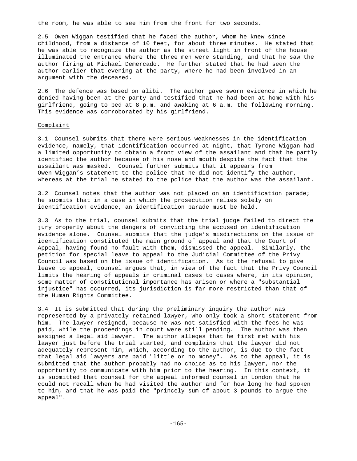the room, he was able to see him from the front for two seconds.

2.5 Owen Wiggan testified that he faced the author, whom he knew since childhood, from a distance of 10 feet, for about three minutes. He stated that he was able to recognize the author as the street light in front of the house illuminated the entrance where the three men were standing, and that he saw the author firing at Michael Demercado. He further stated that he had seen the author earlier that evening at the party, where he had been involved in an argument with the deceased.

2.6 The defence was based on alibi. The author gave sworn evidence in which he denied having been at the party and testified that he had been at home with his girlfriend, going to bed at 8 p.m. and awaking at 6 a.m. the following morning. This evidence was corroborated by his girlfriend.

### Complaint

3.1 Counsel submits that there were serious weaknesses in the identification evidence, namely, that identification occurred at night, that Tyrone Wiggan had a limited opportunity to obtain a front view of the assailant and that he partly identified the author because of his nose and mouth despite the fact that the assailant was masked. Counsel further submits that it appears from Owen Wiggan's statement to the police that he did not identify the author, whereas at the trial he stated to the police that the author was the assailant.

3.2 Counsel notes that the author was not placed on an identification parade; he submits that in a case in which the prosecution relies solely on identification evidence, an identification parade must be held.

3.3 As to the trial, counsel submits that the trial judge failed to direct the jury properly about the dangers of convicting the accused on identification evidence alone. Counsel submits that the judge's misdirections on the issue of identification constituted the main ground of appeal and that the Court of Appeal, having found no fault with them, dismissed the appeal. Similarly, the petition for special leave to appeal to the Judicial Committee of the Privy Council was based on the issue of identification. As to the refusal to give leave to appeal, counsel argues that, in view of the fact that the Privy Council limits the hearing of appeals in criminal cases to cases where, in its opinion, some matter of constitutional importance has arisen or where a "substantial injustice" has occurred, its jurisdiction is far more restricted than that of the Human Rights Committee.

3.4 It is submitted that during the preliminary inquiry the author was represented by a privately retained lawyer, who only took a short statement from him. The lawyer resigned, because he was not satisfied with the fees he was paid, while the proceedings in court were still pending. The author was then assigned a legal aid lawyer. The author alleges that he first met with his lawyer just before the trial started, and complains that the lawyer did not adequately represent him, which, according to the author, is due to the fact that legal aid lawyers are paid "little or no money". As to the appeal, it is submitted that the author probably had no choice as to his lawyer, nor the opportunity to communicate with him prior to the hearing. In this context, it is submitted that counsel for the appeal informed counsel in London that he could not recall when he had visited the author and for how long he had spoken to him, and that he was paid the "princely sum of about 3 pounds to argue the appeal".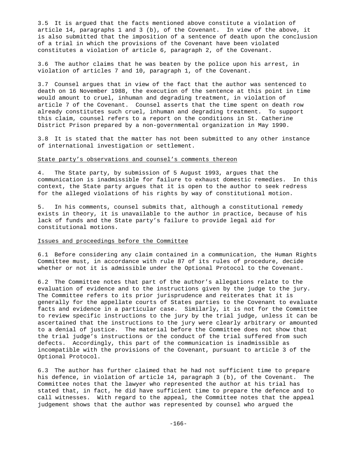3.5 It is argued that the facts mentioned above constitute a violation of article 14, paragraphs 1 and 3 (b), of the Covenant. In view of the above, it is also submitted that the imposition of a sentence of death upon the conclusion of a trial in which the provisions of the Covenant have been violated constitutes a violation of article 6, paragraph 2, of the Covenant.

3.6 The author claims that he was beaten by the police upon his arrest, in violation of articles 7 and 10, paragraph 1, of the Covenant.

3.7 Counsel argues that in view of the fact that the author was sentenced to death on 16 November 1988, the execution of the sentence at this point in time would amount to cruel, inhuman and degrading treatment, in violation of article 7 of the Covenant. Counsel asserts that the time spent on death row already constitutes such cruel, inhuman and degrading treatment. To support this claim, counsel refers to a report on the conditions in St. Catherine District Prison prepared by a non-governmental organization in May 1990.

3.8 It is stated that the matter has not been submitted to any other instance of international investigation or settlement.

## State party's observations and counsel's comments thereon

4. The State party, by submission of 5 August 1993, argues that the communication is inadmissible for failure to exhaust domestic remedies. In this context, the State party argues that it is open to the author to seek redress for the alleged violations of his rights by way of constitutional motion.

5. In his comments, counsel submits that, although a constitutional remedy exists in theory, it is unavailable to the author in practice, because of his lack of funds and the State party's failure to provide legal aid for constitutional motions.

#### Issues and proceedings before the Committee

6.1 Before considering any claim contained in a communication, the Human Rights Committee must, in accordance with rule 87 of its rules of procedure, decide whether or not it is admissible under the Optional Protocol to the Covenant.

6.2 The Committee notes that part of the author's allegations relate to the evaluation of evidence and to the instructions given by the judge to the jury. The Committee refers to its prior jurisprudence and reiterates that it is generally for the appellate courts of States parties to the Covenant to evaluate facts and evidence in a particular case. Similarly, it is not for the Committee to review specific instructions to the jury by the trial judge, unless it can be ascertained that the instructions to the jury were clearly arbitrary or amounted to a denial of justice. The material before the Committee does not show that the trial judge's instructions or the conduct of the trial suffered from such defects. Accordingly, this part of the communication is inadmissible as incompatible with the provisions of the Covenant, pursuant to article 3 of the Optional Protocol.

6.3 The author has further claimed that he had not sufficient time to prepare his defence, in violation of article 14, paragraph 3 (b), of the Covenant. The Committee notes that the lawyer who represented the author at his trial has stated that, in fact, he did have sufficient time to prepare the defence and to call witnesses. With regard to the appeal, the Committee notes that the appeal judgement shows that the author was represented by counsel who argued the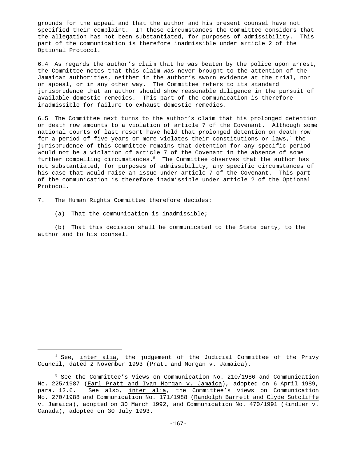grounds for the appeal and that the author and his present counsel have not specified their complaint. In these circumstances the Committee considers that the allegation has not been substantiated, for purposes of admissibility. This part of the communication is therefore inadmissible under article 2 of the Optional Protocol.

6.4 As regards the author's claim that he was beaten by the police upon arrest, the Committee notes that this claim was never brought to the attention of the Jamaican authorities, neither in the author's sworn evidence at the trial, nor on appeal, or in any other way. The Committee refers to its standard jurisprudence that an author should show reasonable diligence in the pursuit of available domestic remedies. This part of the communication is therefore inadmissible for failure to exhaust domestic remedies.

6.5 The Committee next turns to the author's claim that his prolonged detention on death row amounts to a violation of article 7 of the Covenant. Although some national courts of last resort have held that prolonged detention on death row for a period of five years or more violates their constitutions or laws, $<sup>4</sup>$  the</sup> jurisprudence of this Committee remains that detention for any specific period would not be a violation of article 7 of the Covenant in the absence of some further compelling circumstances.5 The Committee observes that the author has not substantiated, for purposes of admissibility, any specific circumstances of his case that would raise an issue under article 7 of the Covenant. This part of the communication is therefore inadmissible under article 2 of the Optional Protocol.

7. The Human Rights Committee therefore decides:

(a) That the communication is inadmissible;

(b) That this decision shall be communicated to the State party, to the author and to his counsel.

<sup>4</sup> See, inter alia, the judgement of the Judicial Committee of the Privy Council, dated 2 November 1993 (Pratt and Morgan v. Jamaica).

<sup>5</sup> See the Committee's Views on Communication No. 210/1986 and Communication No. 225/1987 (Earl Pratt and Ivan Morgan v. Jamaica), adopted on 6 April 1989, para. 12.6. See also, inter alia, the Committee's views on Communication No. 270/1988 and Communication No. 171/1988 (Randolph Barrett and Clyde Sutcliffe v. Jamaica), adopted on 30 March 1992, and Communication No. 470/1991 (Kindler v. Canada), adopted on 30 July 1993.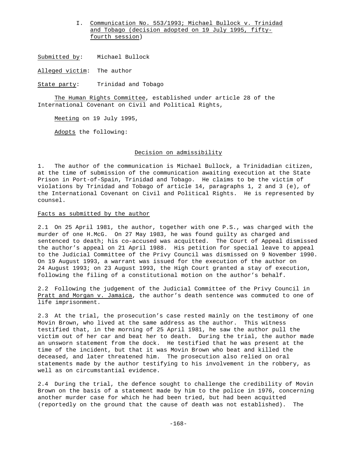I. Communication No. 553/1993; Michael Bullock v. Trinidad and Tobago (decision adopted on 19 July 1995, fiftyfourth session)

Submitted by: Michael Bullock

Alleged victim: The author

State party: Trinidad and Tobago

The Human Rights Committee, established under article 28 of the International Covenant on Civil and Political Rights,

Meeting on 19 July 1995,

Adopts the following:

### Decision on admissibility

1. The author of the communication is Michael Bullock, a Trinidadian citizen, at the time of submission of the communication awaiting execution at the State Prison in Port-of-Spain, Trinidad and Tobago. He claims to be the victim of violations by Trinidad and Tobago of article 14, paragraphs 1, 2 and 3 (e), of the International Covenant on Civil and Political Rights. He is represented by counsel.

### Facts as submitted by the author

2.1 On 25 April 1981, the author, together with one P.S., was charged with the murder of one H.McG. On 27 May 1983, he was found guilty as charged and sentenced to death; his co-accused was acquitted. The Court of Appeal dismissed the author's appeal on 21 April 1988. His petition for special leave to appeal to the Judicial Committee of the Privy Council was dismissed on 9 November 1990. On 19 August 1993, a warrant was issued for the execution of the author on 24 August 1993; on 23 August 1993, the High Court granted a stay of execution, following the filing of a constitutional motion on the author's behalf.

2.2 Following the judgement of the Judicial Committee of the Privy Council in Pratt and Morgan v. Jamaica, the author's death sentence was commuted to one of life imprisonment.

2.3 At the trial, the prosecution's case rested mainly on the testimony of one Movin Brown, who lived at the same address as the author. This witness testified that, in the morning of 25 April 1981, he saw the author pull the victim out of her car and beat her to death. During the trial, the author made an unsworn statement from the dock. He testified that he was present at the time of the incident, but that it was Movin Brown who beat and killed the deceased, and later threatened him. The prosecution also relied on oral statements made by the author testifying to his involvement in the robbery, as well as on circumstantial evidence.

2.4 During the trial, the defence sought to challenge the credibility of Movin Brown on the basis of a statement made by him to the police in 1976, concerning another murder case for which he had been tried, but had been acquitted (reportedly on the ground that the cause of death was not established). The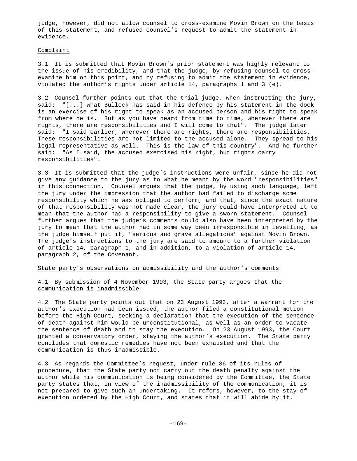judge, however, did not allow counsel to cross-examine Movin Brown on the basis of this statement, and refused counsel's request to admit the statement in evidence.

### **Complaint**

3.1 It is submitted that Movin Brown's prior statement was highly relevant to the issue of his credibility, and that the judge, by refusing counsel to crossexamine him on this point, and by refusing to admit the statement in evidence, violated the author's rights under article 14, paragraphs 1 and 3 (e).

3.2 Counsel further points out that the trial judge, when instructing the jury, said: "[...] what Bullock has said in his defence by his statement in the dock is an exercise of his right to speak as an accused person and his right to speak from where he is. But as you have heard from time to time, wherever there are rights, there are responsibilities and I will come to that". The judge later said: "I said earlier, wherever there are rights, there are responsibilities. These responsibilities are not limited to the accused alone. They spread to his legal representative as well. This is the law of this country". And he further said: "As I said, the accused exercised his right, but rights carry responsibilities".

3.3 It is submitted that the judge's instructions were unfair, since he did not give any guidance to the jury as to what he meant by the word "responsibilities" in this connection. Counsel argues that the judge, by using such language, left the jury under the impression that the author had failed to discharge some responsibility which he was obliged to perform, and that, since the exact nature of that responsibility was not made clear, the jury could have interpreted it to mean that the author had a responsibility to give a sworn statement. Counsel further argues that the judge's comments could also have been interpreted by the jury to mean that the author had in some way been irresponsible in levelling, as the judge himself put it, "serious and grave allegations" against Movin Brown. The judge's instructions to the jury are said to amount to a further violation of article 14, paragraph 1, and in addition, to a violation of article 14, paragraph 2, of the Covenant.

### State party's observations on admissibility and the author's comments

4.1 By submission of 4 November 1993, the State party argues that the communication is inadmissible.

4.2 The State party points out that on 23 August 1993, after a warrant for the author's execution had been issued, the author filed a constitutional motion before the High Court, seeking a declaration that the execution of the sentence of death against him would be unconstitutional, as well as an order to vacate the sentence of death and to stay the execution. On 23 August 1993, the Court granted a conservatory order, staying the author's execution. The State party concludes that domestic remedies have not been exhausted and that the communication is thus inadmissible.

4.3 As regards the Committee's request, under rule 86 of its rules of procedure, that the State party not carry out the death penalty against the author while his communication is being considered by the Committee, the State party states that, in view of the inadmissibility of the communication, it is not prepared to give such an undertaking. It refers, however, to the stay of execution ordered by the High Court, and states that it will abide by it.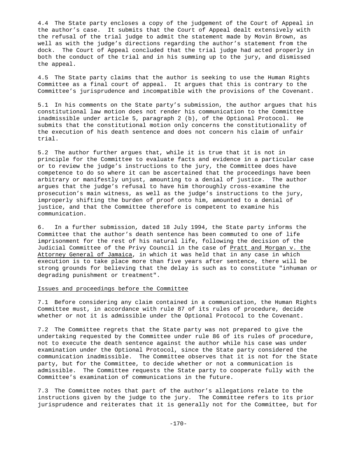4.4 The State party encloses a copy of the judgement of the Court of Appeal in the author's case. It submits that the Court of Appeal dealt extensively with the refusal of the trial judge to admit the statement made by Movin Brown, as well as with the judge's directions regarding the author's statement from the dock. The Court of Appeal concluded that the trial judge had acted properly in both the conduct of the trial and in his summing up to the jury, and dismissed the appeal.

4.5 The State party claims that the author is seeking to use the Human Rights Committee as a final court of appeal. It argues that this is contrary to the Committee's jurisprudence and incompatible with the provisions of the Covenant.

5.1 In his comments on the State party's submission, the author argues that his constitutional law motion does not render his communication to the Committee inadmissible under article 5, paragraph 2 (b), of the Optional Protocol. He submits that the constitutional motion only concerns the constitutionality of the execution of his death sentence and does not concern his claim of unfair trial.

5.2 The author further argues that, while it is true that it is not in principle for the Committee to evaluate facts and evidence in a particular case or to review the judge's instructions to the jury, the Committee does have competence to do so where it can be ascertained that the proceedings have been arbitrary or manifestly unjust, amounting to a denial of justice. The author argues that the judge's refusal to have him thoroughly cross-examine the prosecution's main witness, as well as the judge's instructions to the jury, improperly shifting the burden of proof onto him, amounted to a denial of justice, and that the Committee therefore is competent to examine his communication.

6. In a further submission, dated 18 July 1994, the State party informs the Committee that the author's death sentence has been commuted to one of life imprisonment for the rest of his natural life, following the decision of the Judicial Committee of the Privy Council in the case of Pratt and Morgan v. the Attorney General of Jamaica, in which it was held that in any case in which execution is to take place more than five years after sentence, there will be strong grounds for believing that the delay is such as to constitute "inhuman or degrading punishment or treatment".

## Issues and proceedings before the Committee

7.1 Before considering any claim contained in a communication, the Human Rights Committee must, in accordance with rule 87 of its rules of procedure, decide whether or not it is admissible under the Optional Protocol to the Covenant.

7.2 The Committee regrets that the State party was not prepared to give the undertaking requested by the Committee under rule 86 of its rules of procedure, not to execute the death sentence against the author while his case was under examination under the Optional Protocol, since the State party considered the communication inadmissible. The Committee observes that it is not for the State party, but for the Committee, to decide whether or not a communication is admissible. The Committee requests the State party to cooperate fully with the Committee's examination of communications in the future.

7.3 The Committee notes that part of the author's allegations relate to the instructions given by the judge to the jury. The Committee refers to its prior jurisprudence and reiterates that it is generally not for the Committee, but for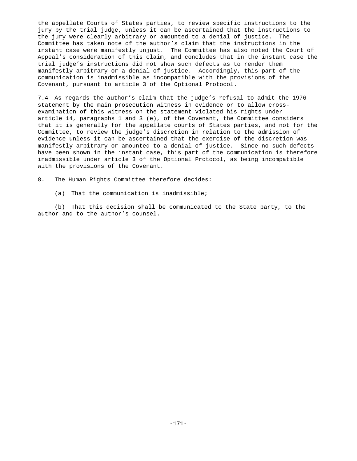the appellate Courts of States parties, to review specific instructions to the jury by the trial judge, unless it can be ascertained that the instructions to the jury were clearly arbitrary or amounted to a denial of justice. The Committee has taken note of the author's claim that the instructions in the instant case were manifestly unjust. The Committee has also noted the Court of Appeal's consideration of this claim, and concludes that in the instant case the trial judge's instructions did not show such defects as to render them manifestly arbitrary or a denial of justice. Accordingly, this part of the communication is inadmissible as incompatible with the provisions of the Covenant, pursuant to article 3 of the Optional Protocol.

7.4 As regards the author's claim that the judge's refusal to admit the 1976 statement by the main prosecution witness in evidence or to allow crossexamination of this witness on the statement violated his rights under article 14, paragraphs 1 and 3 (e), of the Covenant, the Committee considers that it is generally for the appellate courts of States parties, and not for the Committee, to review the judge's discretion in relation to the admission of evidence unless it can be ascertained that the exercise of the discretion was manifestly arbitrary or amounted to a denial of justice. Since no such defects have been shown in the instant case, this part of the communication is therefore inadmissible under article 3 of the Optional Protocol, as being incompatible with the provisions of the Covenant.

8. The Human Rights Committee therefore decides:

(a) That the communication is inadmissible;

(b) That this decision shall be communicated to the State party, to the author and to the author's counsel.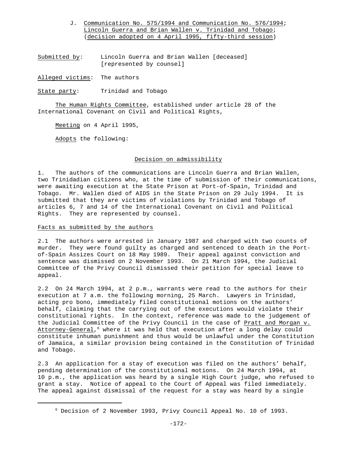J. Communication No. 575/1994 and Communication No. 576/1994; Lincoln Guerra and Brian Wallen v. Trinidad and Tobago; (decision adopted on 4 April 1995, fifty-third session)

Submitted by: Lincoln Guerra and Brian Wallen [deceased] [represented by counsel]

Alleged victims: The authors

State party: Trinidad and Tobago

The Human Rights Committee, established under article 28 of the International Covenant on Civil and Political Rights,

Meeting on 4 April 1995,

Adopts the following:

### Decision on admissibility

1. The authors of the communications are Lincoln Guerra and Brian Wallen, two Trinidadian citizens who, at the time of submission of their communications, were awaiting execution at the State Prison at Port-of-Spain, Trinidad and Tobago. Mr. Wallen died of AIDS in the State Prison on 29 July 1994. It is submitted that they are victims of violations by Trinidad and Tobago of articles 6, 7 and 14 of the International Covenant on Civil and Political Rights. They are represented by counsel.

# Facts as submitted by the authors

2.1 The authors were arrested in January 1987 and charged with two counts of murder. They were found guilty as charged and sentenced to death in the Portof-Spain Assizes Court on 18 May 1989. Their appeal against conviction and sentence was dismissed on 2 November 1993. On 21 March 1994, the Judicial Committee of the Privy Council dismissed their petition for special leave to appeal.

2.2 On 24 March 1994, at 2 p.m., warrants were read to the authors for their execution at 7 a.m. the following morning, 25 March. Lawyers in Trinidad, acting pro bono, immediately filed constitutional motions on the authors' behalf, claiming that the carrying out of the executions would violate their constitutional rights. In the context, reference was made to the judgement of the Judicial Committee of the Privy Council in the case of Pratt and Morgan v. Attorney-General,<sup>6</sup> where it was held that execution after a long delay could constitute inhuman punishment and thus would be unlawful under the Constitution of Jamaica, a similar provision being contained in the Constitution of Trinidad and Tobago.

2.3 An application for a stay of execution was filed on the authors' behalf, pending determination of the constitutional motions. On 24 March 1994, at 10 p.m., the application was heard by a single High Court judge, who refused to grant a stay. Notice of appeal to the Court of Appeal was filed immediately. The appeal against dismissal of the request for a stay was heard by a single

<sup>6</sup> Decision of 2 November 1993, Privy Council Appeal No. 10 of 1993.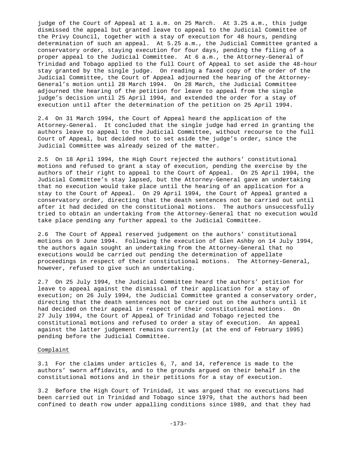judge of the Court of Appeal at 1 a.m. on 25 March. At 3.25 a.m., this judge dismissed the appeal but granted leave to appeal to the Judicial Committee of the Privy Council, together with a stay of execution for 48 hours, pending determination of such an appeal. At 5.25 a.m., the Judicial Committee granted a conservatory order, staying execution for four days, pending the filing of a proper appeal to the Judicial Committee. At 6 a.m., the Attorney-General of Trinidad and Tobago applied to the full Court of Appeal to set aside the 48-hour stay granted by the single judge. On reading a faxed copy of the order of the Judicial Committee, the Court of Appeal adjourned the hearing of the Attorney-General's motion until 28 March 1994. On 28 March, the Judicial Committee adjourned the hearing of the petition for leave to appeal from the single judge's decision until 25 April 1994, and extended the order for a stay of execution until after the determination of the petition on 25 April 1994.

2.4 On 31 March 1994, the Court of Appeal heard the application of the Attorney-General. It concluded that the single judge had erred in granting the authors leave to appeal to the Judicial Committee, without recourse to the full Court of Appeal, but decided not to set aside the judge's order, since the Judicial Committee was already seized of the matter.

2.5 On 18 April 1994, the High Court rejected the authors' constitutional motions and refused to grant a stay of execution, pending the exercise by the authors of their right to appeal to the Court of Appeal. On 25 April 1994, the Judicial Committee's stay lapsed, but the Attorney-General gave an undertaking that no execution would take place until the hearing of an application for a stay to the Court of Appeal. On 29 April 1994, the Court of Appeal granted a conservatory order, directing that the death sentences not be carried out until after it had decided on the constitutional motions. The authors unsuccessfully tried to obtain an undertaking from the Attorney-General that no execution would take place pending any further appeal to the Judicial Committee.

2.6 The Court of Appeal reserved judgement on the authors' constitutional motions on 9 June 1994. Following the execution of Glen Ashby on 14 July 1994, the authors again sought an undertaking from the Attorney-General that no executions would be carried out pending the determination of appellate proceedings in respect of their constitutional motions. The Attorney-General, however, refused to give such an undertaking.

2.7 On 25 July 1994, the Judicial Committee heard the authors' petition for leave to appeal against the dismissal of their application for a stay of execution; on 26 July 1994, the Judicial Committee granted a conservatory order, directing that the death sentences not be carried out on the authors until it had decided on their appeal in respect of their constitutional motions. On 27 July 1994, the Court of Appeal of Trinidad and Tobago rejected the constitutional motions and refused to order a stay of execution. An appeal against the latter judgement remains currently (at the end of February 1995) pending before the Judicial Committee.

### Complaint

3.1 For the claims under articles 6, 7, and 14, reference is made to the authors' sworn affidavits, and to the grounds argued on their behalf in the constitutional motions and in their petitions for a stay of execution.

3.2 Before the High Court of Trinidad, it was argued that no executions had been carried out in Trinidad and Tobago since 1979, that the authors had been confined to death row under appalling conditions since 1989, and that they had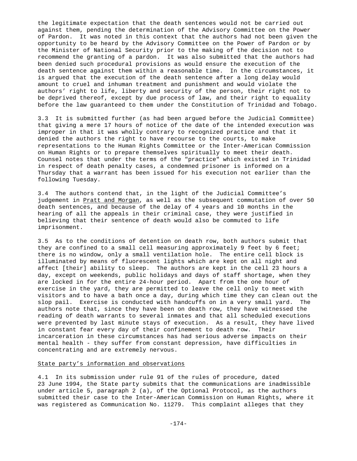the legitimate expectation that the death sentences would not be carried out against them, pending the determination of the Advisory Committee on the Power of Pardon. It was noted in this context that the authors had not been given the opportunity to be heard by the Advisory Committee on the Power of Pardon or by the Minister of National Security prior to the making of the decision not to recommend the granting of a pardon. It was also submitted that the authors had been denied such procedural provisions as would ensure the execution of the death sentence against them within a reasonable time. In the circumstances, it is argued that the execution of the death sentence after a long delay would amount to cruel and inhuman treatment and punishment and would violate the authors' right to life, liberty and security of the person, their right not to be deprived thereof, except by due process of law, and their right to equality before the law guaranteed to them under the Constitution of Trinidad and Tobago.

3.3 It is submitted further (as had been argued before the Judicial Committee) that giving a mere 17 hours of notice of the date of the intended execution was improper in that it was wholly contrary to recognized practice and that it denied the authors the right to have recourse to the courts, to make representations to the Human Rights Committee or the Inter-American Commission on Human Rights or to prepare themselves spiritually to meet their death. Counsel notes that under the terms of the "practice" which existed in Trinidad in respect of death penalty cases, a condemned prisoner is informed on a Thursday that a warrant has been issued for his execution not earlier than the following Tuesday.

3.4 The authors contend that, in the light of the Judicial Committee's judgement in Pratt and Morgan, as well as the subsequent commutation of over 50 death sentences, and because of the delay of 4 years and 10 months in the hearing of all the appeals in their criminal case, they were justified in believing that their sentence of death would also be commuted to life imprisonment.

3.5 As to the conditions of detention on death row, both authors submit that they are confined to a small cell measuring approximately 9 feet by 6 feet; there is no window, only a small ventilation hole. The entire cell block is illuminated by means of fluorescent lights which are kept on all night and affect [their] ability to sleep. The authors are kept in the cell 23 hours a day, except on weekends, public holidays and days of staff shortage, when they are locked in for the entire 24-hour period. Apart from the one hour of exercise in the yard, they are permitted to leave the cell only to meet with visitors and to have a bath once a day, during which time they can clean out the slop pail. Exercise is conducted with handcuffs on in a very small yard. The authors note that, since they have been on death row, they have witnessed the reading of death warrants to several inmates and that all scheduled executions were prevented by last minute stays of execution. As a result, they have lived in constant fear every day of their confinement to death row. Their incarceration in these circumstances has had serious adverse impacts on their mental health - they suffer from constant depression, have difficulties in concentrating and are extremely nervous.

### State party's information and observations

4.1 In its submission under rule 91 of the rules of procedure, dated 23 June 1994, the State party submits that the communications are inadmissible under article 5, paragraph 2 (a), of the Optional Protocol, as the authors submitted their case to the Inter-American Commission on Human Rights, where it was registered as Communication No. 11279. This complaint alleges that they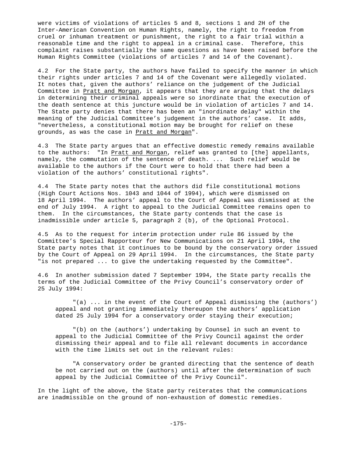were victims of violations of articles 5 and 8, sections 1 and 2H of the Inter-American Convention on Human Rights, namely, the right to freedom from cruel or inhuman treatment or punishment, the right to a fair trial within a reasonable time and the right to appeal in a criminal case. Therefore, this complaint raises substantially the same questions as have been raised before the Human Rights Committee (violations of articles 7 and 14 of the Covenant).

4.2 For the State party, the authors have failed to specify the manner in which their rights under articles 7 and 14 of the Covenant were allegedly violated. It notes that, given the authors' reliance on the judgement of the Judicial Committee in Pratt and Morgan, it appears that they are arguing that the delays in determining their criminal appeals were so inordinate that the execution of the death sentence at this juncture would be in violation of articles 7 and 14. The State party denies that there has been an "inordinate delay" within the meaning of the Judicial Committee's judgement in the authors' case. It adds, "nevertheless, a constitutional motion may be brought for relief on these grounds, as was the case in Pratt and Morgan".

4.3 The State party argues that an effective domestic remedy remains available to the authors: "In Pratt and Morgan, relief was granted to [the] appellants, namely, the commutation of the sentence of death. ... Such relief would be available to the authors if the Court were to hold that there had been a violation of the authors' constitutional rights".

4.4 The State party notes that the authors did file constitutional motions (High Court Actions Nos. 1043 and 1044 of 1994), which were dismissed on 18 April 1994. The authors' appeal to the Court of Appeal was dismissed at the end of July 1994. A right to appeal to the Judicial Committee remains open to them. In the circumstances, the State party contends that the case is inadmissible under article 5, paragraph 2 (b), of the Optional Protocol.

4.5 As to the request for interim protection under rule 86 issued by the Committee's Special Rapporteur for New Communications on 21 April 1994, the State party notes that it continues to be bound by the conservatory order issued by the Court of Appeal on 29 April 1994. In the circumstances, the State party "is not prepared ... to give the undertaking requested by the Committee".

4.6 In another submission dated 7 September 1994, the State party recalls the terms of the Judicial Committee of the Privy Council's conservatory order of 25 July 1994:

"(a) ... in the event of the Court of Appeal dismissing the (authors') appeal and not granting immediately thereupon the authors' application dated 25 July 1994 for a conservatory order staying their execution;

"(b) on the (authors') undertaking by Counsel in such an event to appeal to the Judicial Committee of the Privy Council against the order dismissing their appeal and to file all relevant documents in accordance with the time limits set out in the relevant rules:

"A conservatory order be granted directing that the sentence of death be not carried out on the (authors) until after the determination of such appeal by the Judicial Committee of the Privy Council".

In the light of the above, the State party reiterates that the communications are inadmissible on the ground of non-exhaustion of domestic remedies.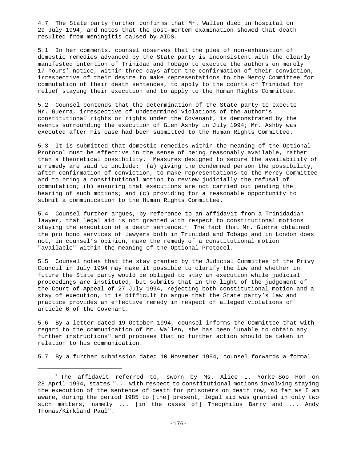4.7 The State party further confirms that Mr. Wallen died in hospital on 29 July 1994, and notes that the post-mortem examination showed that death resulted from meningitis caused by AIDS.

5.1 In her comments, counsel observes that the plea of non-exhaustion of domestic remedies advanced by the State party is inconsistent with the clearly manifested intention of Trinidad and Tobago to execute the authors on merely 17 hours' notice, within three days after the confirmation of their conviction, irrespective of their desire to make representations to the Mercy Committee for commutation of their death sentences, to apply to the courts of Trinidad for relief staying their execution and to apply to the Human Rights Committee.

5.2 Counsel contends that the determination of the State party to execute Mr. Guerra, irrespective of undetermined violations of the author's constitutional rights or rights under the Covenant, is demonstrated by the events surrounding the execution of Glen Ashby in July 1994; Mr. Ashby was executed after his case had been submitted to the Human Rights Committee.

5.3 It is submitted that domestic remedies within the meaning of the Optional Protocol must be effective in the sense of being reasonably available, rather than a theoretical possibility. Measures designed to secure the availability of a remedy are said to include: (a) giving the condemned person the possibility, after confirmation of conviction, to make representations to the Mercy Committee and to bring a constitutional motion to review judicially the refusal of commutation; (b) ensuring that executions are not carried out pending the hearing of such motions; and (c) providing for a reasonable opportunity to submit a communication to the Human Rights Committee.

5.4 Counsel further argues, by reference to an affidavit from a Trinidadian lawyer, that legal aid is not granted with respect to constitutional motions staying the execution of a death sentence.<sup>7</sup> The fact that Mr. Guerra obtained the pro bono services of lawyers both in Trinidad and Tobago and in London does not, in counsel's opinion, make the remedy of a constitutional motion "available" within the meaning of the Optional Protocol.

5.5 Counsel notes that the stay granted by the Judicial Committee of the Privy Council in July 1994 may make it possible to clarify the law and whether in future the State party would be obliged to stay an execution while judicial proceedings are instituted, but submits that in the light of the judgement of the Court of Appeal of 27 July 1994, rejecting both constitutional motion and a stay of execution, it is difficult to argue that the State party's law and practice provides an effective remedy in respect of alleged violations of article 6 of the Covenant.

5.6 By a letter dated 19 October 1994, counsel informs the Committee that with regard to the communication of Mr. Wallen, she has been "unable to obtain any further instructions" and proposes that no further action should be taken in relation to his communication.

5.7 By a further submission dated 10 November 1994, counsel forwards a formal

<sup>7</sup> The affidavit referred to, sworn by Ms. Alice L. Yorke-Soo Hon on 28 April 1994, states "... with respect to constitutional motions involving staying the execution of the sentence of death for prisoners on death row, so far as I am aware, during the period 1985 to [the] present, legal aid was granted in only two such matters, namely ... [in the cases of] Theophilus Barry and ... Andy Thomas/Kirkland Paul".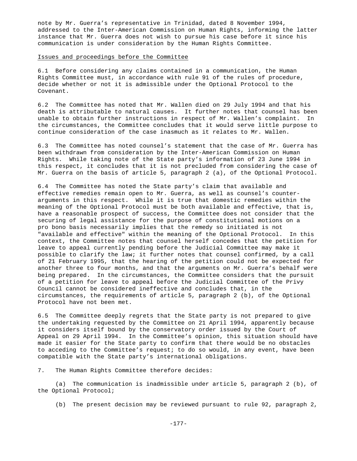note by Mr. Guerra's representative in Trinidad, dated 8 November 1994, addressed to the Inter-American Commission on Human Rights, informing the latter instance that Mr. Guerra does not wish to pursue his case before it since his communication is under consideration by the Human Rights Committee.

# Issues and proceedings before the Committee

6.1 Before considering any claims contained in a communication, the Human Rights Committee must, in accordance with rule 91 of the rules of procedure, decide whether or not it is admissible under the Optional Protocol to the Covenant.

6.2 The Committee has noted that Mr. Wallen died on 29 July 1994 and that his death is attributable to natural causes. It further notes that counsel has been unable to obtain further instructions in respect of Mr. Wallen's complaint. In the circumstances, the Committee concludes that it would serve little purpose to continue consideration of the case inasmuch as it relates to Mr. Wallen.

6.3 The Committee has noted counsel's statement that the case of Mr. Guerra has been withdrawn from consideration by the Inter-American Commission on Human Rights. While taking note of the State party's information of 23 June 1994 in this respect, it concludes that it is not precluded from considering the case of Mr. Guerra on the basis of article 5, paragraph 2 (a), of the Optional Protocol.

6.4 The Committee has noted the State party's claim that available and effective remedies remain open to Mr. Guerra, as well as counsel's counterarguments in this respect. While it is true that domestic remedies within the meaning of the Optional Protocol must be both available and effective, that is, have a reasonable prospect of success, the Committee does not consider that the securing of legal assistance for the purpose of constitutional motions on a pro bono basis necessarily implies that the remedy so initiated is not "available and effective" within the meaning of the Optional Protocol. In this context, the Committee notes that counsel herself concedes that the petition for leave to appeal currently pending before the Judicial Committee may make it possible to clarify the law; it further notes that counsel confirmed, by a call of 21 February 1995, that the hearing of the petition could not be expected for another three to four months, and that the arguments on Mr. Guerra's behalf were being prepared. In the circumstances, the Committee considers that the pursuit of a petition for leave to appeal before the Judicial Committee of the Privy Council cannot be considered ineffective and concludes that, in the circumstances, the requirements of article 5, paragraph 2 (b), of the Optional Protocol have not been met.

6.5 The Committee deeply regrets that the State party is not prepared to give the undertaking requested by the Committee on 21 April 1994, apparently because it considers itself bound by the conservatory order issued by the Court of Appeal on 29 April 1994. In the Committee's opinion, this situation should have made it easier for the State party to confirm that there would be no obstacles to acceding to the Committee's request; to do so would, in any event, have been compatible with the State party's international obligations.

7. The Human Rights Committee therefore decides:

(a) The communication is inadmissible under article 5, paragraph 2 (b), of the Optional Protocol;

(b) The present decision may be reviewed pursuant to rule 92, paragraph 2,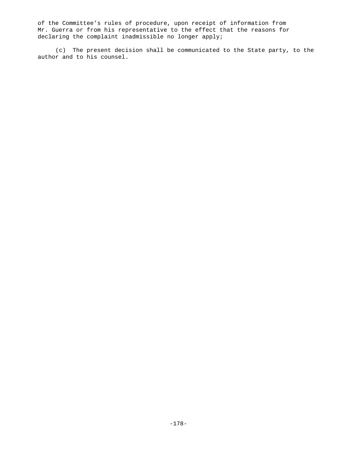of the Committee's rules of procedure, upon receipt of information from Mr. Guerra or from his representative to the effect that the reasons for declaring the complaint inadmissible no longer apply;

(c) The present decision shall be communicated to the State party, to the author and to his counsel.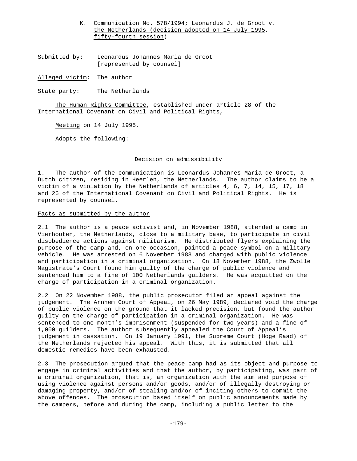- K. Communication No. 578/1994; Leonardus J. de Groot v. the Netherlands (decision adopted on 14 July 1995, fifty-fourth session)
- Submitted by: Leonardus Johannes Maria de Groot [represented by counsel]

Alleged victim: The author

State party: The Netherlands

The Human Rights Committee, established under article 28 of the International Covenant on Civil and Political Rights,

Meeting on 14 July 1995,

Adopts the following:

## Decision on admissibility

1. The author of the communication is Leonardus Johannes Maria de Groot, a Dutch citizen, residing in Heerlen, the Netherlands. The author claims to be a victim of a violation by the Netherlands of articles 4, 6, 7, 14, 15, 17, 18 and 26 of the International Covenant on Civil and Political Rights. He is represented by counsel.

# Facts as submitted by the author

2.1 The author is a peace activist and, in November 1988, attended a camp in Vierhouten, the Netherlands, close to a military base, to participate in civil disobedience actions against militarism. He distributed flyers explaining the purpose of the camp and, on one occasion, painted a peace symbol on a military vehicle. He was arrested on 6 November 1988 and charged with public violence and participation in a criminal organization. On 18 November 1988, the Zwolle Magistrate's Court found him guilty of the charge of public violence and sentenced him to a fine of 100 Netherlands guilders. He was acquitted on the charge of participation in a criminal organization.

2.2 On 22 November 1988, the public prosecutor filed an appeal against the judgement. The Arnhem Court of Appeal, on 26 May 1989, declared void the charge of public violence on the ground that it lacked precision, but found the author guilty on the charge of participation in a criminal organization. He was sentenced to one month's imprisonment (suspended for two years) and a fine of 1,000 guilders. The author subsequently appealed the Court of Appeal's judgement in cassation. On 19 January 1991, the Supreme Court (Hoge Raad) of the Netherlands rejected his appeal. With this, it is submitted that all domestic remedies have been exhausted.

2.3 The prosecution argued that the peace camp had as its object and purpose to engage in criminal activities and that the author, by participating, was part of a criminal organization, that is, an organization with the aim and purpose of using violence against persons and/or goods, and/or of illegally destroying or damaging property, and/or of stealing and/or of inciting others to commit the above offences. The prosecution based itself on public announcements made by the campers, before and during the camp, including a public letter to the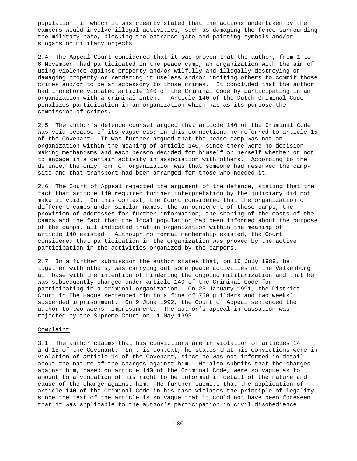population, in which it was clearly stated that the actions undertaken by the campers would involve illegal activities, such as damaging the fence surrounding the military base, blocking the entrance gate and painting symbols and/or slogans on military objects.

2.4 The Appeal Court considered that it was proven that the author, from 1 to 6 November, had participated in the peace camp, an organization with the aim of using violence against property and/or wilfully and illegally destroying or damaging property or rendering it useless and/or inciting others to commit those crimes and/or to be an accessory to those crimes. It concluded that the author had therefore violated article 140 of the Criminal Code by participating in an organization with a criminal intent. Article 140 of the Dutch Criminal Code penalizes participation in an organization which has as its purpose the commission of crimes.

2.5 The author's defence counsel argued that article 140 of the Criminal Code was void because of its vagueness; in this connection, he referred to article 15 of the Covenant. It was further argued that the peace camp was not an organization within the meaning of article 140, since there were no decisionmaking mechanisms and each person decided for himself or herself whether or not to engage in a certain activity in association with others. According to the defence, the only form of organization was that someone had reserved the campsite and that transport had been arranged for those who needed it.

2.6 The Court of Appeal rejected the argument of the defence, stating that the fact that article 140 required further interpretation by the judiciary did not make it void. In this context, the Court considered that the organization of different camps under similar names, the announcement of those camps, the provision of addresses for further information, the sharing of the costs of the camps and the fact that the local population had been informed about the purpose of the camps, all indicated that an organization within the meaning of article 140 existed. Although no formal membership existed, the Court considered that participation in the organization was proved by the active participation in the activities organized by the campers.

2.7 In a further submission the author states that, on 16 July 1989, he, together with others, was carrying out some peace activities at the Valkenburg air base with the intention of hindering the ongoing militarization and that he was subsequently charged under article 140 of the Criminal Code for participating in a criminal organization. On 25 January 1991, the District Court in The Hague sentenced him to a fine of 750 guilders and two weeks' suspended imprisonment. On 9 June 1992, the Court of Appeal sentenced the author to two weeks' imprisonment. The author's appeal in cassation was rejected by the Supreme Court on 11 May 1993.

### **Complaint**

3.1 The author claims that his convictions are in violation of articles 14 and 15 of the Covenant. In this context, he states that his convictions were in violation of article 14 of the Covenant, since he was not informed in detail about the nature of the charges against him. He also submits that the charges against him, based on article 140 of the Criminal Code, were so vague as to amount to a violation of his right to be informed in detail of the nature and cause of the charge against him. He further submits that the application of article 140 of the Criminal Code in his case violates the principle of legality, since the text of the article is so vague that it could not have been foreseen that it was applicable to the author's participation in civil disobedience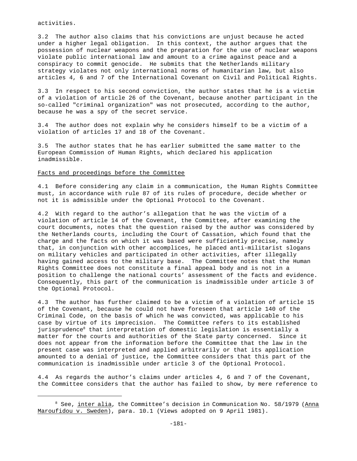activities.

3.2 The author also claims that his convictions are unjust because he acted under a higher legal obligation. In this context, the author argues that the possession of nuclear weapons and the preparation for the use of nuclear weapons violate public international law and amount to a crime against peace and a conspiracy to commit genocide. He submits that the Netherlands military strategy violates not only international norms of humanitarian law, but also articles 4, 6 and 7 of the International Covenant on Civil and Political Rights.

3.3 In respect to his second conviction, the author states that he is a victim of a violation of article 26 of the Covenant, because another participant in the so-called "criminal organization" was not prosecuted, according to the author, because he was a spy of the secret service.

3.4 The author does not explain why he considers himself to be a victim of a violation of articles 17 and 18 of the Covenant.

3.5 The author states that he has earlier submitted the same matter to the European Commission of Human Rights, which declared his application inadmissible.

# Facts and proceedings before the Committee

4.1 Before considering any claim in a communication, the Human Rights Committee must, in accordance with rule 87 of its rules of procedure, decide whether or not it is admissible under the Optional Protocol to the Covenant.

4.2 With regard to the author's allegation that he was the victim of a violation of article 14 of the Covenant, the Committee, after examining the court documents, notes that the question raised by the author was considered by the Netherlands courts, including the Court of Cassation, which found that the charge and the facts on which it was based were sufficiently precise, namely that, in conjunction with other accomplices, he placed anti-militarist slogans on military vehicles and participated in other activities, after illegally having gained access to the military base. The Committee notes that the Human Rights Committee does not constitute a final appeal body and is not in a position to challenge the national courts' assessment of the facts and evidence. Consequently, this part of the communication is inadmissible under article 3 of the Optional Protocol.

4.3 The author has further claimed to be a victim of a violation of article 15 of the Covenant, because he could not have foreseen that article 140 of the Criminal Code, on the basis of which he was convicted, was applicable to his case by virtue of its imprecision. The Committee refers to its established jurisprudence<sup>8</sup> that interpretation of domestic legislation is essentially a matter for the courts and authorities of the State party concerned. Since it does not appear from the information before the Committee that the law in the present case was interpreted and applied arbitrarily or that its application amounted to a denial of justice, the Committee considers that this part of the communication is inadmissible under article 3 of the Optional Protocol.

4.4 As regards the author's claims under articles 4, 6 and 7 of the Covenant, the Committee considers that the author has failed to show, by mere reference to

<sup>8</sup> See, inter alia, the Committee's decision in Communication No. 58/1979 (Anna Maroufidou v. Sweden), para. 10.1 (Views adopted on 9 April 1981).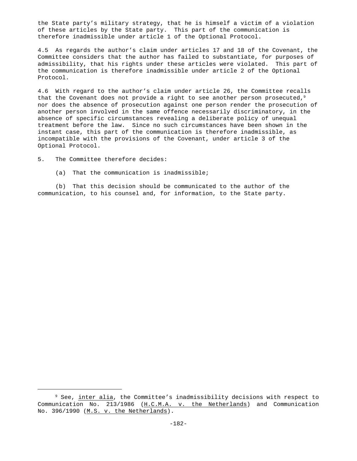the State party's military strategy, that he is himself a victim of a violation of these articles by the State party. This part of the communication is therefore inadmissible under article 1 of the Optional Protocol.

4.5 As regards the author's claim under articles 17 and 18 of the Covenant, the Committee considers that the author has failed to substantiate, for purposes of admissibility, that his rights under these articles were violated. This part of the communication is therefore inadmissible under article 2 of the Optional Protocol.

4.6 With regard to the author's claim under article 26, the Committee recalls that the Covenant does not provide a right to see another person prosecuted,  $9$ nor does the absence of prosecution against one person render the prosecution of another person involved in the same offence necessarily discriminatory, in the absence of specific circumstances revealing a deliberate policy of unequal treatment before the law. Since no such circumstances have been shown in the instant case, this part of the communication is therefore inadmissible, as incompatible with the provisions of the Covenant, under article 3 of the Optional Protocol.

5. The Committee therefore decides:

(a) That the communication is inadmissible;

(b) That this decision should be communicated to the author of the communication, to his counsel and, for information, to the State party.

<sup>9</sup> See, inter alia, the Committee's inadmissibility decisions with respect to Communication No. 213/1986 (H.C.M.A. v. the Netherlands) and Communication No. 396/1990 (M.S. v. the Netherlands).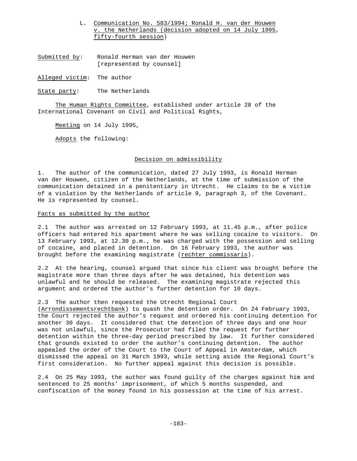- L. Communication No. 583/1994; Ronald H. van der Houwen v. the Netherlands (decision adopted on 14 July 1995, fifty-fourth session)
- Submitted by: Ronald Herman van der Houwen [represented by counsel]

Alleged victim: The author

State party: The Netherlands

The Human Rights Committee, established under article 28 of the International Covenant on Civil and Political Rights,

Meeting on 14 July 1995,

Adopts the following:

### Decision on admissibility

1. The author of the communication, dated 27 July 1993, is Ronald Herman van der Houwen, citizen of the Netherlands, at the time of submission of the communication detained in a penitentiary in Utrecht. He claims to be a victim of a violation by the Netherlands of article 9, paragraph 3, of the Covenant. He is represented by counsel.

## Facts as submitted by the author

2.1 The author was arrested on 12 February 1993, at 11.45 p.m., after police officers had entered his apartment where he was selling cocaine to visitors. On 13 February 1993, at 12.30 p.m., he was charged with the possession and selling of cocaine, and placed in detention. On 16 February 1993, the author was brought before the examining magistrate (rechter commissaris).

2.2 At the hearing, counsel argued that since his client was brought before the magistrate more than three days after he was detained, his detention was unlawful and he should be released. The examining magistrate rejected this argument and ordered the author's further detention for 10 days.

#### 2.3 The author then requested the Utrecht Regional Court

(Arrondissementsrechtbank) to quash the detention order. On 24 February 1993, the Court rejected the author's request and ordered his continuing detention for another 30 days. It considered that the detention of three days and one hour was not unlawful, since the Prosecutor had filed the request for further detention within the three-day period prescribed by law. It further considered that grounds existed to order the author's continuing detention. The author appealed the order of the Court to the Court of Appeal in Amsterdam, which dismissed the appeal on 31 March 1993, while setting aside the Regional Court's first consideration. No further appeal against this decision is possible.

2.4 On 25 May 1993, the author was found guilty of the charges against him and sentenced to 25 months' imprisonment, of which 5 months suspended, and confiscation of the money found in his possession at the time of his arrest.